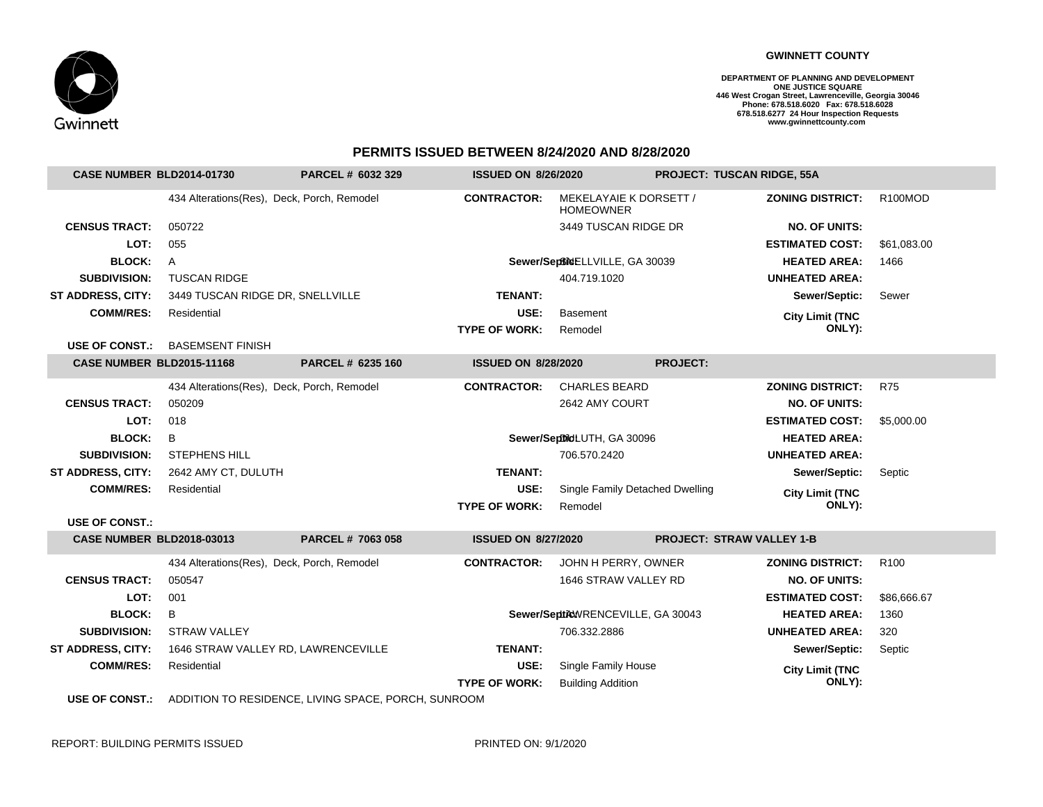

## **GWINNETT COUNTY**

**DEPARTMENT OF PLANNING AND DEVELOPMENT ONE JUSTICE SQUARE 446 West Crogan Street, Lawrenceville, Georgia 30046 Phone: 678.518.6020 Fax: 678.518.6028 678.518.6277 24 Hour Inspection Requests www.gwinnettcounty.com** 

## **PERMITS ISSUED BETWEEN 8/24/2020 AND 8/28/2020**

| <b>CASE NUMBER BLD2014-01730</b> |                                            | PARCEL # 6032 329                                   | <b>ISSUED ON 8/26/2020</b> |                                            |                 | <b>PROJECT: TUSCAN RIDGE, 55A</b> |                  |
|----------------------------------|--------------------------------------------|-----------------------------------------------------|----------------------------|--------------------------------------------|-----------------|-----------------------------------|------------------|
|                                  | 434 Alterations(Res), Deck, Porch, Remodel |                                                     | <b>CONTRACTOR:</b>         | MEKELAYAIE K DORSETT /<br><b>HOMEOWNER</b> |                 | <b>ZONING DISTRICT:</b>           | R100MOD          |
| <b>CENSUS TRACT:</b>             | 050722                                     |                                                     |                            | 3449 TUSCAN RIDGE DR                       |                 | <b>NO. OF UNITS:</b>              |                  |
| LOT:                             | 055                                        |                                                     |                            |                                            |                 | <b>ESTIMATED COST:</b>            | \$61.083.00      |
| <b>BLOCK:</b>                    | $\mathsf{A}$                               |                                                     |                            | Sewer/SeptimeELLVILLE, GA 30039            |                 | <b>HEATED AREA:</b>               | 1466             |
| <b>SUBDIVISION:</b>              | <b>TUSCAN RIDGE</b>                        |                                                     |                            | 404.719.1020                               |                 | <b>UNHEATED AREA:</b>             |                  |
| ST ADDRESS, CITY:                | 3449 TUSCAN RIDGE DR, SNELLVILLE           |                                                     | TENANT:                    |                                            |                 | Sewer/Septic:                     | Sewer            |
| <b>COMM/RES:</b>                 | Residential                                |                                                     | USE:                       | <b>Basement</b>                            |                 | <b>City Limit (TNC</b>            |                  |
|                                  |                                            |                                                     | <b>TYPE OF WORK:</b>       | Remodel                                    |                 | ONLY):                            |                  |
|                                  | USE OF CONST.: BASEMSENT FINISH            |                                                     |                            |                                            |                 |                                   |                  |
| CASE NUMBER BLD2015-11168        |                                            | PARCEL # 6235 160                                   | <b>ISSUED ON 8/28/2020</b> |                                            | <b>PROJECT:</b> |                                   |                  |
|                                  | 434 Alterations(Res), Deck, Porch, Remodel |                                                     | <b>CONTRACTOR:</b>         | <b>CHARLES BEARD</b>                       |                 | <b>ZONING DISTRICT:</b>           | <b>R75</b>       |
| <b>CENSUS TRACT:</b>             | 050209                                     |                                                     |                            | 2642 AMY COURT                             |                 | <b>NO. OF UNITS:</b>              |                  |
| LOT:                             | 018                                        |                                                     |                            |                                            |                 | <b>ESTIMATED COST:</b>            | \$5,000.00       |
| <b>BLOCK:</b>                    | B                                          |                                                     |                            | Sewer/SeptildLUTH, GA 30096                |                 | <b>HEATED AREA:</b>               |                  |
| <b>SUBDIVISION:</b>              | <b>STEPHENS HILL</b>                       |                                                     |                            | 706.570.2420                               |                 | <b>UNHEATED AREA:</b>             |                  |
| <b>ST ADDRESS, CITY:</b>         | 2642 AMY CT, DULUTH                        |                                                     | <b>TENANT:</b>             |                                            |                 | Sewer/Septic:                     | Septic           |
| <b>COMM/RES:</b>                 | Residential                                |                                                     | USE:                       | Single Family Detached Dwelling            |                 | <b>City Limit (TNC</b>            |                  |
|                                  |                                            |                                                     | <b>TYPE OF WORK:</b>       | Remodel                                    |                 | ONLY):                            |                  |
| <b>USE OF CONST.:</b>            |                                            |                                                     |                            |                                            |                 |                                   |                  |
| <b>CASE NUMBER BLD2018-03013</b> |                                            | PARCEL # 7063 058                                   | <b>ISSUED ON 8/27/2020</b> |                                            |                 | <b>PROJECT: STRAW VALLEY 1-B</b>  |                  |
|                                  | 434 Alterations(Res), Deck, Porch, Remodel |                                                     | <b>CONTRACTOR:</b>         | JOHN H PERRY, OWNER                        |                 | <b>ZONING DISTRICT:</b>           | R <sub>100</sub> |
| <b>CENSUS TRACT:</b>             | 050547                                     |                                                     |                            | 1646 STRAW VALLEY RD                       |                 | <b>NO. OF UNITS:</b>              |                  |
| LOT:                             | 001                                        |                                                     |                            |                                            |                 | <b>ESTIMATED COST:</b>            | \$86,666.67      |
| <b>BLOCK:</b>                    | B                                          |                                                     |                            | Sewer/SeptikWRENCEVILLE, GA 30043          |                 | <b>HEATED AREA:</b>               | 1360             |
| <b>SUBDIVISION:</b>              | <b>STRAW VALLEY</b>                        |                                                     |                            | 706.332.2886                               |                 | <b>UNHEATED AREA:</b>             | 320              |
| <b>ST ADDRESS, CITY:</b>         | 1646 STRAW VALLEY RD, LAWRENCEVILLE        |                                                     | <b>TENANT:</b>             |                                            |                 | Sewer/Septic:                     | Septic           |
| <b>COMM/RES:</b>                 | Residential                                |                                                     | USE:                       | Single Family House                        |                 | <b>City Limit (TNC</b>            |                  |
|                                  |                                            |                                                     | <b>TYPE OF WORK:</b>       | <b>Building Addition</b>                   |                 | ONLY):                            |                  |
| <b>USE OF CONST.:</b>            |                                            | ADDITION TO RESIDENCE, LIVING SPACE, PORCH, SUNROOM |                            |                                            |                 |                                   |                  |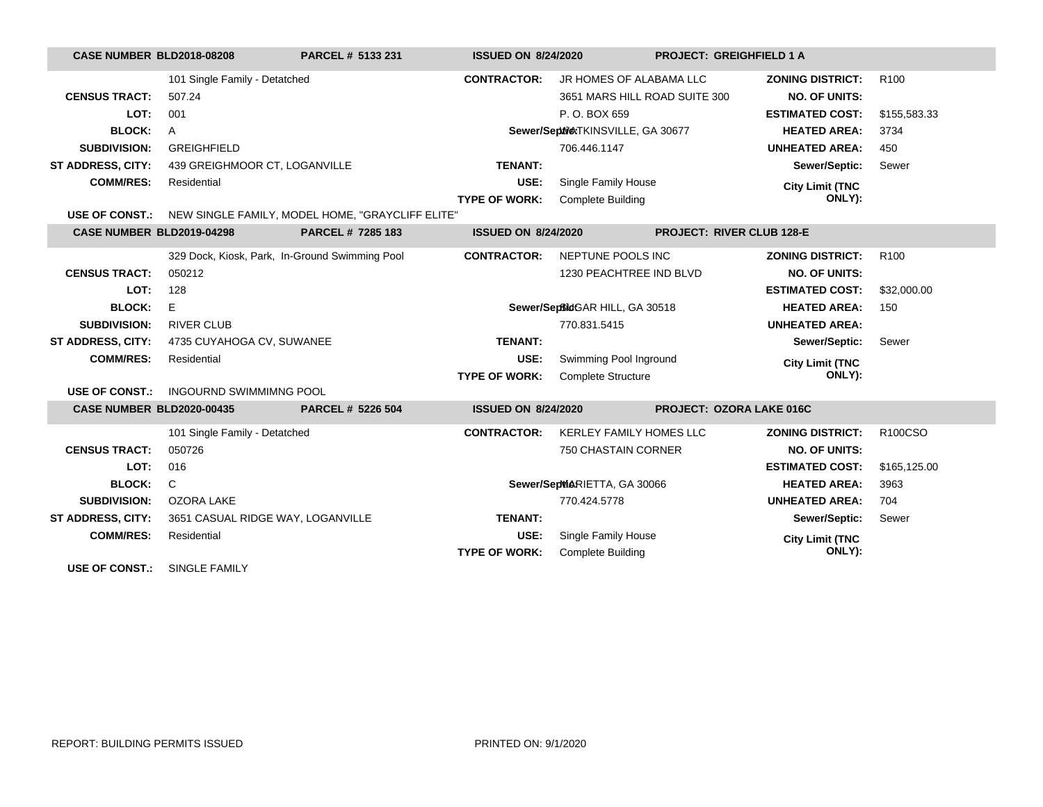| <b>CASE NUMBER BLD2018-08208</b> |                                                | PARCEL # 5133 231                                | <b>ISSUED ON 8/24/2020</b> |                                    | <b>PROJECT: GREIGHFIELD 1 A</b>  |                         |                  |
|----------------------------------|------------------------------------------------|--------------------------------------------------|----------------------------|------------------------------------|----------------------------------|-------------------------|------------------|
|                                  | 101 Single Family - Detatched                  |                                                  | <b>CONTRACTOR:</b>         | JR HOMES OF ALABAMA LLC            |                                  | <b>ZONING DISTRICT:</b> | R <sub>100</sub> |
| <b>CENSUS TRACT:</b>             | 507.24                                         |                                                  |                            | 3651 MARS HILL ROAD SUITE 300      |                                  | <b>NO. OF UNITS:</b>    |                  |
| LOT:                             | 001                                            |                                                  |                            | P.O. BOX 659                       |                                  | <b>ESTIMATED COST:</b>  | \$155,583.33     |
| <b>BLOCK:</b>                    | A                                              |                                                  |                            | Sewer/Septive/TKINSVILLE, GA 30677 |                                  | <b>HEATED AREA:</b>     | 3734             |
| <b>SUBDIVISION:</b>              | <b>GREIGHFIELD</b>                             |                                                  |                            | 706.446.1147                       |                                  | <b>UNHEATED AREA:</b>   | 450              |
| <b>ST ADDRESS, CITY:</b>         | 439 GREIGHMOOR CT, LOGANVILLE                  |                                                  | <b>TENANT:</b>             |                                    |                                  | Sewer/Septic:           | Sewer            |
| <b>COMM/RES:</b>                 | Residential                                    |                                                  | USE:                       | Single Family House                |                                  | <b>City Limit (TNC</b>  |                  |
|                                  |                                                |                                                  | <b>TYPE OF WORK:</b>       | <b>Complete Building</b>           |                                  | ONLY):                  |                  |
| <b>USE OF CONST.:</b>            |                                                | NEW SINGLE FAMILY, MODEL HOME, "GRAYCLIFF ELITE" |                            |                                    |                                  |                         |                  |
| CASE NUMBER BLD2019-04298        |                                                | PARCEL # 7285 183                                | <b>ISSUED ON 8/24/2020</b> |                                    | <b>PROJECT: RIVER CLUB 128-E</b> |                         |                  |
|                                  | 329 Dock, Kiosk, Park, In-Ground Swimming Pool |                                                  | <b>CONTRACTOR:</b>         | NEPTUNE POOLS INC                  |                                  | <b>ZONING DISTRICT:</b> | R <sub>100</sub> |
| <b>CENSUS TRACT:</b>             | 050212                                         |                                                  |                            | 1230 PEACHTREE IND BLVD            |                                  | <b>NO. OF UNITS:</b>    |                  |
| LOT:                             | 128                                            |                                                  |                            |                                    |                                  | <b>ESTIMATED COST:</b>  | \$32,000.00      |
| <b>BLOCK:</b>                    | E.                                             |                                                  |                            | Sewer/SeptidGAR HILL, GA 30518     |                                  | <b>HEATED AREA:</b>     | 150              |
| <b>SUBDIVISION:</b>              | <b>RIVER CLUB</b>                              |                                                  |                            | 770.831.5415                       |                                  | <b>UNHEATED AREA:</b>   |                  |
| ST ADDRESS, CITY:                | 4735 CUYAHOGA CV, SUWANEE                      |                                                  | <b>TENANT:</b>             |                                    |                                  | Sewer/Septic:           | Sewer            |
| <b>COMM/RES:</b>                 | Residential                                    |                                                  | USE:                       | Swimming Pool Inground             |                                  | <b>City Limit (TNC</b>  |                  |
|                                  |                                                |                                                  | <b>TYPE OF WORK:</b>       | <b>Complete Structure</b>          |                                  | ONLY):                  |                  |
| <b>USE OF CONST.:</b>            | <b>INGOURND SWIMMIMNG POOL</b>                 |                                                  |                            |                                    |                                  |                         |                  |
| <b>CASE NUMBER BLD2020-00435</b> |                                                | PARCEL # 5226 504                                | <b>ISSUED ON 8/24/2020</b> |                                    | <b>PROJECT: OZORA LAKE 016C</b>  |                         |                  |
|                                  | 101 Single Family - Detatched                  |                                                  | <b>CONTRACTOR:</b>         | <b>KERLEY FAMILY HOMES LLC</b>     |                                  | <b>ZONING DISTRICT:</b> | R100CSO          |
| <b>CENSUS TRACT:</b>             | 050726                                         |                                                  |                            | 750 CHASTAIN CORNER                |                                  | <b>NO. OF UNITS:</b>    |                  |
| LOT:                             | 016                                            |                                                  |                            |                                    |                                  | <b>ESTIMATED COST:</b>  | \$165,125.00     |
| <b>BLOCK:</b>                    | C                                              |                                                  |                            | Sewer/SepMARIETTA, GA 30066        |                                  | <b>HEATED AREA:</b>     | 3963             |
| <b>SUBDIVISION:</b>              | <b>OZORA LAKE</b>                              |                                                  |                            | 770.424.5778                       |                                  | <b>UNHEATED AREA:</b>   | 704              |
| <b>ST ADDRESS, CITY:</b>         | 3651 CASUAL RIDGE WAY, LOGANVILLE              |                                                  | <b>TENANT:</b>             |                                    |                                  | Sewer/Septic:           | Sewer            |
| <b>COMM/RES:</b>                 | Residential                                    |                                                  | USE:                       | Single Family House                |                                  | <b>City Limit (TNC</b>  |                  |
|                                  |                                                |                                                  | <b>TYPE OF WORK:</b>       | <b>Complete Building</b>           |                                  | ONLY):                  |                  |
| <b>USE OF CONST.:</b>            | <b>SINGLE FAMILY</b>                           |                                                  |                            |                                    |                                  |                         |                  |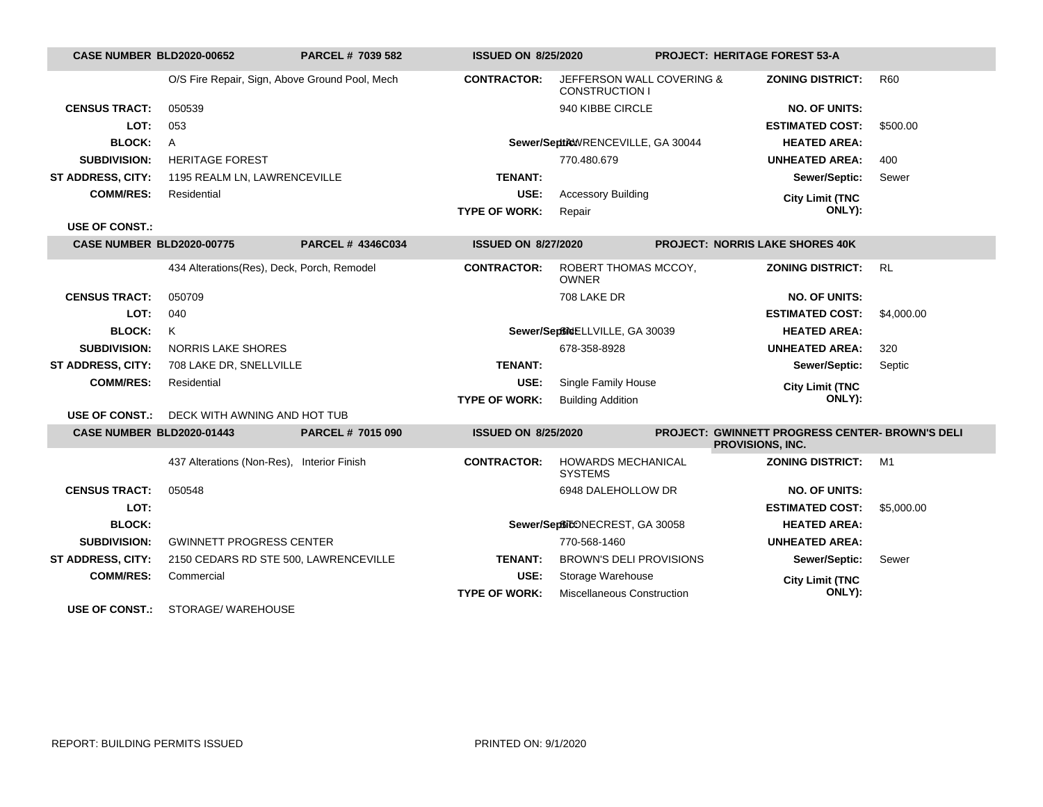| <b>CASE NUMBER BLD2020-00652</b> |                                                | <b>PARCEL # 7039 582</b> | <b>ISSUED ON 8/25/2020</b> |                                                    | <b>PROJECT: HERITAGE FOREST 53-A</b>                                |            |
|----------------------------------|------------------------------------------------|--------------------------|----------------------------|----------------------------------------------------|---------------------------------------------------------------------|------------|
|                                  | O/S Fire Repair, Sign, Above Ground Pool, Mech |                          | <b>CONTRACTOR:</b>         | JEFFERSON WALL COVERING &<br><b>CONSTRUCTION I</b> | <b>ZONING DISTRICT:</b>                                             | <b>R60</b> |
| <b>CENSUS TRACT:</b>             | 050539                                         |                          |                            | 940 KIBBE CIRCLE                                   | <b>NO. OF UNITS:</b>                                                |            |
| LOT:                             | 053                                            |                          |                            |                                                    | <b>ESTIMATED COST:</b>                                              | \$500.00   |
| <b>BLOCK:</b>                    | A                                              |                          |                            | Sewer/SepticWRENCEVILLE, GA 30044                  | <b>HEATED AREA:</b>                                                 |            |
| <b>SUBDIVISION:</b>              | <b>HERITAGE FOREST</b>                         |                          |                            | 770.480.679                                        | <b>UNHEATED AREA:</b>                                               | 400        |
| <b>ST ADDRESS, CITY:</b>         | 1195 REALM LN, LAWRENCEVILLE                   |                          | <b>TENANT:</b>             |                                                    | Sewer/Septic:                                                       | Sewer      |
| <b>COMM/RES:</b>                 | Residential                                    |                          | USE:                       | <b>Accessory Building</b>                          | <b>City Limit (TNC</b>                                              |            |
|                                  |                                                |                          | <b>TYPE OF WORK:</b>       | Repair                                             | ONLY):                                                              |            |
| <b>USE OF CONST.:</b>            |                                                |                          |                            |                                                    |                                                                     |            |
| <b>CASE NUMBER BLD2020-00775</b> |                                                | PARCEL # 4346C034        | <b>ISSUED ON 8/27/2020</b> |                                                    | <b>PROJECT: NORRIS LAKE SHORES 40K</b>                              |            |
|                                  | 434 Alterations(Res), Deck, Porch, Remodel     |                          | <b>CONTRACTOR:</b>         | ROBERT THOMAS MCCOY,<br><b>OWNER</b>               | <b>ZONING DISTRICT:</b>                                             | RL         |
| <b>CENSUS TRACT:</b>             | 050709                                         |                          |                            | 708 LAKE DR                                        | <b>NO. OF UNITS:</b>                                                |            |
| LOT:                             | 040                                            |                          |                            |                                                    | <b>ESTIMATED COST:</b>                                              | \$4,000.00 |
| <b>BLOCK:</b>                    | Κ                                              |                          |                            | Sewer/SepBidELLVILLE, GA 30039                     | <b>HEATED AREA:</b>                                                 |            |
| <b>SUBDIVISION:</b>              | <b>NORRIS LAKE SHORES</b>                      |                          |                            | 678-358-8928                                       | <b>UNHEATED AREA:</b>                                               | 320        |
| <b>ST ADDRESS, CITY:</b>         | 708 LAKE DR, SNELLVILLE                        |                          | <b>TENANT:</b>             |                                                    | Sewer/Septic:                                                       | Septic     |
| <b>COMM/RES:</b>                 | Residential                                    |                          | USE:                       | Single Family House                                | <b>City Limit (TNC</b>                                              |            |
|                                  |                                                |                          | <b>TYPE OF WORK:</b>       | <b>Building Addition</b>                           | ONLY):                                                              |            |
| USE OF CONST.:                   | DECK WITH AWNING AND HOT TUB                   |                          |                            |                                                    |                                                                     |            |
| <b>CASE NUMBER BLD2020-01443</b> |                                                | PARCEL # 7015 090        | <b>ISSUED ON 8/25/2020</b> |                                                    | PROJECT: GWINNETT PROGRESS CENTER- BROWN'S DELI<br>PROVISIONS, INC. |            |
|                                  | 437 Alterations (Non-Res), Interior Finish     |                          | <b>CONTRACTOR:</b>         | <b>HOWARDS MECHANICAL</b><br><b>SYSTEMS</b>        | <b>ZONING DISTRICT:</b>                                             | M1         |
| <b>CENSUS TRACT:</b>             | 050548                                         |                          |                            | 6948 DALEHOLLOW DR                                 | <b>NO. OF UNITS:</b>                                                |            |
| LOT:                             |                                                |                          |                            |                                                    | <b>ESTIMATED COST:</b>                                              | \$5,000.00 |
| <b>BLOCK:</b>                    |                                                |                          |                            | Sewer/SeptitcONECREST, GA 30058                    | <b>HEATED AREA:</b>                                                 |            |
| <b>SUBDIVISION:</b>              | <b>GWINNETT PROGRESS CENTER</b>                |                          |                            | 770-568-1460                                       | <b>UNHEATED AREA:</b>                                               |            |
| ST ADDRESS, CITY:                | 2150 CEDARS RD STE 500, LAWRENCEVILLE          |                          | <b>TENANT:</b>             | <b>BROWN'S DELI PROVISIONS</b>                     | Sewer/Septic:                                                       | Sewer      |
| <b>COMM/RES:</b>                 | Commercial                                     |                          | USE:                       | Storage Warehouse                                  | <b>City Limit (TNC</b>                                              |            |
|                                  |                                                |                          | <b>TYPE OF WORK:</b>       | <b>Miscellaneous Construction</b>                  | ONLY):                                                              |            |
|                                  |                                                |                          |                            |                                                    |                                                                     |            |

**USE OF CONST.:** STORAGE/ WAREHOUSE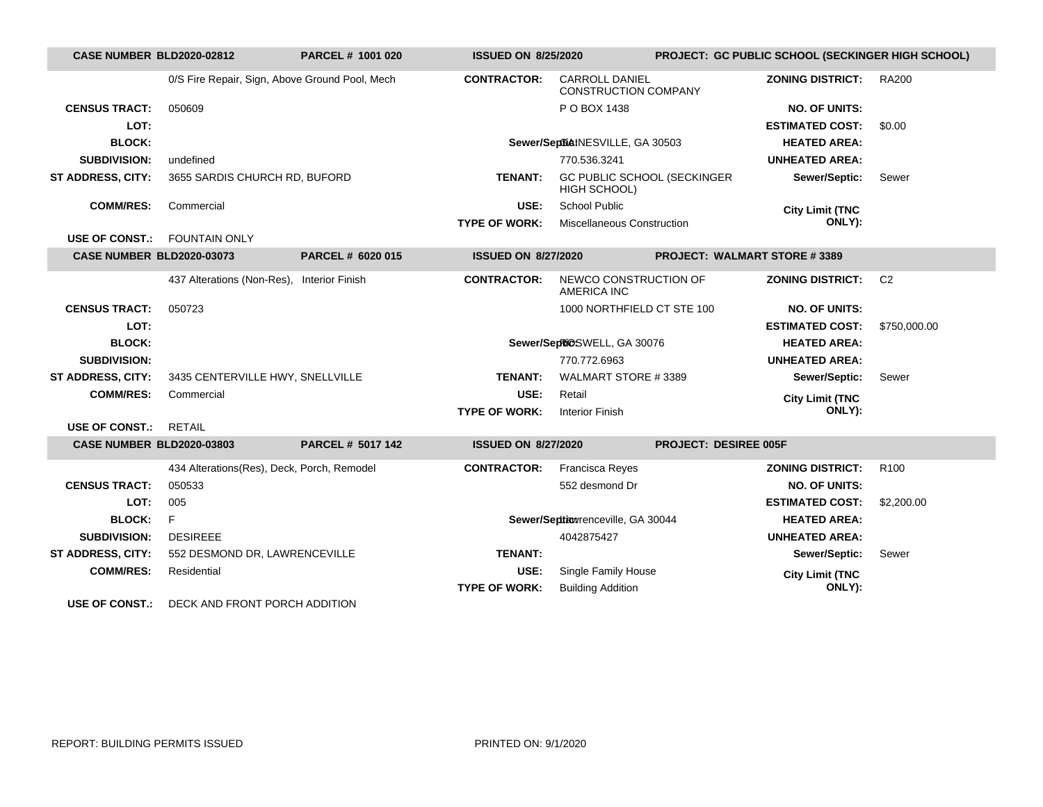| CASE NUMBER BLD2020-02812        |                                                | PARCEL # 1001 020        | <b>ISSUED ON 8/25/2020</b> |                                                      | PROJECT: GC PUBLIC SCHOOL (SECKINGER HIGH SCHOOL) |                  |  |
|----------------------------------|------------------------------------------------|--------------------------|----------------------------|------------------------------------------------------|---------------------------------------------------|------------------|--|
|                                  | 0/S Fire Repair, Sign, Above Ground Pool, Mech |                          | <b>CONTRACTOR:</b>         | <b>CARROLL DANIEL</b><br><b>CONSTRUCTION COMPANY</b> | <b>ZONING DISTRICT:</b>                           | <b>RA200</b>     |  |
| <b>CENSUS TRACT:</b>             | 050609                                         |                          |                            | P O BOX 1438                                         | <b>NO. OF UNITS:</b>                              |                  |  |
| LOT:                             |                                                |                          |                            |                                                      | <b>ESTIMATED COST:</b>                            | \$0.00           |  |
| <b>BLOCK:</b>                    |                                                |                          |                            | Sewer/SeptialNESVILLE, GA 30503                      | <b>HEATED AREA:</b>                               |                  |  |
| <b>SUBDIVISION:</b>              | undefined                                      |                          |                            | 770.536.3241                                         | <b>UNHEATED AREA:</b>                             |                  |  |
| <b>ST ADDRESS, CITY:</b>         | 3655 SARDIS CHURCH RD, BUFORD                  |                          | <b>TENANT:</b>             | GC PUBLIC SCHOOL (SECKINGER<br>HIGH SCHOOL)          | Sewer/Septic:                                     | Sewer            |  |
| <b>COMM/RES:</b>                 | Commercial                                     |                          | USE:                       | <b>School Public</b>                                 | <b>City Limit (TNC</b>                            |                  |  |
|                                  |                                                |                          | <b>TYPE OF WORK:</b>       | <b>Miscellaneous Construction</b>                    | ONLY):                                            |                  |  |
| <b>USE OF CONST.:</b>            | <b>FOUNTAIN ONLY</b>                           |                          |                            |                                                      |                                                   |                  |  |
| <b>CASE NUMBER BLD2020-03073</b> |                                                | PARCEL # 6020 015        | <b>ISSUED ON 8/27/2020</b> |                                                      | <b>PROJECT: WALMART STORE #3389</b>               |                  |  |
|                                  | 437 Alterations (Non-Res),                     | <b>Interior Finish</b>   | <b>CONTRACTOR:</b>         | NEWCO CONSTRUCTION OF<br><b>AMERICA INC</b>          | <b>ZONING DISTRICT:</b>                           | C <sub>2</sub>   |  |
| <b>CENSUS TRACT:</b>             | 050723                                         |                          |                            | 1000 NORTHFIELD CT STE 100                           | <b>NO. OF UNITS:</b>                              |                  |  |
| LOT:                             |                                                |                          |                            |                                                      | <b>ESTIMATED COST:</b>                            | \$750,000.00     |  |
| <b>BLOCK:</b>                    |                                                |                          |                            | Sewer/SepRiOSWELL, GA 30076                          | <b>HEATED AREA:</b>                               |                  |  |
| <b>SUBDIVISION:</b>              |                                                |                          |                            | 770.772.6963                                         | <b>UNHEATED AREA:</b>                             |                  |  |
| ST ADDRESS, CITY:                | 3435 CENTERVILLE HWY, SNELLVILLE               |                          | <b>TENANT:</b>             | WALMART STORE #3389                                  | Sewer/Septic:                                     | Sewer            |  |
| <b>COMM/RES:</b>                 | Commercial                                     |                          | USE:                       | Retail                                               | <b>City Limit (TNC</b>                            |                  |  |
|                                  |                                                |                          | <b>TYPE OF WORK:</b>       | <b>Interior Finish</b>                               | ONLY):                                            |                  |  |
| USE OF CONST.:                   | <b>RETAIL</b>                                  |                          |                            |                                                      |                                                   |                  |  |
| <b>CASE NUMBER BLD2020-03803</b> |                                                | <b>PARCEL # 5017 142</b> | <b>ISSUED ON 8/27/2020</b> |                                                      | <b>PROJECT: DESIREE 005F</b>                      |                  |  |
|                                  | 434 Alterations(Res), Deck, Porch, Remodel     |                          | <b>CONTRACTOR:</b>         | <b>Francisca Reyes</b>                               | <b>ZONING DISTRICT:</b>                           | R <sub>100</sub> |  |
| <b>CENSUS TRACT:</b>             | 050533                                         |                          |                            | 552 desmond Dr                                       | <b>NO. OF UNITS:</b>                              |                  |  |
| LOT:                             | 005                                            |                          |                            |                                                      | <b>ESTIMATED COST:</b>                            | \$2,200.00       |  |
| <b>BLOCK:</b>                    | F                                              |                          |                            | Sewer/Septiowrenceville, GA 30044                    | <b>HEATED AREA:</b>                               |                  |  |
| <b>SUBDIVISION:</b>              | <b>DESIREEE</b>                                |                          |                            | 4042875427                                           | <b>UNHEATED AREA:</b>                             |                  |  |
| <b>ST ADDRESS, CITY:</b>         | 552 DESMOND DR, LAWRENCEVILLE                  |                          | <b>TENANT:</b>             |                                                      | Sewer/Septic:                                     | Sewer            |  |
| <b>COMM/RES:</b>                 | Residential                                    |                          | USE:                       | Single Family House                                  | <b>City Limit (TNC</b>                            |                  |  |
|                                  |                                                |                          | <b>TYPE OF WORK:</b>       | <b>Building Addition</b>                             | ONLY):                                            |                  |  |
| <b>USE OF CONST.:</b>            | DECK AND FRONT PORCH ADDITION                  |                          |                            |                                                      |                                                   |                  |  |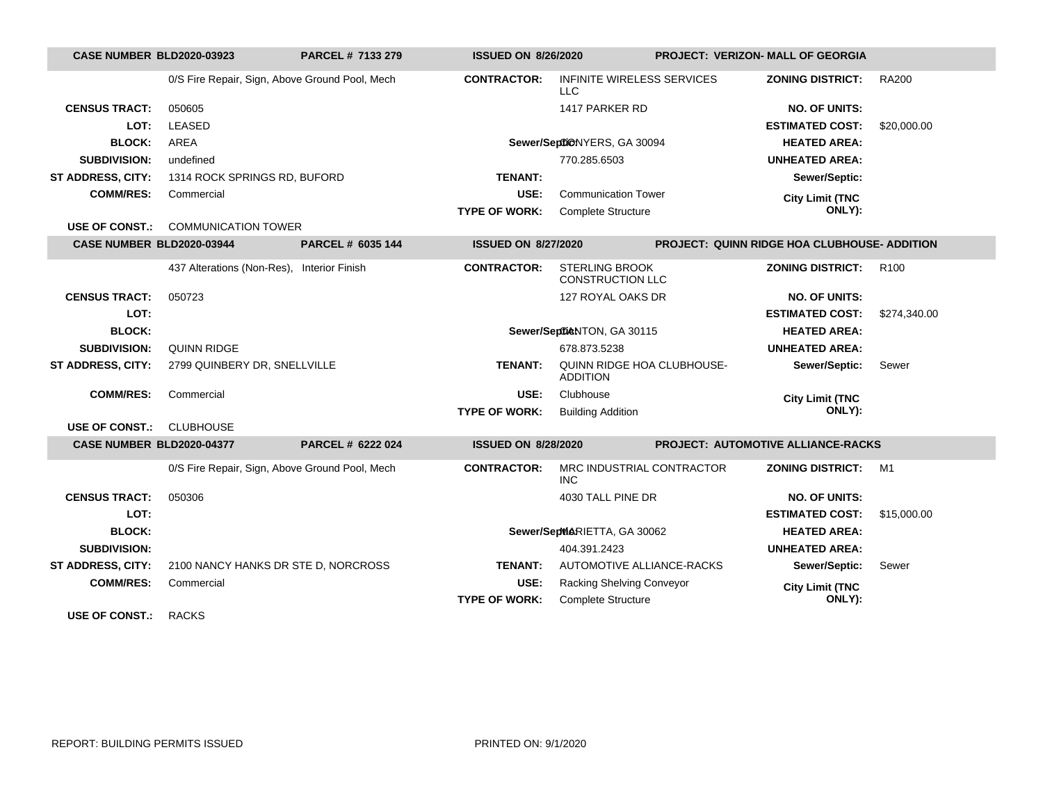| <b>CASE NUMBER BLD2020-03923</b> |                                                | PARCEL # 7133 279 | <b>ISSUED ON 8/26/2020</b> |                                                  | <b>PROJECT: VERIZON- MALL OF GEORGIA</b>            |                  |
|----------------------------------|------------------------------------------------|-------------------|----------------------------|--------------------------------------------------|-----------------------------------------------------|------------------|
|                                  | 0/S Fire Repair, Sign, Above Ground Pool, Mech |                   | <b>CONTRACTOR:</b>         | <b>INFINITE WIRELESS SERVICES</b><br>LLC         | ZONING DISTRICT:                                    | <b>RA200</b>     |
| <b>CENSUS TRACT:</b>             | 050605                                         |                   |                            | 1417 PARKER RD                                   | <b>NO. OF UNITS:</b>                                |                  |
| LOT:                             | <b>LEASED</b>                                  |                   |                            |                                                  | <b>ESTIMATED COST:</b>                              | \$20,000.00      |
| <b>BLOCK:</b>                    | <b>AREA</b>                                    |                   |                            | Sewer/SeptiONYERS, GA 30094                      | <b>HEATED AREA:</b>                                 |                  |
| <b>SUBDIVISION:</b>              | undefined                                      |                   |                            | 770.285.6503                                     | <b>UNHEATED AREA:</b>                               |                  |
| <b>ST ADDRESS, CITY:</b>         | 1314 ROCK SPRINGS RD, BUFORD                   |                   | <b>TENANT:</b>             |                                                  | Sewer/Septic:                                       |                  |
| <b>COMM/RES:</b>                 | Commercial                                     |                   | USE:                       | <b>Communication Tower</b>                       | <b>City Limit (TNC</b>                              |                  |
|                                  |                                                |                   | <b>TYPE OF WORK:</b>       | <b>Complete Structure</b>                        | ONLY):                                              |                  |
| <b>USE OF CONST.:</b>            | <b>COMMUNICATION TOWER</b>                     |                   |                            |                                                  |                                                     |                  |
| CASE NUMBER BLD2020-03944        |                                                | PARCEL # 6035 144 | <b>ISSUED ON 8/27/2020</b> |                                                  | <b>PROJECT: QUINN RIDGE HOA CLUBHOUSE- ADDITION</b> |                  |
|                                  | 437 Alterations (Non-Res), Interior Finish     |                   | <b>CONTRACTOR:</b>         | <b>STERLING BROOK</b><br><b>CONSTRUCTION LLC</b> | <b>ZONING DISTRICT:</b>                             | R <sub>100</sub> |
| <b>CENSUS TRACT:</b>             | 050723                                         |                   |                            | 127 ROYAL OAKS DR                                | <b>NO. OF UNITS:</b>                                |                  |
| LOT:                             |                                                |                   |                            |                                                  | <b>ESTIMATED COST:</b>                              | \$274,340.00     |
| <b>BLOCK:</b>                    |                                                |                   |                            | Sewer/SeptieNTON, GA 30115                       | <b>HEATED AREA:</b>                                 |                  |
| <b>SUBDIVISION:</b>              | <b>QUINN RIDGE</b>                             |                   |                            | 678.873.5238                                     | <b>UNHEATED AREA:</b>                               |                  |
| <b>ST ADDRESS, CITY:</b>         | 2799 QUINBERY DR, SNELLVILLE                   |                   | <b>TENANT:</b>             | QUINN RIDGE HOA CLUBHOUSE-<br><b>ADDITION</b>    | Sewer/Septic:                                       | Sewer            |
| <b>COMM/RES:</b>                 | Commercial                                     |                   | USE:                       | Clubhouse                                        | <b>City Limit (TNC</b>                              |                  |
|                                  |                                                |                   | <b>TYPE OF WORK:</b>       | <b>Building Addition</b>                         | ONLY):                                              |                  |
| <b>USE OF CONST.:</b>            | <b>CLUBHOUSE</b>                               |                   |                            |                                                  |                                                     |                  |
| CASE NUMBER BLD2020-04377        |                                                | PARCEL # 6222 024 | <b>ISSUED ON 8/28/2020</b> |                                                  | PROJECT: AUTOMOTIVE ALLIANCE-RACKS                  |                  |
|                                  | 0/S Fire Repair, Sign, Above Ground Pool, Mech |                   | <b>CONTRACTOR:</b>         | MRC INDUSTRIAL CONTRACTOR<br><b>INC</b>          | <b>ZONING DISTRICT:</b>                             | M1               |
| <b>CENSUS TRACT:</b>             | 050306                                         |                   |                            | 4030 TALL PINE DR                                | <b>NO. OF UNITS:</b>                                |                  |
| LOT:                             |                                                |                   |                            |                                                  | <b>ESTIMATED COST:</b>                              | \$15,000.00      |
| <b>BLOCK:</b>                    |                                                |                   |                            | Sewer/SepMARIETTA, GA 30062                      | <b>HEATED AREA:</b>                                 |                  |
| <b>SUBDIVISION:</b>              |                                                |                   |                            | 404.391.2423                                     | <b>UNHEATED AREA:</b>                               |                  |
| <b>ST ADDRESS, CITY:</b>         | 2100 NANCY HANKS DR STE D, NORCROSS            |                   | <b>TENANT:</b>             | AUTOMOTIVE ALLIANCE-RACKS                        | Sewer/Septic:                                       | Sewer            |
| <b>COMM/RES:</b>                 | Commercial                                     |                   | USE:                       | Racking Shelving Conveyor                        | <b>City Limit (TNC</b>                              |                  |
|                                  |                                                |                   | <b>TYPE OF WORK:</b>       | Complete Structure                               | ONLY):                                              |                  |
|                                  | $\sim$ $\sim$ $\sim$                           |                   |                            |                                                  |                                                     |                  |

**USE OF CONST.:** RACKS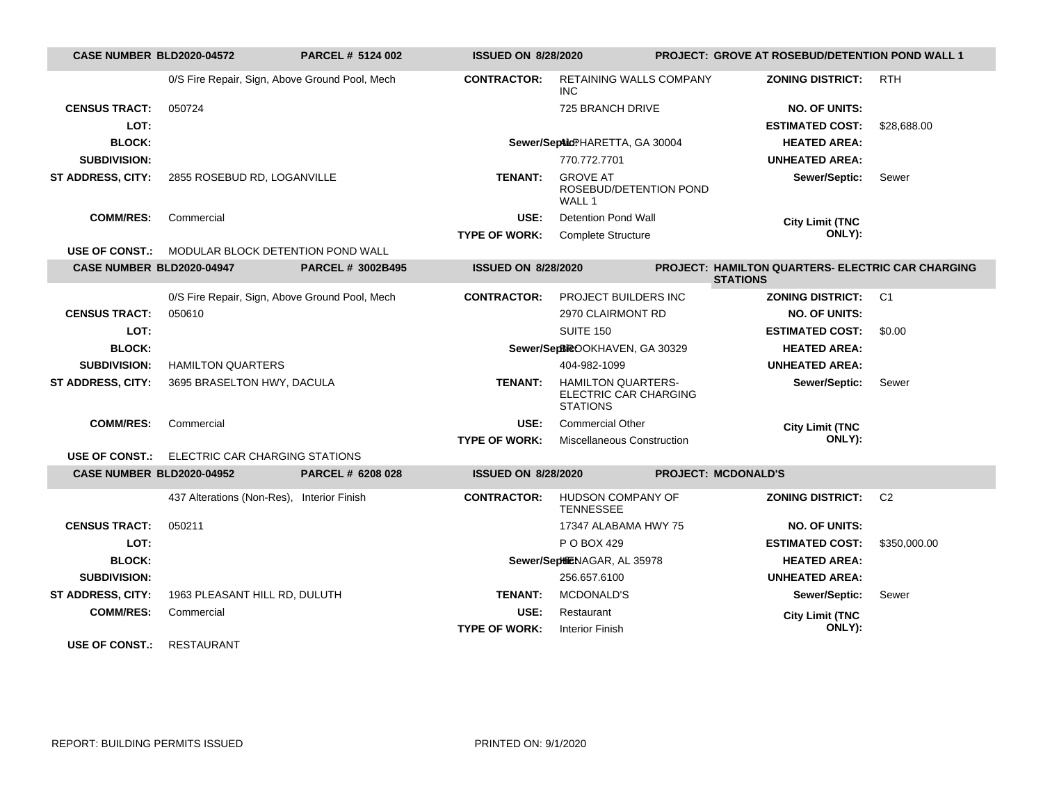| CASE NUMBER BLD2020-04572 |                                                         | <b>PARCEL # 5124 002</b> | <b>ISSUED ON 8/28/2020</b> |                                                                       | <b>PROJECT: GROVE AT ROSEBUD/DETENTION POND WALL 1</b>                      |                |
|---------------------------|---------------------------------------------------------|--------------------------|----------------------------|-----------------------------------------------------------------------|-----------------------------------------------------------------------------|----------------|
|                           | 0/S Fire Repair, Sign, Above Ground Pool, Mech          |                          | <b>CONTRACTOR:</b>         | RETAINING WALLS COMPANY<br>INC.                                       | <b>ZONING DISTRICT:</b>                                                     | <b>RTH</b>     |
| <b>CENSUS TRACT:</b>      | 050724                                                  |                          |                            | 725 BRANCH DRIVE                                                      | <b>NO. OF UNITS:</b>                                                        |                |
| LOT:                      |                                                         |                          |                            |                                                                       | <b>ESTIMATED COST:</b>                                                      | \$28,688.00    |
| <b>BLOCK:</b>             |                                                         |                          |                            | Sewer/SeptildPHARETTA, GA 30004                                       | <b>HEATED AREA:</b>                                                         |                |
| <b>SUBDIVISION:</b>       |                                                         |                          |                            | 770.772.7701                                                          | <b>UNHEATED AREA:</b>                                                       |                |
| ST ADDRESS, CITY:         | 2855 ROSEBUD RD, LOGANVILLE                             |                          | <b>TENANT:</b>             | <b>GROVE AT</b><br>ROSEBUD/DETENTION POND<br>WALL 1                   | Sewer/Septic:                                                               | Sewer          |
| <b>COMM/RES:</b>          | Commercial                                              |                          | USE:                       | <b>Detention Pond Wall</b>                                            | <b>City Limit (TNC</b>                                                      |                |
|                           |                                                         |                          | <b>TYPE OF WORK:</b>       | <b>Complete Structure</b>                                             | ONLY):                                                                      |                |
|                           | <b>USE OF CONST.: MODULAR BLOCK DETENTION POND WALL</b> |                          |                            |                                                                       |                                                                             |                |
| CASE NUMBER BLD2020-04947 |                                                         | <b>PARCEL # 3002B495</b> | <b>ISSUED ON 8/28/2020</b> |                                                                       | <b>PROJECT: HAMILTON QUARTERS- ELECTRIC CAR CHARGING</b><br><b>STATIONS</b> |                |
|                           | 0/S Fire Repair, Sign, Above Ground Pool, Mech          |                          | <b>CONTRACTOR:</b>         | PROJECT BUILDERS INC                                                  | <b>ZONING DISTRICT:</b>                                                     | C <sub>1</sub> |
| <b>CENSUS TRACT:</b>      | 050610                                                  |                          |                            | 2970 CLAIRMONT RD                                                     | <b>NO. OF UNITS:</b>                                                        |                |
| LOT:                      |                                                         |                          |                            | SUITE 150                                                             | <b>ESTIMATED COST:</b>                                                      | \$0.00         |
| <b>BLOCK:</b>             |                                                         |                          |                            | Sewer/SepBROOKHAVEN, GA 30329                                         | <b>HEATED AREA:</b>                                                         |                |
| <b>SUBDIVISION:</b>       | <b>HAMILTON QUARTERS</b>                                |                          |                            | 404-982-1099                                                          | <b>UNHEATED AREA:</b>                                                       |                |
| <b>ST ADDRESS, CITY:</b>  | 3695 BRASELTON HWY, DACULA                              |                          | <b>TENANT:</b>             | <b>HAMILTON QUARTERS-</b><br>ELECTRIC CAR CHARGING<br><b>STATIONS</b> | Sewer/Septic:                                                               | Sewer          |
| <b>COMM/RES:</b>          | Commercial                                              |                          | USE:                       | <b>Commercial Other</b>                                               | <b>City Limit (TNC</b>                                                      |                |
|                           |                                                         |                          | <b>TYPE OF WORK:</b>       | <b>Miscellaneous Construction</b>                                     | ONLY):                                                                      |                |
|                           | <b>USE OF CONST.:</b> ELECTRIC CAR CHARGING STATIONS    |                          |                            |                                                                       |                                                                             |                |
| CASE NUMBER BLD2020-04952 |                                                         | PARCEL # 6208 028        | <b>ISSUED ON 8/28/2020</b> |                                                                       | <b>PROJECT: MCDONALD'S</b>                                                  |                |
|                           | 437 Alterations (Non-Res),                              | <b>Interior Finish</b>   | <b>CONTRACTOR:</b>         | HUDSON COMPANY OF<br><b>TENNESSEE</b>                                 | <b>ZONING DISTRICT:</b>                                                     | C <sub>2</sub> |
| <b>CENSUS TRACT:</b>      | 050211                                                  |                          |                            | 17347 ALABAMA HWY 75                                                  | <b>NO. OF UNITS:</b>                                                        |                |
| LOT:                      |                                                         |                          |                            | P O BOX 429                                                           | <b>ESTIMATED COST:</b>                                                      | \$350,000.00   |
| <b>BLOCK:</b>             |                                                         |                          |                            | Sewer/SeptiENAGAR, AL 35978                                           | <b>HEATED AREA:</b>                                                         |                |
| <b>SUBDIVISION:</b>       |                                                         |                          |                            | 256.657.6100                                                          | <b>UNHEATED AREA:</b>                                                       |                |
| ST ADDRESS, CITY:         | 1963 PLEASANT HILL RD, DULUTH                           |                          | <b>TENANT:</b>             | MCDONALD'S                                                            | Sewer/Septic:                                                               | Sewer          |
| <b>COMM/RES:</b>          | Commercial                                              |                          | USE:                       | Restaurant                                                            | <b>City Limit (TNC</b>                                                      |                |
|                           |                                                         |                          | <b>TYPE OF WORK:</b>       | <b>Interior Finish</b>                                                | ONLY):                                                                      |                |
| USE OF CONST              | <b>RESTAURANT</b>                                       |                          |                            |                                                                       |                                                                             |                |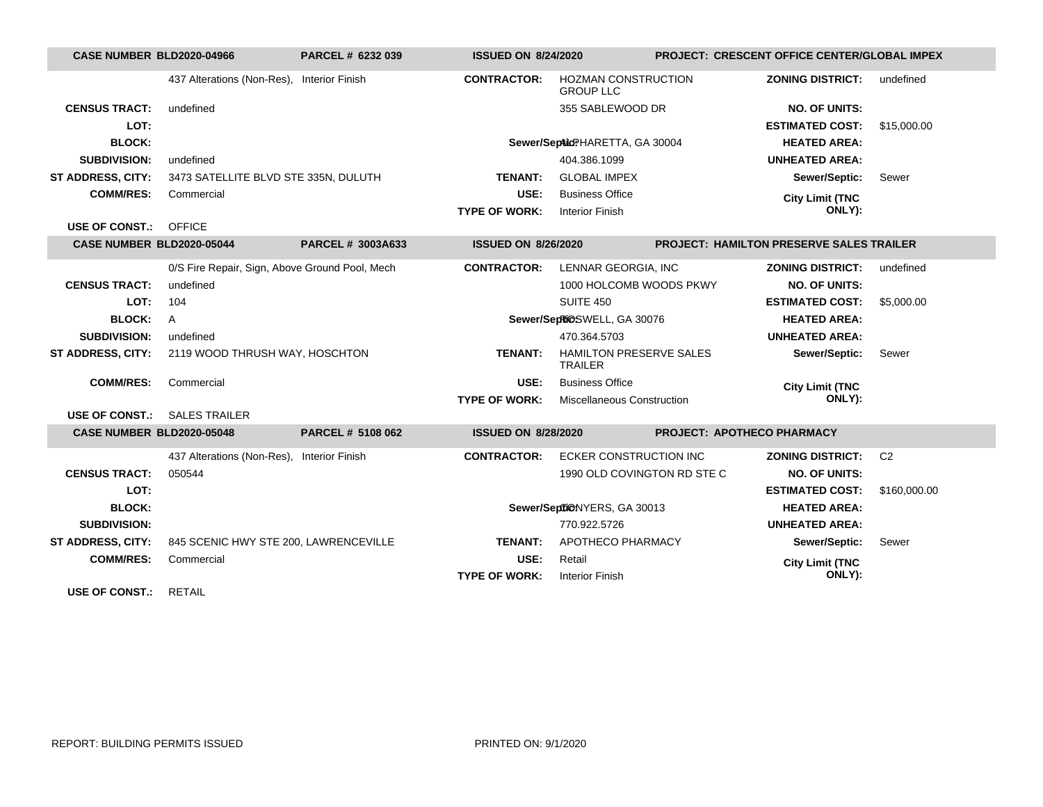| CASE NUMBER BLD2020-04966        |                                                | PARCEL # 6232 039      | <b>ISSUED ON 8/24/2020</b> |                                                | <b>PROJECT: CRESCENT OFFICE CENTER/GLOBAL IMPEX</b> |                |
|----------------------------------|------------------------------------------------|------------------------|----------------------------|------------------------------------------------|-----------------------------------------------------|----------------|
|                                  | 437 Alterations (Non-Res), Interior Finish     |                        | <b>CONTRACTOR:</b>         | <b>HOZMAN CONSTRUCTION</b><br><b>GROUP LLC</b> | <b>ZONING DISTRICT:</b>                             | undefined      |
| <b>CENSUS TRACT:</b>             | undefined                                      |                        |                            | 355 SABLEWOOD DR                               | <b>NO. OF UNITS:</b>                                |                |
| LOT:                             |                                                |                        |                            |                                                | <b>ESTIMATED COST:</b>                              | \$15,000.00    |
| <b>BLOCK:</b>                    |                                                |                        |                            | Sewer/SepticPHARETTA, GA 30004                 | <b>HEATED AREA:</b>                                 |                |
| <b>SUBDIVISION:</b>              | undefined                                      |                        |                            | 404.386.1099                                   | <b>UNHEATED AREA:</b>                               |                |
| <b>ST ADDRESS, CITY:</b>         | 3473 SATELLITE BLVD STE 335N, DULUTH           |                        | TENANT:                    | <b>GLOBAL IMPEX</b>                            | Sewer/Septic:                                       | Sewer          |
| <b>COMM/RES:</b>                 | Commercial                                     |                        | USE:                       | <b>Business Office</b>                         | <b>City Limit (TNC</b>                              |                |
|                                  |                                                |                        | <b>TYPE OF WORK:</b>       | <b>Interior Finish</b>                         | ONLY):                                              |                |
| <b>USE OF CONST.:</b>            | OFFICE                                         |                        |                            |                                                |                                                     |                |
| <b>CASE NUMBER BLD2020-05044</b> |                                                | PARCEL # 3003A633      | <b>ISSUED ON 8/26/2020</b> |                                                | PROJECT: HAMILTON PRESERVE SALES TRAILER            |                |
|                                  | 0/S Fire Repair, Sign, Above Ground Pool, Mech |                        | <b>CONTRACTOR:</b>         | LENNAR GEORGIA, INC                            | <b>ZONING DISTRICT:</b>                             | undefined      |
| <b>CENSUS TRACT:</b>             | undefined                                      |                        |                            | 1000 HOLCOMB WOODS PKWY                        | <b>NO. OF UNITS:</b>                                |                |
| LOT:                             | 104                                            |                        |                            | <b>SUITE 450</b>                               | <b>ESTIMATED COST:</b>                              | \$5,000.00     |
| <b>BLOCK:</b>                    | A                                              |                        |                            | Sewer/SepRiCSWELL, GA 30076                    | <b>HEATED AREA:</b>                                 |                |
| <b>SUBDIVISION:</b>              | undefined                                      |                        |                            | 470.364.5703                                   | <b>UNHEATED AREA:</b>                               |                |
| <b>ST ADDRESS, CITY:</b>         | 2119 WOOD THRUSH WAY, HOSCHTON                 |                        | TENANT:                    | HAMILTON PRESERVE SALES<br><b>TRAILER</b>      | Sewer/Septic:                                       | Sewer          |
| <b>COMM/RES:</b>                 | Commercial                                     |                        | USE:                       | <b>Business Office</b>                         | <b>City Limit (TNC</b>                              |                |
|                                  |                                                |                        | <b>TYPE OF WORK:</b>       | <b>Miscellaneous Construction</b>              | ONLY):                                              |                |
| <b>USE OF CONST.:</b>            | <b>SALES TRAILER</b>                           |                        |                            |                                                |                                                     |                |
| CASE NUMBER BLD2020-05048        |                                                | PARCEL # 5108 062      | <b>ISSUED ON 8/28/2020</b> |                                                | PROJECT: APOTHECO PHARMACY                          |                |
|                                  | 437 Alterations (Non-Res),                     | <b>Interior Finish</b> | <b>CONTRACTOR:</b>         | <b>ECKER CONSTRUCTION INC</b>                  | <b>ZONING DISTRICT:</b>                             | C <sub>2</sub> |
| <b>CENSUS TRACT:</b>             | 050544                                         |                        |                            | 1990 OLD COVINGTON RD STE C                    | <b>NO. OF UNITS:</b>                                |                |
| LOT:                             |                                                |                        |                            |                                                | <b>ESTIMATED COST:</b>                              | \$160,000.00   |
| <b>BLOCK:</b>                    |                                                |                        |                            | Sewer/SeptiONYERS, GA 30013                    | <b>HEATED AREA:</b>                                 |                |
| <b>SUBDIVISION:</b>              |                                                |                        |                            | 770.922.5726                                   | <b>UNHEATED AREA:</b>                               |                |
| <b>ST ADDRESS, CITY:</b>         | 845 SCENIC HWY STE 200, LAWRENCEVILLE          |                        | <b>TENANT:</b>             | APOTHECO PHARMACY                              | Sewer/Septic:                                       | Sewer          |
| <b>COMM/RES:</b>                 | Commercial                                     |                        | USE:                       | Retail                                         | <b>City Limit (TNC</b>                              |                |
|                                  |                                                |                        | <b>TYPE OF WORK:</b>       | <b>Interior Finish</b>                         | ONLY):                                              |                |
| <b>USE OF CONST.:</b>            | <b>RETAIL</b>                                  |                        |                            |                                                |                                                     |                |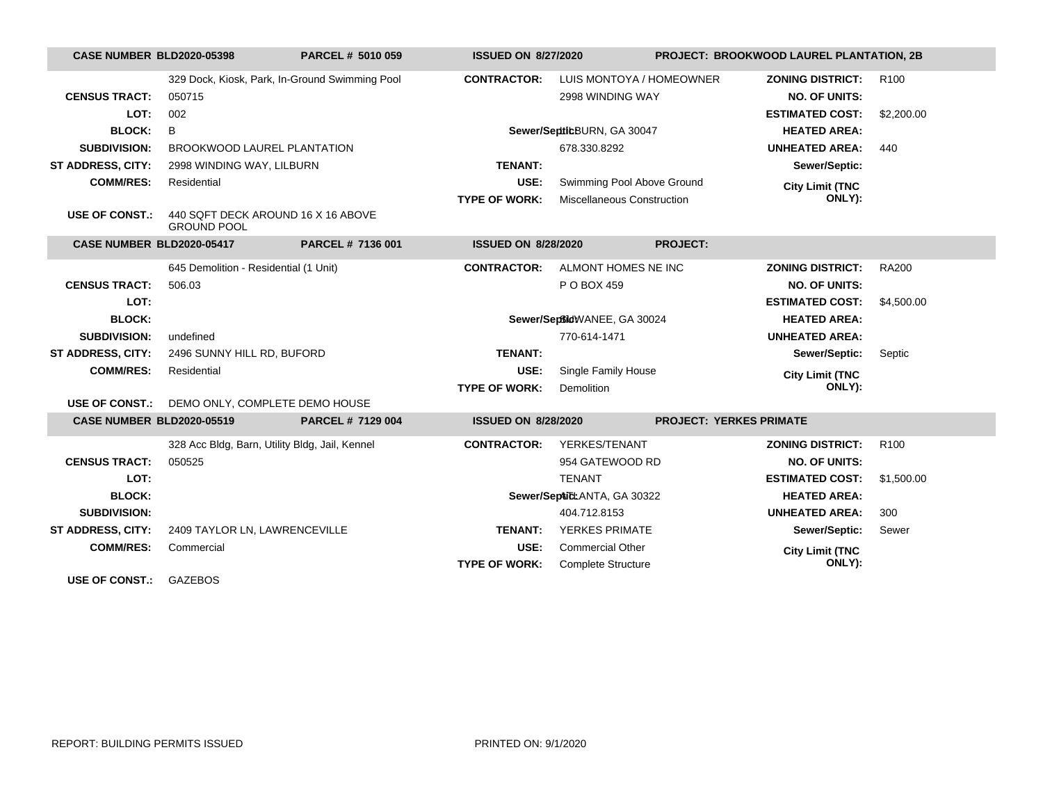| <b>CASE NUMBER BLD2020-05398</b> |                                                          | PARCEL # 5010 059                              | <b>ISSUED ON 8/27/2020</b> |                             | PROJECT: BROOKWOOD LAUREL PLANTATION, 2B |                         |                  |
|----------------------------------|----------------------------------------------------------|------------------------------------------------|----------------------------|-----------------------------|------------------------------------------|-------------------------|------------------|
|                                  |                                                          | 329 Dock, Kiosk, Park, In-Ground Swimming Pool | <b>CONTRACTOR:</b>         | LUIS MONTOYA / HOMEOWNER    |                                          | <b>ZONING DISTRICT:</b> | R <sub>100</sub> |
| <b>CENSUS TRACT:</b>             | 050715                                                   |                                                |                            | 2998 WINDING WAY            |                                          | <b>NO. OF UNITS:</b>    |                  |
| LOT:                             | 002                                                      |                                                |                            |                             |                                          | <b>ESTIMATED COST:</b>  | \$2,200.00       |
| <b>BLOCK:</b>                    | B                                                        |                                                |                            | Sewer/SeptibBURN, GA 30047  |                                          | <b>HEATED AREA:</b>     |                  |
| <b>SUBDIVISION:</b>              | <b>BROOKWOOD LAUREL PLANTATION</b>                       |                                                |                            | 678.330.8292                |                                          | <b>UNHEATED AREA:</b>   | 440              |
| <b>ST ADDRESS, CITY:</b>         | 2998 WINDING WAY, LILBURN                                |                                                | <b>TENANT:</b>             |                             |                                          | Sewer/Septic:           |                  |
| <b>COMM/RES:</b>                 | Residential                                              |                                                | USE:                       | Swimming Pool Above Ground  |                                          | <b>City Limit (TNC</b>  |                  |
|                                  |                                                          |                                                | <b>TYPE OF WORK:</b>       | Miscellaneous Construction  |                                          | ONLY):                  |                  |
| <b>USE OF CONST.:</b>            | 440 SQFT DECK AROUND 16 X 16 ABOVE<br><b>GROUND POOL</b> |                                                |                            |                             |                                          |                         |                  |
| CASE NUMBER BLD2020-05417        |                                                          | PARCEL # 7136 001                              | <b>ISSUED ON 8/28/2020</b> |                             | <b>PROJECT:</b>                          |                         |                  |
|                                  | 645 Demolition - Residential (1 Unit)                    |                                                | <b>CONTRACTOR:</b>         | ALMONT HOMES NE INC         |                                          | <b>ZONING DISTRICT:</b> | <b>RA200</b>     |
| <b>CENSUS TRACT:</b>             | 506.03                                                   |                                                |                            | P O BOX 459                 |                                          | <b>NO. OF UNITS:</b>    |                  |
| LOT:                             |                                                          |                                                |                            |                             |                                          | <b>ESTIMATED COST:</b>  | \$4,500.00       |
| <b>BLOCK:</b>                    |                                                          |                                                |                            | Sewer/SeptidWANEE, GA 30024 |                                          | <b>HEATED AREA:</b>     |                  |
| <b>SUBDIVISION:</b>              | undefined                                                |                                                |                            | 770-614-1471                |                                          | <b>UNHEATED AREA:</b>   |                  |
| <b>ST ADDRESS, CITY:</b>         | 2496 SUNNY HILL RD, BUFORD                               |                                                | <b>TENANT:</b>             |                             |                                          | Sewer/Septic:           | Septic           |
| <b>COMM/RES:</b>                 | Residential                                              |                                                | USE:                       | Single Family House         |                                          | <b>City Limit (TNC</b>  |                  |
|                                  |                                                          |                                                | <b>TYPE OF WORK:</b>       | Demolition                  |                                          | ONLY):                  |                  |
| <b>USE OF CONST.:</b>            | DEMO ONLY, COMPLETE DEMO HOUSE                           |                                                |                            |                             |                                          |                         |                  |
| <b>CASE NUMBER BLD2020-05519</b> |                                                          | PARCEL # 7129 004                              | <b>ISSUED ON 8/28/2020</b> |                             | <b>PROJECT: YERKES PRIMATE</b>           |                         |                  |
|                                  | 328 Acc Bldg, Barn, Utility Bldg, Jail, Kennel           |                                                | <b>CONTRACTOR:</b>         | YERKES/TENANT               |                                          | <b>ZONING DISTRICT:</b> | R <sub>100</sub> |
| <b>CENSUS TRACT:</b>             | 050525                                                   |                                                |                            | 954 GATEWOOD RD             |                                          | <b>NO. OF UNITS:</b>    |                  |
| LOT:                             |                                                          |                                                |                            | <b>TENANT</b>               |                                          | <b>ESTIMATED COST:</b>  | \$1,500.00       |
| <b>BLOCK:</b>                    |                                                          |                                                |                            | Sewer/SepticLANTA, GA 30322 |                                          | <b>HEATED AREA:</b>     |                  |
| <b>SUBDIVISION:</b>              |                                                          |                                                |                            | 404.712.8153                |                                          | <b>UNHEATED AREA:</b>   | 300              |
| <b>ST ADDRESS, CITY:</b>         | 2409 TAYLOR LN, LAWRENCEVILLE                            |                                                | <b>TENANT:</b>             | <b>YERKES PRIMATE</b>       |                                          | Sewer/Septic:           | Sewer            |
| <b>COMM/RES:</b>                 | Commercial                                               |                                                | USE:                       | <b>Commercial Other</b>     |                                          | <b>City Limit (TNC</b>  |                  |
|                                  |                                                          |                                                | <b>TYPE OF WORK:</b>       | <b>Complete Structure</b>   |                                          | ONLY):                  |                  |
| <b>USE OF CONST.:</b>            | <b>GAZEBOS</b>                                           |                                                |                            |                             |                                          |                         |                  |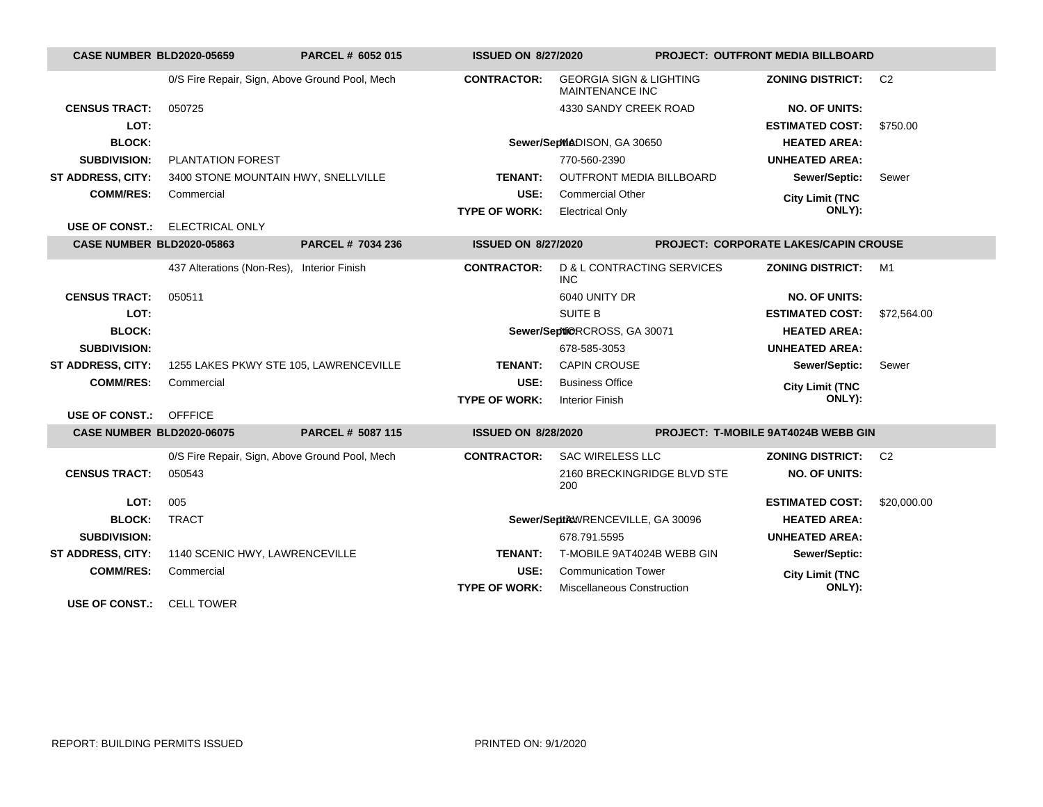| <b>CASE NUMBER BLD2020-05659</b> |                                                | PARCEL # 6052 015 | <b>ISSUED ON 8/27/2020</b> |                                                              | <b>PROJECT: OUTFRONT MEDIA BILLBOARD</b> |                                              |                |
|----------------------------------|------------------------------------------------|-------------------|----------------------------|--------------------------------------------------------------|------------------------------------------|----------------------------------------------|----------------|
|                                  | 0/S Fire Repair, Sign, Above Ground Pool, Mech |                   | <b>CONTRACTOR:</b>         | <b>GEORGIA SIGN &amp; LIGHTING</b><br><b>MAINTENANCE INC</b> |                                          | <b>ZONING DISTRICT:</b>                      | C <sub>2</sub> |
| <b>CENSUS TRACT:</b>             | 050725                                         |                   |                            | 4330 SANDY CREEK ROAD                                        |                                          | <b>NO. OF UNITS:</b>                         |                |
| LOT:                             |                                                |                   |                            |                                                              |                                          | <b>ESTIMATED COST:</b>                       | \$750.00       |
| <b>BLOCK:</b>                    |                                                |                   |                            | Sewer/SepMADISON, GA 30650                                   |                                          | <b>HEATED AREA:</b>                          |                |
| <b>SUBDIVISION:</b>              | <b>PLANTATION FOREST</b>                       |                   |                            | 770-560-2390                                                 |                                          | <b>UNHEATED AREA:</b>                        |                |
| <b>ST ADDRESS, CITY:</b>         | 3400 STONE MOUNTAIN HWY, SNELLVILLE            |                   | <b>TENANT:</b>             | <b>OUTFRONT MEDIA BILLBOARD</b>                              |                                          | Sewer/Septic:                                | Sewer          |
| <b>COMM/RES:</b>                 | Commercial                                     |                   | USE:                       | <b>Commercial Other</b>                                      |                                          | <b>City Limit (TNC</b>                       |                |
|                                  |                                                |                   | <b>TYPE OF WORK:</b>       | <b>Electrical Only</b>                                       |                                          | ONLY):                                       |                |
| <b>USE OF CONST.:</b>            | <b>ELECTRICAL ONLY</b>                         |                   |                            |                                                              |                                          |                                              |                |
| <b>CASE NUMBER BLD2020-05863</b> |                                                | PARCEL # 7034 236 | <b>ISSUED ON 8/27/2020</b> |                                                              |                                          | <b>PROJECT: CORPORATE LAKES/CAPIN CROUSE</b> |                |
|                                  | 437 Alterations (Non-Res), Interior Finish     |                   | <b>CONTRACTOR:</b>         | <b>D &amp; L CONTRACTING SERVICES</b><br>INC.                |                                          | <b>ZONING DISTRICT:</b>                      | M1             |
| <b>CENSUS TRACT:</b>             | 050511                                         |                   |                            | 6040 UNITY DR                                                |                                          | <b>NO. OF UNITS:</b>                         |                |
| LOT:                             |                                                |                   |                            | <b>SUITE B</b>                                               |                                          | <b>ESTIMATED COST:</b>                       | \$72,564.00    |
| <b>BLOCK:</b>                    |                                                |                   |                            | Sewer/Septi@RCROSS, GA 30071                                 |                                          | <b>HEATED AREA:</b>                          |                |
| <b>SUBDIVISION:</b>              |                                                |                   |                            | 678-585-3053                                                 |                                          | <b>UNHEATED AREA:</b>                        |                |
| <b>ST ADDRESS, CITY:</b>         | 1255 LAKES PKWY STE 105, LAWRENCEVILLE         |                   | <b>TENANT:</b>             | <b>CAPIN CROUSE</b>                                          |                                          | Sewer/Septic:                                | Sewer          |
| <b>COMM/RES:</b>                 | Commercial                                     |                   | USE:                       | <b>Business Office</b>                                       |                                          | <b>City Limit (TNC</b>                       |                |
|                                  |                                                |                   | <b>TYPE OF WORK:</b>       | <b>Interior Finish</b>                                       |                                          | ONLY):                                       |                |
| <b>USE OF CONST.: OFFFICE</b>    |                                                |                   |                            |                                                              |                                          |                                              |                |
| <b>CASE NUMBER BLD2020-06075</b> |                                                | PARCEL # 5087 115 | <b>ISSUED ON 8/28/2020</b> |                                                              |                                          | PROJECT: T-MOBILE 9AT4024B WEBB GIN          |                |
|                                  | 0/S Fire Repair, Sign, Above Ground Pool, Mech |                   | <b>CONTRACTOR:</b>         | <b>SAC WIRELESS LLC</b>                                      |                                          | <b>ZONING DISTRICT:</b>                      | C <sub>2</sub> |
| <b>CENSUS TRACT:</b>             | 050543                                         |                   |                            | 2160 BRECKINGRIDGE BLVD STE<br>200                           |                                          | <b>NO. OF UNITS:</b>                         |                |
| LOT:                             | 005                                            |                   |                            |                                                              |                                          | <b>ESTIMATED COST:</b>                       | \$20,000.00    |
| <b>BLOCK:</b>                    | <b>TRACT</b>                                   |                   |                            | Sewer/SeptikWRENCEVILLE, GA 30096                            |                                          | <b>HEATED AREA:</b>                          |                |
| <b>SUBDIVISION:</b>              |                                                |                   |                            | 678.791.5595                                                 |                                          | <b>UNHEATED AREA:</b>                        |                |
| <b>ST ADDRESS, CITY:</b>         | 1140 SCENIC HWY, LAWRENCEVILLE                 |                   | <b>TENANT:</b>             | T-MOBILE 9AT4024B WEBB GIN                                   |                                          | Sewer/Septic:                                |                |
| <b>COMM/RES:</b>                 | Commercial                                     |                   | USE:                       | <b>Communication Tower</b>                                   |                                          | <b>City Limit (TNC</b>                       |                |
|                                  |                                                |                   | <b>TYPE OF WORK:</b>       | <b>Miscellaneous Construction</b>                            |                                          | ONLY):                                       |                |
| HOE OF CONCE.                    | $C1$ $T2$ $N1$ $T2$                            |                   |                            |                                                              |                                          |                                              |                |

**USE OF CONST.:** CELL TOWER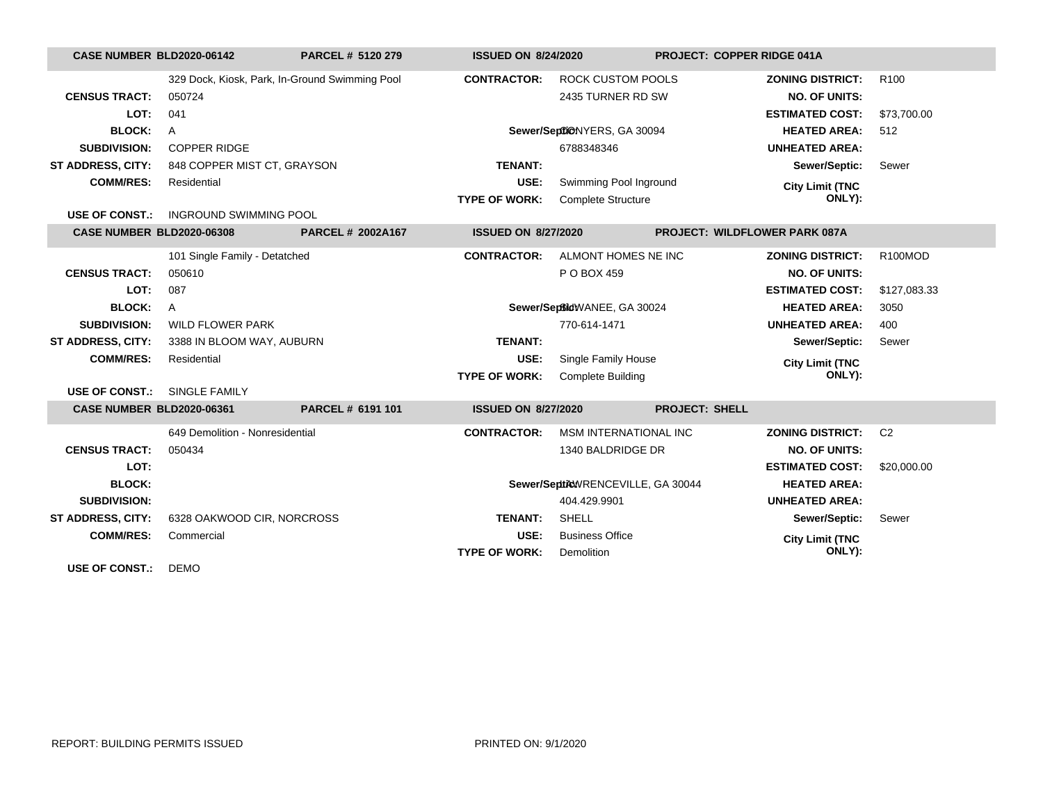| <b>CASE NUMBER BLD2020-06142</b> |                                 | PARCEL # 5120 279                              | <b>ISSUED ON 8/24/2020</b> |                                   |                       | <b>PROJECT: COPPER RIDGE 041A</b>    |                  |
|----------------------------------|---------------------------------|------------------------------------------------|----------------------------|-----------------------------------|-----------------------|--------------------------------------|------------------|
|                                  |                                 | 329 Dock, Kiosk, Park, In-Ground Swimming Pool | <b>CONTRACTOR:</b>         | <b>ROCK CUSTOM POOLS</b>          |                       | <b>ZONING DISTRICT:</b>              | R <sub>100</sub> |
| <b>CENSUS TRACT:</b>             | 050724                          |                                                |                            | 2435 TURNER RD SW                 |                       | <b>NO. OF UNITS:</b>                 |                  |
| LOT:                             | 041                             |                                                |                            |                                   |                       | <b>ESTIMATED COST:</b>               | \$73,700.00      |
| <b>BLOCK:</b>                    | $\mathsf{A}$                    |                                                |                            | Sewer/SeptiONYERS, GA 30094       |                       | <b>HEATED AREA:</b>                  | 512              |
| <b>SUBDIVISION:</b>              | <b>COPPER RIDGE</b>             |                                                |                            | 6788348346                        |                       | <b>UNHEATED AREA:</b>                |                  |
| <b>ST ADDRESS, CITY:</b>         | 848 COPPER MIST CT, GRAYSON     |                                                | <b>TENANT:</b>             |                                   |                       | Sewer/Septic:                        | Sewer            |
| <b>COMM/RES:</b>                 | Residential                     |                                                | USE:                       | Swimming Pool Inground            |                       | <b>City Limit (TNC</b>               |                  |
|                                  |                                 |                                                | <b>TYPE OF WORK:</b>       | <b>Complete Structure</b>         |                       | ONLY):                               |                  |
| <b>USE OF CONST.:</b>            | <b>INGROUND SWIMMING POOL</b>   |                                                |                            |                                   |                       |                                      |                  |
| <b>CASE NUMBER BLD2020-06308</b> |                                 | <b>PARCEL # 2002A167</b>                       | <b>ISSUED ON 8/27/2020</b> |                                   |                       | <b>PROJECT: WILDFLOWER PARK 087A</b> |                  |
|                                  | 101 Single Family - Detatched   |                                                | <b>CONTRACTOR:</b>         | ALMONT HOMES NE INC               |                       | <b>ZONING DISTRICT:</b>              | R100MOD          |
| <b>CENSUS TRACT:</b>             | 050610                          |                                                |                            | P O BOX 459                       |                       | <b>NO. OF UNITS:</b>                 |                  |
| LOT:                             | 087                             |                                                |                            |                                   |                       | <b>ESTIMATED COST:</b>               | \$127,083.33     |
| <b>BLOCK:</b>                    | $\mathsf{A}$                    |                                                |                            | Sewer/SeptidWANEE, GA 30024       |                       | <b>HEATED AREA:</b>                  | 3050             |
| <b>SUBDIVISION:</b>              | <b>WILD FLOWER PARK</b>         |                                                |                            | 770-614-1471                      |                       | <b>UNHEATED AREA:</b>                | 400              |
| <b>ST ADDRESS, CITY:</b>         | 3388 IN BLOOM WAY, AUBURN       |                                                | <b>TENANT:</b>             |                                   |                       | Sewer/Septic:                        | Sewer            |
| <b>COMM/RES:</b>                 | Residential                     |                                                | USE:                       | Single Family House               |                       | <b>City Limit (TNC</b>               |                  |
|                                  |                                 |                                                | <b>TYPE OF WORK:</b>       | <b>Complete Building</b>          |                       | ONLY):                               |                  |
| <b>USE OF CONST.:</b>            | SINGLE FAMILY                   |                                                |                            |                                   |                       |                                      |                  |
| <b>CASE NUMBER BLD2020-06361</b> |                                 | PARCEL # 6191 101                              | <b>ISSUED ON 8/27/2020</b> |                                   | <b>PROJECT: SHELL</b> |                                      |                  |
|                                  | 649 Demolition - Nonresidential |                                                | <b>CONTRACTOR:</b>         | <b>MSM INTERNATIONAL INC</b>      |                       | <b>ZONING DISTRICT:</b>              | C <sub>2</sub>   |
| <b>CENSUS TRACT:</b>             | 050434                          |                                                |                            | 1340 BALDRIDGE DR                 |                       | <b>NO. OF UNITS:</b>                 |                  |
| LOT:                             |                                 |                                                |                            |                                   |                       | <b>ESTIMATED COST:</b>               | \$20,000.00      |
| <b>BLOCK:</b>                    |                                 |                                                |                            | Sewer/SepticWRENCEVILLE, GA 30044 |                       | <b>HEATED AREA:</b>                  |                  |
| <b>SUBDIVISION:</b>              |                                 |                                                |                            | 404.429.9901                      |                       | <b>UNHEATED AREA:</b>                |                  |
| <b>ST ADDRESS, CITY:</b>         | 6328 OAKWOOD CIR, NORCROSS      |                                                | <b>TENANT:</b>             | <b>SHELL</b>                      |                       | Sewer/Septic:                        | Sewer            |
| <b>COMM/RES:</b>                 | Commercial                      |                                                | USE:                       | <b>Business Office</b>            |                       | <b>City Limit (TNC</b>               |                  |
|                                  |                                 |                                                | <b>TYPE OF WORK:</b>       | Demolition                        |                       | ONLY):                               |                  |
| <b>USE OF CONST.:</b>            | <b>DEMO</b>                     |                                                |                            |                                   |                       |                                      |                  |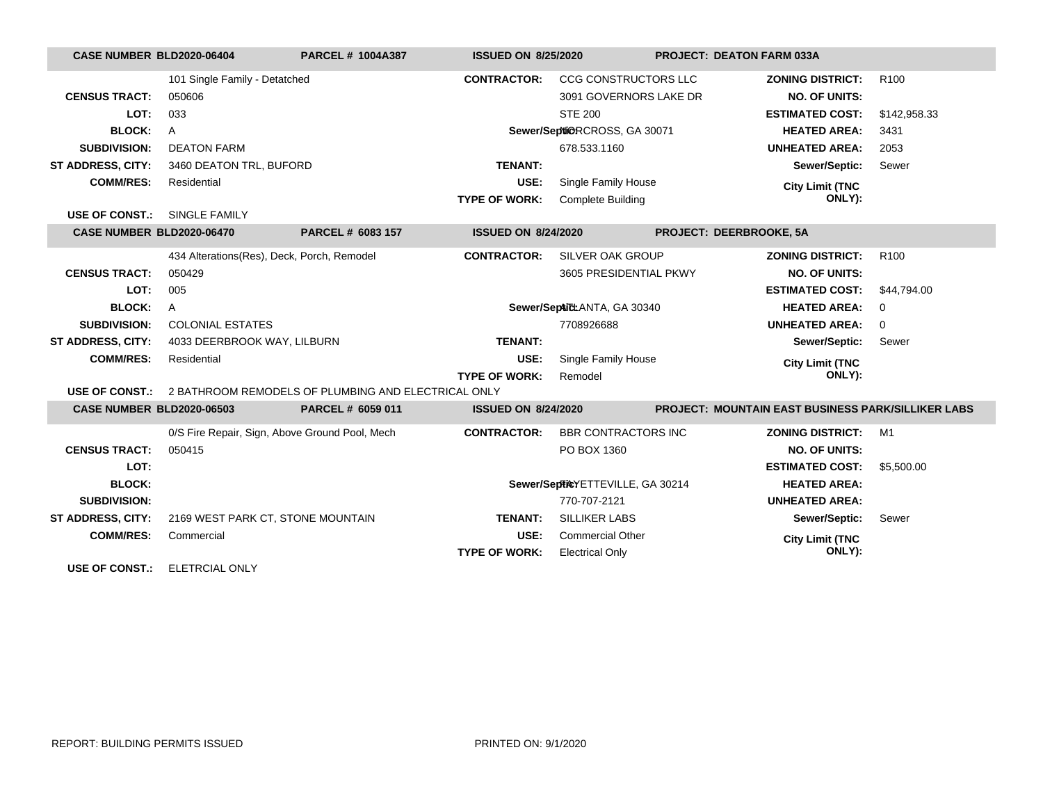| CASE NUMBER BLD2020-06404        |                                                | <b>PARCEL # 1004A387</b>                                                  | <b>ISSUED ON 8/25/2020</b> |                                  |                         | <b>PROJECT: DEATON FARM 033A</b>                          |                  |
|----------------------------------|------------------------------------------------|---------------------------------------------------------------------------|----------------------------|----------------------------------|-------------------------|-----------------------------------------------------------|------------------|
|                                  | 101 Single Family - Detatched                  |                                                                           | <b>CONTRACTOR:</b>         | <b>CCG CONSTRUCTORS LLC</b>      |                         | <b>ZONING DISTRICT:</b>                                   | R <sub>100</sub> |
| <b>CENSUS TRACT:</b>             | 050606                                         |                                                                           |                            | 3091 GOVERNORS LAKE DR           |                         | <b>NO. OF UNITS:</b>                                      |                  |
| LOT:                             | 033                                            |                                                                           |                            | <b>STE 200</b>                   |                         | <b>ESTIMATED COST:</b>                                    | \$142,958.33     |
| <b>BLOCK:</b>                    | $\overline{A}$                                 |                                                                           |                            | Sewer/SeptiORCROSS, GA 30071     |                         | <b>HEATED AREA:</b>                                       | 3431             |
| <b>SUBDIVISION:</b>              | <b>DEATON FARM</b>                             |                                                                           |                            | 678.533.1160                     |                         | <b>UNHEATED AREA:</b>                                     | 2053             |
| <b>ST ADDRESS, CITY:</b>         | 3460 DEATON TRL, BUFORD                        |                                                                           | TENANT:                    |                                  |                         | Sewer/Septic:                                             | Sewer            |
| <b>COMM/RES:</b>                 | Residential                                    |                                                                           | USE:                       | Single Family House              |                         | <b>City Limit (TNC</b>                                    |                  |
|                                  |                                                |                                                                           | <b>TYPE OF WORK:</b>       | <b>Complete Building</b>         |                         | ONLY):                                                    |                  |
| USE OF CONST.:                   | <b>SINGLE FAMILY</b>                           |                                                                           |                            |                                  |                         |                                                           |                  |
| CASE NUMBER BLD2020-06470        |                                                | PARCEL # 6083 157                                                         | <b>ISSUED ON 8/24/2020</b> |                                  | PROJECT: DEERBROOKE, 5A |                                                           |                  |
|                                  | 434 Alterations(Res), Deck, Porch, Remodel     |                                                                           | <b>CONTRACTOR:</b>         | SILVER OAK GROUP                 |                         | <b>ZONING DISTRICT:</b>                                   | R <sub>100</sub> |
| <b>CENSUS TRACT:</b>             | 050429                                         |                                                                           |                            | 3605 PRESIDENTIAL PKWY           |                         | <b>NO. OF UNITS:</b>                                      |                  |
| LOT:                             | 005                                            |                                                                           |                            |                                  |                         | <b>ESTIMATED COST:</b>                                    | \$44.794.00      |
| <b>BLOCK:</b>                    | $\mathsf{A}$                                   |                                                                           |                            | Sewer/SepticLANTA, GA 30340      |                         | <b>HEATED AREA:</b>                                       | $\mathbf 0$      |
| <b>SUBDIVISION:</b>              | <b>COLONIAL ESTATES</b>                        |                                                                           |                            | 7708926688                       |                         | <b>UNHEATED AREA:</b>                                     | $\mathbf 0$      |
| <b>ST ADDRESS, CITY:</b>         | 4033 DEERBROOK WAY, LILBURN                    |                                                                           | <b>TENANT:</b>             |                                  |                         | Sewer/Septic:                                             | Sewer            |
| <b>COMM/RES:</b>                 | Residential                                    |                                                                           | USE:                       | Single Family House              |                         | <b>City Limit (TNC</b>                                    |                  |
|                                  |                                                |                                                                           | <b>TYPE OF WORK:</b>       | Remodel                          |                         | ONLY):                                                    |                  |
|                                  |                                                | <b>USE OF CONST.: 2 BATHROOM REMODELS OF PLUMBING AND ELECTRICAL ONLY</b> |                            |                                  |                         |                                                           |                  |
| <b>CASE NUMBER BLD2020-06503</b> |                                                | PARCEL # 6059 011                                                         | <b>ISSUED ON 8/24/2020</b> |                                  |                         | <b>PROJECT: MOUNTAIN EAST BUSINESS PARK/SILLIKER LABS</b> |                  |
|                                  | 0/S Fire Repair, Sign, Above Ground Pool, Mech |                                                                           | <b>CONTRACTOR:</b>         | <b>BBR CONTRACTORS INC</b>       |                         | <b>ZONING DISTRICT:</b>                                   | M1               |
| <b>CENSUS TRACT:</b>             | 050415                                         |                                                                           |                            | PO BOX 1360                      |                         | <b>NO. OF UNITS:</b>                                      |                  |
| LOT:                             |                                                |                                                                           |                            |                                  |                         | <b>ESTIMATED COST:</b>                                    | \$5,500.00       |
| <b>BLOCK:</b>                    |                                                |                                                                           |                            | Sewer/SepticYETTEVILLE, GA 30214 |                         | <b>HEATED AREA:</b>                                       |                  |
| <b>SUBDIVISION:</b>              |                                                |                                                                           |                            | 770-707-2121                     |                         | <b>UNHEATED AREA:</b>                                     |                  |
| <b>ST ADDRESS, CITY:</b>         | 2169 WEST PARK CT, STONE MOUNTAIN              |                                                                           | <b>TENANT:</b>             | <b>SILLIKER LABS</b>             |                         | Sewer/Septic:                                             | Sewer            |
| <b>COMM/RES:</b>                 | Commercial                                     |                                                                           | USE:                       | <b>Commercial Other</b>          |                         | <b>City Limit (TNC</b>                                    |                  |
|                                  |                                                |                                                                           | <b>TYPE OF WORK:</b>       | <b>Electrical Only</b>           |                         | ONLY):                                                    |                  |
| <b>USE OF CONST.:</b>            | <b>ELETRCIAL ONLY</b>                          |                                                                           |                            |                                  |                         |                                                           |                  |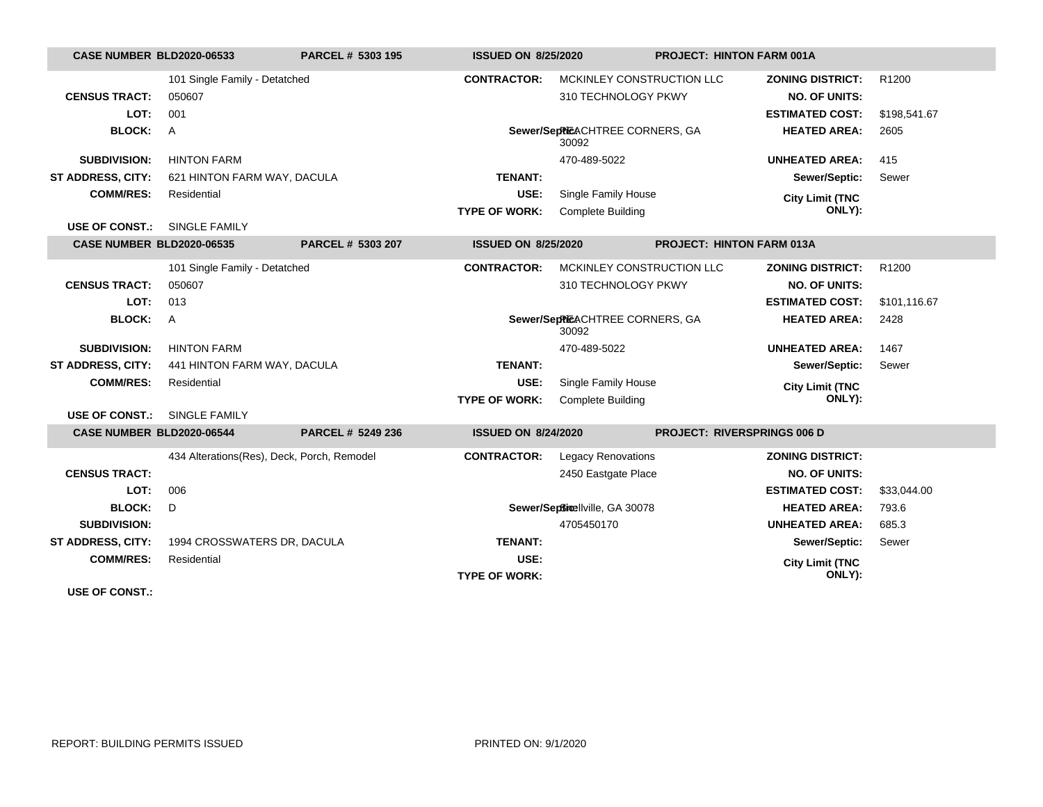| <b>CASE NUMBER BLD2020-06533</b> |                                            | PARCEL # 5303 195 | <b>ISSUED ON 8/25/2020</b>   |                                          | <b>PROJECT: HINTON FARM 001A</b>   |                                  |                   |
|----------------------------------|--------------------------------------------|-------------------|------------------------------|------------------------------------------|------------------------------------|----------------------------------|-------------------|
|                                  | 101 Single Family - Detatched              |                   | <b>CONTRACTOR:</b>           | MCKINLEY CONSTRUCTION LLC                |                                    | <b>ZONING DISTRICT:</b>          | R <sub>1200</sub> |
| <b>CENSUS TRACT:</b>             | 050607                                     |                   |                              | 310 TECHNOLOGY PKWY                      |                                    | <b>NO. OF UNITS:</b>             |                   |
| LOT:                             | 001                                        |                   |                              |                                          |                                    | <b>ESTIMATED COST:</b>           | \$198,541.67      |
| <b>BLOCK:</b>                    | A                                          |                   |                              | Sewer/SepPiEACHTREE CORNERS, GA<br>30092 |                                    | <b>HEATED AREA:</b>              | 2605              |
| <b>SUBDIVISION:</b>              | <b>HINTON FARM</b>                         |                   |                              | 470-489-5022                             |                                    | <b>UNHEATED AREA:</b>            | 415               |
| <b>ST ADDRESS, CITY:</b>         | 621 HINTON FARM WAY, DACULA                |                   | <b>TENANT:</b>               |                                          |                                    | Sewer/Septic:                    | Sewer             |
| <b>COMM/RES:</b>                 | Residential                                |                   | USE:                         | Single Family House                      |                                    | <b>City Limit (TNC</b>           |                   |
|                                  |                                            |                   | <b>TYPE OF WORK:</b>         | <b>Complete Building</b>                 |                                    | ONLY):                           |                   |
| <b>USE OF CONST.:</b>            | <b>SINGLE FAMILY</b>                       |                   |                              |                                          |                                    |                                  |                   |
| <b>CASE NUMBER BLD2020-06535</b> |                                            | PARCEL # 5303 207 | <b>ISSUED ON 8/25/2020</b>   |                                          | <b>PROJECT: HINTON FARM 013A</b>   |                                  |                   |
|                                  | 101 Single Family - Detatched              |                   | <b>CONTRACTOR:</b>           | MCKINLEY CONSTRUCTION LLC                |                                    | <b>ZONING DISTRICT:</b>          | R1200             |
| <b>CENSUS TRACT:</b>             | 050607                                     |                   |                              | 310 TECHNOLOGY PKWY                      |                                    | <b>NO. OF UNITS:</b>             |                   |
| LOT:                             | 013                                        |                   |                              |                                          |                                    | <b>ESTIMATED COST:</b>           | \$101,116.67      |
| <b>BLOCK:</b>                    | A                                          |                   |                              | Sewer/SepPiEACHTREE CORNERS, GA<br>30092 |                                    | <b>HEATED AREA:</b>              | 2428              |
| <b>SUBDIVISION:</b>              | <b>HINTON FARM</b>                         |                   |                              | 470-489-5022                             |                                    | <b>UNHEATED AREA:</b>            | 1467              |
| <b>ST ADDRESS, CITY:</b>         | 441 HINTON FARM WAY, DACULA                |                   | <b>TENANT:</b>               |                                          |                                    | Sewer/Septic:                    | Sewer             |
| <b>COMM/RES:</b>                 | Residential                                |                   | USE:                         | Single Family House                      |                                    | <b>City Limit (TNC</b>           |                   |
|                                  |                                            |                   | <b>TYPE OF WORK:</b>         | <b>Complete Building</b>                 |                                    | ONLY):                           |                   |
| <b>USE OF CONST.:</b>            | <b>SINGLE FAMILY</b>                       |                   |                              |                                          |                                    |                                  |                   |
| CASE NUMBER BLD2020-06544        |                                            | PARCEL # 5249 236 | <b>ISSUED ON 8/24/2020</b>   |                                          | <b>PROJECT: RIVERSPRINGS 006 D</b> |                                  |                   |
|                                  | 434 Alterations(Res), Deck, Porch, Remodel |                   | <b>CONTRACTOR:</b>           | <b>Legacy Renovations</b>                |                                    | <b>ZONING DISTRICT:</b>          |                   |
| <b>CENSUS TRACT:</b>             |                                            |                   |                              | 2450 Eastgate Place                      |                                    | <b>NO. OF UNITS:</b>             |                   |
| LOT:                             | 006                                        |                   |                              |                                          |                                    | <b>ESTIMATED COST:</b>           | \$33,044.00       |
| <b>BLOCK:</b>                    | D                                          |                   |                              | Sewer/Septimellville, GA 30078           |                                    | <b>HEATED AREA:</b>              | 793.6             |
| <b>SUBDIVISION:</b>              |                                            |                   |                              | 4705450170                               |                                    | <b>UNHEATED AREA:</b>            | 685.3             |
| <b>ST ADDRESS, CITY:</b>         | 1994 CROSSWATERS DR, DACULA                |                   | <b>TENANT:</b>               |                                          |                                    | Sewer/Septic:                    | Sewer             |
| <b>COMM/RES:</b>                 | Residential                                |                   | USE:<br><b>TYPE OF WORK:</b> |                                          |                                    | <b>City Limit (TNC</b><br>ONLY): |                   |

**USE OF CONST.:**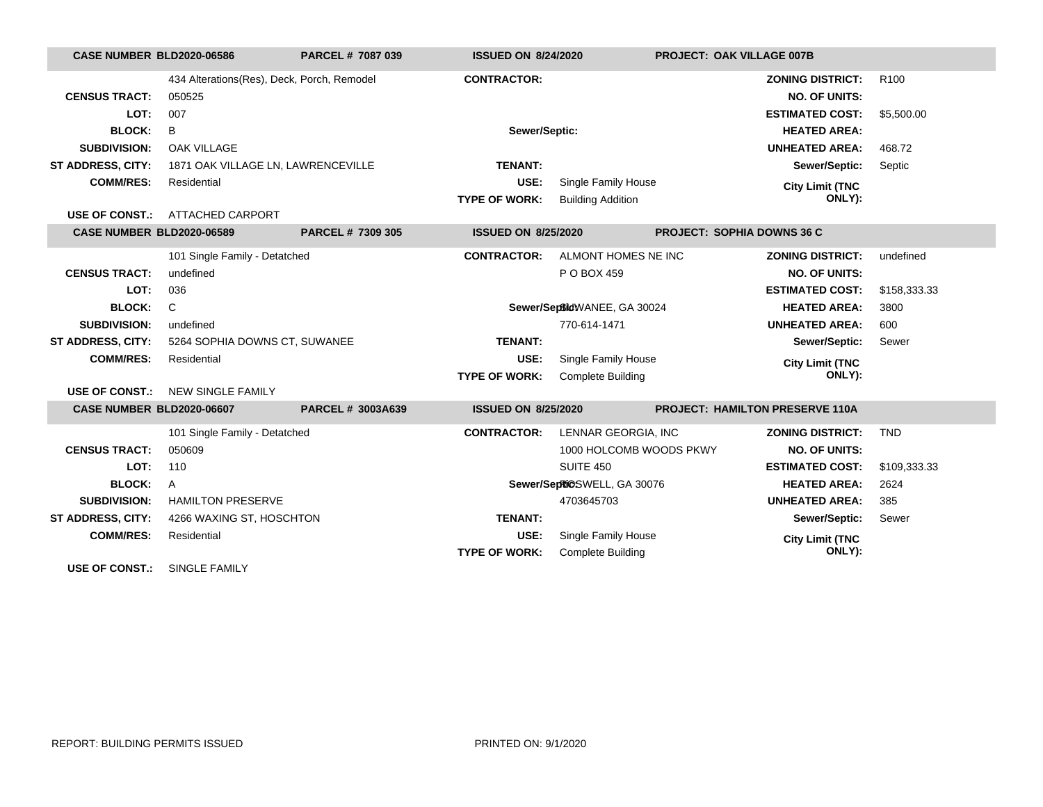| CASE NUMBER BLD2020-06586        |                                            | PARCEL # 7087 039 | <b>ISSUED ON 8/24/2020</b> |                             | <b>PROJECT: OAK VILLAGE 007B</b>  |                  |
|----------------------------------|--------------------------------------------|-------------------|----------------------------|-----------------------------|-----------------------------------|------------------|
|                                  | 434 Alterations(Res), Deck, Porch, Remodel |                   | <b>CONTRACTOR:</b>         |                             | <b>ZONING DISTRICT:</b>           | R <sub>100</sub> |
| <b>CENSUS TRACT:</b>             | 050525                                     |                   |                            |                             | <b>NO. OF UNITS:</b>              |                  |
| LOT:                             | 007                                        |                   |                            |                             | <b>ESTIMATED COST:</b>            | \$5,500.00       |
| <b>BLOCK:</b>                    | B                                          |                   | Sewer/Septic:              |                             | <b>HEATED AREA:</b>               |                  |
| <b>SUBDIVISION:</b>              | <b>OAK VILLAGE</b>                         |                   |                            |                             | <b>UNHEATED AREA:</b>             | 468.72           |
| <b>ST ADDRESS, CITY:</b>         | 1871 OAK VILLAGE LN, LAWRENCEVILLE         |                   | <b>TENANT:</b>             |                             | Sewer/Septic:                     | Septic           |
| <b>COMM/RES:</b>                 | Residential                                |                   | USE:                       | Single Family House         | <b>City Limit (TNC</b>            |                  |
|                                  |                                            |                   | <b>TYPE OF WORK:</b>       | <b>Building Addition</b>    | ONLY):                            |                  |
|                                  | <b>USE OF CONST.: ATTACHED CARPORT</b>     |                   |                            |                             |                                   |                  |
| <b>CASE NUMBER BLD2020-06589</b> |                                            | PARCEL # 7309 305 | <b>ISSUED ON 8/25/2020</b> |                             | <b>PROJECT: SOPHIA DOWNS 36 C</b> |                  |
|                                  | 101 Single Family - Detatched              |                   | <b>CONTRACTOR:</b>         | ALMONT HOMES NE INC         | <b>ZONING DISTRICT:</b>           | undefined        |
| <b>CENSUS TRACT:</b>             | undefined                                  |                   |                            | P O BOX 459                 | <b>NO. OF UNITS:</b>              |                  |
| LOT:                             | 036                                        |                   |                            |                             | <b>ESTIMATED COST:</b>            | \$158,333.33     |
| <b>BLOCK:</b>                    | $\mathsf{C}$                               |                   |                            | Sewer/SepBidWANEE, GA 30024 | <b>HEATED AREA:</b>               | 3800             |
| <b>SUBDIVISION:</b>              | undefined                                  |                   |                            | 770-614-1471                | <b>UNHEATED AREA:</b>             | 600              |
| <b>ST ADDRESS, CITY:</b>         | 5264 SOPHIA DOWNS CT, SUWANEE              |                   | <b>TENANT:</b>             |                             | Sewer/Septic:                     | Sewer            |
| <b>COMM/RES:</b>                 | Residential                                |                   | USE:                       | Single Family House         | <b>City Limit (TNC</b>            |                  |
|                                  |                                            |                   | <b>TYPE OF WORK:</b>       | <b>Complete Building</b>    | ONLY):                            |                  |
| <b>USE OF CONST.:</b>            | NEW SINGLE FAMILY                          |                   |                            |                             |                                   |                  |
| CASE NUMBER BLD2020-06607        |                                            | PARCEL # 3003A639 | <b>ISSUED ON 8/25/2020</b> |                             | PROJECT: HAMILTON PRESERVE 110A   |                  |
|                                  | 101 Single Family - Detatched              |                   | <b>CONTRACTOR:</b>         | LENNAR GEORGIA, INC         | <b>ZONING DISTRICT:</b>           | <b>TND</b>       |
| <b>CENSUS TRACT:</b>             | 050609                                     |                   |                            | 1000 HOLCOMB WOODS PKWY     | <b>NO. OF UNITS:</b>              |                  |
| LOT:                             | 110                                        |                   |                            | <b>SUITE 450</b>            | <b>ESTIMATED COST:</b>            | \$109,333.33     |
| <b>BLOCK:</b>                    | A                                          |                   |                            | Sewer/SepRiOSWELL, GA 30076 | <b>HEATED AREA:</b>               | 2624             |
| <b>SUBDIVISION:</b>              | <b>HAMILTON PRESERVE</b>                   |                   |                            | 4703645703                  | <b>UNHEATED AREA:</b>             | 385              |
| <b>ST ADDRESS, CITY:</b>         | 4266 WAXING ST, HOSCHTON                   |                   | <b>TENANT:</b>             |                             | Sewer/Septic:                     | Sewer            |
| <b>COMM/RES:</b>                 | Residential                                |                   | USE:                       | Single Family House         | <b>City Limit (TNC</b>            |                  |
|                                  |                                            |                   | <b>TYPE OF WORK:</b>       | <b>Complete Building</b>    | ONLY):                            |                  |
| <b>USE OF CONST.:</b>            | <b>SINGLE FAMILY</b>                       |                   |                            |                             |                                   |                  |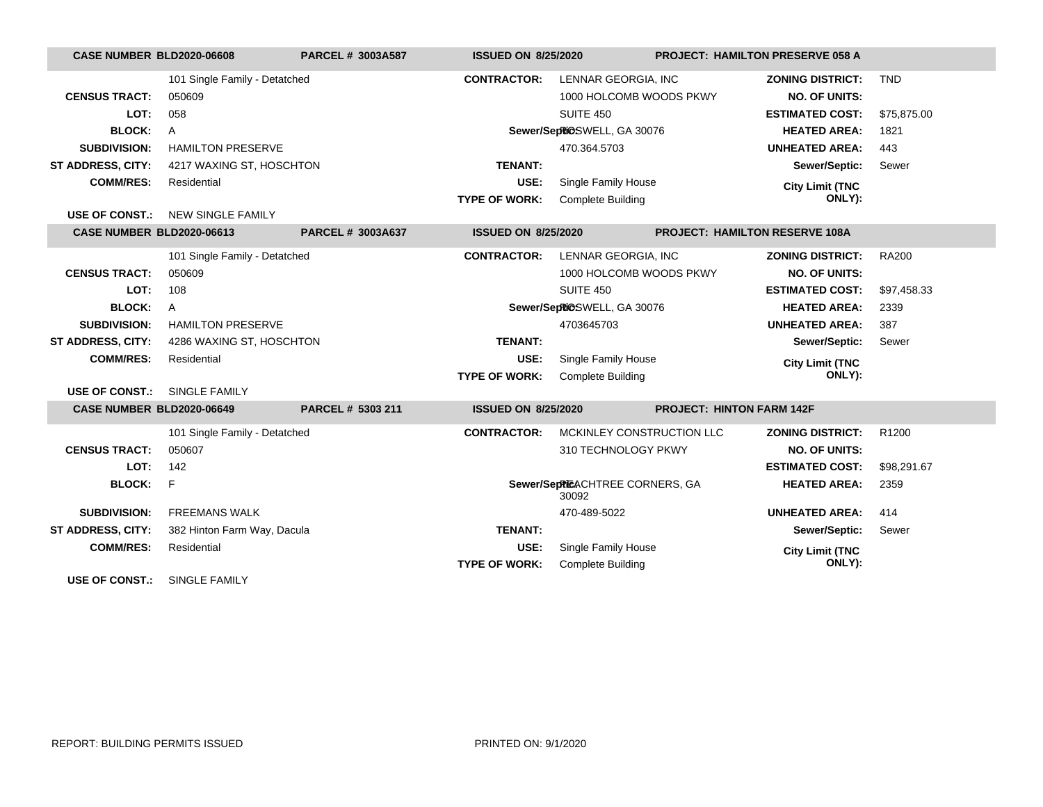| <b>CASE NUMBER BLD2020-06608</b> |                               | <b>PARCEL # 3003A587</b> | <b>ISSUED ON 8/25/2020</b> |                                          | PROJECT: HAMILTON PRESERVE 058 A |                         |              |
|----------------------------------|-------------------------------|--------------------------|----------------------------|------------------------------------------|----------------------------------|-------------------------|--------------|
|                                  | 101 Single Family - Detatched |                          | <b>CONTRACTOR:</b>         | LENNAR GEORGIA, INC                      |                                  | <b>ZONING DISTRICT:</b> | <b>TND</b>   |
| <b>CENSUS TRACT:</b>             | 050609                        |                          |                            | 1000 HOLCOMB WOODS PKWY                  |                                  | <b>NO. OF UNITS:</b>    |              |
| LOT:                             | 058                           |                          |                            | SUITE 450                                |                                  | <b>ESTIMATED COST:</b>  | \$75,875.00  |
| <b>BLOCK:</b>                    | $\overline{A}$                |                          |                            | Sewer/SepRiOSWELL, GA 30076              |                                  | <b>HEATED AREA:</b>     | 1821         |
| <b>SUBDIVISION:</b>              | <b>HAMILTON PRESERVE</b>      |                          |                            | 470.364.5703                             |                                  | <b>UNHEATED AREA:</b>   | 443          |
| <b>ST ADDRESS, CITY:</b>         | 4217 WAXING ST, HOSCHTON      |                          | <b>TENANT:</b>             |                                          |                                  | Sewer/Septic:           | Sewer        |
| <b>COMM/RES:</b>                 | Residential                   |                          | USE:                       | Single Family House                      |                                  | <b>City Limit (TNC</b>  |              |
|                                  |                               |                          | <b>TYPE OF WORK:</b>       | <b>Complete Building</b>                 |                                  | ONLY):                  |              |
| <b>USE OF CONST.:</b>            | <b>NEW SINGLE FAMILY</b>      |                          |                            |                                          |                                  |                         |              |
| <b>CASE NUMBER BLD2020-06613</b> |                               | PARCEL # 3003A637        | <b>ISSUED ON 8/25/2020</b> |                                          | PROJECT: HAMILTON RESERVE 108A   |                         |              |
|                                  | 101 Single Family - Detatched |                          | <b>CONTRACTOR:</b>         | LENNAR GEORGIA, INC                      |                                  | <b>ZONING DISTRICT:</b> | <b>RA200</b> |
| <b>CENSUS TRACT:</b>             | 050609                        |                          |                            | 1000 HOLCOMB WOODS PKWY                  |                                  | <b>NO. OF UNITS:</b>    |              |
| LOT:                             | 108                           |                          |                            | SUITE 450                                |                                  | <b>ESTIMATED COST:</b>  | \$97,458.33  |
| <b>BLOCK:</b>                    | A                             |                          |                            | Sewer/SepRiOSWELL, GA 30076              |                                  | <b>HEATED AREA:</b>     | 2339         |
| <b>SUBDIVISION:</b>              | <b>HAMILTON PRESERVE</b>      |                          |                            | 4703645703                               |                                  | <b>UNHEATED AREA:</b>   | 387          |
| <b>ST ADDRESS, CITY:</b>         | 4286 WAXING ST, HOSCHTON      |                          | <b>TENANT:</b>             |                                          |                                  | Sewer/Septic:           | Sewer        |
| <b>COMM/RES:</b>                 | Residential                   |                          | USE:                       | Single Family House                      |                                  | <b>City Limit (TNC</b>  |              |
|                                  |                               |                          | <b>TYPE OF WORK:</b>       | <b>Complete Building</b>                 |                                  | ONLY):                  |              |
| <b>USE OF CONST.:</b>            | SINGLE FAMILY                 |                          |                            |                                          |                                  |                         |              |
| CASE NUMBER BLD2020-06649        |                               | PARCEL # 5303 211        | <b>ISSUED ON 8/25/2020</b> |                                          | <b>PROJECT: HINTON FARM 142F</b> |                         |              |
|                                  | 101 Single Family - Detatched |                          | <b>CONTRACTOR:</b>         | MCKINLEY CONSTRUCTION LLC                |                                  | <b>ZONING DISTRICT:</b> | R1200        |
| <b>CENSUS TRACT:</b>             | 050607                        |                          |                            | 310 TECHNOLOGY PKWY                      |                                  | <b>NO. OF UNITS:</b>    |              |
| LOT:                             | 142                           |                          |                            |                                          |                                  | <b>ESTIMATED COST:</b>  | \$98,291.67  |
| <b>BLOCK:</b>                    | F                             |                          |                            | Sewer/SepPIEACHTREE CORNERS, GA<br>30092 |                                  | <b>HEATED AREA:</b>     | 2359         |
| <b>SUBDIVISION:</b>              | <b>FREEMANS WALK</b>          |                          |                            | 470-489-5022                             |                                  | <b>UNHEATED AREA:</b>   | 414          |
| ST ADDRESS, CITY:                | 382 Hinton Farm Way, Dacula   |                          | <b>TENANT:</b>             |                                          |                                  | Sewer/Septic:           | Sewer        |
| <b>COMM/RES:</b>                 | Residential                   |                          | USE:                       | Single Family House                      |                                  | <b>City Limit (TNC</b>  |              |
|                                  |                               |                          | <b>TYPE OF WORK:</b>       | <b>Complete Building</b>                 |                                  | ONLY):                  |              |
| <b>USE OF CONST.:</b>            | SINGLE FAMILY                 |                          |                            |                                          |                                  |                         |              |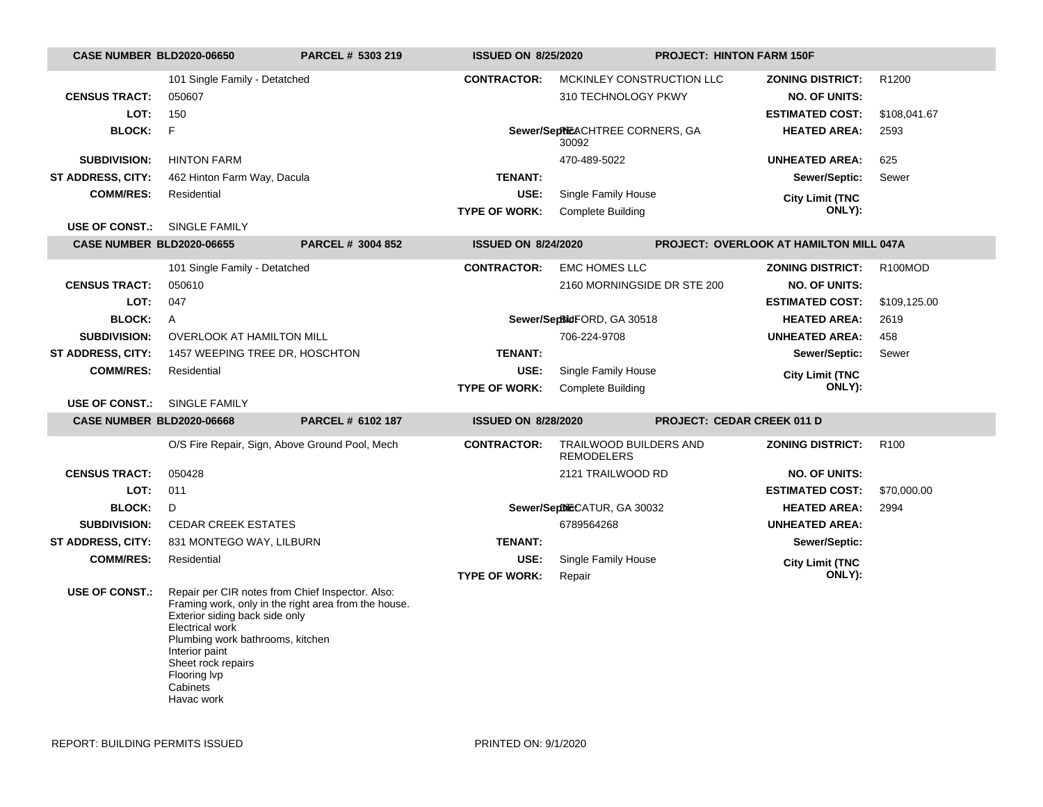| <b>CASE NUMBER BLD2020-06650</b> |                                                                                                                                                                                                                                    | PARCEL # 5303 219                                    | <b>ISSUED ON 8/25/2020</b> |                                                    | <b>PROJECT: HINTON FARM 150F</b>  |                                                |                   |
|----------------------------------|------------------------------------------------------------------------------------------------------------------------------------------------------------------------------------------------------------------------------------|------------------------------------------------------|----------------------------|----------------------------------------------------|-----------------------------------|------------------------------------------------|-------------------|
|                                  | 101 Single Family - Detatched                                                                                                                                                                                                      |                                                      | <b>CONTRACTOR:</b>         | MCKINLEY CONSTRUCTION LLC                          |                                   | <b>ZONING DISTRICT:</b>                        | R <sub>1200</sub> |
| <b>CENSUS TRACT:</b>             | 050607                                                                                                                                                                                                                             |                                                      |                            | 310 TECHNOLOGY PKWY                                |                                   | <b>NO. OF UNITS:</b>                           |                   |
| LOT:                             | 150                                                                                                                                                                                                                                |                                                      |                            |                                                    |                                   | <b>ESTIMATED COST:</b>                         | \$108,041.67      |
| <b>BLOCK:</b>                    | $\mathsf{F}$                                                                                                                                                                                                                       |                                                      |                            | Sewer/SepPIEACHTREE CORNERS, GA<br>30092           |                                   | <b>HEATED AREA:</b>                            | 2593              |
| <b>SUBDIVISION:</b>              | <b>HINTON FARM</b>                                                                                                                                                                                                                 |                                                      |                            | 470-489-5022                                       |                                   | <b>UNHEATED AREA:</b>                          | 625               |
| ST ADDRESS, CITY:                | 462 Hinton Farm Way, Dacula                                                                                                                                                                                                        |                                                      | <b>TENANT:</b>             |                                                    |                                   | Sewer/Septic:                                  | Sewer             |
| <b>COMM/RES:</b>                 | Residential                                                                                                                                                                                                                        |                                                      | USE:                       | Single Family House                                |                                   | <b>City Limit (TNC</b>                         |                   |
|                                  |                                                                                                                                                                                                                                    |                                                      | <b>TYPE OF WORK:</b>       | <b>Complete Building</b>                           |                                   | ONLY):                                         |                   |
| <b>USE OF CONST.:</b>            | SINGLE FAMILY                                                                                                                                                                                                                      |                                                      |                            |                                                    |                                   |                                                |                   |
| <b>CASE NUMBER BLD2020-06655</b> |                                                                                                                                                                                                                                    | PARCEL # 3004 852                                    | <b>ISSUED ON 8/24/2020</b> |                                                    |                                   | <b>PROJECT: OVERLOOK AT HAMILTON MILL 047A</b> |                   |
|                                  | 101 Single Family - Detatched                                                                                                                                                                                                      |                                                      | <b>CONTRACTOR:</b>         | <b>EMC HOMES LLC</b>                               |                                   | <b>ZONING DISTRICT:</b>                        | R100MOD           |
| <b>CENSUS TRACT:</b>             | 050610                                                                                                                                                                                                                             |                                                      |                            | 2160 MORNINGSIDE DR STE 200                        |                                   | <b>NO. OF UNITS:</b>                           |                   |
| LOT:                             | 047                                                                                                                                                                                                                                |                                                      |                            |                                                    |                                   | <b>ESTIMATED COST:</b>                         | \$109,125.00      |
| <b>BLOCK:</b>                    | $\mathsf{A}$                                                                                                                                                                                                                       |                                                      |                            | Sewer/SepBidFORD, GA 30518                         |                                   | <b>HEATED AREA:</b>                            | 2619              |
| <b>SUBDIVISION:</b>              | <b>OVERLOOK AT HAMILTON MILL</b>                                                                                                                                                                                                   |                                                      |                            | 706-224-9708                                       |                                   | <b>UNHEATED AREA:</b>                          | 458               |
| ST ADDRESS, CITY:                | 1457 WEEPING TREE DR, HOSCHTON                                                                                                                                                                                                     |                                                      | <b>TENANT:</b>             |                                                    |                                   | Sewer/Septic:                                  | Sewer             |
| <b>COMM/RES:</b>                 | Residential                                                                                                                                                                                                                        |                                                      | USE:                       | Single Family House                                |                                   | <b>City Limit (TNC</b>                         |                   |
|                                  |                                                                                                                                                                                                                                    |                                                      | <b>TYPE OF WORK:</b>       | <b>Complete Building</b>                           |                                   | ONLY):                                         |                   |
| <b>USE OF CONST.:</b>            | SINGLE FAMILY                                                                                                                                                                                                                      |                                                      |                            |                                                    |                                   |                                                |                   |
| <b>CASE NUMBER BLD2020-06668</b> |                                                                                                                                                                                                                                    | PARCEL # 6102 187                                    | <b>ISSUED ON 8/28/2020</b> |                                                    | <b>PROJECT: CEDAR CREEK 011 D</b> |                                                |                   |
|                                  | O/S Fire Repair, Sign, Above Ground Pool, Mech                                                                                                                                                                                     |                                                      | <b>CONTRACTOR:</b>         | <b>TRAILWOOD BUILDERS AND</b><br><b>REMODELERS</b> |                                   | <b>ZONING DISTRICT:</b>                        | R <sub>100</sub>  |
| <b>CENSUS TRACT:</b>             | 050428                                                                                                                                                                                                                             |                                                      |                            | 2121 TRAILWOOD RD                                  |                                   | <b>NO. OF UNITS:</b>                           |                   |
| LOT:                             | 011                                                                                                                                                                                                                                |                                                      |                            |                                                    |                                   | <b>ESTIMATED COST:</b>                         | \$70,000.00       |
| <b>BLOCK:</b>                    | D                                                                                                                                                                                                                                  |                                                      |                            | Sewer/SeptileCATUR, GA 30032                       |                                   | <b>HEATED AREA:</b>                            | 2994              |
| <b>SUBDIVISION:</b>              | <b>CEDAR CREEK ESTATES</b>                                                                                                                                                                                                         |                                                      |                            | 6789564268                                         |                                   | <b>UNHEATED AREA:</b>                          |                   |
| ST ADDRESS, CITY:                | 831 MONTEGO WAY, LILBURN                                                                                                                                                                                                           |                                                      | <b>TENANT:</b>             |                                                    |                                   | Sewer/Septic:                                  |                   |
| <b>COMM/RES:</b>                 | Residential                                                                                                                                                                                                                        |                                                      | USE:                       | Single Family House                                |                                   | <b>City Limit (TNC</b>                         |                   |
|                                  |                                                                                                                                                                                                                                    |                                                      | <b>TYPE OF WORK:</b>       | Repair                                             |                                   | ONLY):                                         |                   |
| <b>USE OF CONST.:</b>            | Repair per CIR notes from Chief Inspector. Also:<br>Exterior siding back side only<br><b>Electrical work</b><br>Plumbing work bathrooms, kitchen<br>Interior paint<br>Sheet rock repairs<br>Flooring lvp<br>Cabinets<br>Havac work | Framing work, only in the right area from the house. |                            |                                                    |                                   |                                                |                   |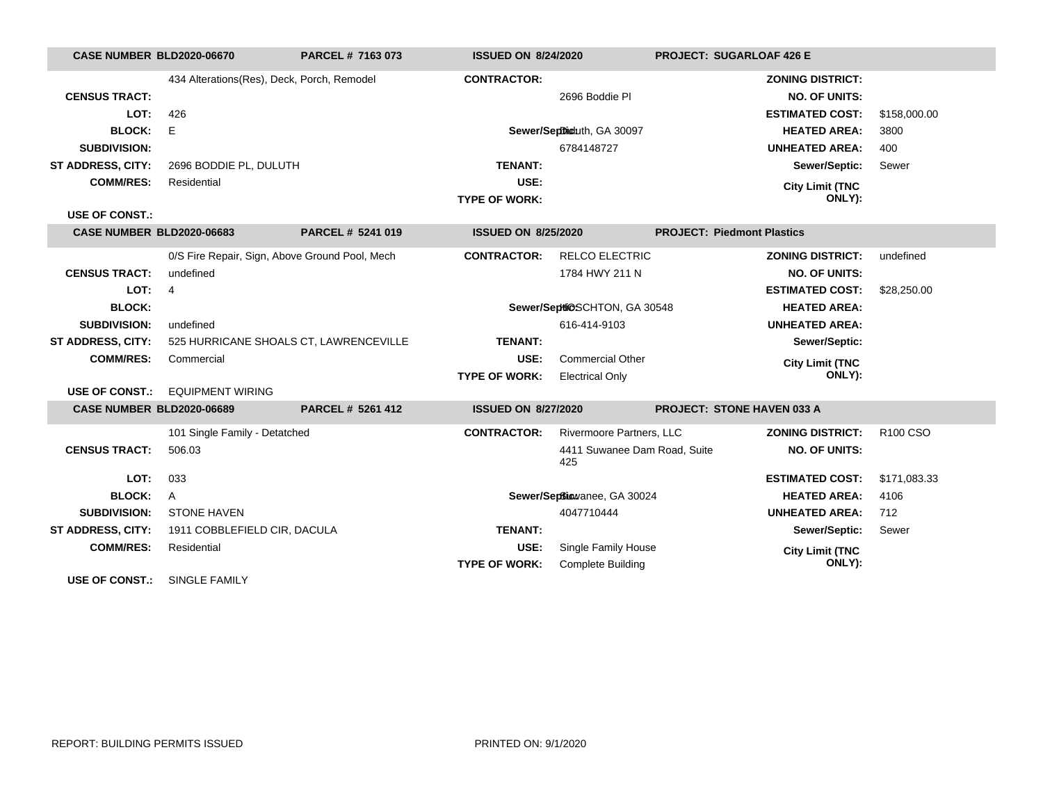| CASE NUMBER BLD2020-06670        |                                                | PARCEL # 7163 073 | <b>ISSUED ON 8/24/2020</b> |                                     | <b>PROJECT: SUGARLOAF 426 E</b>   |                         |                      |
|----------------------------------|------------------------------------------------|-------------------|----------------------------|-------------------------------------|-----------------------------------|-------------------------|----------------------|
|                                  | 434 Alterations(Res), Deck, Porch, Remodel     |                   | <b>CONTRACTOR:</b>         |                                     |                                   | <b>ZONING DISTRICT:</b> |                      |
| <b>CENSUS TRACT:</b>             |                                                |                   |                            | 2696 Boddie Pl                      |                                   | <b>NO. OF UNITS:</b>    |                      |
| LOT:                             | 426                                            |                   |                            |                                     |                                   | <b>ESTIMATED COST:</b>  | \$158,000.00         |
| <b>BLOCK:</b>                    | E                                              |                   |                            | Sewer/Septhioluth, GA 30097         |                                   | <b>HEATED AREA:</b>     | 3800                 |
| <b>SUBDIVISION:</b>              |                                                |                   |                            | 6784148727                          |                                   | <b>UNHEATED AREA:</b>   | 400                  |
| ST ADDRESS, CITY:                | 2696 BODDIE PL, DULUTH                         |                   | <b>TENANT:</b>             |                                     |                                   | Sewer/Septic:           | Sewer                |
| <b>COMM/RES:</b>                 | Residential                                    |                   | USE:                       |                                     |                                   | <b>City Limit (TNC</b>  |                      |
|                                  |                                                |                   | <b>TYPE OF WORK:</b>       |                                     |                                   | ONLY):                  |                      |
| <b>USE OF CONST.:</b>            |                                                |                   |                            |                                     |                                   |                         |                      |
| <b>CASE NUMBER BLD2020-06683</b> |                                                | PARCEL # 5241 019 | <b>ISSUED ON 8/25/2020</b> |                                     | <b>PROJECT: Piedmont Plastics</b> |                         |                      |
|                                  | 0/S Fire Repair, Sign, Above Ground Pool, Mech |                   | <b>CONTRACTOR:</b>         | <b>RELCO ELECTRIC</b>               |                                   | <b>ZONING DISTRICT:</b> | undefined            |
| <b>CENSUS TRACT:</b>             | undefined                                      |                   |                            | 1784 HWY 211 N                      |                                   | <b>NO. OF UNITS:</b>    |                      |
| LOT:                             | $\overline{4}$                                 |                   |                            |                                     |                                   | <b>ESTIMATED COST:</b>  | \$28,250.00          |
| <b>BLOCK:</b>                    |                                                |                   |                            | Sewer/Septi@SCHTON, GA 30548        |                                   | <b>HEATED AREA:</b>     |                      |
| <b>SUBDIVISION:</b>              | undefined                                      |                   |                            | 616-414-9103                        |                                   | <b>UNHEATED AREA:</b>   |                      |
| <b>ST ADDRESS, CITY:</b>         | 525 HURRICANE SHOALS CT, LAWRENCEVILLE         |                   | <b>TENANT:</b>             |                                     |                                   | Sewer/Septic:           |                      |
| <b>COMM/RES:</b>                 | Commercial                                     |                   | USE:                       | <b>Commercial Other</b>             |                                   | <b>City Limit (TNC</b>  |                      |
|                                  |                                                |                   | <b>TYPE OF WORK:</b>       | <b>Electrical Only</b>              |                                   | ONLY):                  |                      |
| <b>USE OF CONST.:</b>            | <b>EQUIPMENT WIRING</b>                        |                   |                            |                                     |                                   |                         |                      |
| <b>CASE NUMBER BLD2020-06689</b> |                                                | PARCEL # 5261 412 | <b>ISSUED ON 8/27/2020</b> |                                     | <b>PROJECT: STONE HAVEN 033 A</b> |                         |                      |
|                                  | 101 Single Family - Detatched                  |                   | <b>CONTRACTOR:</b>         | Rivermoore Partners, LLC            |                                   | <b>ZONING DISTRICT:</b> | R <sub>100</sub> CSO |
| <b>CENSUS TRACT:</b>             | 506.03                                         |                   |                            | 4411 Suwanee Dam Road, Suite<br>425 |                                   | <b>NO. OF UNITS:</b>    |                      |
| LOT:                             | 033                                            |                   |                            |                                     |                                   | <b>ESTIMATED COST:</b>  | \$171,083.33         |
| <b>BLOCK:</b>                    | A                                              |                   |                            | Sewer/Septiowanee, GA 30024         |                                   | <b>HEATED AREA:</b>     | 4106                 |
| <b>SUBDIVISION:</b>              | <b>STONE HAVEN</b>                             |                   |                            | 4047710444                          |                                   | <b>UNHEATED AREA:</b>   | 712                  |
| <b>ST ADDRESS, CITY:</b>         | 1911 COBBLEFIELD CIR, DACULA                   |                   | <b>TENANT:</b>             |                                     |                                   | Sewer/Septic:           | Sewer                |
| <b>COMM/RES:</b>                 | Residential                                    |                   | USE:                       | Single Family House                 |                                   | <b>City Limit (TNC</b>  |                      |
|                                  |                                                |                   | <b>TYPE OF WORK:</b>       | <b>Complete Building</b>            |                                   | ONLY):                  |                      |
| <b>USE OF CONST.:</b>            | <b>SINGLE FAMILY</b>                           |                   |                            |                                     |                                   |                         |                      |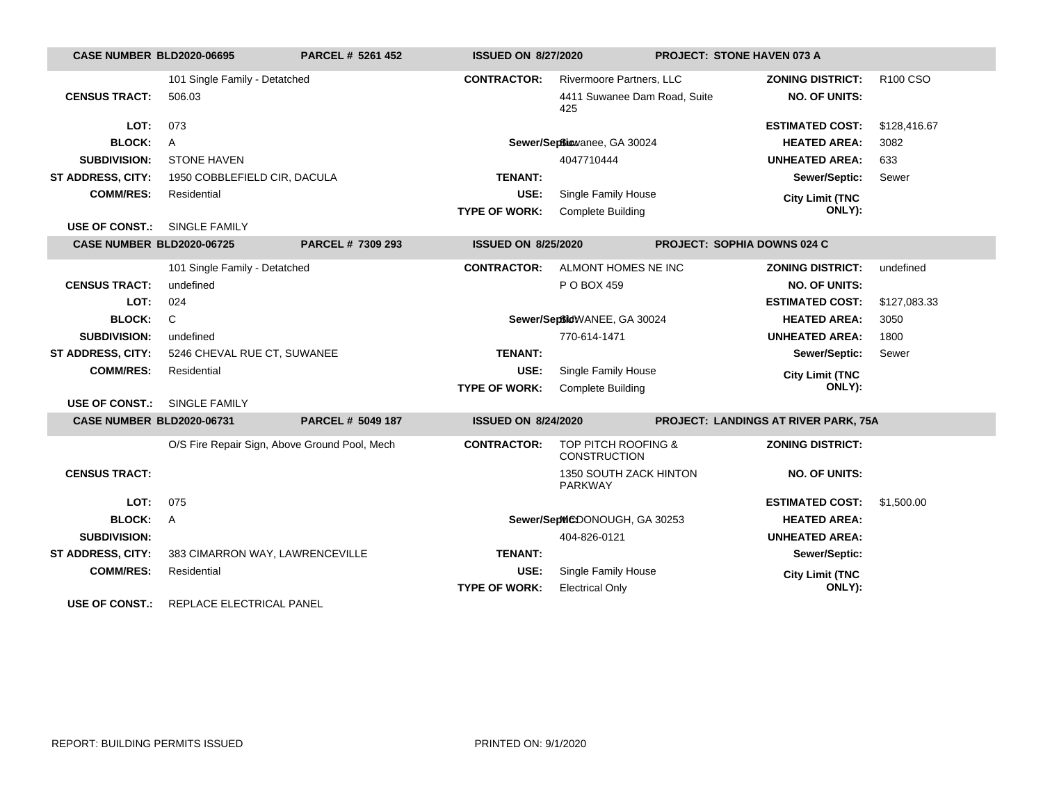| <b>CASE NUMBER BLD2020-06695</b> |                                               | <b>PARCEL # 5261 452</b> | <b>ISSUED ON 8/27/2020</b> |                                                       | <b>PROJECT: STONE HAVEN 073 A</b>    |              |
|----------------------------------|-----------------------------------------------|--------------------------|----------------------------|-------------------------------------------------------|--------------------------------------|--------------|
|                                  | 101 Single Family - Detatched                 |                          | <b>CONTRACTOR:</b>         | Rivermoore Partners, LLC                              | <b>ZONING DISTRICT:</b>              | R100 CSO     |
| <b>CENSUS TRACT:</b>             | 506.03                                        |                          |                            | 4411 Suwanee Dam Road, Suite<br>425                   | <b>NO. OF UNITS:</b>                 |              |
| LOT:                             | 073                                           |                          |                            |                                                       | <b>ESTIMATED COST:</b>               | \$128,416.67 |
| <b>BLOCK:</b>                    | A                                             |                          |                            | Sewer/Septiowanee, GA 30024                           | <b>HEATED AREA:</b>                  | 3082         |
| <b>SUBDIVISION:</b>              | <b>STONE HAVEN</b>                            |                          |                            | 4047710444                                            | <b>UNHEATED AREA:</b>                | 633          |
| <b>ST ADDRESS, CITY:</b>         | 1950 COBBLEFIELD CIR, DACULA                  |                          | <b>TENANT:</b>             |                                                       | Sewer/Septic:                        | Sewer        |
| <b>COMM/RES:</b>                 | Residential                                   |                          | USE:                       | Single Family House                                   |                                      |              |
|                                  |                                               |                          | <b>TYPE OF WORK:</b>       | <b>Complete Building</b>                              | <b>City Limit (TNC</b><br>ONLY):     |              |
| <b>USE OF CONST.:</b>            | <b>SINGLE FAMILY</b>                          |                          |                            |                                                       |                                      |              |
| <b>CASE NUMBER BLD2020-06725</b> |                                               | PARCEL # 7309 293        | <b>ISSUED ON 8/25/2020</b> |                                                       | <b>PROJECT: SOPHIA DOWNS 024 C</b>   |              |
|                                  | 101 Single Family - Detatched                 |                          | <b>CONTRACTOR:</b>         | ALMONT HOMES NE INC                                   | <b>ZONING DISTRICT:</b>              | undefined    |
| <b>CENSUS TRACT:</b>             | undefined                                     |                          |                            | P O BOX 459                                           | <b>NO. OF UNITS:</b>                 |              |
| LOT:                             | 024                                           |                          |                            |                                                       | <b>ESTIMATED COST:</b>               | \$127,083.33 |
| <b>BLOCK:</b>                    | C                                             |                          |                            | Sewer/SeptidWANEE, GA 30024                           | <b>HEATED AREA:</b>                  | 3050         |
| <b>SUBDIVISION:</b>              | undefined                                     |                          | 770-614-1471               |                                                       | <b>UNHEATED AREA:</b>                | 1800         |
| <b>ST ADDRESS, CITY:</b>         | 5246 CHEVAL RUE CT, SUWANEE                   |                          | <b>TENANT:</b>             |                                                       | Sewer/Septic:                        | Sewer        |
| <b>COMM/RES:</b>                 | Residential                                   |                          | USE:                       | Single Family House                                   | <b>City Limit (TNC</b>               |              |
|                                  |                                               |                          | <b>TYPE OF WORK:</b>       | <b>Complete Building</b>                              | ONLY):                               |              |
| <b>USE OF CONST.:</b>            | SINGLE FAMILY                                 |                          |                            |                                                       |                                      |              |
| <b>CASE NUMBER BLD2020-06731</b> |                                               | PARCEL # 5049 187        | <b>ISSUED ON 8/24/2020</b> |                                                       | PROJECT: LANDINGS AT RIVER PARK, 75A |              |
|                                  | O/S Fire Repair Sign, Above Ground Pool, Mech |                          | <b>CONTRACTOR:</b>         | <b>TOP PITCH ROOFING &amp;</b><br><b>CONSTRUCTION</b> | <b>ZONING DISTRICT:</b>              |              |
| <b>CENSUS TRACT:</b>             |                                               |                          |                            | 1350 SOUTH ZACK HINTON<br><b>PARKWAY</b>              | <b>NO. OF UNITS:</b>                 |              |
| LOT:                             | 075                                           |                          |                            |                                                       | <b>ESTIMATED COST:</b>               | \$1,500.00   |
| <b>BLOCK:</b>                    | $\overline{A}$                                |                          |                            | Sewer/SepWCDONOUGH, GA 30253                          | <b>HEATED AREA:</b>                  |              |
| <b>SUBDIVISION:</b>              |                                               |                          |                            | 404-826-0121                                          | <b>UNHEATED AREA:</b>                |              |
| <b>ST ADDRESS, CITY:</b>         | 383 CIMARRON WAY, LAWRENCEVILLE               |                          | <b>TENANT:</b>             |                                                       | Sewer/Septic:                        |              |
| <b>COMM/RES:</b>                 | Residential                                   |                          | USE:                       | Single Family House                                   | <b>City Limit (TNC</b>               |              |
|                                  |                                               |                          | <b>TYPE OF WORK:</b>       | <b>Electrical Only</b>                                | ONLY):                               |              |
| LIGE OF CONCE.                   | DEDLACE ELECTRICAL DANEL                      |                          |                            |                                                       |                                      |              |

**USE OF CONST.:** REPLACE ELECTRICAL PANEL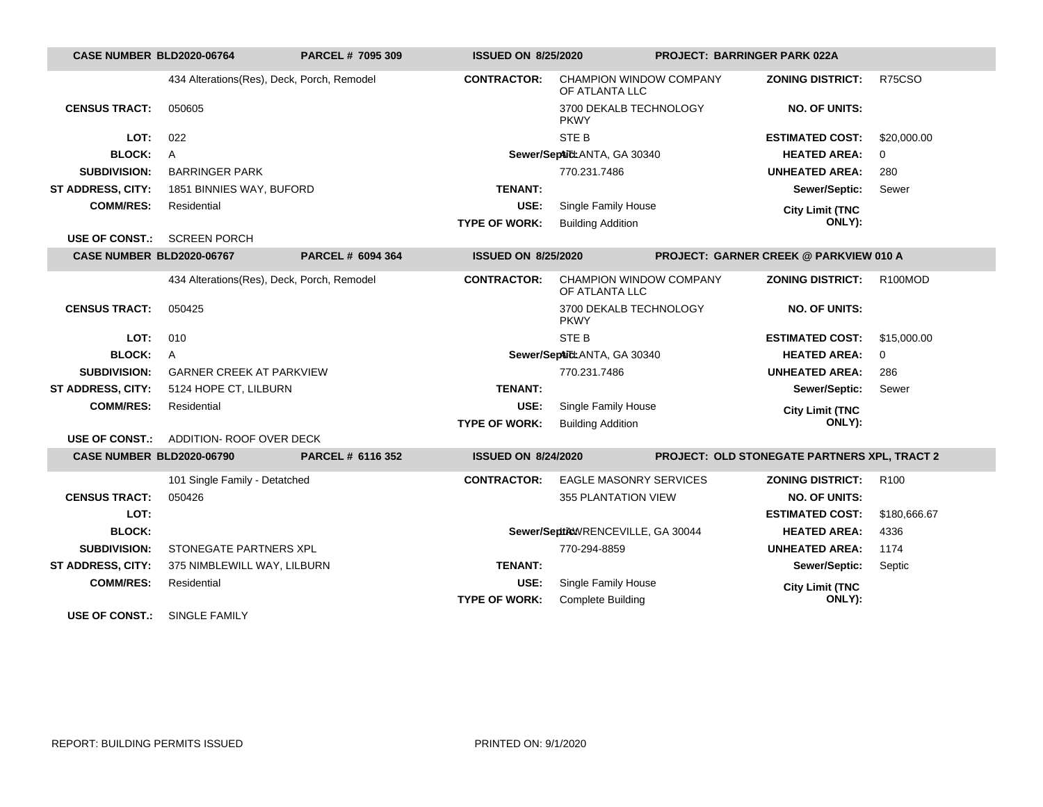| CASE NUMBER BLD2020-06764        |                                            | PARCEL # 7095 309        | <b>ISSUED ON 8/25/2020</b> |                                                  | <b>PROJECT: BARRINGER PARK 022A</b>                 |                      |  |
|----------------------------------|--------------------------------------------|--------------------------|----------------------------|--------------------------------------------------|-----------------------------------------------------|----------------------|--|
|                                  | 434 Alterations(Res), Deck, Porch, Remodel |                          | <b>CONTRACTOR:</b>         | <b>CHAMPION WINDOW COMPANY</b><br>OF ATLANTA LLC | <b>ZONING DISTRICT:</b>                             | R75CSO               |  |
| <b>CENSUS TRACT:</b>             | 050605                                     |                          |                            | 3700 DEKALB TECHNOLOGY<br><b>PKWY</b>            | <b>NO. OF UNITS:</b>                                |                      |  |
| LOT:                             | 022                                        |                          |                            | STE B                                            | <b>ESTIMATED COST:</b>                              | \$20,000.00          |  |
| <b>BLOCK:</b>                    | A                                          |                          |                            | Sewer/SepticLANTA, GA 30340                      | <b>HEATED AREA:</b>                                 | $\Omega$             |  |
| <b>SUBDIVISION:</b>              | <b>BARRINGER PARK</b>                      |                          |                            | 770.231.7486                                     | <b>UNHEATED AREA:</b>                               | 280                  |  |
| <b>ST ADDRESS, CITY:</b>         | 1851 BINNIES WAY, BUFORD                   | <b>TENANT:</b>           |                            |                                                  | Sewer/Septic:                                       | Sewer                |  |
| <b>COMM/RES:</b>                 | Residential                                |                          | USE:                       | Single Family House                              | <b>City Limit (TNC</b>                              |                      |  |
|                                  |                                            |                          | <b>TYPE OF WORK:</b>       | <b>Building Addition</b>                         | ONLY):                                              |                      |  |
| USE OF CONST.:                   | <b>SCREEN PORCH</b>                        |                          |                            |                                                  |                                                     |                      |  |
| <b>CASE NUMBER BLD2020-06767</b> |                                            | PARCEL # 6094 364        | <b>ISSUED ON 8/25/2020</b> |                                                  | PROJECT: GARNER CREEK @ PARKVIEW 010 A              |                      |  |
|                                  | 434 Alterations(Res), Deck, Porch, Remodel |                          | <b>CONTRACTOR:</b>         | <b>CHAMPION WINDOW COMPANY</b><br>OF ATLANTA LLC | <b>ZONING DISTRICT:</b>                             | R <sub>100</sub> MOD |  |
| <b>CENSUS TRACT:</b>             | 050425                                     |                          |                            | 3700 DEKALB TECHNOLOGY<br><b>PKWY</b>            | <b>NO. OF UNITS:</b>                                |                      |  |
| LOT:                             | 010                                        |                          |                            | <b>STEB</b>                                      | <b>ESTIMATED COST:</b>                              | \$15,000.00          |  |
| <b>BLOCK:</b>                    | $\mathsf{A}$                               |                          |                            | Sewer/SepticLANTA, GA 30340                      | <b>HEATED AREA:</b>                                 | $\Omega$             |  |
| <b>SUBDIVISION:</b>              | <b>GARNER CREEK AT PARKVIEW</b>            |                          |                            | 770.231.7486                                     | <b>UNHEATED AREA:</b>                               | 286                  |  |
| ST ADDRESS, CITY:                | 5124 HOPE CT, LILBURN                      |                          | <b>TENANT:</b>             |                                                  | Sewer/Septic:                                       | Sewer                |  |
| <b>COMM/RES:</b>                 | Residential                                |                          | USE:                       | Single Family House                              | <b>City Limit (TNC</b>                              |                      |  |
|                                  |                                            |                          | <b>TYPE OF WORK:</b>       | <b>Building Addition</b>                         | ONLY):                                              |                      |  |
| <b>USE OF CONST.:</b>            | ADDITION- ROOF OVER DECK                   |                          |                            |                                                  |                                                     |                      |  |
| <b>CASE NUMBER BLD2020-06790</b> |                                            | <b>PARCEL # 6116 352</b> | <b>ISSUED ON 8/24/2020</b> |                                                  | <b>PROJECT: OLD STONEGATE PARTNERS XPL, TRACT 2</b> |                      |  |
|                                  | 101 Single Family - Detatched              |                          | <b>CONTRACTOR:</b>         | <b>EAGLE MASONRY SERVICES</b>                    | <b>ZONING DISTRICT:</b>                             | R <sub>100</sub>     |  |
| <b>CENSUS TRACT:</b>             | 050426                                     |                          |                            | 355 PLANTATION VIEW                              | <b>NO. OF UNITS:</b>                                |                      |  |
| LOT:                             |                                            |                          |                            |                                                  | <b>ESTIMATED COST:</b>                              | \$180,666.67         |  |
| <b>BLOCK:</b>                    |                                            |                          |                            | Sewer/SepticWRENCEVILLE, GA 30044                | <b>HEATED AREA:</b>                                 | 4336                 |  |
| <b>SUBDIVISION:</b>              | STONEGATE PARTNERS XPL                     |                          |                            | 770-294-8859                                     | <b>UNHEATED AREA:</b>                               | 1174                 |  |
| <b>ST ADDRESS, CITY:</b>         | 375 NIMBLEWILL WAY, LILBURN                |                          | <b>TENANT:</b>             |                                                  | Sewer/Septic:                                       | Septic               |  |
| <b>COMM/RES:</b>                 | Residential                                |                          | USE:                       | Single Family House                              | <b>City Limit (TNC</b>                              |                      |  |
|                                  |                                            |                          | <b>TYPE OF WORK:</b>       | <b>Complete Building</b>                         | ONLY):                                              |                      |  |
|                                  |                                            |                          |                            |                                                  |                                                     |                      |  |

**USE OF CONST.:** SINGLE FAMILY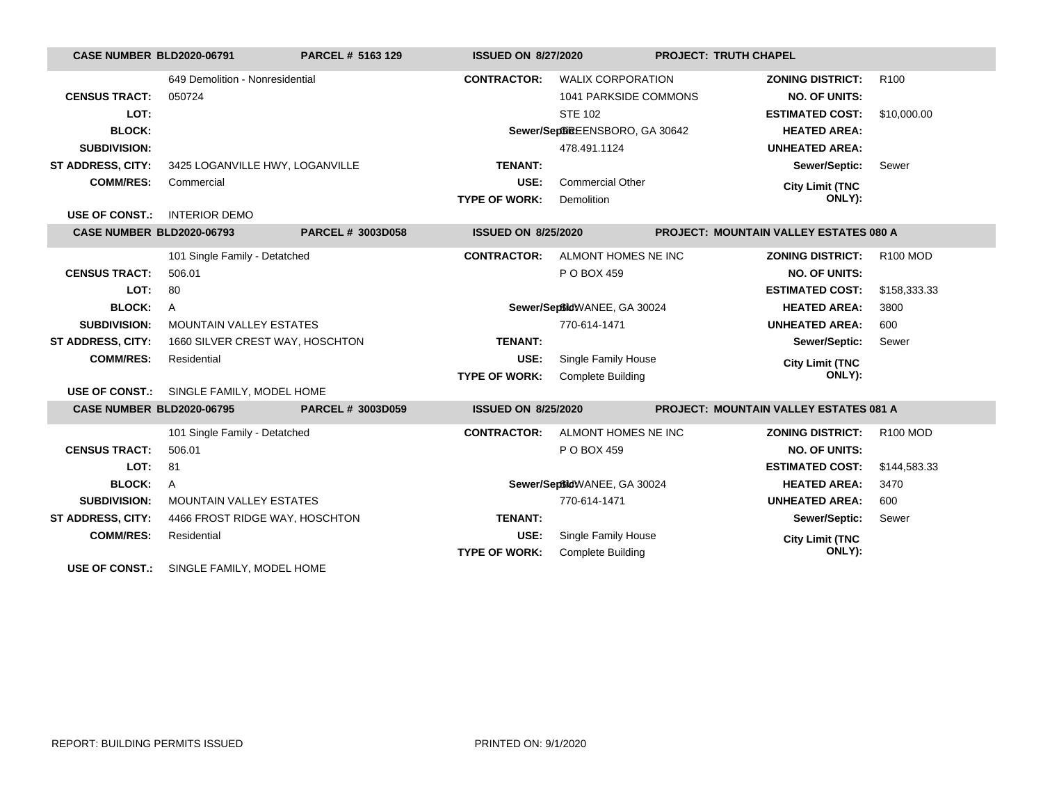| <b>CASE NUMBER BLD2020-06791</b> |                                          | PARCEL # 5163 129        | <b>ISSUED ON 8/27/2020</b> |                                 | <b>PROJECT: TRUTH CHAPEL</b>                  |                  |
|----------------------------------|------------------------------------------|--------------------------|----------------------------|---------------------------------|-----------------------------------------------|------------------|
|                                  | 649 Demolition - Nonresidential          |                          | <b>CONTRACTOR:</b>         | <b>WALIX CORPORATION</b>        | <b>ZONING DISTRICT:</b>                       | R <sub>100</sub> |
| <b>CENSUS TRACT:</b>             | 050724                                   |                          |                            | 1041 PARKSIDE COMMONS           | <b>NO. OF UNITS:</b>                          |                  |
| LOT:                             |                                          |                          |                            | <b>STE 102</b>                  | <b>ESTIMATED COST:</b>                        | \$10,000.00      |
| <b>BLOCK:</b>                    |                                          |                          |                            | Sewer/SeptimeEENSBORO, GA 30642 | <b>HEATED AREA:</b>                           |                  |
| <b>SUBDIVISION:</b>              |                                          |                          |                            | 478.491.1124                    | <b>UNHEATED AREA:</b>                         |                  |
| <b>ST ADDRESS, CITY:</b>         | 3425 LOGANVILLE HWY, LOGANVILLE          |                          | TENANT:                    |                                 | Sewer/Septic:                                 | Sewer            |
| <b>COMM/RES:</b>                 | Commercial                               |                          | USE:                       | <b>Commercial Other</b>         | <b>City Limit (TNC</b>                        |                  |
|                                  |                                          |                          | <b>TYPE OF WORK:</b>       | Demolition                      | ONLY):                                        |                  |
| <b>USE OF CONST.:</b>            | <b>INTERIOR DEMO</b>                     |                          |                            |                                 |                                               |                  |
| <b>CASE NUMBER BLD2020-06793</b> |                                          | <b>PARCEL # 3003D058</b> | <b>ISSUED ON 8/25/2020</b> |                                 | PROJECT: MOUNTAIN VALLEY ESTATES 080 A        |                  |
|                                  | 101 Single Family - Detatched            |                          | <b>CONTRACTOR:</b>         | ALMONT HOMES NE INC             | <b>ZONING DISTRICT:</b>                       | <b>R100 MOD</b>  |
| <b>CENSUS TRACT:</b>             | 506.01                                   |                          |                            | P O BOX 459                     | <b>NO. OF UNITS:</b>                          |                  |
| LOT:                             | 80                                       |                          |                            |                                 | <b>ESTIMATED COST:</b>                        | \$158,333.33     |
| <b>BLOCK:</b>                    | $\mathsf{A}$                             |                          |                            | Sewer/SeptidWANEE, GA 30024     | <b>HEATED AREA:</b>                           | 3800             |
| <b>SUBDIVISION:</b>              | <b>MOUNTAIN VALLEY ESTATES</b>           |                          |                            | 770-614-1471                    | <b>UNHEATED AREA:</b>                         | 600              |
| <b>ST ADDRESS, CITY:</b>         | 1660 SILVER CREST WAY, HOSCHTON          |                          | <b>TENANT:</b>             |                                 | Sewer/Septic:                                 | Sewer            |
| <b>COMM/RES:</b>                 | Residential                              |                          | USE:                       | Single Family House             | <b>City Limit (TNC</b>                        |                  |
|                                  |                                          |                          | <b>TYPE OF WORK:</b>       | <b>Complete Building</b>        | ONLY):                                        |                  |
|                                  | USE OF CONST.: SINGLE FAMILY, MODEL HOME |                          |                            |                                 |                                               |                  |
| <b>CASE NUMBER BLD2020-06795</b> |                                          | <b>PARCEL # 3003D059</b> | <b>ISSUED ON 8/25/2020</b> |                                 | <b>PROJECT: MOUNTAIN VALLEY ESTATES 081 A</b> |                  |
|                                  | 101 Single Family - Detatched            |                          | <b>CONTRACTOR:</b>         | ALMONT HOMES NE INC             | <b>ZONING DISTRICT:</b>                       | <b>R100 MOD</b>  |
| <b>CENSUS TRACT:</b>             | 506.01                                   |                          |                            | P O BOX 459                     | <b>NO. OF UNITS:</b>                          |                  |
| LOT:                             | 81                                       |                          |                            |                                 | <b>ESTIMATED COST:</b>                        | \$144,583.33     |
| <b>BLOCK:</b>                    | A                                        |                          |                            | Sewer/SeptidWANEE, GA 30024     | <b>HEATED AREA:</b>                           | 3470             |
| <b>SUBDIVISION:</b>              | <b>MOUNTAIN VALLEY ESTATES</b>           |                          |                            | 770-614-1471                    | <b>UNHEATED AREA:</b>                         | 600              |
| <b>ST ADDRESS, CITY:</b>         | 4466 FROST RIDGE WAY, HOSCHTON           |                          | <b>TENANT:</b>             |                                 | Sewer/Septic:                                 | Sewer            |
| <b>COMM/RES:</b>                 | Residential                              |                          | USE:                       | Single Family House             | <b>City Limit (TNC</b>                        |                  |
|                                  |                                          |                          | <b>TYPE OF WORK:</b>       | <b>Complete Building</b>        | ONLY):                                        |                  |
| <b>USE OF CONST.:</b>            | SINGLE FAMILY, MODEL HOME                |                          |                            |                                 |                                               |                  |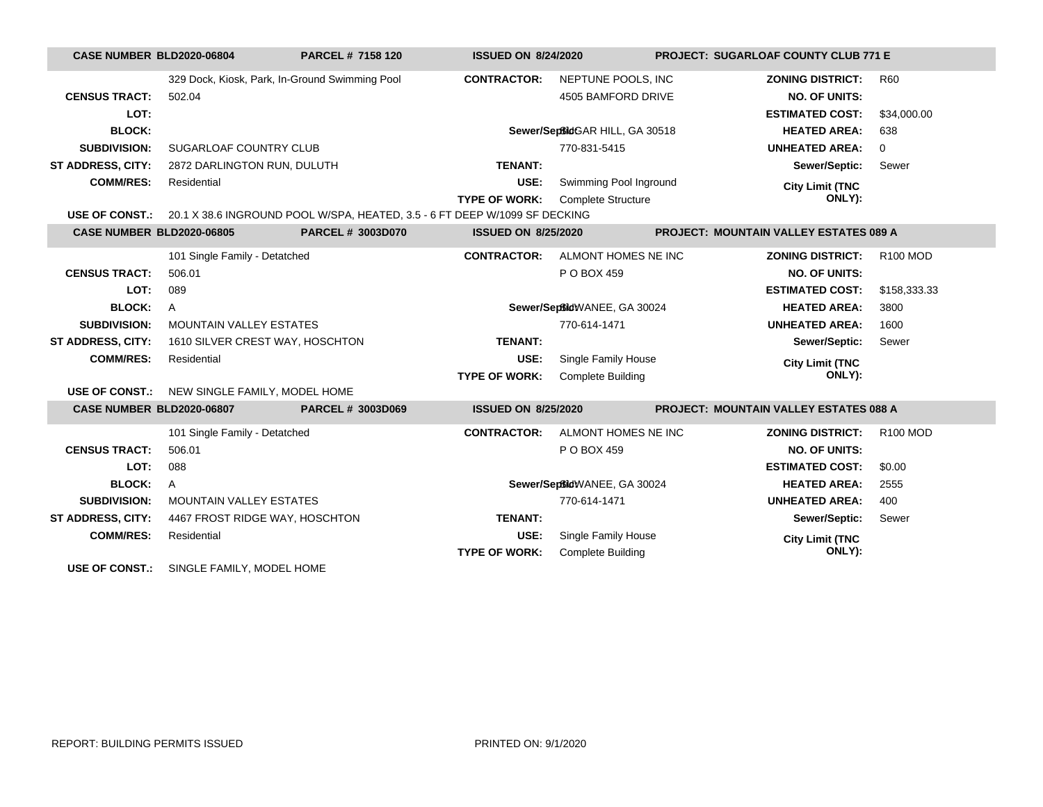| <b>CASE NUMBER BLD2020-06804</b> |                                              | <b>PARCEL # 7158 120</b>                                                                  | <b>ISSUED ON 8/24/2020</b> |                                 | <b>PROJECT: SUGARLOAF COUNTY CLUB 771 E</b>   |                 |  |
|----------------------------------|----------------------------------------------|-------------------------------------------------------------------------------------------|----------------------------|---------------------------------|-----------------------------------------------|-----------------|--|
|                                  |                                              | 329 Dock, Kiosk, Park, In-Ground Swimming Pool                                            | <b>CONTRACTOR:</b>         | NEPTUNE POOLS, INC              | <b>ZONING DISTRICT:</b>                       | <b>R60</b>      |  |
| <b>CENSUS TRACT:</b>             | 502.04                                       |                                                                                           |                            | 4505 BAMFORD DRIVE              | <b>NO. OF UNITS:</b>                          |                 |  |
| LOT:                             |                                              |                                                                                           |                            |                                 | <b>ESTIMATED COST:</b>                        | \$34,000.00     |  |
| <b>BLOCK:</b>                    |                                              |                                                                                           |                            | Sewer/SeptildGAR HILL, GA 30518 | <b>HEATED AREA:</b>                           | 638             |  |
| <b>SUBDIVISION:</b>              | SUGARLOAF COUNTRY CLUB                       |                                                                                           |                            | 770-831-5415                    | <b>UNHEATED AREA:</b>                         | $\mathbf 0$     |  |
| <b>ST ADDRESS, CITY:</b>         | 2872 DARLINGTON RUN, DULUTH                  |                                                                                           | <b>TENANT:</b>             |                                 | Sewer/Septic:                                 | Sewer           |  |
| <b>COMM/RES:</b>                 | Residential                                  |                                                                                           | USE:                       | Swimming Pool Inground          | <b>City Limit (TNC</b>                        |                 |  |
|                                  |                                              |                                                                                           | <b>TYPE OF WORK:</b>       | <b>Complete Structure</b>       | ONLY):                                        |                 |  |
|                                  |                                              | USE OF CONST.: 20.1 X 38.6 INGROUND POOL W/SPA, HEATED, 3.5 - 6 FT DEEP W/1099 SF DECKING |                            |                                 |                                               |                 |  |
| <b>CASE NUMBER BLD2020-06805</b> |                                              | <b>PARCEL # 3003D070</b>                                                                  | <b>ISSUED ON 8/25/2020</b> |                                 | <b>PROJECT: MOUNTAIN VALLEY ESTATES 089 A</b> |                 |  |
|                                  | 101 Single Family - Detatched                |                                                                                           | <b>CONTRACTOR:</b>         | ALMONT HOMES NE INC             | <b>ZONING DISTRICT:</b>                       | R100 MOD        |  |
| <b>CENSUS TRACT:</b>             | 506.01                                       |                                                                                           |                            | P O BOX 459                     | <b>NO. OF UNITS:</b>                          |                 |  |
| LOT:                             | 089                                          |                                                                                           |                            |                                 | <b>ESTIMATED COST:</b>                        | \$158,333.33    |  |
| <b>BLOCK:</b>                    | $\overline{A}$                               |                                                                                           |                            | Sewer/SeptidWANEE, GA 30024     | <b>HEATED AREA:</b>                           | 3800            |  |
| <b>SUBDIVISION:</b>              | <b>MOUNTAIN VALLEY ESTATES</b>               |                                                                                           |                            | 770-614-1471                    | <b>UNHEATED AREA:</b>                         | 1600            |  |
| ST ADDRESS, CITY:                | 1610 SILVER CREST WAY, HOSCHTON              |                                                                                           | <b>TENANT:</b>             |                                 | Sewer/Septic:                                 | Sewer           |  |
| <b>COMM/RES:</b>                 | Residential                                  |                                                                                           | USE:                       | Single Family House             | <b>City Limit (TNC</b>                        |                 |  |
|                                  |                                              |                                                                                           | <b>TYPE OF WORK:</b>       | <b>Complete Building</b>        | ONLY):                                        |                 |  |
|                                  | USE OF CONST.: NEW SINGLE FAMILY, MODEL HOME |                                                                                           |                            |                                 |                                               |                 |  |
| <b>CASE NUMBER BLD2020-06807</b> |                                              | PARCEL # 3003D069                                                                         | <b>ISSUED ON 8/25/2020</b> |                                 | <b>PROJECT: MOUNTAIN VALLEY ESTATES 088 A</b> |                 |  |
|                                  | 101 Single Family - Detatched                |                                                                                           | <b>CONTRACTOR:</b>         | ALMONT HOMES NE INC             | <b>ZONING DISTRICT:</b>                       | <b>R100 MOD</b> |  |
| <b>CENSUS TRACT:</b>             | 506.01                                       |                                                                                           |                            | P O BOX 459                     | <b>NO. OF UNITS:</b>                          |                 |  |
| LOT:                             | 088                                          |                                                                                           |                            |                                 | <b>ESTIMATED COST:</b>                        | \$0.00          |  |
| <b>BLOCK:</b>                    | $\mathsf{A}$                                 |                                                                                           |                            | Sewer/SeptidWANEE, GA 30024     | <b>HEATED AREA:</b>                           | 2555            |  |
| <b>SUBDIVISION:</b>              | <b>MOUNTAIN VALLEY ESTATES</b>               |                                                                                           |                            | 770-614-1471                    | <b>UNHEATED AREA:</b>                         | 400             |  |
| <b>ST ADDRESS, CITY:</b>         | 4467 FROST RIDGE WAY, HOSCHTON               |                                                                                           | <b>TENANT:</b>             |                                 | Sewer/Septic:                                 | Sewer           |  |
| <b>COMM/RES:</b>                 | Residential                                  |                                                                                           | USE:                       | Single Family House             | <b>City Limit (TNC</b>                        |                 |  |
|                                  |                                              |                                                                                           | <b>TYPE OF WORK:</b>       | <b>Complete Building</b>        | ONLY):                                        |                 |  |
| <b>USE OF CONST.:</b>            | SINGLE FAMILY, MODEL HOME                    |                                                                                           |                            |                                 |                                               |                 |  |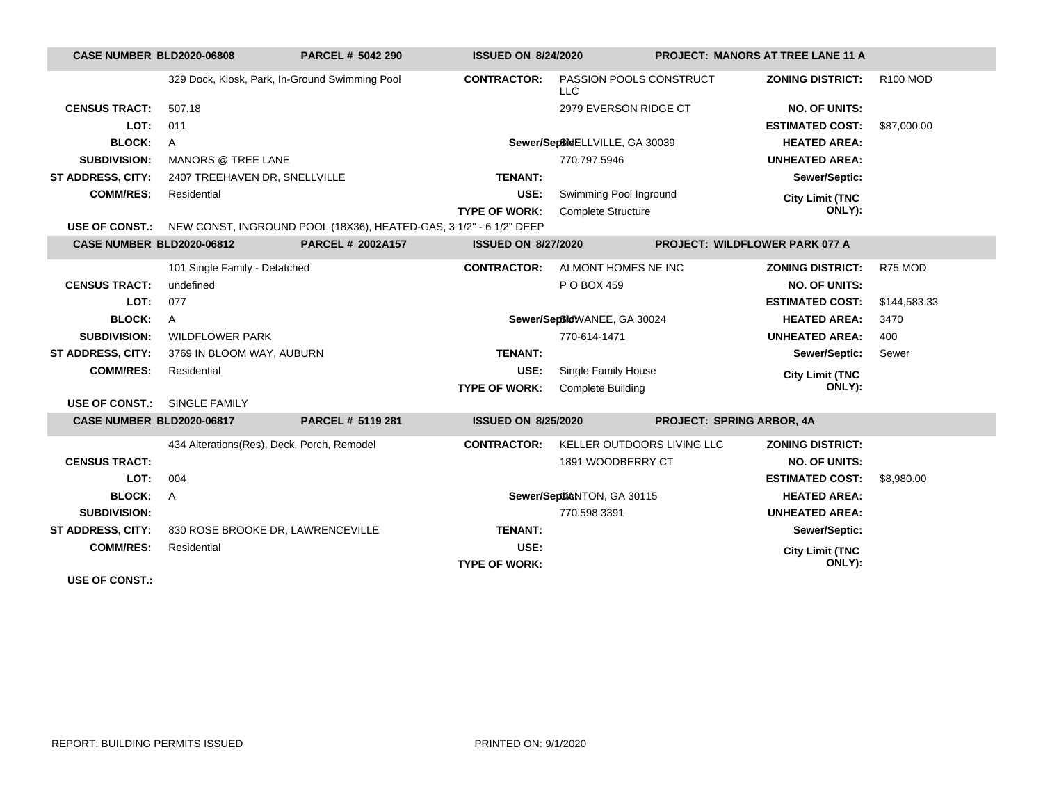| <b>CASE NUMBER BLD2020-06808</b> |                                            | PARCEL # 5042 290                                                                 | <b>ISSUED ON 8/24/2020</b> |                                       | <b>PROJECT: MANORS AT TREE LANE 11 A</b> |                 |
|----------------------------------|--------------------------------------------|-----------------------------------------------------------------------------------|----------------------------|---------------------------------------|------------------------------------------|-----------------|
|                                  |                                            | 329 Dock, Kiosk, Park, In-Ground Swimming Pool                                    | <b>CONTRACTOR:</b>         | PASSION POOLS CONSTRUCT<br><b>LLC</b> | <b>ZONING DISTRICT:</b>                  | <b>R100 MOD</b> |
| <b>CENSUS TRACT:</b>             | 507.18                                     |                                                                                   |                            | 2979 EVERSON RIDGE CT                 | <b>NO. OF UNITS:</b>                     |                 |
| LOT:                             | 011                                        |                                                                                   |                            |                                       | <b>ESTIMATED COST:</b>                   | \$87,000.00     |
| <b>BLOCK:</b>                    | $\mathsf{A}$                               |                                                                                   |                            | Sewer/Septime ELLVILLE, GA 30039      | <b>HEATED AREA:</b>                      |                 |
| <b>SUBDIVISION:</b>              | <b>MANORS @ TREE LANE</b>                  |                                                                                   |                            | 770.797.5946                          | <b>UNHEATED AREA:</b>                    |                 |
| <b>ST ADDRESS, CITY:</b>         | 2407 TREEHAVEN DR, SNELLVILLE              |                                                                                   | <b>TENANT:</b>             |                                       | Sewer/Septic:                            |                 |
| <b>COMM/RES:</b>                 | Residential                                |                                                                                   | USE:                       | Swimming Pool Inground                | <b>City Limit (TNC</b>                   |                 |
|                                  |                                            |                                                                                   | <b>TYPE OF WORK:</b>       | <b>Complete Structure</b>             | ONLY):                                   |                 |
|                                  |                                            | USE OF CONST.: NEW CONST, INGROUND POOL (18X36), HEATED-GAS, 3 1/2" - 6 1/2" DEEP |                            |                                       |                                          |                 |
| <b>CASE NUMBER BLD2020-06812</b> |                                            | <b>PARCEL # 2002A157</b>                                                          | <b>ISSUED ON 8/27/2020</b> |                                       | <b>PROJECT: WILDFLOWER PARK 077 A</b>    |                 |
|                                  | 101 Single Family - Detatched              |                                                                                   | <b>CONTRACTOR:</b>         | ALMONT HOMES NE INC                   | <b>ZONING DISTRICT:</b>                  | R75 MOD         |
| <b>CENSUS TRACT:</b>             | undefined                                  |                                                                                   |                            | P O BOX 459                           | <b>NO. OF UNITS:</b>                     |                 |
| LOT:                             | 077                                        |                                                                                   |                            |                                       | <b>ESTIMATED COST:</b>                   | \$144,583.33    |
| <b>BLOCK:</b>                    | $\mathsf{A}$                               |                                                                                   |                            | Sewer/SeptidWANEE, GA 30024           | <b>HEATED AREA:</b>                      | 3470            |
| <b>SUBDIVISION:</b>              | <b>WILDFLOWER PARK</b>                     |                                                                                   |                            | 770-614-1471                          | <b>UNHEATED AREA:</b>                    | 400             |
| <b>ST ADDRESS, CITY:</b>         | 3769 IN BLOOM WAY, AUBURN                  |                                                                                   | <b>TENANT:</b>             |                                       | Sewer/Septic:                            | Sewer           |
| <b>COMM/RES:</b>                 | Residential                                |                                                                                   | USE:                       | Single Family House                   | <b>City Limit (TNC</b>                   |                 |
|                                  |                                            |                                                                                   | <b>TYPE OF WORK:</b>       | <b>Complete Building</b>              | ONLY):                                   |                 |
| <b>USE OF CONST.:</b>            | <b>SINGLE FAMILY</b>                       |                                                                                   |                            |                                       |                                          |                 |
| CASE NUMBER BLD2020-06817        |                                            | PARCEL # 5119 281                                                                 | <b>ISSUED ON 8/25/2020</b> |                                       | <b>PROJECT: SPRING ARBOR, 4A</b>         |                 |
|                                  | 434 Alterations(Res), Deck, Porch, Remodel |                                                                                   | <b>CONTRACTOR:</b>         | KELLER OUTDOORS LIVING LLC            | <b>ZONING DISTRICT:</b>                  |                 |
| <b>CENSUS TRACT:</b>             |                                            |                                                                                   |                            | 1891 WOODBERRY CT                     | <b>NO. OF UNITS:</b>                     |                 |
| LOT:                             | 004                                        |                                                                                   |                            |                                       | <b>ESTIMATED COST:</b>                   | \$8,980,00      |
| <b>BLOCK:</b>                    | $\mathsf{A}$                               |                                                                                   |                            | Sewer/SeptikNTON, GA 30115            | <b>HEATED AREA:</b>                      |                 |
| <b>SUBDIVISION:</b>              |                                            |                                                                                   |                            | 770.598.3391                          | <b>UNHEATED AREA:</b>                    |                 |
| <b>ST ADDRESS, CITY:</b>         |                                            | 830 ROSE BROOKE DR, LAWRENCEVILLE                                                 | <b>TENANT:</b>             |                                       | Sewer/Septic:                            |                 |
| <b>COMM/RES:</b>                 | Residential                                |                                                                                   | USE:                       |                                       | <b>City Limit (TNC</b>                   |                 |
|                                  |                                            |                                                                                   | <b>TYPE OF WORK:</b>       |                                       | ONLY):                                   |                 |
| <b>USE OF CONST.:</b>            |                                            |                                                                                   |                            |                                       |                                          |                 |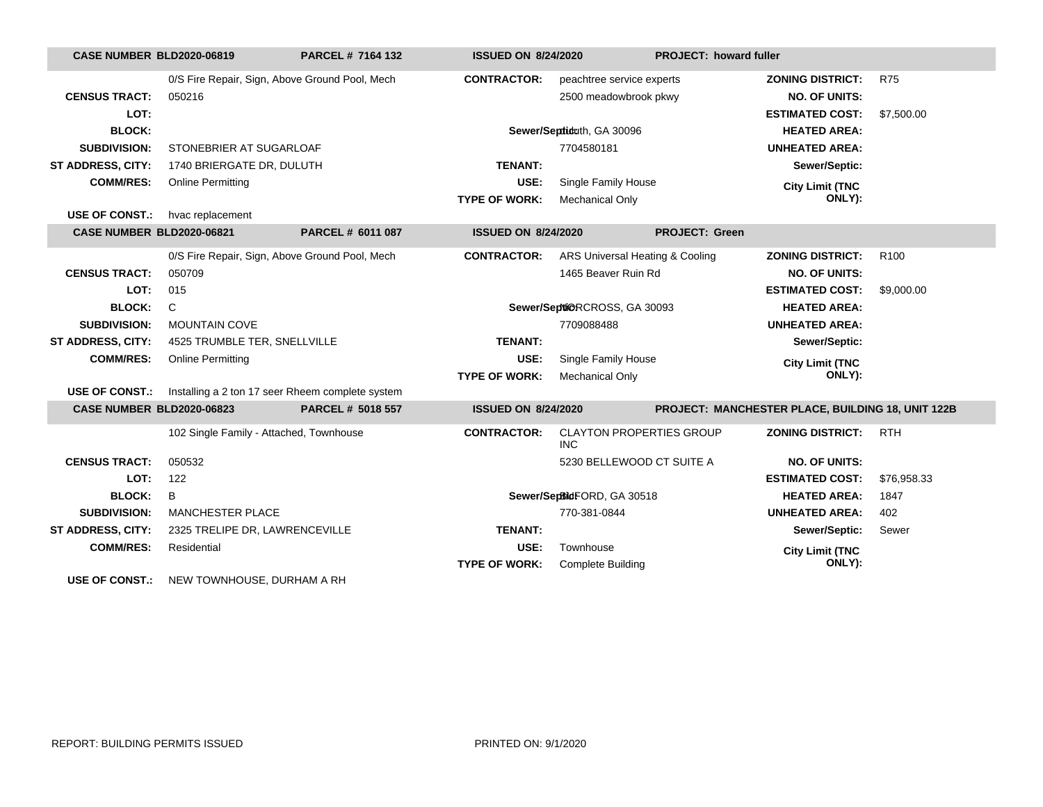| <b>CASE NUMBER BLD2020-06819</b> |                                                                        | PARCEL # 7164 132 | <b>ISSUED ON 8/24/2020</b> |                                               |                       | PROJECT: howard fuller                            |                  |  |
|----------------------------------|------------------------------------------------------------------------|-------------------|----------------------------|-----------------------------------------------|-----------------------|---------------------------------------------------|------------------|--|
|                                  | 0/S Fire Repair, Sign, Above Ground Pool, Mech                         |                   | <b>CONTRACTOR:</b>         | peachtree service experts                     |                       | <b>ZONING DISTRICT:</b>                           | <b>R75</b>       |  |
| <b>CENSUS TRACT:</b>             | 050216                                                                 |                   |                            | 2500 meadowbrook pkwy                         |                       | <b>NO. OF UNITS:</b>                              |                  |  |
| LOT:                             |                                                                        |                   |                            |                                               |                       | <b>ESTIMATED COST:</b>                            | \$7,500.00       |  |
| <b>BLOCK:</b>                    |                                                                        |                   | Sewer/Septiduth, GA 30096  |                                               |                       | <b>HEATED AREA:</b>                               |                  |  |
| <b>SUBDIVISION:</b>              | STONEBRIER AT SUGARLOAF                                                |                   |                            | 7704580181                                    |                       | <b>UNHEATED AREA:</b>                             |                  |  |
| <b>ST ADDRESS, CITY:</b>         | 1740 BRIERGATE DR, DULUTH                                              |                   | <b>TENANT:</b>             |                                               |                       | Sewer/Septic:                                     |                  |  |
| <b>COMM/RES:</b>                 | <b>Online Permitting</b>                                               |                   | USE:                       | Single Family House                           |                       | <b>City Limit (TNC</b>                            |                  |  |
|                                  |                                                                        |                   | <b>TYPE OF WORK:</b>       | <b>Mechanical Only</b>                        |                       | ONLY):                                            |                  |  |
| <b>USE OF CONST.:</b>            | hvac replacement                                                       |                   |                            |                                               | <b>PROJECT: Green</b> |                                                   |                  |  |
| <b>CASE NUMBER BLD2020-06821</b> |                                                                        | PARCEL # 6011 087 | <b>ISSUED ON 8/24/2020</b> |                                               |                       |                                                   |                  |  |
|                                  | 0/S Fire Repair, Sign, Above Ground Pool, Mech                         |                   | <b>CONTRACTOR:</b>         | ARS Universal Heating & Cooling               |                       | <b>ZONING DISTRICT:</b>                           | R <sub>100</sub> |  |
| <b>CENSUS TRACT:</b>             | 050709                                                                 |                   |                            | 1465 Beaver Ruin Rd                           |                       | <b>NO. OF UNITS:</b>                              |                  |  |
| LOT:                             | 015                                                                    |                   |                            |                                               |                       | <b>ESTIMATED COST:</b>                            | \$9,000.00       |  |
| <b>BLOCK:</b>                    | C                                                                      |                   |                            | Sewer/Septi@RCROSS, GA 30093                  |                       | <b>HEATED AREA:</b>                               |                  |  |
| <b>SUBDIVISION:</b>              | <b>MOUNTAIN COVE</b>                                                   |                   |                            | 7709088488                                    |                       | <b>UNHEATED AREA:</b>                             |                  |  |
| <b>ST ADDRESS, CITY:</b>         | 4525 TRUMBLE TER, SNELLVILLE                                           |                   | <b>TENANT:</b>             |                                               |                       | Sewer/Septic:                                     |                  |  |
| <b>COMM/RES:</b>                 | <b>Online Permitting</b>                                               |                   | USE:                       | Single Family House                           |                       | <b>City Limit (TNC</b>                            |                  |  |
|                                  |                                                                        |                   | <b>TYPE OF WORK:</b>       | <b>Mechanical Only</b>                        |                       | ONLY):                                            |                  |  |
|                                  | <b>USE OF CONST.:</b> Installing a 2 ton 17 seer Rheem complete system |                   |                            |                                               |                       |                                                   |                  |  |
| <b>CASE NUMBER BLD2020-06823</b> |                                                                        | PARCEL # 5018 557 | <b>ISSUED ON 8/24/2020</b> |                                               |                       | PROJECT: MANCHESTER PLACE, BUILDING 18, UNIT 122B |                  |  |
|                                  | 102 Single Family - Attached, Townhouse                                |                   | <b>CONTRACTOR:</b>         | <b>CLAYTON PROPERTIES GROUP</b><br><b>INC</b> |                       | <b>ZONING DISTRICT:</b>                           | <b>RTH</b>       |  |
| <b>CENSUS TRACT:</b>             | 050532                                                                 |                   |                            | 5230 BELLEWOOD CT SUITE A                     |                       | <b>NO. OF UNITS:</b>                              |                  |  |
| LOT:                             | 122                                                                    |                   |                            |                                               |                       | <b>ESTIMATED COST:</b>                            | \$76,958.33      |  |
| <b>BLOCK:</b>                    | B                                                                      |                   |                            | Sewer/SepBidFORD, GA 30518                    |                       | <b>HEATED AREA:</b>                               | 1847             |  |
| <b>SUBDIVISION:</b>              | <b>MANCHESTER PLACE</b>                                                |                   |                            | 770-381-0844                                  |                       | <b>UNHEATED AREA:</b>                             | 402              |  |
| <b>ST ADDRESS, CITY:</b>         | 2325 TRELIPE DR, LAWRENCEVILLE                                         |                   | <b>TENANT:</b>             |                                               |                       | Sewer/Septic:                                     | Sewer            |  |
| <b>COMM/RES:</b>                 | Residential                                                            |                   | USE:                       | Townhouse                                     |                       | <b>City Limit (TNC</b>                            |                  |  |
|                                  |                                                                        |                   | <b>TYPE OF WORK:</b>       | <b>Complete Building</b>                      |                       | ONLY):                                            |                  |  |
| <b>USE OF CONST.:</b>            | NEW TOWNHOUSE, DURHAM A RH                                             |                   |                            |                                               |                       |                                                   |                  |  |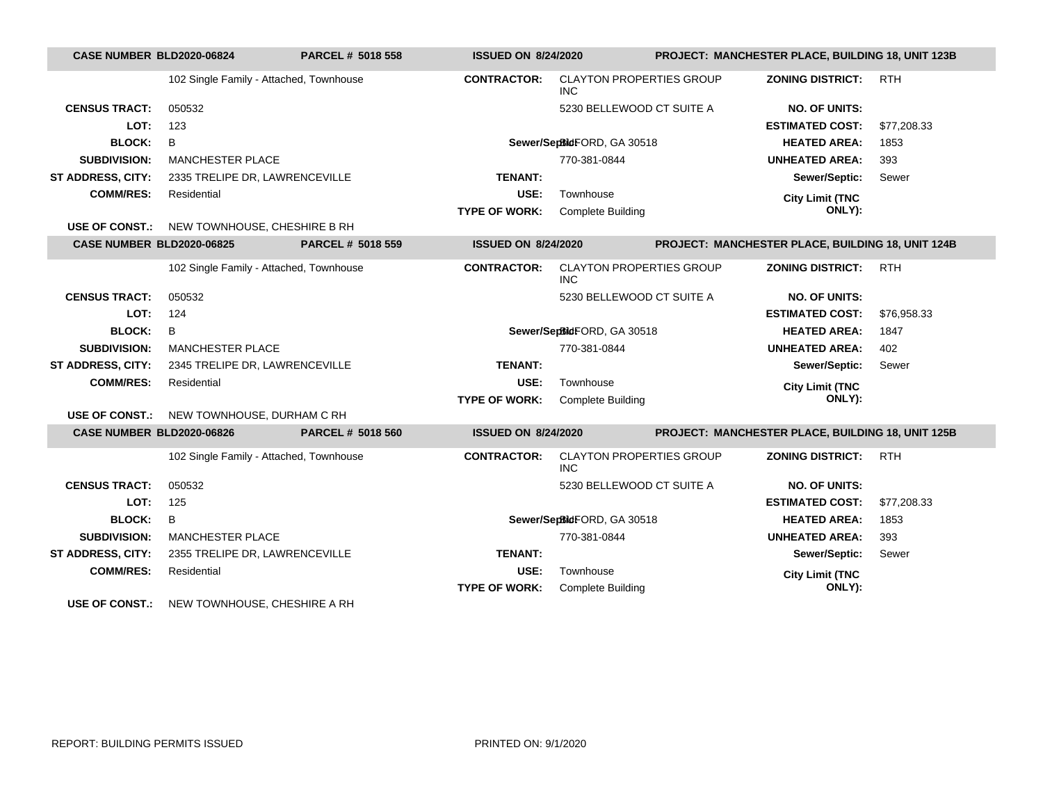|                                  | <b>CASE NUMBER BLD2020-06824</b><br>PARCEL # 5018 558<br><b>ISSUED ON 8/24/2020</b> |                          |                            | PROJECT: MANCHESTER PLACE, BUILDING 18, UNIT 123B |                        |                                                   |             |
|----------------------------------|-------------------------------------------------------------------------------------|--------------------------|----------------------------|---------------------------------------------------|------------------------|---------------------------------------------------|-------------|
|                                  | 102 Single Family - Attached, Townhouse                                             |                          | <b>CONTRACTOR:</b>         | <b>CLAYTON PROPERTIES GROUP</b><br>INC.           |                        | <b>ZONING DISTRICT:</b>                           | <b>RTH</b>  |
| <b>CENSUS TRACT:</b>             | 050532                                                                              |                          |                            | 5230 BELLEWOOD CT SUITE A                         |                        | <b>NO. OF UNITS:</b>                              |             |
| LOT:                             | 123                                                                                 |                          |                            |                                                   |                        | <b>ESTIMATED COST:</b>                            | \$77,208.33 |
| <b>BLOCK:</b>                    | В                                                                                   |                          |                            | Sewer/SepBidFORD, GA 30518                        |                        | <b>HEATED AREA:</b>                               | 1853        |
| <b>SUBDIVISION:</b>              | <b>MANCHESTER PLACE</b>                                                             |                          |                            | 770-381-0844                                      |                        | <b>UNHEATED AREA:</b>                             | 393         |
| <b>ST ADDRESS, CITY:</b>         | 2335 TRELIPE DR, LAWRENCEVILLE                                                      |                          | <b>TENANT:</b>             |                                                   |                        | Sewer/Septic:                                     | Sewer       |
| <b>COMM/RES:</b>                 | Residential                                                                         |                          | USE:                       | Townhouse                                         |                        | <b>City Limit (TNC</b>                            |             |
|                                  |                                                                                     |                          | <b>TYPE OF WORK:</b>       | <b>Complete Building</b>                          |                        | ONLY):                                            |             |
|                                  | USE OF CONST.: NEW TOWNHOUSE, CHESHIRE B RH                                         |                          |                            |                                                   |                        |                                                   |             |
| <b>CASE NUMBER BLD2020-06825</b> |                                                                                     | <b>PARCEL # 5018 559</b> | <b>ISSUED ON 8/24/2020</b> |                                                   |                        | PROJECT: MANCHESTER PLACE, BUILDING 18, UNIT 124B |             |
|                                  | 102 Single Family - Attached, Townhouse                                             |                          | <b>CONTRACTOR:</b>         | <b>CLAYTON PROPERTIES GROUP</b><br><b>INC</b>     |                        | <b>ZONING DISTRICT:</b>                           | <b>RTH</b>  |
| <b>CENSUS TRACT:</b>             | 050532                                                                              |                          |                            | 5230 BELLEWOOD CT SUITE A                         |                        | <b>NO. OF UNITS:</b>                              |             |
| LOT:                             | 124                                                                                 |                          |                            |                                                   |                        | <b>ESTIMATED COST:</b>                            | \$76,958.33 |
| <b>BLOCK:</b>                    | B                                                                                   |                          |                            | Sewer/SepBidFORD, GA 30518                        |                        | <b>HEATED AREA:</b>                               | 1847        |
| <b>SUBDIVISION:</b>              | <b>MANCHESTER PLACE</b>                                                             |                          |                            | 770-381-0844                                      |                        | <b>UNHEATED AREA:</b>                             | 402         |
| ST ADDRESS, CITY:                | 2345 TRELIPE DR, LAWRENCEVILLE                                                      |                          | <b>TENANT:</b>             |                                                   | Sewer/Septic:          | Sewer                                             |             |
| <b>COMM/RES:</b>                 | Residential                                                                         |                          | USE:                       | Townhouse                                         | <b>City Limit (TNC</b> |                                                   |             |
|                                  |                                                                                     |                          | <b>TYPE OF WORK:</b>       | <b>Complete Building</b>                          |                        | ONLY):                                            |             |
| <b>USE OF CONST.:</b>            | NEW TOWNHOUSE, DURHAM C RH                                                          |                          |                            |                                                   |                        |                                                   |             |
| CASE NUMBER BLD2020-06826        |                                                                                     | <b>PARCEL # 5018 560</b> | <b>ISSUED ON 8/24/2020</b> |                                                   |                        | PROJECT: MANCHESTER PLACE, BUILDING 18, UNIT 125B |             |
|                                  | 102 Single Family - Attached, Townhouse                                             |                          | <b>CONTRACTOR:</b>         | <b>CLAYTON PROPERTIES GROUP</b><br><b>INC</b>     |                        | <b>ZONING DISTRICT:</b>                           | <b>RTH</b>  |
| <b>CENSUS TRACT:</b>             | 050532                                                                              |                          |                            | 5230 BELLEWOOD CT SUITE A                         |                        | <b>NO. OF UNITS:</b>                              |             |
| LOT:                             | 125                                                                                 |                          |                            |                                                   |                        | <b>ESTIMATED COST:</b>                            | \$77,208.33 |
| <b>BLOCK:</b>                    | B                                                                                   |                          |                            | Sewer/SepBidFORD, GA 30518                        |                        | <b>HEATED AREA:</b>                               | 1853        |
| <b>SUBDIVISION:</b>              | <b>MANCHESTER PLACE</b>                                                             |                          |                            | 770-381-0844                                      |                        | <b>UNHEATED AREA:</b>                             | 393         |
| ST ADDRESS, CITY:                | 2355 TRELIPE DR, LAWRENCEVILLE                                                      |                          | <b>TENANT:</b>             |                                                   |                        | Sewer/Septic:                                     | Sewer       |
| <b>COMM/RES:</b>                 | Residential                                                                         |                          | USE:                       | Townhouse                                         |                        | <b>City Limit (TNC</b>                            |             |
|                                  |                                                                                     |                          | <b>TYPE OF WORK:</b>       | <b>Complete Building</b>                          |                        | ONLY):                                            |             |
| <b>USE OF CONST.:</b>            | NEW TOWNHOUSE, CHESHIRE A RH                                                        |                          |                            |                                                   |                        |                                                   |             |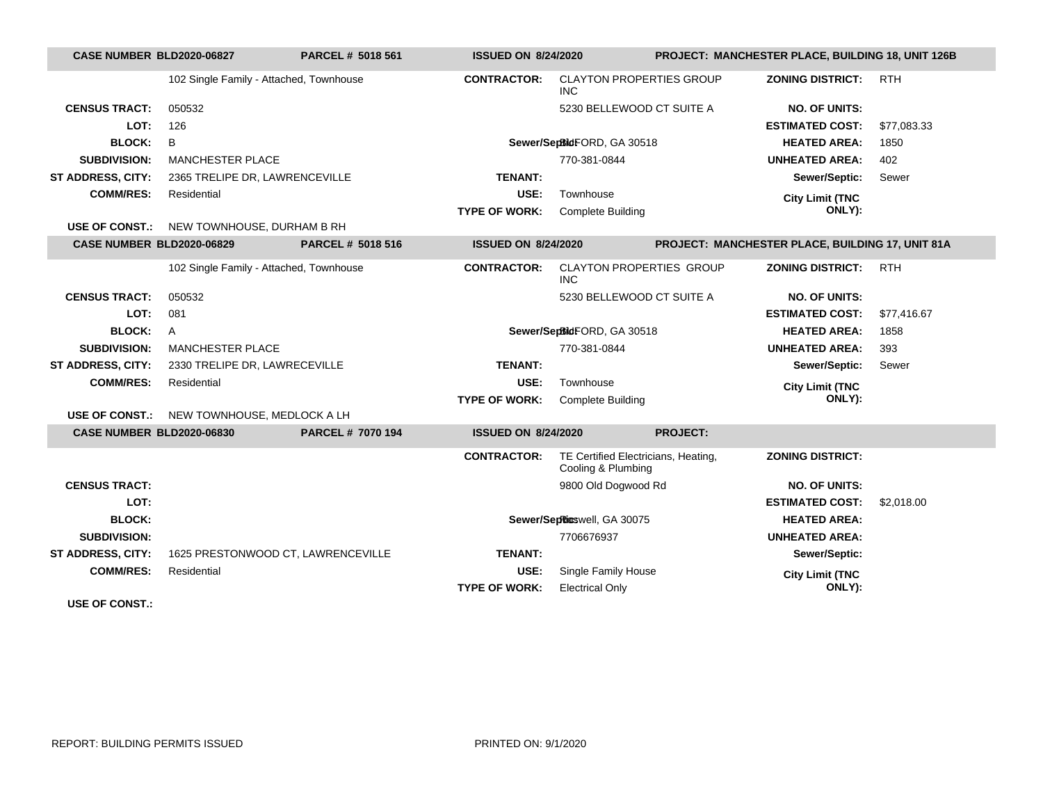| CASE NUMBER BLD2020-06827        |                                         | <b>PARCEL # 5018 561</b>           |                            | <b>ISSUED ON 8/24/2020</b>                                |                     | PROJECT: MANCHESTER PLACE, BUILDING 18, UNIT 126B       |             |  |
|----------------------------------|-----------------------------------------|------------------------------------|----------------------------|-----------------------------------------------------------|---------------------|---------------------------------------------------------|-------------|--|
|                                  | 102 Single Family - Attached, Townhouse |                                    | <b>CONTRACTOR:</b>         | <b>CLAYTON PROPERTIES GROUP</b><br><b>INC</b>             |                     | <b>ZONING DISTRICT:</b>                                 | <b>RTH</b>  |  |
| <b>CENSUS TRACT:</b>             | 050532                                  |                                    |                            | 5230 BELLEWOOD CT SUITE A                                 |                     | <b>NO. OF UNITS:</b>                                    |             |  |
| LOT:                             | 126                                     |                                    |                            |                                                           |                     | <b>ESTIMATED COST:</b>                                  | \$77,083.33 |  |
| <b>BLOCK:</b>                    | B                                       |                                    |                            | Sewer/SepBidFORD, GA 30518                                |                     | <b>HEATED AREA:</b>                                     | 1850        |  |
| <b>SUBDIVISION:</b>              | <b>MANCHESTER PLACE</b>                 |                                    |                            | 770-381-0844                                              |                     | <b>UNHEATED AREA:</b>                                   | 402         |  |
| <b>ST ADDRESS, CITY:</b>         | 2365 TRELIPE DR, LAWRENCEVILLE          |                                    | <b>TENANT:</b>             |                                                           |                     | Sewer/Septic:                                           | Sewer       |  |
| <b>COMM/RES:</b>                 | Residential                             |                                    | USE:                       | Townhouse                                                 |                     | <b>City Limit (TNC</b>                                  |             |  |
|                                  |                                         |                                    | <b>TYPE OF WORK:</b>       | <b>Complete Building</b>                                  |                     | ONLY):                                                  |             |  |
| <b>USE OF CONST.:</b>            | NEW TOWNHOUSE, DURHAM B RH              |                                    |                            |                                                           |                     |                                                         |             |  |
| <b>CASE NUMBER BLD2020-06829</b> |                                         | PARCEL # 5018 516                  | <b>ISSUED ON 8/24/2020</b> |                                                           |                     | <b>PROJECT: MANCHESTER PLACE, BUILDING 17, UNIT 81A</b> |             |  |
|                                  | 102 Single Family - Attached, Townhouse |                                    | <b>CONTRACTOR:</b>         | <b>CLAYTON PROPERTIES GROUP</b><br><b>INC</b>             |                     | <b>ZONING DISTRICT:</b>                                 | <b>RTH</b>  |  |
| <b>CENSUS TRACT:</b>             | 050532                                  |                                    |                            | 5230 BELLEWOOD CT SUITE A                                 |                     | <b>NO. OF UNITS:</b>                                    |             |  |
| LOT:                             | 081                                     |                                    |                            |                                                           |                     | <b>ESTIMATED COST:</b>                                  | \$77,416.67 |  |
| <b>BLOCK:</b>                    | A                                       | Sewer/SepBidFORD, GA 30518         |                            |                                                           | <b>HEATED AREA:</b> | 1858                                                    |             |  |
| <b>SUBDIVISION:</b>              | <b>MANCHESTER PLACE</b>                 |                                    | 770-381-0844               |                                                           |                     | <b>UNHEATED AREA:</b>                                   | 393         |  |
| ST ADDRESS, CITY:                | 2330 TRELIPE DR, LAWRECEVILLE           |                                    | <b>TENANT:</b>             |                                                           |                     | Sewer/Septic:                                           | Sewer       |  |
| <b>COMM/RES:</b>                 | Residential                             |                                    | USE:                       | Townhouse                                                 |                     | <b>City Limit (TNC</b>                                  |             |  |
|                                  |                                         |                                    | <b>TYPE OF WORK:</b>       | <b>Complete Building</b>                                  |                     | ONLY):                                                  |             |  |
| <b>USE OF CONST.:</b>            | NEW TOWNHOUSE, MEDLOCK A LH             |                                    |                            |                                                           |                     |                                                         |             |  |
| <b>CASE NUMBER BLD2020-06830</b> |                                         | PARCEL # 7070 194                  | <b>ISSUED ON 8/24/2020</b> |                                                           | <b>PROJECT:</b>     |                                                         |             |  |
|                                  |                                         |                                    | <b>CONTRACTOR:</b>         | TE Certified Electricians, Heating,<br>Cooling & Plumbing |                     | <b>ZONING DISTRICT:</b>                                 |             |  |
| <b>CENSUS TRACT:</b>             |                                         |                                    |                            | 9800 Old Dogwood Rd                                       |                     | <b>NO. OF UNITS:</b>                                    |             |  |
| LOT:                             |                                         |                                    |                            |                                                           |                     | <b>ESTIMATED COST:</b>                                  | \$2,018,00  |  |
| <b>BLOCK:</b>                    |                                         |                                    |                            | Sewer/SepRicswell, GA 30075                               |                     | <b>HEATED AREA:</b>                                     |             |  |
| <b>SUBDIVISION:</b>              |                                         |                                    |                            | 7706676937                                                |                     | <b>UNHEATED AREA:</b>                                   |             |  |
| <b>ST ADDRESS, CITY:</b>         |                                         | 1625 PRESTONWOOD CT, LAWRENCEVILLE | <b>TENANT:</b>             |                                                           |                     | Sewer/Septic:                                           |             |  |
| <b>COMM/RES:</b>                 | Residential                             |                                    | USE:                       | Single Family House                                       |                     | <b>City Limit (TNC</b>                                  |             |  |
|                                  |                                         |                                    | <b>TYPE OF WORK:</b>       | <b>Electrical Only</b>                                    |                     | ONLY):                                                  |             |  |
| IIAF                             |                                         |                                    |                            |                                                           |                     |                                                         |             |  |

**USE OF CONST.:**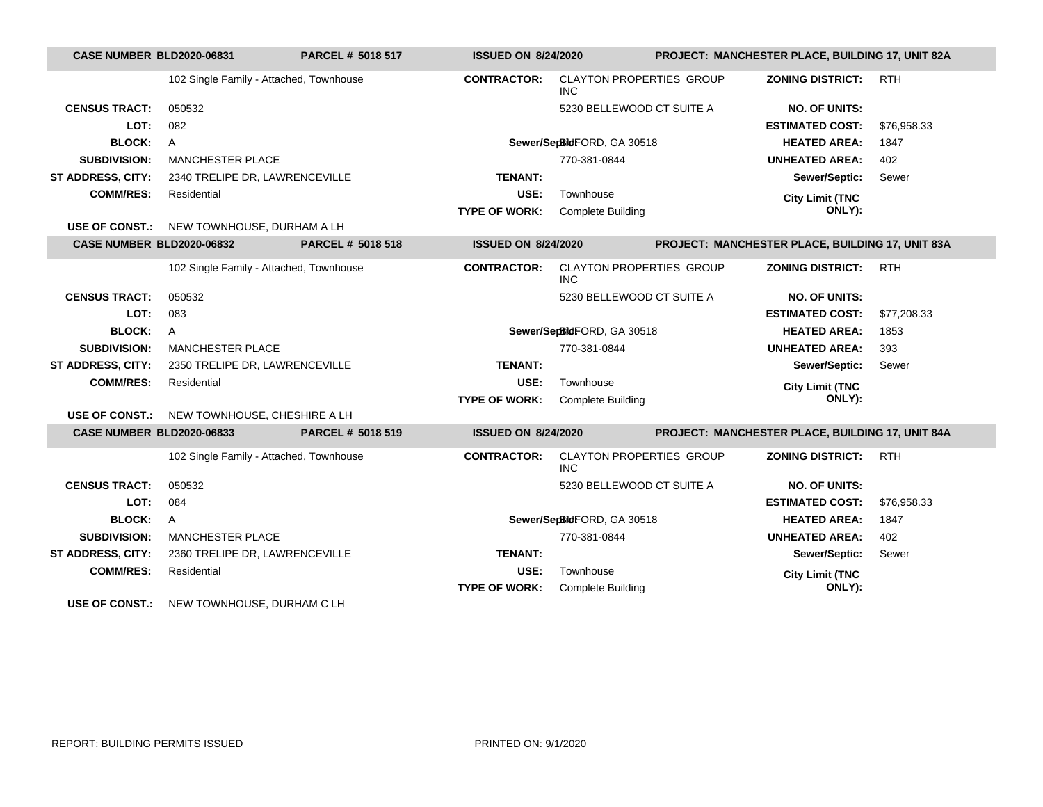| <b>CASE NUMBER BLD2020-06831</b> |                                                  | PARCEL # 5018 517 | <b>ISSUED ON 8/24/2020</b> |                                               |  | PROJECT: MANCHESTER PLACE, BUILDING 17, UNIT 82A |             |  |
|----------------------------------|--------------------------------------------------|-------------------|----------------------------|-----------------------------------------------|--|--------------------------------------------------|-------------|--|
|                                  | 102 Single Family - Attached, Townhouse          |                   | <b>CONTRACTOR:</b>         | <b>CLAYTON PROPERTIES GROUP</b><br><b>INC</b> |  | <b>ZONING DISTRICT:</b>                          | <b>RTH</b>  |  |
| <b>CENSUS TRACT:</b>             | 050532                                           |                   |                            | 5230 BELLEWOOD CT SUITE A                     |  | <b>NO. OF UNITS:</b>                             |             |  |
| LOT:                             | 082                                              |                   |                            |                                               |  | <b>ESTIMATED COST:</b>                           | \$76,958.33 |  |
| <b>BLOCK:</b>                    | Α                                                |                   |                            | Sewer/SepBidFORD, GA 30518                    |  | <b>HEATED AREA:</b>                              | 1847        |  |
| <b>SUBDIVISION:</b>              | <b>MANCHESTER PLACE</b>                          |                   |                            | 770-381-0844                                  |  | <b>UNHEATED AREA:</b>                            | 402         |  |
| <b>ST ADDRESS, CITY:</b>         | 2340 TRELIPE DR, LAWRENCEVILLE                   |                   | <b>TENANT:</b>             |                                               |  | Sewer/Septic:                                    | Sewer       |  |
| <b>COMM/RES:</b>                 | Residential                                      |                   | USE:                       | Townhouse                                     |  | <b>City Limit (TNC</b>                           |             |  |
|                                  |                                                  |                   | <b>TYPE OF WORK:</b>       | <b>Complete Building</b>                      |  | ONLY):                                           |             |  |
|                                  | <b>USE OF CONST.:</b> NEW TOWNHOUSE, DURHAM A LH |                   |                            |                                               |  |                                                  |             |  |
| <b>CASE NUMBER BLD2020-06832</b> |                                                  | PARCEL # 5018 518 | <b>ISSUED ON 8/24/2020</b> |                                               |  | PROJECT: MANCHESTER PLACE, BUILDING 17, UNIT 83A |             |  |
|                                  | 102 Single Family - Attached, Townhouse          |                   | <b>CONTRACTOR:</b>         | <b>CLAYTON PROPERTIES GROUP</b><br><b>INC</b> |  | <b>ZONING DISTRICT:</b>                          | <b>RTH</b>  |  |
| <b>CENSUS TRACT:</b>             | 050532                                           |                   |                            | 5230 BELLEWOOD CT SUITE A                     |  | <b>NO. OF UNITS:</b>                             |             |  |
| LOT:                             | 083                                              |                   |                            |                                               |  | <b>ESTIMATED COST:</b>                           | \$77,208.33 |  |
| <b>BLOCK:</b>                    | $\mathsf{A}$                                     |                   |                            | Sewer/SepBidFORD, GA 30518                    |  | <b>HEATED AREA:</b>                              | 1853        |  |
| <b>SUBDIVISION:</b>              | <b>MANCHESTER PLACE</b>                          |                   |                            | 770-381-0844                                  |  | <b>UNHEATED AREA:</b>                            | 393         |  |
| <b>ST ADDRESS, CITY:</b>         | 2350 TRELIPE DR, LAWRENCEVILLE                   |                   | <b>TENANT:</b>             |                                               |  | Sewer/Septic:                                    | Sewer       |  |
| <b>COMM/RES:</b>                 | Residential                                      |                   | USE:                       | Townhouse                                     |  | <b>City Limit (TNC</b>                           |             |  |
|                                  |                                                  |                   | <b>TYPE OF WORK:</b>       | <b>Complete Building</b>                      |  | ONLY):                                           |             |  |
|                                  | USE OF CONST.: NEW TOWNHOUSE, CHESHIRE A LH      |                   |                            |                                               |  |                                                  |             |  |
| <b>CASE NUMBER BLD2020-06833</b> |                                                  | PARCEL # 5018 519 | <b>ISSUED ON 8/24/2020</b> |                                               |  | PROJECT: MANCHESTER PLACE, BUILDING 17, UNIT 84A |             |  |
|                                  | 102 Single Family - Attached, Townhouse          |                   | <b>CONTRACTOR:</b>         | <b>CLAYTON PROPERTIES GROUP</b><br>INC.       |  | <b>ZONING DISTRICT:</b>                          | <b>RTH</b>  |  |
| <b>CENSUS TRACT:</b>             | 050532                                           |                   |                            | 5230 BELLEWOOD CT SUITE A                     |  | <b>NO. OF UNITS:</b>                             |             |  |
| LOT:                             | 084                                              |                   |                            |                                               |  | <b>ESTIMATED COST:</b>                           | \$76,958.33 |  |
| <b>BLOCK:</b>                    | A                                                |                   |                            | Sewer/SepBidFORD, GA 30518                    |  | <b>HEATED AREA:</b>                              | 1847        |  |
| <b>SUBDIVISION:</b>              | <b>MANCHESTER PLACE</b>                          |                   |                            | 770-381-0844                                  |  | <b>UNHEATED AREA:</b>                            | 402         |  |
| ST ADDRESS, CITY:                | 2360 TRELIPE DR, LAWRENCEVILLE                   |                   | <b>TENANT:</b>             |                                               |  | Sewer/Septic:                                    | Sewer       |  |
| <b>COMM/RES:</b>                 | Residential                                      |                   | USE:                       | Townhouse                                     |  | <b>City Limit (TNC</b>                           |             |  |
|                                  |                                                  |                   | <b>TYPE OF WORK:</b>       | <b>Complete Building</b>                      |  | ONLY):                                           |             |  |
| <b>USE OF CONST.:</b>            | NEW TOWNHOUSE, DURHAM C LH                       |                   |                            |                                               |  |                                                  |             |  |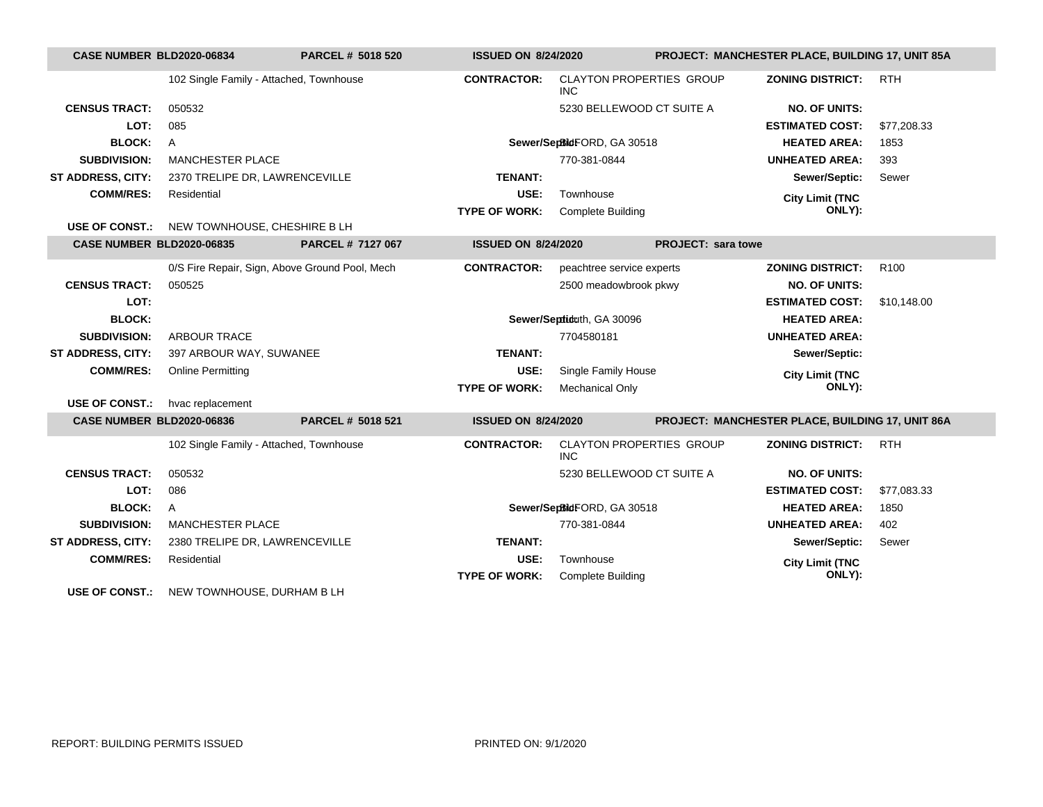| <b>CASE NUMBER BLD2020-06834</b> |                                                | <b>PARCEL # 5018 520</b> | <b>ISSUED ON 8/24/2020</b> |                                               | <b>PROJECT: MANCHESTER PLACE, BUILDING 17, UNIT 85A</b> |                                                  |                  |
|----------------------------------|------------------------------------------------|--------------------------|----------------------------|-----------------------------------------------|---------------------------------------------------------|--------------------------------------------------|------------------|
|                                  | 102 Single Family - Attached, Townhouse        |                          | <b>CONTRACTOR:</b>         | <b>CLAYTON PROPERTIES GROUP</b><br><b>INC</b> |                                                         | <b>ZONING DISTRICT:</b>                          | <b>RTH</b>       |
| <b>CENSUS TRACT:</b>             | 050532                                         |                          |                            | 5230 BELLEWOOD CT SUITE A                     |                                                         | <b>NO. OF UNITS:</b>                             |                  |
| LOT:                             | 085                                            |                          |                            |                                               |                                                         | <b>ESTIMATED COST:</b>                           | \$77,208.33      |
| <b>BLOCK:</b>                    | $\mathsf{A}$                                   |                          |                            | Sewer/SepBidFORD, GA 30518                    |                                                         | <b>HEATED AREA:</b>                              | 1853             |
| <b>SUBDIVISION:</b>              | <b>MANCHESTER PLACE</b>                        |                          |                            | 770-381-0844                                  |                                                         | <b>UNHEATED AREA:</b>                            | 393              |
| ST ADDRESS, CITY:                | 2370 TRELIPE DR, LAWRENCEVILLE                 |                          | <b>TENANT:</b>             |                                               |                                                         | Sewer/Septic:                                    | Sewer            |
| <b>COMM/RES:</b>                 | Residential                                    |                          | USE:                       | Townhouse                                     |                                                         | <b>City Limit (TNC</b>                           |                  |
|                                  |                                                |                          | <b>TYPE OF WORK:</b>       | <b>Complete Building</b>                      |                                                         | ONLY):                                           |                  |
| <b>USE OF CONST.:</b>            | NEW TOWNHOUSE, CHESHIRE B LH                   |                          |                            |                                               |                                                         |                                                  |                  |
| <b>CASE NUMBER BLD2020-06835</b> |                                                | PARCEL # 7127 067        | <b>ISSUED ON 8/24/2020</b> |                                               | <b>PROJECT: sara towe</b>                               |                                                  |                  |
|                                  | 0/S Fire Repair, Sign, Above Ground Pool, Mech |                          | <b>CONTRACTOR:</b>         | peachtree service experts                     |                                                         | <b>ZONING DISTRICT:</b>                          | R <sub>100</sub> |
| <b>CENSUS TRACT:</b>             | 050525                                         |                          |                            | 2500 meadowbrook pkwy                         |                                                         | <b>NO. OF UNITS:</b>                             |                  |
| LOT:                             |                                                |                          |                            |                                               |                                                         | <b>ESTIMATED COST:</b>                           | \$10.148.00      |
| <b>BLOCK:</b>                    |                                                |                          |                            | Sewer/Septiduth, GA 30096                     |                                                         | <b>HEATED AREA:</b>                              |                  |
| <b>SUBDIVISION:</b>              | <b>ARBOUR TRACE</b>                            |                          |                            | 7704580181                                    |                                                         | <b>UNHEATED AREA:</b>                            |                  |
| <b>ST ADDRESS, CITY:</b>         | 397 ARBOUR WAY, SUWANEE                        |                          | <b>TENANT:</b>             |                                               |                                                         | Sewer/Septic:                                    |                  |
| <b>COMM/RES:</b>                 | <b>Online Permitting</b>                       |                          | USE:                       | Single Family House                           |                                                         | <b>City Limit (TNC</b>                           |                  |
|                                  |                                                |                          | <b>TYPE OF WORK:</b>       | <b>Mechanical Only</b>                        |                                                         | ONLY):                                           |                  |
| <b>USE OF CONST.:</b>            | hvac replacement                               |                          |                            |                                               |                                                         |                                                  |                  |
| <b>CASE NUMBER BLD2020-06836</b> |                                                | PARCEL # 5018 521        | <b>ISSUED ON 8/24/2020</b> |                                               |                                                         | PROJECT: MANCHESTER PLACE, BUILDING 17, UNIT 86A |                  |
|                                  | 102 Single Family - Attached, Townhouse        |                          | <b>CONTRACTOR:</b>         | <b>CLAYTON PROPERTIES GROUP</b><br><b>INC</b> |                                                         | <b>ZONING DISTRICT:</b>                          | <b>RTH</b>       |
| <b>CENSUS TRACT:</b>             | 050532                                         |                          |                            | 5230 BELLEWOOD CT SUITE A                     |                                                         | <b>NO. OF UNITS:</b>                             |                  |
| LOT:                             | 086                                            |                          |                            |                                               |                                                         | <b>ESTIMATED COST:</b>                           | \$77,083.33      |
| <b>BLOCK:</b>                    | $\mathsf{A}$                                   |                          |                            | Sewer/SepBidFORD, GA 30518                    |                                                         | <b>HEATED AREA:</b>                              | 1850             |
| <b>SUBDIVISION:</b>              | <b>MANCHESTER PLACE</b>                        |                          |                            | 770-381-0844                                  |                                                         | <b>UNHEATED AREA:</b>                            | 402              |
| <b>ST ADDRESS, CITY:</b>         | 2380 TRELIPE DR, LAWRENCEVILLE                 |                          | <b>TENANT:</b>             |                                               |                                                         | Sewer/Septic:                                    | Sewer            |
| <b>COMM/RES:</b>                 | Residential                                    |                          | USE:                       | Townhouse                                     |                                                         | <b>City Limit (TNC</b>                           |                  |
|                                  |                                                |                          | <b>TYPE OF WORK:</b>       | <b>Complete Building</b>                      |                                                         | ONLY):                                           |                  |
| <b>USE OF CONST.:</b>            | NEW TOWNHOUSE, DURHAM B LH                     |                          |                            |                                               |                                                         |                                                  |                  |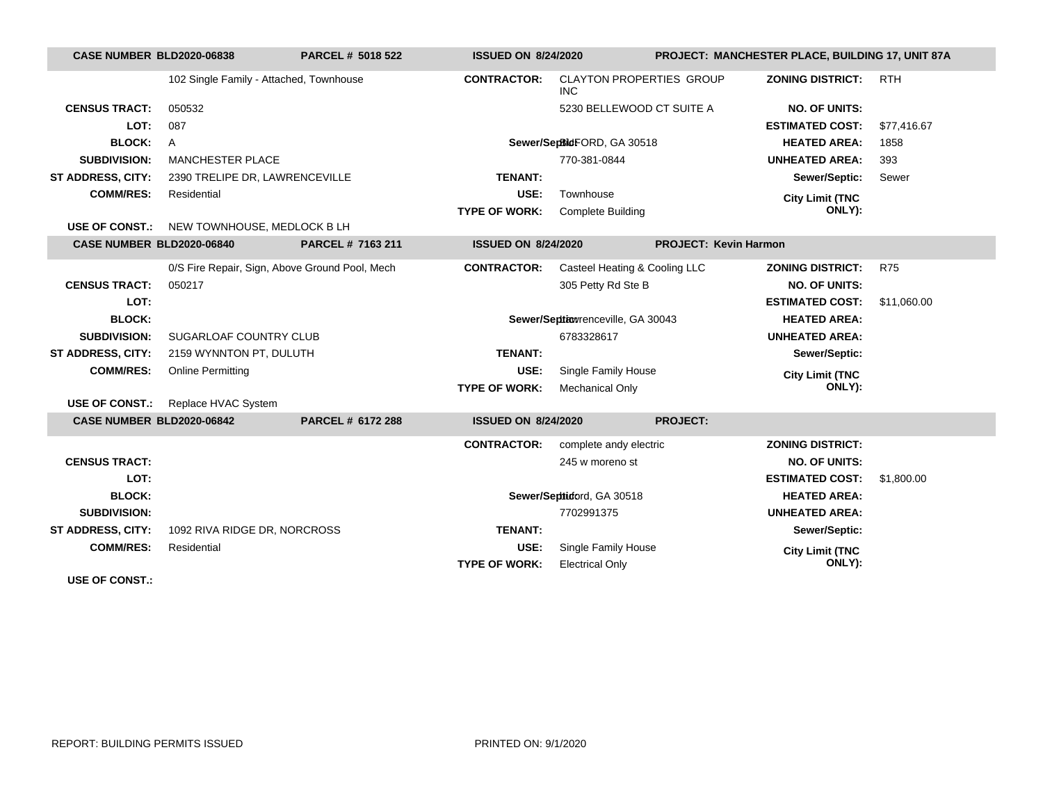| <b>CASE NUMBER BLD2020-06838</b> |                                         | <b>PARCEL # 5018 522</b>                       | <b>ISSUED ON 8/24/2020</b> |                                               | PROJECT: MANCHESTER PLACE, BUILDING 17, UNIT 87A |                         |             |
|----------------------------------|-----------------------------------------|------------------------------------------------|----------------------------|-----------------------------------------------|--------------------------------------------------|-------------------------|-------------|
|                                  | 102 Single Family - Attached, Townhouse |                                                | <b>CONTRACTOR:</b>         | <b>CLAYTON PROPERTIES GROUP</b><br><b>INC</b> |                                                  | <b>ZONING DISTRICT:</b> | <b>RTH</b>  |
| <b>CENSUS TRACT:</b>             | 050532                                  |                                                |                            | 5230 BELLEWOOD CT SUITE A                     |                                                  | <b>NO. OF UNITS:</b>    |             |
| LOT:                             | 087                                     |                                                |                            |                                               |                                                  | <b>ESTIMATED COST:</b>  | \$77,416.67 |
| <b>BLOCK:</b>                    | $\mathsf{A}$                            |                                                |                            | Sewer/SepBidFORD, GA 30518                    |                                                  | <b>HEATED AREA:</b>     | 1858        |
| <b>SUBDIVISION:</b>              | <b>MANCHESTER PLACE</b>                 |                                                |                            | 770-381-0844                                  |                                                  | <b>UNHEATED AREA:</b>   | 393         |
| ST ADDRESS, CITY:                | 2390 TRELIPE DR, LAWRENCEVILLE          |                                                | <b>TENANT:</b>             |                                               |                                                  | Sewer/Septic:           | Sewer       |
| <b>COMM/RES:</b>                 | Residential                             |                                                | USE:                       | Townhouse                                     |                                                  | <b>City Limit (TNC</b>  |             |
|                                  |                                         |                                                | <b>TYPE OF WORK:</b>       | <b>Complete Building</b>                      |                                                  | ONLY):                  |             |
| USE OF CONST.:                   | NEW TOWNHOUSE, MEDLOCK B LH             |                                                |                            |                                               |                                                  |                         |             |
| CASE NUMBER BLD2020-06840        |                                         | PARCEL # 7163 211                              | <b>ISSUED ON 8/24/2020</b> |                                               | <b>PROJECT: Kevin Harmon</b>                     |                         |             |
|                                  |                                         | 0/S Fire Repair, Sign, Above Ground Pool, Mech | <b>CONTRACTOR:</b>         | Casteel Heating & Cooling LLC                 |                                                  | <b>ZONING DISTRICT:</b> | <b>R75</b>  |
| <b>CENSUS TRACT:</b>             | 050217                                  |                                                |                            | 305 Petty Rd Ste B                            |                                                  | <b>NO. OF UNITS:</b>    |             |
| LOT:                             |                                         |                                                |                            |                                               |                                                  | <b>ESTIMATED COST:</b>  | \$11,060.00 |
| <b>BLOCK:</b>                    |                                         |                                                |                            | Sewer/Septiowrenceville, GA 30043             |                                                  | <b>HEATED AREA:</b>     |             |
| <b>SUBDIVISION:</b>              | SUGARLOAF COUNTRY CLUB                  |                                                |                            | 6783328617                                    |                                                  | <b>UNHEATED AREA:</b>   |             |
| ST ADDRESS, CITY:                | 2159 WYNNTON PT, DULUTH                 |                                                | <b>TENANT:</b>             |                                               |                                                  | Sewer/Septic:           |             |
| <b>COMM/RES:</b>                 | <b>Online Permitting</b>                |                                                | USE:                       | Single Family House                           |                                                  | <b>City Limit (TNC</b>  |             |
|                                  |                                         |                                                | <b>TYPE OF WORK:</b>       | <b>Mechanical Only</b>                        |                                                  | ONLY):                  |             |
| <b>USE OF CONST.:</b>            | Replace HVAC System                     |                                                |                            |                                               |                                                  |                         |             |
| CASE NUMBER BLD2020-06842        |                                         | PARCEL # 6172 288                              | <b>ISSUED ON 8/24/2020</b> |                                               | <b>PROJECT:</b>                                  |                         |             |
|                                  |                                         |                                                | <b>CONTRACTOR:</b>         | complete andy electric                        |                                                  | <b>ZONING DISTRICT:</b> |             |
| <b>CENSUS TRACT:</b>             |                                         |                                                |                            | 245 w moreno st                               |                                                  | <b>NO. OF UNITS:</b>    |             |
| LOT:                             |                                         |                                                |                            |                                               |                                                  | <b>ESTIMATED COST:</b>  | \$1,800.00  |
| <b>BLOCK:</b>                    |                                         |                                                |                            | Sewer/Septiotord, GA 30518                    |                                                  | <b>HEATED AREA:</b>     |             |
| <b>SUBDIVISION:</b>              |                                         |                                                |                            | 7702991375                                    |                                                  | <b>UNHEATED AREA:</b>   |             |
| <b>ST ADDRESS, CITY:</b>         | 1092 RIVA RIDGE DR, NORCROSS            |                                                | <b>TENANT:</b>             |                                               |                                                  | Sewer/Septic:           |             |
| <b>COMM/RES:</b>                 | Residential                             |                                                | USE:                       | Single Family House                           |                                                  | <b>City Limit (TNC</b>  |             |
|                                  |                                         |                                                | <b>TYPE OF WORK:</b>       | <b>Electrical Only</b>                        |                                                  | ONLY):                  |             |
| <b>USE OF CONST.:</b>            |                                         |                                                |                            |                                               |                                                  |                         |             |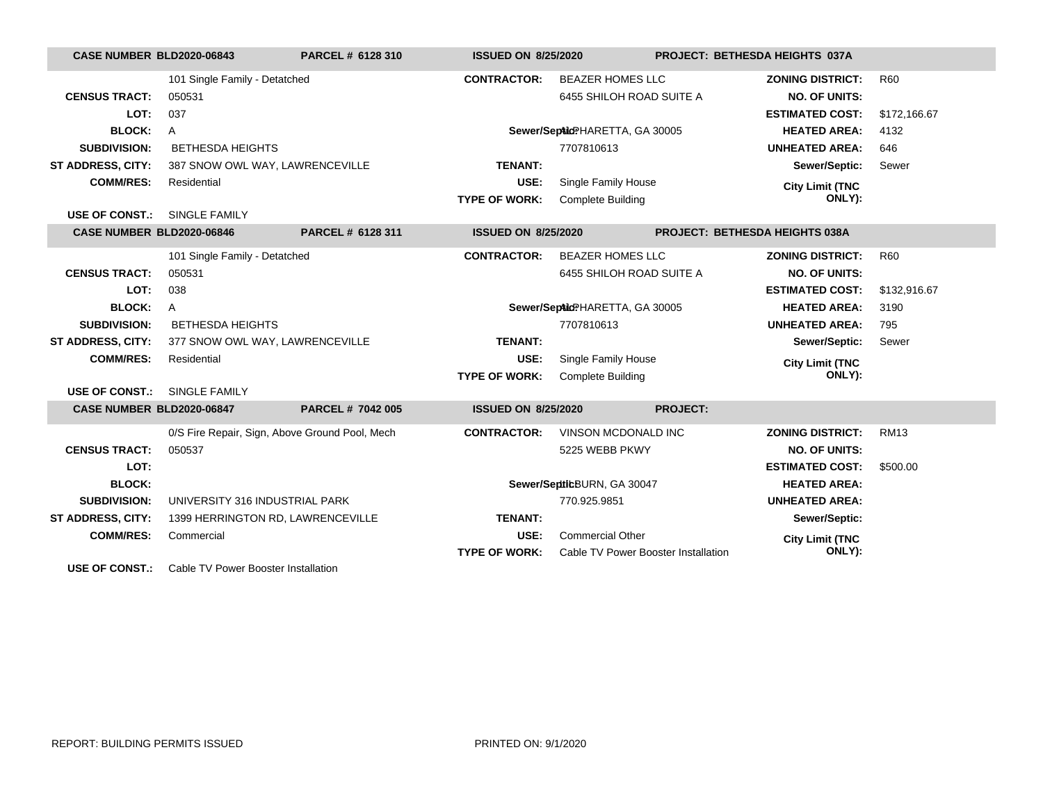| <b>CASE NUMBER BLD2020-06843</b>                                                                                                                                                                                                                                                                                                                                                  |                                                | PARCEL # 6128 310 | <b>ISSUED ON 8/25/2020</b> |                                     |                 | PROJECT: BETHESDA HEIGHTS 037A |              |
|-----------------------------------------------------------------------------------------------------------------------------------------------------------------------------------------------------------------------------------------------------------------------------------------------------------------------------------------------------------------------------------|------------------------------------------------|-------------------|----------------------------|-------------------------------------|-----------------|--------------------------------|--------------|
|                                                                                                                                                                                                                                                                                                                                                                                   | 101 Single Family - Detatched                  |                   | <b>CONTRACTOR:</b>         | <b>BEAZER HOMES LLC</b>             |                 | <b>ZONING DISTRICT:</b>        | <b>R60</b>   |
| <b>CENSUS TRACT:</b>                                                                                                                                                                                                                                                                                                                                                              | 050531                                         |                   |                            | 6455 SHILOH ROAD SUITE A            |                 | <b>NO. OF UNITS:</b>           |              |
| LOT:                                                                                                                                                                                                                                                                                                                                                                              | 037                                            |                   |                            |                                     |                 | <b>ESTIMATED COST:</b>         | \$172,166.67 |
| <b>BLOCK:</b>                                                                                                                                                                                                                                                                                                                                                                     | A                                              |                   |                            | Sewer/SepAidPHARETTA, GA 30005      |                 | <b>HEATED AREA:</b>            | 4132         |
| <b>SUBDIVISION:</b>                                                                                                                                                                                                                                                                                                                                                               | <b>BETHESDA HEIGHTS</b>                        |                   |                            | 7707810613                          |                 | <b>UNHEATED AREA:</b>          | 646          |
| <b>ST ADDRESS, CITY:</b>                                                                                                                                                                                                                                                                                                                                                          | 387 SNOW OWL WAY, LAWRENCEVILLE                |                   | <b>TENANT:</b>             |                                     |                 | Sewer/Septic:                  | Sewer        |
| <b>COMM/RES:</b>                                                                                                                                                                                                                                                                                                                                                                  | Residential                                    |                   | USE:                       | Single Family House                 |                 | <b>City Limit (TNC</b>         |              |
|                                                                                                                                                                                                                                                                                                                                                                                   |                                                |                   | <b>TYPE OF WORK:</b>       | <b>Complete Building</b>            |                 | ONLY):                         |              |
| <b>USE OF CONST.:</b>                                                                                                                                                                                                                                                                                                                                                             | <b>SINGLE FAMILY</b>                           |                   |                            |                                     |                 |                                |              |
| CASE NUMBER BLD2020-06846                                                                                                                                                                                                                                                                                                                                                         |                                                | PARCEL # 6128 311 | <b>ISSUED ON 8/25/2020</b> |                                     |                 | PROJECT: BETHESDA HEIGHTS 038A |              |
|                                                                                                                                                                                                                                                                                                                                                                                   | 101 Single Family - Detatched                  |                   | <b>CONTRACTOR:</b>         | <b>BEAZER HOMES LLC</b>             |                 | <b>ZONING DISTRICT:</b>        | <b>R60</b>   |
| <b>CENSUS TRACT:</b>                                                                                                                                                                                                                                                                                                                                                              | 050531                                         |                   |                            | 6455 SHILOH ROAD SUITE A            |                 | <b>NO. OF UNITS:</b>           |              |
| LOT:                                                                                                                                                                                                                                                                                                                                                                              | 038                                            |                   |                            |                                     |                 | <b>ESTIMATED COST:</b>         | \$132,916.67 |
| <b>BLOCK:</b>                                                                                                                                                                                                                                                                                                                                                                     | $\mathsf{A}$                                   |                   |                            | Sewer/SepAidPHARETTA, GA 30005      |                 | <b>HEATED AREA:</b>            | 3190         |
| <b>SUBDIVISION:</b>                                                                                                                                                                                                                                                                                                                                                               | <b>BETHESDA HEIGHTS</b>                        |                   |                            | 7707810613                          |                 | <b>UNHEATED AREA:</b>          | 795          |
| <b>ST ADDRESS, CITY:</b>                                                                                                                                                                                                                                                                                                                                                          | 377 SNOW OWL WAY, LAWRENCEVILLE                |                   | <b>TENANT:</b>             |                                     |                 | Sewer/Septic:                  | Sewer        |
| <b>COMM/RES:</b>                                                                                                                                                                                                                                                                                                                                                                  | Residential                                    |                   | USE:                       | Single Family House                 |                 | <b>City Limit (TNC</b>         |              |
|                                                                                                                                                                                                                                                                                                                                                                                   |                                                |                   | <b>TYPE OF WORK:</b>       | <b>Complete Building</b>            |                 | ONLY):                         |              |
| USE OF CONST.:                                                                                                                                                                                                                                                                                                                                                                    | <b>SINGLE FAMILY</b>                           |                   |                            |                                     |                 |                                |              |
| CASE NUMBER BLD2020-06847                                                                                                                                                                                                                                                                                                                                                         |                                                | PARCEL # 7042 005 | <b>ISSUED ON 8/25/2020</b> |                                     | <b>PROJECT:</b> |                                |              |
|                                                                                                                                                                                                                                                                                                                                                                                   | 0/S Fire Repair, Sign, Above Ground Pool, Mech |                   | <b>CONTRACTOR:</b>         | <b>VINSON MCDONALD INC</b>          |                 | <b>ZONING DISTRICT:</b>        | <b>RM13</b>  |
| <b>CENSUS TRACT:</b>                                                                                                                                                                                                                                                                                                                                                              | 050537                                         |                   |                            | 5225 WEBB PKWY                      |                 | <b>NO. OF UNITS:</b>           |              |
| LOT:                                                                                                                                                                                                                                                                                                                                                                              |                                                |                   |                            |                                     |                 | <b>ESTIMATED COST:</b>         | \$500.00     |
| <b>BLOCK:</b>                                                                                                                                                                                                                                                                                                                                                                     |                                                |                   |                            | Sewer/SepticBURN, GA 30047          |                 | <b>HEATED AREA:</b>            |              |
| <b>SUBDIVISION:</b>                                                                                                                                                                                                                                                                                                                                                               | UNIVERSITY 316 INDUSTRIAL PARK                 |                   |                            | 770.925.9851                        |                 | <b>UNHEATED AREA:</b>          |              |
| ST ADDRESS, CITY:                                                                                                                                                                                                                                                                                                                                                                 | 1399 HERRINGTON RD, LAWRENCEVILLE              |                   | <b>TENANT:</b>             |                                     |                 | Sewer/Septic:                  |              |
| <b>COMM/RES:</b>                                                                                                                                                                                                                                                                                                                                                                  | Commercial                                     |                   | USE:                       | <b>Commercial Other</b>             |                 | <b>City Limit (TNC</b>         |              |
|                                                                                                                                                                                                                                                                                                                                                                                   |                                                |                   | <b>TYPE OF WORK:</b>       | Cable TV Power Booster Installation |                 | ONLY):                         |              |
| $\overline{110}$ $\overline{0}$ $\overline{0}$ $\overline{0}$ $\overline{0}$ $\overline{0}$ $\overline{0}$ $\overline{0}$ $\overline{0}$ $\overline{0}$ $\overline{0}$ $\overline{0}$ $\overline{0}$ $\overline{0}$ $\overline{0}$ $\overline{0}$ $\overline{0}$ $\overline{0}$ $\overline{0}$ $\overline{0}$ $\overline{0}$ $\overline{0}$ $\overline{0}$ $\overline{0}$ $\over$ | Cable TV Device Departed Installation          |                   |                            |                                     |                 |                                |              |

**USE OF CONST.:** Cable TV Power Booster Installation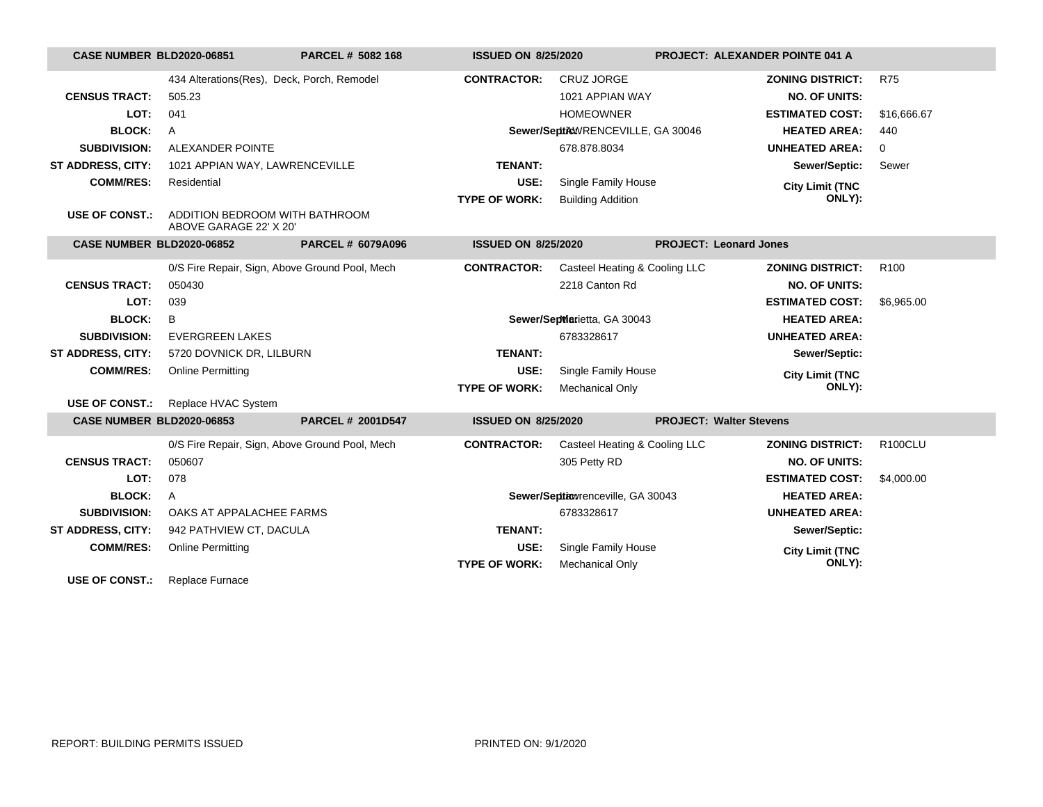| <b>CASE NUMBER BLD2020-06851</b> |                                                          | PARCEL # 5082 168        | <b>ISSUED ON 8/25/2020</b> |                                   | <b>PROJECT: ALEXANDER POINTE 041 A</b> |                  |
|----------------------------------|----------------------------------------------------------|--------------------------|----------------------------|-----------------------------------|----------------------------------------|------------------|
|                                  | 434 Alterations (Res), Deck, Porch, Remodel              |                          | <b>CONTRACTOR:</b>         | <b>CRUZ JORGE</b>                 | <b>ZONING DISTRICT:</b>                | <b>R75</b>       |
| <b>CENSUS TRACT:</b>             | 505.23                                                   |                          |                            | 1021 APPIAN WAY                   | <b>NO. OF UNITS:</b>                   |                  |
| LOT:                             | 041                                                      |                          |                            | <b>HOMEOWNER</b>                  | <b>ESTIMATED COST:</b>                 | \$16,666.67      |
| <b>BLOCK:</b>                    | $\mathsf{A}$                                             |                          |                            | Sewer/SepticWRENCEVILLE, GA 30046 | <b>HEATED AREA:</b>                    | 440              |
| <b>SUBDIVISION:</b>              | ALEXANDER POINTE                                         |                          |                            | 678.878.8034                      | <b>UNHEATED AREA:</b>                  | 0                |
| ST ADDRESS, CITY:                | 1021 APPIAN WAY, LAWRENCEVILLE                           |                          | <b>TENANT:</b>             |                                   | Sewer/Septic:                          | Sewer            |
| <b>COMM/RES:</b>                 | Residential                                              |                          | USE:                       | Single Family House               | <b>City Limit (TNC</b>                 |                  |
|                                  |                                                          |                          | <b>TYPE OF WORK:</b>       | <b>Building Addition</b>          | ONLY):                                 |                  |
| <b>USE OF CONST.:</b>            | ADDITION BEDROOM WITH BATHROOM<br>ABOVE GARAGE 22' X 20' |                          |                            |                                   |                                        |                  |
| <b>CASE NUMBER BLD2020-06852</b> |                                                          | <b>PARCEL # 6079A096</b> | <b>ISSUED ON 8/25/2020</b> |                                   | <b>PROJECT: Leonard Jones</b>          |                  |
|                                  | 0/S Fire Repair, Sign, Above Ground Pool, Mech           |                          | <b>CONTRACTOR:</b>         | Casteel Heating & Cooling LLC     | <b>ZONING DISTRICT:</b>                | R <sub>100</sub> |
| <b>CENSUS TRACT:</b>             | 050430                                                   |                          |                            | 2218 Canton Rd                    | <b>NO. OF UNITS:</b>                   |                  |
| LOT:                             | 039                                                      |                          |                            |                                   | <b>ESTIMATED COST:</b>                 | \$6,965.00       |
| <b>BLOCK:</b>                    | B                                                        |                          |                            | Sewer/SepMarietta, GA 30043       | <b>HEATED AREA:</b>                    |                  |
| <b>SUBDIVISION:</b>              | <b>EVERGREEN LAKES</b>                                   |                          |                            | 6783328617                        | <b>UNHEATED AREA:</b>                  |                  |
| <b>ST ADDRESS, CITY:</b>         | 5720 DOVNICK DR, LILBURN                                 |                          | <b>TENANT:</b>             |                                   | Sewer/Septic:                          |                  |
| <b>COMM/RES:</b>                 | <b>Online Permitting</b>                                 |                          | USE:                       | Single Family House               | <b>City Limit (TNC</b>                 |                  |
|                                  |                                                          |                          | <b>TYPE OF WORK:</b>       | <b>Mechanical Only</b>            | ONLY):                                 |                  |
| <b>USE OF CONST.:</b>            | Replace HVAC System                                      |                          |                            |                                   |                                        |                  |
| <b>CASE NUMBER BLD2020-06853</b> |                                                          | <b>PARCEL # 2001D547</b> | <b>ISSUED ON 8/25/2020</b> |                                   | <b>PROJECT: Walter Stevens</b>         |                  |
|                                  | 0/S Fire Repair, Sign, Above Ground Pool, Mech           |                          | <b>CONTRACTOR:</b>         | Casteel Heating & Cooling LLC     | <b>ZONING DISTRICT:</b>                | <b>R100CLU</b>   |
| <b>CENSUS TRACT:</b>             | 050607                                                   |                          |                            | 305 Petty RD                      | <b>NO. OF UNITS:</b>                   |                  |
| LOT:                             | 078                                                      |                          |                            |                                   | <b>ESTIMATED COST:</b>                 | \$4,000.00       |
| <b>BLOCK:</b>                    | A                                                        |                          |                            | Sewer/Septiowrenceville, GA 30043 | <b>HEATED AREA:</b>                    |                  |
| <b>SUBDIVISION:</b>              | OAKS AT APPALACHEE FARMS                                 |                          |                            | 6783328617                        | <b>UNHEATED AREA:</b>                  |                  |
| ST ADDRESS, CITY:                | 942 PATHVIEW CT, DACULA                                  |                          | <b>TENANT:</b>             |                                   | Sewer/Septic:                          |                  |
| <b>COMM/RES:</b>                 | <b>Online Permitting</b>                                 |                          | USE:                       | Single Family House               | <b>City Limit (TNC</b>                 |                  |
|                                  |                                                          |                          | <b>TYPE OF WORK:</b>       | <b>Mechanical Only</b>            | ONLY):                                 |                  |
| <b>USE OF CONST.:</b>            | Replace Furnace                                          |                          |                            |                                   |                                        |                  |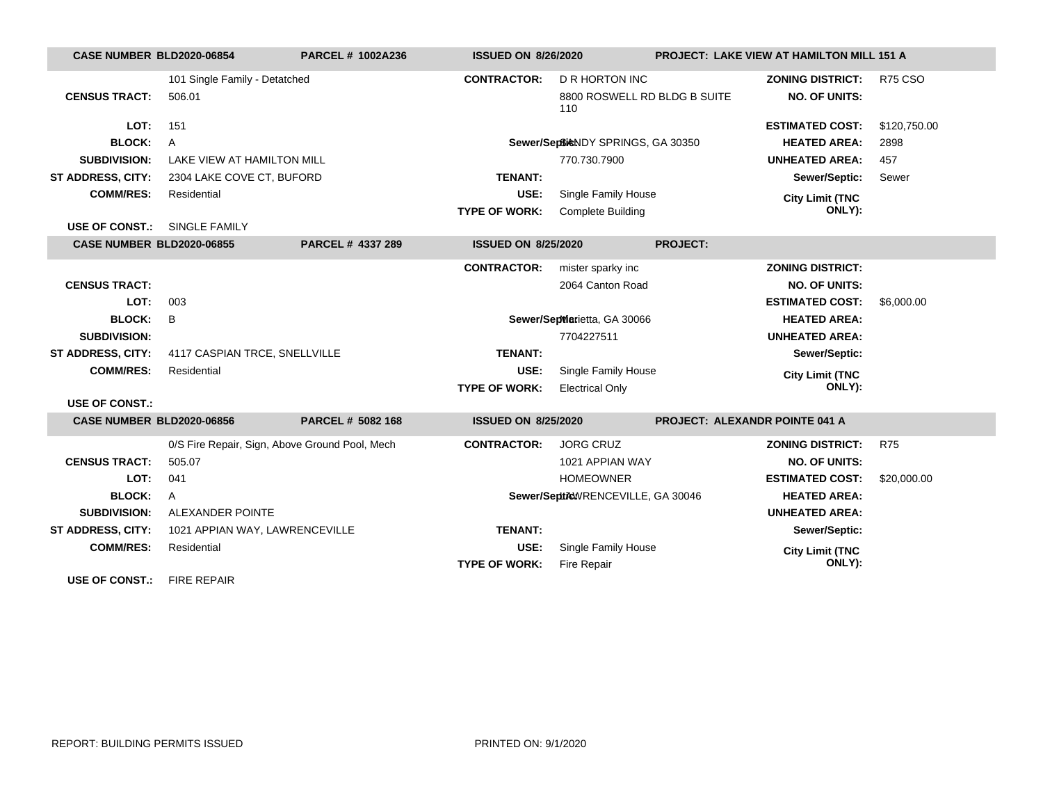| <b>CASE NUMBER BLD2020-06854</b> |                                | <b>PARCEL # 1002A236</b>                       | <b>ISSUED ON 8/26/2020</b> |                                     |                 | <b>PROJECT: LAKE VIEW AT HAMILTON MILL 151 A</b> |                |
|----------------------------------|--------------------------------|------------------------------------------------|----------------------------|-------------------------------------|-----------------|--------------------------------------------------|----------------|
|                                  | 101 Single Family - Detatched  |                                                | <b>CONTRACTOR:</b>         | <b>D R HORTON INC</b>               |                 | <b>ZONING DISTRICT:</b>                          | <b>R75 CSO</b> |
| <b>CENSUS TRACT:</b>             | 506.01                         |                                                |                            | 8800 ROSWELL RD BLDG B SUITE<br>110 |                 | <b>NO. OF UNITS:</b>                             |                |
| LOT:                             | 151                            |                                                |                            |                                     |                 | <b>ESTIMATED COST:</b>                           | \$120,750.00   |
| <b>BLOCK:</b>                    | $\overline{A}$                 |                                                |                            | Sewer/SepticNDY SPRINGS, GA 30350   |                 | <b>HEATED AREA:</b>                              | 2898           |
| <b>SUBDIVISION:</b>              | LAKE VIEW AT HAMILTON MILL     |                                                |                            | 770.730.7900                        |                 | <b>UNHEATED AREA:</b>                            | 457            |
| <b>ST ADDRESS, CITY:</b>         | 2304 LAKE COVE CT, BUFORD      |                                                | <b>TENANT:</b>             |                                     |                 | Sewer/Septic:                                    | Sewer          |
| <b>COMM/RES:</b>                 | Residential                    |                                                | USE:                       | Single Family House                 |                 | <b>City Limit (TNC</b>                           |                |
|                                  |                                |                                                | <b>TYPE OF WORK:</b>       | <b>Complete Building</b>            |                 | ONLY):                                           |                |
| <b>USE OF CONST.:</b>            | SINGLE FAMILY                  |                                                |                            |                                     |                 |                                                  |                |
| <b>CASE NUMBER BLD2020-06855</b> |                                | PARCEL # 4337 289                              | <b>ISSUED ON 8/25/2020</b> |                                     | <b>PROJECT:</b> |                                                  |                |
|                                  |                                |                                                | <b>CONTRACTOR:</b>         | mister sparky inc                   |                 | <b>ZONING DISTRICT:</b>                          |                |
| <b>CENSUS TRACT:</b>             |                                |                                                |                            | 2064 Canton Road                    |                 | <b>NO. OF UNITS:</b>                             |                |
| LOT:                             | 003                            |                                                |                            |                                     |                 | <b>ESTIMATED COST:</b>                           | \$6,000.00     |
| <b>BLOCK:</b>                    | B                              |                                                |                            | Sewer/SepMarietta, GA 30066         |                 | <b>HEATED AREA:</b>                              |                |
| <b>SUBDIVISION:</b>              |                                |                                                |                            | 7704227511                          |                 | <b>UNHEATED AREA:</b>                            |                |
| <b>ST ADDRESS, CITY:</b>         | 4117 CASPIAN TRCE, SNELLVILLE  |                                                | <b>TENANT:</b>             |                                     |                 | Sewer/Septic:                                    |                |
| <b>COMM/RES:</b>                 | Residential                    |                                                | USE:                       | Single Family House                 |                 | <b>City Limit (TNC</b>                           |                |
|                                  |                                |                                                | <b>TYPE OF WORK:</b>       | <b>Electrical Only</b>              |                 | ONLY):                                           |                |
| <b>USE OF CONST.:</b>            |                                |                                                |                            |                                     |                 |                                                  |                |
| <b>CASE NUMBER BLD2020-06856</b> |                                | PARCEL # 5082 168                              | <b>ISSUED ON 8/25/2020</b> |                                     |                 | <b>PROJECT: ALEXANDR POINTE 041 A</b>            |                |
|                                  |                                | 0/S Fire Repair, Sign, Above Ground Pool, Mech | <b>CONTRACTOR:</b>         | <b>JORG CRUZ</b>                    |                 | <b>ZONING DISTRICT:</b>                          | <b>R75</b>     |
| <b>CENSUS TRACT:</b>             | 505.07                         |                                                |                            | 1021 APPIAN WAY                     |                 | <b>NO. OF UNITS:</b>                             |                |
| LOT:                             | 041                            |                                                |                            | <b>HOMEOWNER</b>                    |                 | <b>ESTIMATED COST:</b>                           | \$20,000.00    |
| <b>BLOCK:</b>                    | A                              |                                                |                            | Sewer/SepticWRENCEVILLE, GA 30046   |                 | <b>HEATED AREA:</b>                              |                |
| <b>SUBDIVISION:</b>              | ALEXANDER POINTE               |                                                |                            |                                     |                 | <b>UNHEATED AREA:</b>                            |                |
| <b>ST ADDRESS, CITY:</b>         | 1021 APPIAN WAY, LAWRENCEVILLE |                                                | <b>TENANT:</b>             |                                     |                 | Sewer/Septic:                                    |                |
| <b>COMM/RES:</b>                 | Residential                    |                                                | USE:                       | Single Family House                 |                 | <b>City Limit (TNC</b>                           |                |
|                                  |                                |                                                | <b>TYPE OF WORK:</b>       | Fire Repair                         |                 | ONLY):                                           |                |
| <b>USE OF CONST.:</b>            | <b>FIRE REPAIR</b>             |                                                |                            |                                     |                 |                                                  |                |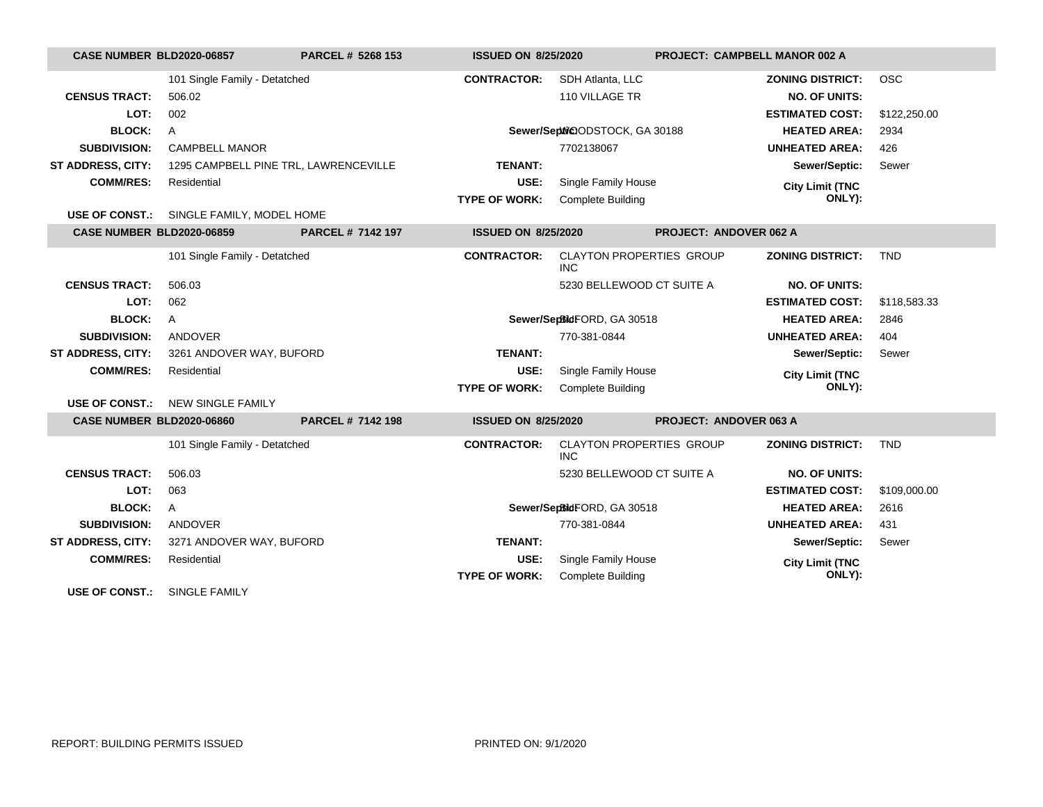| <b>CASE NUMBER BLD2020-06857</b> |                                          | PARCEL # 5268 153 | <b>ISSUED ON 8/25/2020</b> |                                               | <b>PROJECT: CAMPBELL MANOR 002 A</b> |                         |              |
|----------------------------------|------------------------------------------|-------------------|----------------------------|-----------------------------------------------|--------------------------------------|-------------------------|--------------|
|                                  | 101 Single Family - Detatched            |                   | <b>CONTRACTOR:</b>         | SDH Atlanta, LLC                              |                                      | <b>ZONING DISTRICT:</b> | <b>OSC</b>   |
| <b>CENSUS TRACT:</b>             | 506.02                                   |                   |                            | 110 VILLAGE TR                                |                                      | <b>NO. OF UNITS:</b>    |              |
| LOT:                             | 002                                      |                   |                            |                                               |                                      | <b>ESTIMATED COST:</b>  | \$122,250.00 |
| <b>BLOCK:</b>                    | $\mathsf{A}$                             |                   |                            | Sewer/Sephi@ODSTOCK, GA 30188                 |                                      | <b>HEATED AREA:</b>     | 2934         |
| <b>SUBDIVISION:</b>              | <b>CAMPBELL MANOR</b>                    |                   |                            | 7702138067                                    |                                      | <b>UNHEATED AREA:</b>   | 426          |
| <b>ST ADDRESS, CITY:</b>         | 1295 CAMPBELL PINE TRL, LAWRENCEVILLE    |                   | <b>TENANT:</b>             |                                               |                                      | Sewer/Septic:           | Sewer        |
| <b>COMM/RES:</b>                 | Residential                              |                   | USE:                       | Single Family House                           |                                      | <b>City Limit (TNC</b>  |              |
|                                  |                                          |                   | <b>TYPE OF WORK:</b>       | <b>Complete Building</b>                      |                                      | ONLY):                  |              |
|                                  | USE OF CONST.: SINGLE FAMILY, MODEL HOME |                   |                            |                                               |                                      |                         |              |
| <b>CASE NUMBER BLD2020-06859</b> |                                          | PARCEL # 7142 197 | <b>ISSUED ON 8/25/2020</b> |                                               | <b>PROJECT: ANDOVER 062 A</b>        |                         |              |
|                                  | 101 Single Family - Detatched            |                   | <b>CONTRACTOR:</b>         | <b>CLAYTON PROPERTIES GROUP</b><br>INC.       |                                      | <b>ZONING DISTRICT:</b> | <b>TND</b>   |
| <b>CENSUS TRACT:</b>             | 506.03                                   |                   |                            | 5230 BELLEWOOD CT SUITE A                     |                                      | <b>NO. OF UNITS:</b>    |              |
| LOT:                             | 062                                      |                   |                            |                                               |                                      | <b>ESTIMATED COST:</b>  | \$118,583.33 |
| <b>BLOCK:</b>                    | $\mathsf{A}$                             |                   |                            | Sewer/SepBidFORD, GA 30518                    |                                      | <b>HEATED AREA:</b>     | 2846         |
| <b>SUBDIVISION:</b>              | ANDOVER                                  |                   |                            | 770-381-0844                                  |                                      | <b>UNHEATED AREA:</b>   | 404          |
| <b>ST ADDRESS, CITY:</b>         | 3261 ANDOVER WAY, BUFORD                 |                   | <b>TENANT:</b>             |                                               |                                      | Sewer/Septic:           | Sewer        |
| <b>COMM/RES:</b>                 | Residential                              |                   | USE:                       | Single Family House                           |                                      | <b>City Limit (TNC</b>  |              |
|                                  |                                          |                   | <b>TYPE OF WORK:</b>       | <b>Complete Building</b>                      |                                      | ONLY):                  |              |
| <b>USE OF CONST.:</b>            | <b>NEW SINGLE FAMILY</b>                 |                   |                            |                                               |                                      |                         |              |
| <b>CASE NUMBER BLD2020-06860</b> |                                          | PARCEL # 7142 198 | <b>ISSUED ON 8/25/2020</b> |                                               | <b>PROJECT: ANDOVER 063 A</b>        |                         |              |
|                                  | 101 Single Family - Detatched            |                   | <b>CONTRACTOR:</b>         | <b>CLAYTON PROPERTIES GROUP</b><br><b>INC</b> |                                      | <b>ZONING DISTRICT:</b> | <b>TND</b>   |
| <b>CENSUS TRACT:</b>             | 506.03                                   |                   |                            | 5230 BELLEWOOD CT SUITE A                     |                                      | <b>NO. OF UNITS:</b>    |              |
| LOT:                             | 063                                      |                   |                            |                                               |                                      | <b>ESTIMATED COST:</b>  | \$109,000.00 |
| <b>BLOCK:</b>                    | $\mathsf{A}$                             |                   |                            | Sewer/SepBidFORD, GA 30518                    |                                      | <b>HEATED AREA:</b>     | 2616         |
| <b>SUBDIVISION:</b>              | ANDOVER                                  |                   |                            | 770-381-0844                                  |                                      | <b>UNHEATED AREA:</b>   | 431          |
| <b>ST ADDRESS, CITY:</b>         | 3271 ANDOVER WAY, BUFORD                 |                   | <b>TENANT:</b>             |                                               |                                      | Sewer/Septic:           | Sewer        |
| <b>COMM/RES:</b>                 | Residential                              |                   | USE:                       | Single Family House                           |                                      | <b>City Limit (TNC</b>  |              |
|                                  |                                          |                   | <b>TYPE OF WORK:</b>       | <b>Complete Building</b>                      |                                      | ONLY):                  |              |
| <b>USE OF CONST.:</b>            | SINGLE FAMILY                            |                   |                            |                                               |                                      |                         |              |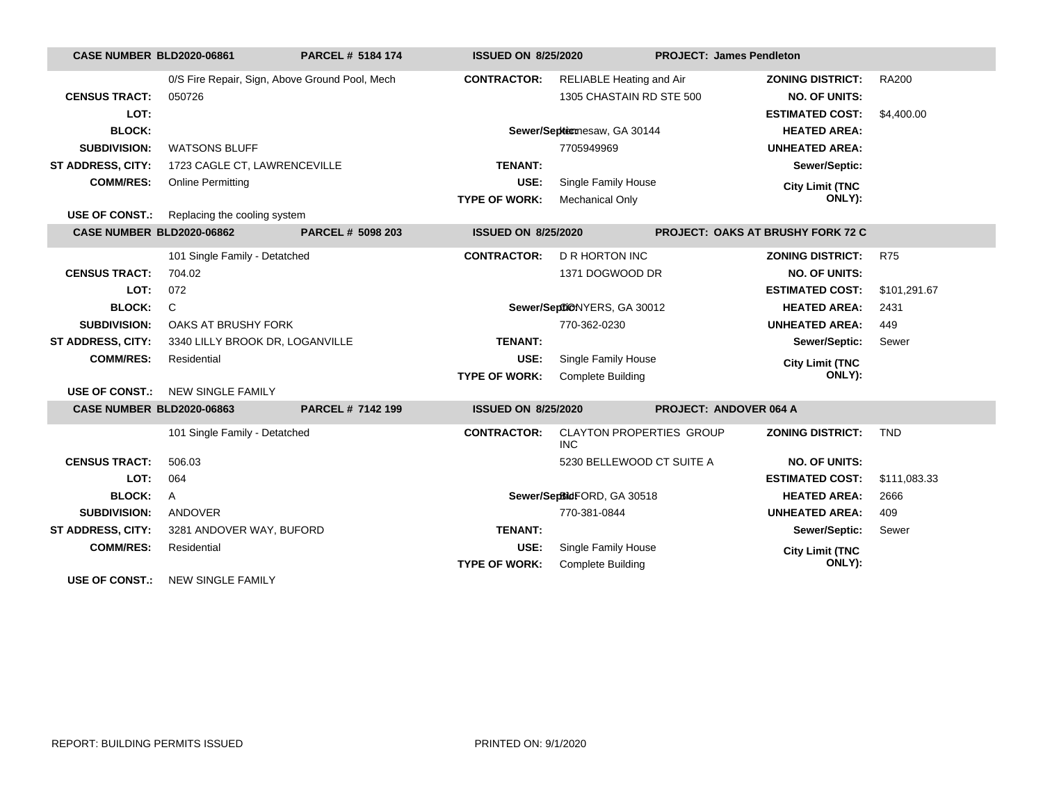| <b>CASE NUMBER BLD2020-06861</b> |                                 | PARCEL # 5184 174                              | <b>ISSUED ON 8/25/2020</b> |                                               | <b>PROJECT: James Pendleton</b>          |              |
|----------------------------------|---------------------------------|------------------------------------------------|----------------------------|-----------------------------------------------|------------------------------------------|--------------|
|                                  |                                 | 0/S Fire Repair, Sign, Above Ground Pool, Mech | <b>CONTRACTOR:</b>         | <b>RELIABLE Heating and Air</b>               | <b>ZONING DISTRICT:</b>                  | <b>RA200</b> |
| <b>CENSUS TRACT:</b>             | 050726                          |                                                |                            | 1305 CHASTAIN RD STE 500                      | <b>NO. OF UNITS:</b>                     |              |
| LOT:                             |                                 |                                                |                            |                                               | <b>ESTIMATED COST:</b>                   | \$4,400.00   |
| <b>BLOCK:</b>                    |                                 |                                                |                            | Sewer/Septicnesaw, GA 30144                   | <b>HEATED AREA:</b>                      |              |
| <b>SUBDIVISION:</b>              | <b>WATSONS BLUFF</b>            |                                                |                            | 7705949969                                    | <b>UNHEATED AREA:</b>                    |              |
| <b>ST ADDRESS, CITY:</b>         | 1723 CAGLE CT, LAWRENCEVILLE    |                                                | <b>TENANT:</b>             |                                               | Sewer/Septic:                            |              |
| <b>COMM/RES:</b>                 | <b>Online Permitting</b>        |                                                | USE:                       | Single Family House                           | <b>City Limit (TNC</b>                   |              |
|                                  |                                 |                                                | <b>TYPE OF WORK:</b>       | Mechanical Only                               | ONLY):                                   |              |
| <b>USE OF CONST.:</b>            | Replacing the cooling system    |                                                |                            |                                               |                                          |              |
| CASE NUMBER BLD2020-06862        |                                 | PARCEL # 5098 203                              | <b>ISSUED ON 8/25/2020</b> |                                               | <b>PROJECT: OAKS AT BRUSHY FORK 72 C</b> |              |
|                                  | 101 Single Family - Detatched   |                                                | <b>CONTRACTOR:</b>         | <b>D R HORTON INC</b>                         | <b>ZONING DISTRICT:</b>                  | <b>R75</b>   |
| <b>CENSUS TRACT:</b>             | 704.02                          |                                                |                            | 1371 DOGWOOD DR                               | <b>NO. OF UNITS:</b>                     |              |
| LOT:                             | 072                             |                                                |                            |                                               | <b>ESTIMATED COST:</b>                   | \$101,291.67 |
| <b>BLOCK:</b>                    | C                               |                                                |                            | Sewer/SeptiONYERS, GA 30012                   | <b>HEATED AREA:</b>                      | 2431         |
| <b>SUBDIVISION:</b>              | OAKS AT BRUSHY FORK             |                                                |                            | 770-362-0230                                  | <b>UNHEATED AREA:</b>                    | 449          |
| <b>ST ADDRESS, CITY:</b>         | 3340 LILLY BROOK DR, LOGANVILLE |                                                | <b>TENANT:</b>             |                                               | Sewer/Septic:                            | Sewer        |
| <b>COMM/RES:</b>                 | Residential                     |                                                | USE:                       | Single Family House                           | <b>City Limit (TNC</b>                   |              |
|                                  |                                 |                                                | <b>TYPE OF WORK:</b>       | <b>Complete Building</b>                      | ONLY):                                   |              |
| USE OF CONST.:                   | NEW SINGLE FAMILY               |                                                |                            |                                               |                                          |              |
| <b>CASE NUMBER BLD2020-06863</b> |                                 | PARCEL # 7142 199                              | <b>ISSUED ON 8/25/2020</b> |                                               | <b>PROJECT: ANDOVER 064 A</b>            |              |
|                                  | 101 Single Family - Detatched   |                                                | <b>CONTRACTOR:</b>         | <b>CLAYTON PROPERTIES GROUP</b><br><b>INC</b> | <b>ZONING DISTRICT:</b>                  | <b>TND</b>   |
| <b>CENSUS TRACT:</b>             | 506.03                          |                                                |                            | 5230 BELLEWOOD CT SUITE A                     | <b>NO. OF UNITS:</b>                     |              |
| LOT:                             | 064                             |                                                |                            |                                               | <b>ESTIMATED COST:</b>                   | \$111,083.33 |
| <b>BLOCK:</b>                    | A                               |                                                |                            | Sewer/SepBidFORD, GA 30518                    | <b>HEATED AREA:</b>                      | 2666         |
| <b>SUBDIVISION:</b>              | ANDOVER                         |                                                |                            | 770-381-0844                                  | <b>UNHEATED AREA:</b>                    | 409          |
| ST ADDRESS, CITY:                | 3281 ANDOVER WAY, BUFORD        |                                                | <b>TENANT:</b>             |                                               | Sewer/Septic:                            | Sewer        |
| <b>COMM/RES:</b>                 | Residential                     |                                                | USE:                       | Single Family House                           | <b>City Limit (TNC</b>                   |              |
|                                  |                                 |                                                | <b>TYPE OF WORK:</b>       | <b>Complete Building</b>                      | ONLY):                                   |              |
| USE OF CONST.:                   | <b>NEW SINGLE FAMILY</b>        |                                                |                            |                                               |                                          |              |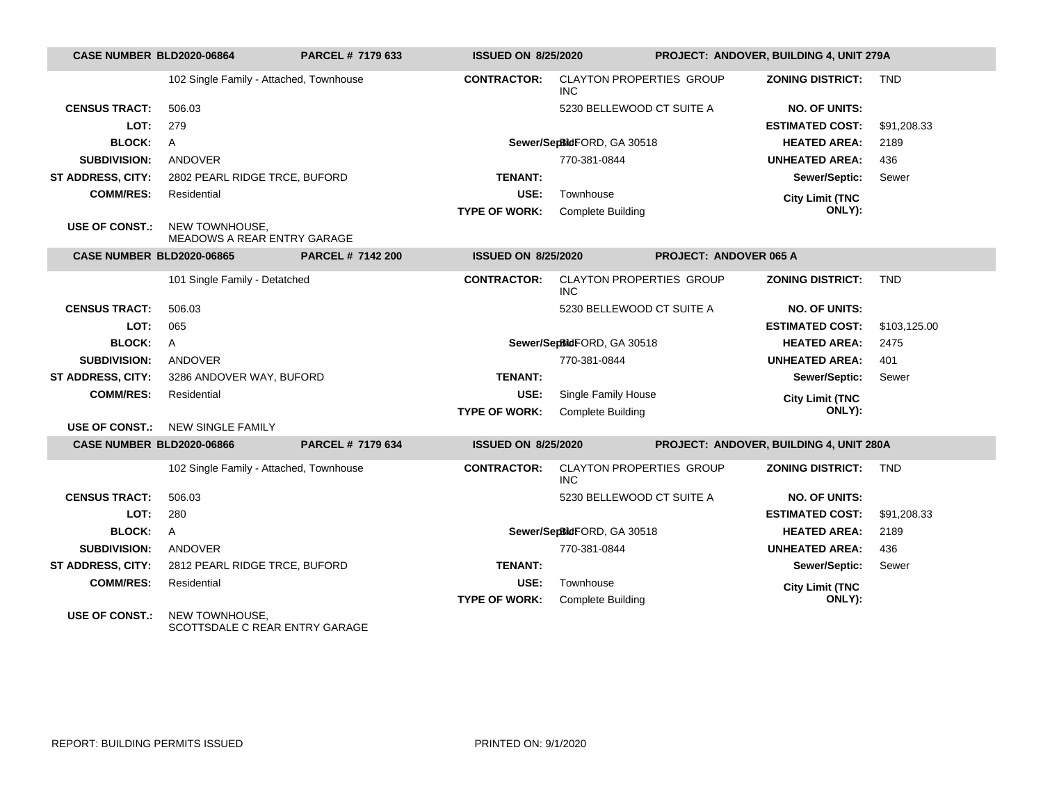| <b>CASE NUMBER BLD2020-06864</b> |                                                      | PARCEL # 7179 633        | <b>ISSUED ON 8/25/2020</b> |                                               |                               | PROJECT: ANDOVER, BUILDING 4, UNIT 279A |              |
|----------------------------------|------------------------------------------------------|--------------------------|----------------------------|-----------------------------------------------|-------------------------------|-----------------------------------------|--------------|
|                                  | 102 Single Family - Attached, Townhouse              |                          | <b>CONTRACTOR:</b>         | <b>CLAYTON PROPERTIES GROUP</b><br>INC.       |                               | <b>ZONING DISTRICT:</b>                 | <b>TND</b>   |
| <b>CENSUS TRACT:</b>             | 506.03                                               |                          |                            | 5230 BELLEWOOD CT SUITE A                     |                               | <b>NO. OF UNITS:</b>                    |              |
| LOT:                             | 279                                                  |                          |                            |                                               |                               | <b>ESTIMATED COST:</b>                  | \$91,208.33  |
| <b>BLOCK:</b>                    | $\overline{A}$                                       |                          |                            | Sewer/SepBidFORD, GA 30518                    |                               | <b>HEATED AREA:</b>                     | 2189         |
| <b>SUBDIVISION:</b>              | ANDOVER                                              |                          |                            | 770-381-0844                                  |                               | <b>UNHEATED AREA:</b>                   | 436          |
| <b>ST ADDRESS, CITY:</b>         | 2802 PEARL RIDGE TRCE, BUFORD                        |                          | <b>TENANT:</b>             |                                               |                               | Sewer/Septic:                           | Sewer        |
| <b>COMM/RES:</b>                 | Residential                                          |                          | USE:                       | Townhouse                                     |                               | <b>City Limit (TNC</b>                  |              |
|                                  |                                                      |                          | <b>TYPE OF WORK:</b>       | <b>Complete Building</b>                      |                               | ONLY):                                  |              |
| <b>USE OF CONST.:</b>            | NEW TOWNHOUSE.<br><b>MEADOWS A REAR ENTRY GARAGE</b> |                          |                            |                                               |                               |                                         |              |
| <b>CASE NUMBER BLD2020-06865</b> |                                                      | <b>PARCEL # 7142 200</b> | <b>ISSUED ON 8/25/2020</b> |                                               | <b>PROJECT: ANDOVER 065 A</b> |                                         |              |
|                                  | 101 Single Family - Detatched                        |                          | <b>CONTRACTOR:</b>         | <b>CLAYTON PROPERTIES GROUP</b><br><b>INC</b> |                               | <b>ZONING DISTRICT:</b>                 | <b>TND</b>   |
| <b>CENSUS TRACT:</b>             | 506.03                                               |                          |                            | 5230 BELLEWOOD CT SUITE A                     |                               | <b>NO. OF UNITS:</b>                    |              |
| LOT:                             | 065                                                  |                          |                            |                                               |                               | <b>ESTIMATED COST:</b>                  | \$103,125.00 |
| <b>BLOCK:</b>                    | $\mathsf{A}$                                         |                          |                            | Sewer/SepBidFORD, GA 30518                    |                               | <b>HEATED AREA:</b>                     | 2475         |
| <b>SUBDIVISION:</b>              | ANDOVER                                              |                          |                            | 770-381-0844                                  |                               | <b>UNHEATED AREA:</b>                   | 401          |
| <b>ST ADDRESS, CITY:</b>         | 3286 ANDOVER WAY, BUFORD                             |                          | <b>TENANT:</b>             |                                               |                               | Sewer/Septic:                           | Sewer        |
| <b>COMM/RES:</b>                 | Residential                                          |                          | USE:                       | Single Family House                           |                               | <b>City Limit (TNC</b>                  |              |
|                                  |                                                      |                          | <b>TYPE OF WORK:</b>       | <b>Complete Building</b>                      |                               | ONLY):                                  |              |
| <b>USE OF CONST.:</b>            | NEW SINGLE FAMILY                                    |                          |                            |                                               |                               |                                         |              |
| <b>CASE NUMBER BLD2020-06866</b> |                                                      | PARCEL # 7179 634        | <b>ISSUED ON 8/25/2020</b> |                                               |                               | PROJECT: ANDOVER, BUILDING 4, UNIT 280A |              |
|                                  | 102 Single Family - Attached, Townhouse              |                          | <b>CONTRACTOR:</b>         | <b>CLAYTON PROPERTIES GROUP</b><br><b>INC</b> |                               | <b>ZONING DISTRICT:</b>                 | <b>TND</b>   |
| <b>CENSUS TRACT:</b>             | 506.03                                               |                          |                            | 5230 BELLEWOOD CT SUITE A                     |                               | <b>NO. OF UNITS:</b>                    |              |
| LOT:                             | 280                                                  |                          |                            |                                               |                               | <b>ESTIMATED COST:</b>                  | \$91,208.33  |
| <b>BLOCK:</b>                    | $\mathsf{A}$                                         |                          |                            | Sewer/SepBidFORD, GA 30518                    |                               | <b>HEATED AREA:</b>                     | 2189         |
| <b>SUBDIVISION:</b>              | ANDOVER                                              |                          |                            | 770-381-0844                                  |                               | <b>UNHEATED AREA:</b>                   | 436          |
| ST ADDRESS, CITY:                | 2812 PEARL RIDGE TRCE, BUFORD                        |                          | <b>TENANT:</b>             |                                               |                               | Sewer/Septic:                           | Sewer        |
| <b>COMM/RES:</b>                 | Residential                                          |                          | USE:                       | Townhouse                                     |                               | <b>City Limit (TNC</b>                  |              |
|                                  |                                                      |                          | <b>TYPE OF WORK:</b>       | <b>Complete Building</b>                      |                               | ONLY):                                  |              |
| <b>USE OF CONST.:</b>            | NEW TOWNHOUSE,<br>SCOTTSDALE C REAR ENTRY GARAGE     |                          |                            |                                               |                               |                                         |              |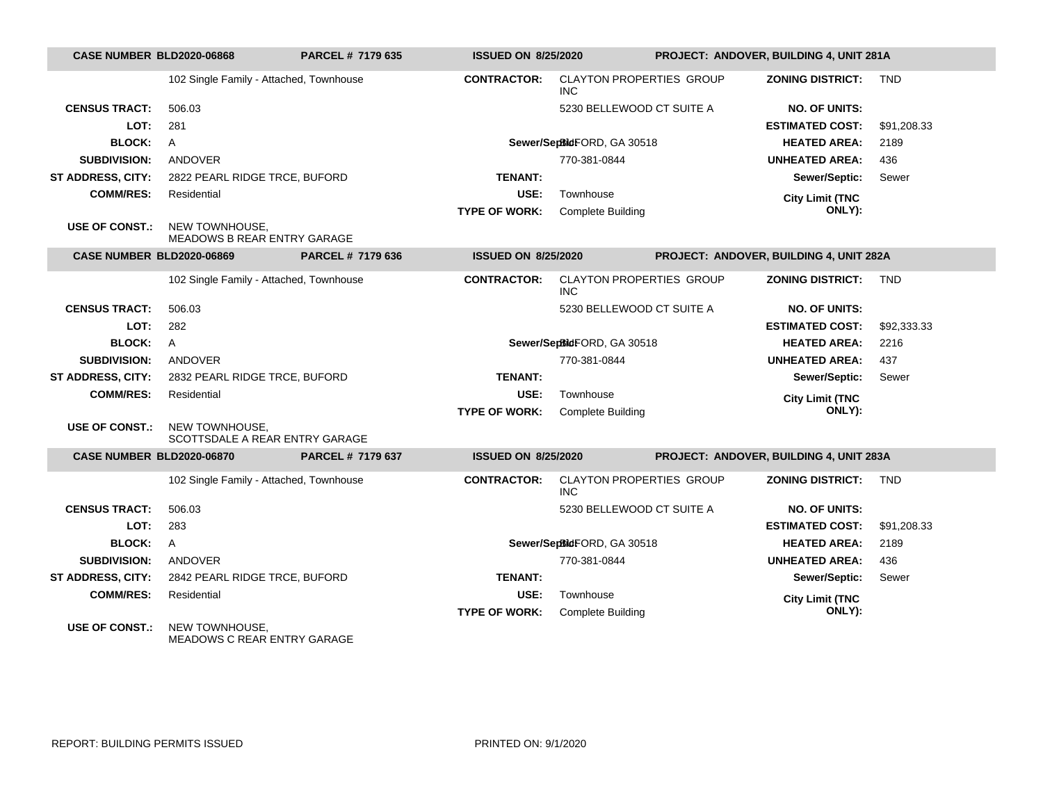| <b>CASE NUMBER BLD2020-06868</b> |                                                      | PARCEL # 7179 635 | <b>ISSUED ON 8/25/2020</b> |                                               | PROJECT: ANDOVER, BUILDING 4, UNIT 281A |                                         |             |
|----------------------------------|------------------------------------------------------|-------------------|----------------------------|-----------------------------------------------|-----------------------------------------|-----------------------------------------|-------------|
|                                  | 102 Single Family - Attached, Townhouse              |                   | <b>CONTRACTOR:</b>         | <b>CLAYTON PROPERTIES GROUP</b><br><b>INC</b> |                                         | <b>ZONING DISTRICT: TND</b>             |             |
| <b>CENSUS TRACT:</b>             | 506.03                                               |                   |                            | 5230 BELLEWOOD CT SUITE A                     |                                         | <b>NO. OF UNITS:</b>                    |             |
| LOT:                             | 281                                                  |                   |                            |                                               |                                         | <b>ESTIMATED COST:</b>                  | \$91,208.33 |
| <b>BLOCK:</b>                    | A                                                    |                   |                            | Sewer/SepBidFORD, GA 30518                    |                                         | <b>HEATED AREA:</b>                     | 2189        |
| <b>SUBDIVISION:</b>              | ANDOVER                                              |                   |                            | 770-381-0844                                  |                                         | <b>UNHEATED AREA:</b>                   | 436         |
| ST ADDRESS, CITY:                | 2822 PEARL RIDGE TRCE, BUFORD                        |                   | <b>TENANT:</b>             |                                               |                                         | Sewer/Septic:                           | Sewer       |
| <b>COMM/RES:</b>                 | Residential                                          |                   | USE:                       | Townhouse                                     |                                         | <b>City Limit (TNC</b>                  |             |
|                                  |                                                      |                   | <b>TYPE OF WORK:</b>       | Complete Building                             |                                         | ONLY):                                  |             |
| <b>USE OF CONST.:</b>            | NEW TOWNHOUSE,<br>MEADOWS B REAR ENTRY GARAGE        |                   |                            |                                               |                                         |                                         |             |
| <b>CASE NUMBER BLD2020-06869</b> |                                                      | PARCEL # 7179 636 | <b>ISSUED ON 8/25/2020</b> |                                               |                                         | PROJECT: ANDOVER, BUILDING 4, UNIT 282A |             |
|                                  | 102 Single Family - Attached, Townhouse              |                   | <b>CONTRACTOR:</b>         | <b>CLAYTON PROPERTIES GROUP</b><br><b>INC</b> |                                         | <b>ZONING DISTRICT:</b>                 | <b>TND</b>  |
| <b>CENSUS TRACT:</b>             | 506.03                                               |                   |                            | 5230 BELLEWOOD CT SUITE A                     |                                         | <b>NO. OF UNITS:</b>                    |             |
| LOT:                             | 282                                                  |                   |                            |                                               |                                         | <b>ESTIMATED COST:</b>                  | \$92,333.33 |
| <b>BLOCK:</b>                    | $\mathsf{A}$                                         |                   |                            | Sewer/SepBidFORD, GA 30518                    |                                         | <b>HEATED AREA:</b>                     | 2216        |
| <b>SUBDIVISION:</b>              | <b>ANDOVER</b>                                       |                   |                            | 770-381-0844                                  |                                         | <b>UNHEATED AREA:</b>                   | 437         |
| <b>ST ADDRESS, CITY:</b>         | 2832 PEARL RIDGE TRCE, BUFORD                        |                   | <b>TENANT:</b>             |                                               |                                         | Sewer/Septic:                           | Sewer       |
| <b>COMM/RES:</b>                 | Residential                                          |                   | USE:                       | Townhouse                                     |                                         | <b>City Limit (TNC</b>                  |             |
|                                  |                                                      |                   | <b>TYPE OF WORK:</b>       | <b>Complete Building</b>                      |                                         | ONLY):                                  |             |
| <b>USE OF CONST.:</b>            | NEW TOWNHOUSE,<br>SCOTTSDALE A REAR ENTRY GARAGE     |                   |                            |                                               |                                         |                                         |             |
| <b>CASE NUMBER BLD2020-06870</b> |                                                      | PARCEL # 7179 637 | <b>ISSUED ON 8/25/2020</b> |                                               |                                         | PROJECT: ANDOVER, BUILDING 4, UNIT 283A |             |
|                                  | 102 Single Family - Attached, Townhouse              |                   | <b>CONTRACTOR:</b>         | <b>CLAYTON PROPERTIES GROUP</b><br><b>INC</b> |                                         | <b>ZONING DISTRICT:</b>                 | <b>TND</b>  |
| <b>CENSUS TRACT:</b>             | 506.03                                               |                   |                            | 5230 BELLEWOOD CT SUITE A                     |                                         | <b>NO. OF UNITS:</b>                    |             |
| LOT:                             | 283                                                  |                   |                            |                                               |                                         | <b>ESTIMATED COST:</b>                  | \$91,208.33 |
| <b>BLOCK:</b>                    | $\mathsf{A}$                                         |                   |                            | Sewer/SepBidFORD, GA 30518                    |                                         | <b>HEATED AREA:</b>                     | 2189        |
| <b>SUBDIVISION:</b>              | ANDOVER                                              |                   |                            | 770-381-0844                                  |                                         | <b>UNHEATED AREA:</b>                   | 436         |
| <b>ST ADDRESS, CITY:</b>         | 2842 PEARL RIDGE TRCE, BUFORD                        |                   | <b>TENANT:</b>             |                                               |                                         | Sewer/Septic:                           | Sewer       |
| <b>COMM/RES:</b>                 | Residential                                          |                   | USE:                       | Townhouse                                     |                                         | <b>City Limit (TNC</b>                  |             |
|                                  |                                                      |                   | <b>TYPE OF WORK:</b>       | <b>Complete Building</b>                      |                                         | ONLY):                                  |             |
| <b>USE OF CONST.:</b>            | NEW TOWNHOUSE.<br><b>MEADOWS C REAR ENTRY GARAGE</b> |                   |                            |                                               |                                         |                                         |             |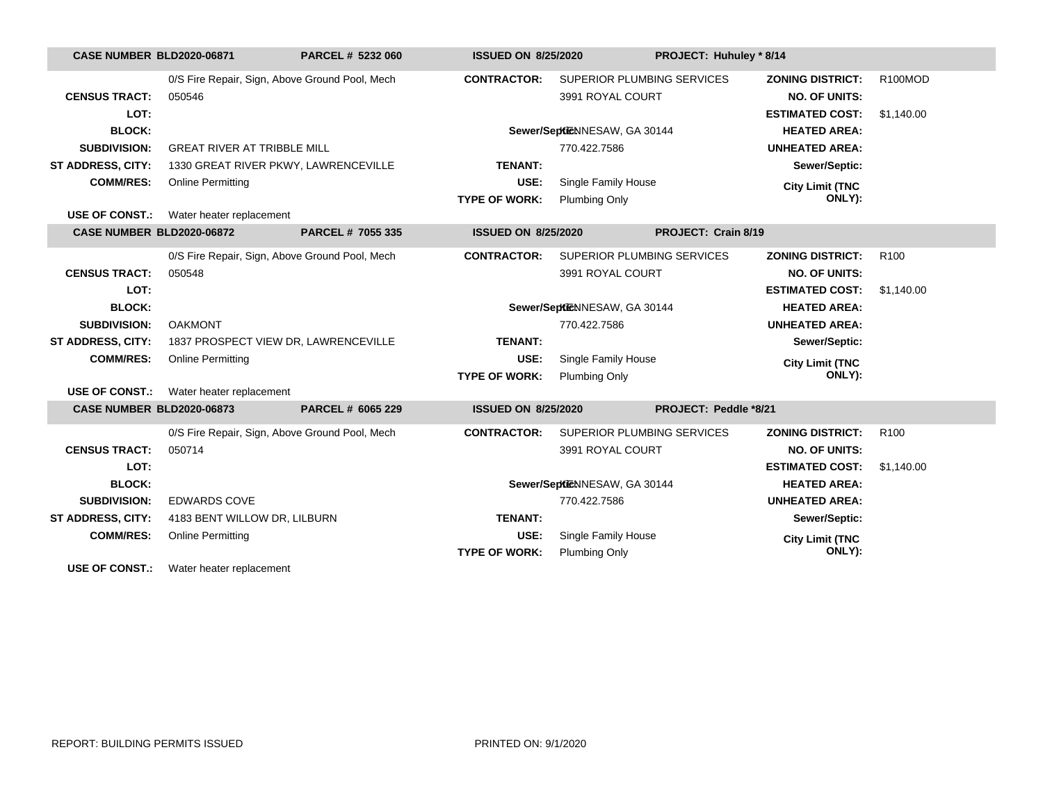| <b>CASE NUMBER BLD2020-06871</b> |                                                | PARCEL # 5232 060                              | <b>ISSUED ON 8/25/2020</b> |                              | PROJECT: Huhuley * 8/14 |                         |                  |
|----------------------------------|------------------------------------------------|------------------------------------------------|----------------------------|------------------------------|-------------------------|-------------------------|------------------|
|                                  |                                                | 0/S Fire Repair, Sign, Above Ground Pool, Mech | <b>CONTRACTOR:</b>         | SUPERIOR PLUMBING SERVICES   |                         | <b>ZONING DISTRICT:</b> | R100MOD          |
| <b>CENSUS TRACT:</b>             | 050546                                         |                                                |                            | 3991 ROYAL COURT             |                         | <b>NO. OF UNITS:</b>    |                  |
| LOT:                             |                                                |                                                |                            |                              |                         | <b>ESTIMATED COST:</b>  | \$1,140.00       |
| <b>BLOCK:</b>                    |                                                |                                                |                            | Sewer/SeptieNNESAW, GA 30144 |                         | <b>HEATED AREA:</b>     |                  |
| <b>SUBDIVISION:</b>              | <b>GREAT RIVER AT TRIBBLE MILL</b>             |                                                |                            | 770.422.7586                 |                         | <b>UNHEATED AREA:</b>   |                  |
| <b>ST ADDRESS, CITY:</b>         |                                                | 1330 GREAT RIVER PKWY, LAWRENCEVILLE           | <b>TENANT:</b>             |                              |                         | Sewer/Septic:           |                  |
| <b>COMM/RES:</b>                 | <b>Online Permitting</b>                       |                                                | USE:                       | Single Family House          |                         | <b>City Limit (TNC</b>  |                  |
|                                  |                                                |                                                | <b>TYPE OF WORK:</b>       | <b>Plumbing Only</b>         |                         | ONLY):                  |                  |
| <b>USE OF CONST.:</b>            | Water heater replacement                       |                                                |                            |                              |                         |                         |                  |
|                                  | <b>CASE NUMBER BLD2020-06872</b>               | PARCEL # 7055 335                              | <b>ISSUED ON 8/25/2020</b> |                              | PROJECT: Crain 8/19     |                         |                  |
|                                  |                                                | 0/S Fire Repair, Sign, Above Ground Pool, Mech | <b>CONTRACTOR:</b>         | SUPERIOR PLUMBING SERVICES   |                         | <b>ZONING DISTRICT:</b> | R <sub>100</sub> |
| <b>CENSUS TRACT:</b>             | 050548                                         |                                                |                            | 3991 ROYAL COURT             |                         | <b>NO. OF UNITS:</b>    |                  |
| LOT:                             |                                                |                                                |                            |                              |                         | <b>ESTIMATED COST:</b>  | \$1,140.00       |
| <b>BLOCK:</b>                    |                                                |                                                |                            | Sewer/SeptieNNESAW, GA 30144 |                         | <b>HEATED AREA:</b>     |                  |
| <b>SUBDIVISION:</b>              | <b>OAKMONT</b>                                 |                                                |                            | 770.422.7586                 |                         | <b>UNHEATED AREA:</b>   |                  |
| ST ADDRESS, CITY:                |                                                | 1837 PROSPECT VIEW DR, LAWRENCEVILLE           | <b>TENANT:</b>             |                              |                         | Sewer/Septic:           |                  |
| <b>COMM/RES:</b>                 | <b>Online Permitting</b>                       |                                                | USE:                       | Single Family House          |                         | <b>City Limit (TNC</b>  |                  |
|                                  |                                                |                                                | <b>TYPE OF WORK:</b>       | Plumbing Only                |                         | ONLY):                  |                  |
|                                  | <b>USE OF CONST.:</b> Water heater replacement |                                                |                            |                              |                         |                         |                  |
| <b>CASE NUMBER BLD2020-06873</b> |                                                | PARCEL # 6065 229                              | <b>ISSUED ON 8/25/2020</b> |                              | PROJECT: Peddle *8/21   |                         |                  |
|                                  |                                                | 0/S Fire Repair, Sign, Above Ground Pool, Mech | <b>CONTRACTOR:</b>         | SUPERIOR PLUMBING SERVICES   |                         | <b>ZONING DISTRICT:</b> | R <sub>100</sub> |
| <b>CENSUS TRACT:</b>             | 050714                                         |                                                |                            | 3991 ROYAL COURT             |                         | <b>NO. OF UNITS:</b>    |                  |
| LOT:                             |                                                |                                                |                            |                              |                         | <b>ESTIMATED COST:</b>  | \$1,140.00       |
| <b>BLOCK:</b>                    |                                                |                                                |                            | Sewer/SeptieNNESAW, GA 30144 |                         | <b>HEATED AREA:</b>     |                  |
| <b>SUBDIVISION:</b>              | <b>EDWARDS COVE</b>                            |                                                |                            | 770.422.7586                 |                         | <b>UNHEATED AREA:</b>   |                  |
| <b>ST ADDRESS, CITY:</b>         | 4183 BENT WILLOW DR, LILBURN                   |                                                | <b>TENANT:</b>             |                              |                         | Sewer/Septic:           |                  |
| <b>COMM/RES:</b>                 | <b>Online Permitting</b>                       |                                                | USE:                       | Single Family House          |                         | <b>City Limit (TNC</b>  |                  |
|                                  |                                                |                                                | <b>TYPE OF WORK:</b>       | <b>Plumbing Only</b>         |                         | ONLY):                  |                  |

**USE OF CONST.:** Water heater replacement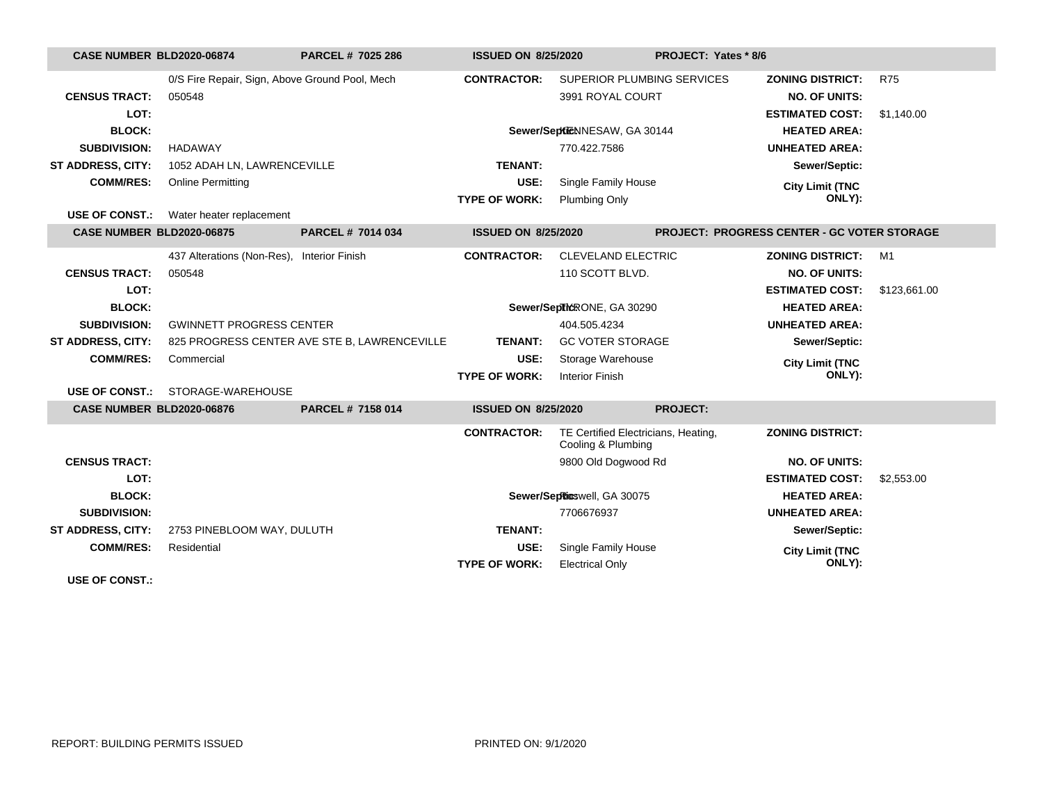| <b>CASE NUMBER BLD2020-06874</b> |                                                | PARCEL # 7025 286                            | <b>ISSUED ON 8/25/2020</b> |                                                           | PROJECT: Yates * 8/6 |                                                    |              |
|----------------------------------|------------------------------------------------|----------------------------------------------|----------------------------|-----------------------------------------------------------|----------------------|----------------------------------------------------|--------------|
|                                  | 0/S Fire Repair, Sign, Above Ground Pool, Mech |                                              | <b>CONTRACTOR:</b>         | SUPERIOR PLUMBING SERVICES                                |                      | <b>ZONING DISTRICT:</b>                            | <b>R75</b>   |
| <b>CENSUS TRACT:</b>             | 050548                                         |                                              |                            | 3991 ROYAL COURT                                          |                      | <b>NO. OF UNITS:</b>                               |              |
| LOT:                             |                                                |                                              |                            |                                                           |                      | <b>ESTIMATED COST:</b>                             | \$1,140.00   |
| <b>BLOCK:</b>                    |                                                |                                              |                            | Sewer/SeptieNNESAW, GA 30144                              |                      | <b>HEATED AREA:</b>                                |              |
| <b>SUBDIVISION:</b>              | <b>HADAWAY</b>                                 |                                              |                            | 770.422.7586                                              |                      | <b>UNHEATED AREA:</b>                              |              |
| ST ADDRESS, CITY:                | 1052 ADAH LN, LAWRENCEVILLE                    |                                              | <b>TENANT:</b>             |                                                           |                      | Sewer/Septic:                                      |              |
| <b>COMM/RES:</b>                 | <b>Online Permitting</b>                       |                                              | USE:                       | Single Family House                                       |                      | <b>City Limit (TNC</b>                             |              |
|                                  |                                                |                                              | <b>TYPE OF WORK:</b>       | Plumbing Only                                             |                      | ONLY):                                             |              |
| <b>USE OF CONST.:</b>            | Water heater replacement                       |                                              |                            |                                                           |                      |                                                    |              |
| <b>CASE NUMBER BLD2020-06875</b> |                                                | PARCEL # 7014 034                            | <b>ISSUED ON 8/25/2020</b> |                                                           |                      | <b>PROJECT: PROGRESS CENTER - GC VOTER STORAGE</b> |              |
|                                  | 437 Alterations (Non-Res), Interior Finish     |                                              | <b>CONTRACTOR:</b>         | <b>CLEVELAND ELECTRIC</b>                                 |                      | <b>ZONING DISTRICT:</b>                            | M1           |
| <b>CENSUS TRACT:</b>             | 050548                                         |                                              |                            | 110 SCOTT BLVD.                                           |                      | <b>NO. OF UNITS:</b>                               |              |
| LOT:                             |                                                |                                              |                            |                                                           |                      | <b>ESTIMATED COST:</b>                             | \$123,661.00 |
| <b>BLOCK:</b>                    |                                                |                                              |                            | Sewer/SepTicRONE, GA 30290                                |                      | <b>HEATED AREA:</b>                                |              |
| <b>SUBDIVISION:</b>              | <b>GWINNETT PROGRESS CENTER</b>                |                                              |                            | 404.505.4234                                              |                      | <b>UNHEATED AREA:</b>                              |              |
| <b>ST ADDRESS, CITY:</b>         |                                                | 825 PROGRESS CENTER AVE STE B, LAWRENCEVILLE | <b>TENANT:</b>             | <b>GC VOTER STORAGE</b>                                   |                      | Sewer/Septic:                                      |              |
| <b>COMM/RES:</b>                 | Commercial                                     |                                              | USE:                       | Storage Warehouse                                         |                      | <b>City Limit (TNC</b>                             |              |
|                                  |                                                |                                              | <b>TYPE OF WORK:</b>       | <b>Interior Finish</b>                                    |                      | ONLY):                                             |              |
| <b>USE OF CONST.:</b>            | STORAGE-WAREHOUSE                              |                                              |                            |                                                           |                      |                                                    |              |
| <b>CASE NUMBER BLD2020-06876</b> |                                                | PARCEL # 7158 014                            | <b>ISSUED ON 8/25/2020</b> |                                                           | <b>PROJECT:</b>      |                                                    |              |
|                                  |                                                |                                              | <b>CONTRACTOR:</b>         | TE Certified Electricians, Heating,<br>Cooling & Plumbing |                      | <b>ZONING DISTRICT:</b>                            |              |
| <b>CENSUS TRACT:</b>             |                                                |                                              |                            | 9800 Old Dogwood Rd                                       |                      | <b>NO. OF UNITS:</b>                               |              |
| LOT:                             |                                                |                                              |                            |                                                           |                      | <b>ESTIMATED COST:</b>                             | \$2,553.00   |
| <b>BLOCK:</b>                    |                                                |                                              |                            | Sewer/SepRicswell, GA 30075                               |                      | <b>HEATED AREA:</b>                                |              |
| <b>SUBDIVISION:</b>              |                                                |                                              |                            | 7706676937                                                |                      | <b>UNHEATED AREA:</b>                              |              |
| ST ADDRESS, CITY:                | 2753 PINEBLOOM WAY, DULUTH                     |                                              | <b>TENANT:</b>             |                                                           |                      | Sewer/Septic:                                      |              |
| <b>COMM/RES:</b>                 | Residential                                    |                                              | USE:                       | Single Family House                                       |                      | <b>City Limit (TNC</b>                             |              |
|                                  |                                                |                                              | <b>TYPE OF WORK:</b>       | <b>Electrical Only</b>                                    |                      | ONLY):                                             |              |
| <b>USE OF CONST.:</b>            |                                                |                                              |                            |                                                           |                      |                                                    |              |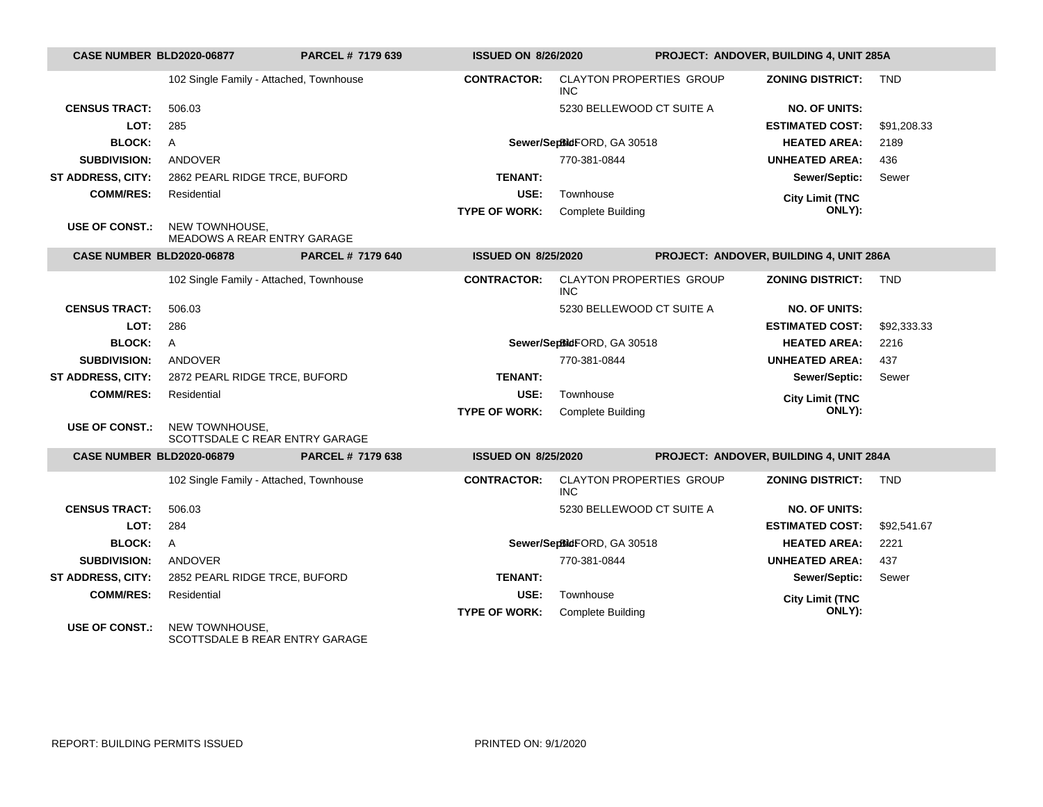| CASE NUMBER BLD2020-06877        |                                                  | PARCEL # 7179 639        | <b>ISSUED ON 8/26/2020</b> |                                               | PROJECT: ANDOVER, BUILDING 4, UNIT 285A |             |
|----------------------------------|--------------------------------------------------|--------------------------|----------------------------|-----------------------------------------------|-----------------------------------------|-------------|
|                                  | 102 Single Family - Attached, Townhouse          |                          | <b>CONTRACTOR:</b>         | <b>CLAYTON PROPERTIES GROUP</b><br><b>INC</b> | <b>ZONING DISTRICT:</b>                 | <b>TND</b>  |
| <b>CENSUS TRACT:</b>             | 506.03                                           |                          |                            | 5230 BELLEWOOD CT SUITE A                     | <b>NO. OF UNITS:</b>                    |             |
| LOT:                             | 285                                              |                          |                            |                                               | <b>ESTIMATED COST:</b>                  | \$91,208.33 |
| <b>BLOCK:</b>                    | A                                                |                          |                            | Sewer/SepBidFORD, GA 30518                    | <b>HEATED AREA:</b>                     | 2189        |
| <b>SUBDIVISION:</b>              | ANDOVER                                          |                          |                            | 770-381-0844                                  | <b>UNHEATED AREA:</b>                   | 436         |
| ST ADDRESS, CITY:                | 2862 PEARL RIDGE TRCE, BUFORD                    |                          | <b>TENANT:</b>             |                                               | Sewer/Septic:                           | Sewer       |
| <b>COMM/RES:</b>                 | Residential                                      |                          | USE:                       | Townhouse                                     | <b>City Limit (TNC</b>                  |             |
|                                  |                                                  |                          | <b>TYPE OF WORK:</b>       | Complete Building                             | ONLY):                                  |             |
| <b>USE OF CONST.:</b>            | NEW TOWNHOUSE,<br>MEADOWS A REAR ENTRY GARAGE    |                          |                            |                                               |                                         |             |
| <b>CASE NUMBER BLD2020-06878</b> |                                                  | <b>PARCEL # 7179 640</b> | <b>ISSUED ON 8/25/2020</b> |                                               | PROJECT: ANDOVER, BUILDING 4, UNIT 286A |             |
|                                  | 102 Single Family - Attached, Townhouse          |                          | <b>CONTRACTOR:</b>         | <b>CLAYTON PROPERTIES GROUP</b><br><b>INC</b> | <b>ZONING DISTRICT:</b>                 | <b>TND</b>  |
| <b>CENSUS TRACT:</b>             | 506.03                                           |                          |                            | 5230 BELLEWOOD CT SUITE A                     | <b>NO. OF UNITS:</b>                    |             |
| LOT:                             | 286                                              |                          |                            |                                               | <b>ESTIMATED COST:</b>                  | \$92,333.33 |
| <b>BLOCK:</b>                    | $\mathsf{A}$                                     |                          |                            | Sewer/SepBidFORD, GA 30518                    | <b>HEATED AREA:</b>                     | 2216        |
| <b>SUBDIVISION:</b>              | <b>ANDOVER</b>                                   |                          |                            | 770-381-0844                                  | <b>UNHEATED AREA:</b>                   | 437         |
| <b>ST ADDRESS, CITY:</b>         | 2872 PEARL RIDGE TRCE, BUFORD                    |                          | <b>TENANT:</b>             |                                               | Sewer/Septic:                           | Sewer       |
| <b>COMM/RES:</b>                 | Residential                                      |                          | USE:                       | Townhouse                                     | <b>City Limit (TNC</b>                  |             |
|                                  |                                                  |                          | <b>TYPE OF WORK:</b>       | <b>Complete Building</b>                      | ONLY):                                  |             |
| <b>USE OF CONST.:</b>            | NEW TOWNHOUSE,<br>SCOTTSDALE C REAR ENTRY GARAGE |                          |                            |                                               |                                         |             |
| <b>CASE NUMBER BLD2020-06879</b> |                                                  | PARCEL # 7179 638        | <b>ISSUED ON 8/25/2020</b> |                                               | PROJECT: ANDOVER, BUILDING 4, UNIT 284A |             |
|                                  | 102 Single Family - Attached, Townhouse          |                          | <b>CONTRACTOR:</b>         | <b>CLAYTON PROPERTIES GROUP</b><br><b>INC</b> | <b>ZONING DISTRICT:</b>                 | <b>TND</b>  |
| <b>CENSUS TRACT:</b>             | 506.03                                           |                          |                            | 5230 BELLEWOOD CT SUITE A                     | <b>NO. OF UNITS:</b>                    |             |
| LOT:                             | 284                                              |                          |                            |                                               | <b>ESTIMATED COST:</b>                  | \$92,541.67 |
| <b>BLOCK:</b>                    | $\mathsf{A}$                                     |                          |                            | Sewer/SepBidFORD, GA 30518                    | <b>HEATED AREA:</b>                     | 2221        |
| <b>SUBDIVISION:</b>              | ANDOVER                                          |                          |                            | 770-381-0844                                  | <b>UNHEATED AREA:</b>                   | 437         |
| <b>ST ADDRESS, CITY:</b>         | 2852 PEARL RIDGE TRCE, BUFORD                    |                          | <b>TENANT:</b>             |                                               | Sewer/Septic:                           | Sewer       |
| <b>COMM/RES:</b>                 | Residential                                      |                          | USE:                       | Townhouse                                     | <b>City Limit (TNC</b>                  |             |
|                                  |                                                  |                          | <b>TYPE OF WORK:</b>       | <b>Complete Building</b>                      | ONLY):                                  |             |
| <b>USE OF CONST.:</b>            | NEW TOWNHOUSE.<br>SCOTTSDALE B REAR ENTRY GARAGE |                          |                            |                                               |                                         |             |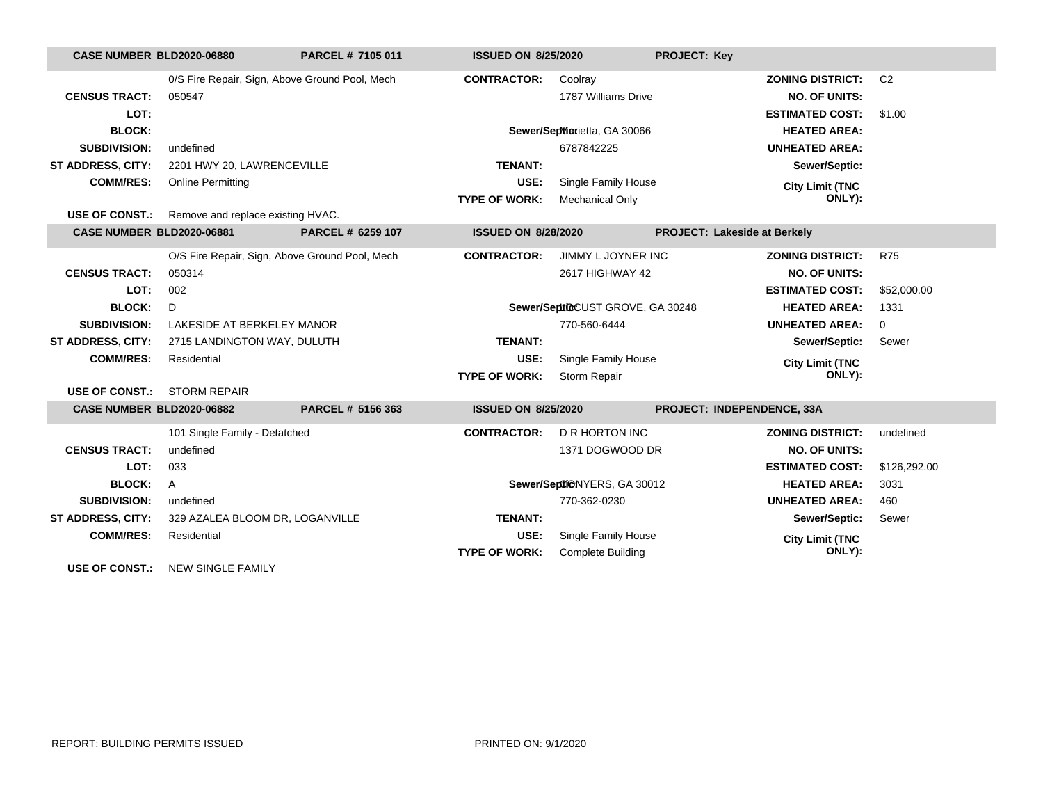| <b>CASE NUMBER BLD2020-06880</b> |                                                         | PARCEL # 7105 011 | <b>ISSUED ON 8/25/2020</b> |                                  | <b>PROJECT: Key</b>          |                |
|----------------------------------|---------------------------------------------------------|-------------------|----------------------------|----------------------------------|------------------------------|----------------|
|                                  | 0/S Fire Repair, Sign, Above Ground Pool, Mech          |                   | <b>CONTRACTOR:</b>         | Coolray                          | <b>ZONING DISTRICT:</b>      | C <sub>2</sub> |
| <b>CENSUS TRACT:</b>             | 050547                                                  |                   |                            | 1787 Williams Drive              | <b>NO. OF UNITS:</b>         |                |
| LOT:                             |                                                         |                   |                            |                                  | <b>ESTIMATED COST:</b>       | \$1.00         |
| <b>BLOCK:</b>                    |                                                         |                   |                            | Sewer/SepWarietta, GA 30066      | <b>HEATED AREA:</b>          |                |
| <b>SUBDIVISION:</b>              | undefined                                               |                   |                            | 6787842225                       | <b>UNHEATED AREA:</b>        |                |
| <b>ST ADDRESS, CITY:</b>         | 2201 HWY 20, LAWRENCEVILLE                              |                   | <b>TENANT:</b>             |                                  | Sewer/Septic:                |                |
| <b>COMM/RES:</b>                 | <b>Online Permitting</b>                                |                   | USE:                       | Single Family House              | <b>City Limit (TNC</b>       |                |
|                                  |                                                         |                   | <b>TYPE OF WORK:</b>       | <b>Mechanical Only</b>           | ONLY):                       |                |
|                                  | <b>USE OF CONST.:</b> Remove and replace existing HVAC. |                   |                            |                                  |                              |                |
| <b>CASE NUMBER BLD2020-06881</b> |                                                         | PARCEL # 6259 107 | <b>ISSUED ON 8/28/2020</b> |                                  | PROJECT: Lakeside at Berkely |                |
|                                  | O/S Fire Repair, Sign, Above Ground Pool, Mech          |                   | <b>CONTRACTOR:</b>         | JIMMY L JOYNER INC               | <b>ZONING DISTRICT:</b>      | <b>R75</b>     |
| <b>CENSUS TRACT:</b>             | 050314                                                  |                   |                            | 2617 HIGHWAY 42                  | <b>NO. OF UNITS:</b>         |                |
| LOT:                             | 002                                                     |                   |                            |                                  | <b>ESTIMATED COST:</b>       | \$52,000.00    |
| <b>BLOCK:</b>                    | D                                                       |                   |                            | Sewer/Septt@CUST GROVE, GA 30248 | <b>HEATED AREA:</b>          | 1331           |
| <b>SUBDIVISION:</b>              | LAKESIDE AT BERKELEY MANOR                              |                   |                            | 770-560-6444                     | <b>UNHEATED AREA:</b>        | $\Omega$       |
| <b>ST ADDRESS, CITY:</b>         | 2715 LANDINGTON WAY, DULUTH                             |                   | <b>TENANT:</b>             |                                  | Sewer/Septic:                | Sewer          |
| <b>COMM/RES:</b>                 | Residential                                             |                   | USE:                       | Single Family House              | <b>City Limit (TNC</b>       |                |
|                                  |                                                         |                   | <b>TYPE OF WORK:</b>       | Storm Repair                     | ONLY):                       |                |
| USE OF CONST.:                   | <b>STORM REPAIR</b>                                     |                   |                            |                                  |                              |                |
| CASE NUMBER BLD2020-06882        |                                                         | PARCEL # 5156 363 | <b>ISSUED ON 8/25/2020</b> |                                  | PROJECT: INDEPENDENCE, 33A   |                |
|                                  | 101 Single Family - Detatched                           |                   | <b>CONTRACTOR:</b>         | D R HORTON INC                   | <b>ZONING DISTRICT:</b>      | undefined      |
| <b>CENSUS TRACT:</b>             | undefined                                               |                   |                            | 1371 DOGWOOD DR                  | <b>NO. OF UNITS:</b>         |                |
| LOT:                             | 033                                                     |                   |                            |                                  | <b>ESTIMATED COST:</b>       | \$126,292.00   |
| <b>BLOCK:</b>                    | A                                                       |                   |                            | Sewer/SeptiONYERS, GA 30012      | <b>HEATED AREA:</b>          | 3031           |
| <b>SUBDIVISION:</b>              | undefined                                               |                   |                            | 770-362-0230                     | <b>UNHEATED AREA:</b>        | 460            |
| <b>ST ADDRESS, CITY:</b>         | 329 AZALEA BLOOM DR, LOGANVILLE                         |                   | <b>TENANT:</b>             |                                  | Sewer/Septic:                | Sewer          |
| <b>COMM/RES:</b>                 | Residential                                             |                   | USE:                       | Single Family House              | <b>City Limit (TNC</b>       |                |
|                                  |                                                         |                   | <b>TYPE OF WORK:</b>       | <b>Complete Building</b>         | ONLY):                       |                |
| <b>USE OF CONST.:</b>            | <b>NEW SINGLE FAMILY</b>                                |                   |                            |                                  |                              |                |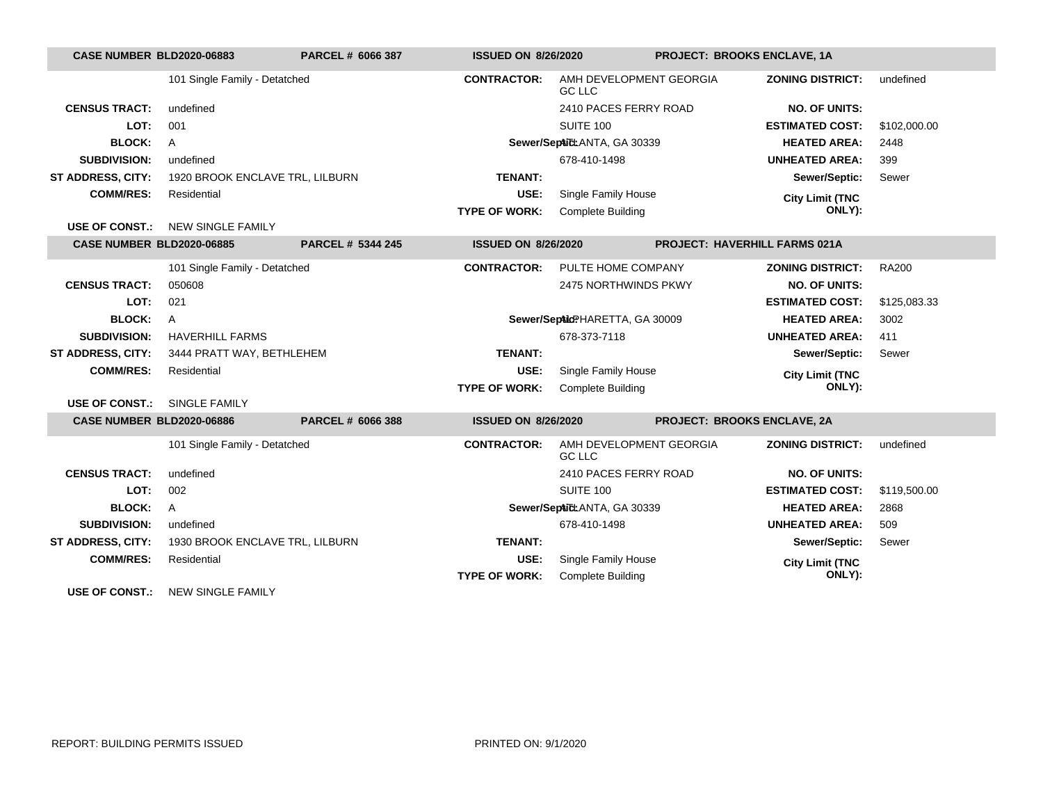| <b>CASE NUMBER BLD2020-06883</b> |                                 | PARCEL # 6066 387 | <b>ISSUED ON 8/26/2020</b> |                                          | <b>PROJECT: BROOKS ENCLAVE, 1A</b>   |                         |              |
|----------------------------------|---------------------------------|-------------------|----------------------------|------------------------------------------|--------------------------------------|-------------------------|--------------|
|                                  | 101 Single Family - Detatched   |                   | <b>CONTRACTOR:</b>         | AMH DEVELOPMENT GEORGIA<br><b>GC LLC</b> |                                      | <b>ZONING DISTRICT:</b> | undefined    |
| <b>CENSUS TRACT:</b>             | undefined                       |                   |                            | 2410 PACES FERRY ROAD                    |                                      | <b>NO. OF UNITS:</b>    |              |
| LOT:                             | 001                             |                   |                            | <b>SUITE 100</b>                         |                                      | <b>ESTIMATED COST:</b>  | \$102,000.00 |
| <b>BLOCK:</b>                    | $\overline{A}$                  |                   |                            | Sewer/SepAid: ANTA, GA 30339             |                                      | <b>HEATED AREA:</b>     | 2448         |
| <b>SUBDIVISION:</b>              | undefined                       |                   |                            | 678-410-1498                             |                                      | <b>UNHEATED AREA:</b>   | 399          |
| ST ADDRESS, CITY:                | 1920 BROOK ENCLAVE TRL, LILBURN |                   | <b>TENANT:</b>             |                                          |                                      | Sewer/Septic:           | Sewer        |
| <b>COMM/RES:</b>                 | Residential                     |                   | USE:                       | Single Family House                      |                                      | <b>City Limit (TNC</b>  |              |
|                                  |                                 |                   | <b>TYPE OF WORK:</b>       | <b>Complete Building</b>                 |                                      | ONLY):                  |              |
| <b>USE OF CONST.:</b>            | <b>NEW SINGLE FAMILY</b>        |                   |                            |                                          |                                      |                         |              |
| <b>CASE NUMBER BLD2020-06885</b> |                                 | PARCEL # 5344 245 | <b>ISSUED ON 8/26/2020</b> |                                          | <b>PROJECT: HAVERHILL FARMS 021A</b> |                         |              |
|                                  | 101 Single Family - Detatched   |                   | <b>CONTRACTOR:</b>         | PULTE HOME COMPANY                       |                                      | <b>ZONING DISTRICT:</b> | <b>RA200</b> |
| <b>CENSUS TRACT:</b>             | 050608                          |                   |                            | 2475 NORTHWINDS PKWY                     |                                      | <b>NO. OF UNITS:</b>    |              |
| LOT:                             | 021                             |                   |                            |                                          |                                      | <b>ESTIMATED COST:</b>  | \$125,083.33 |
| <b>BLOCK:</b>                    | $\overline{A}$                  |                   |                            | Sewer/SepAidPHARETTA, GA 30009           |                                      | <b>HEATED AREA:</b>     | 3002         |
| <b>SUBDIVISION:</b>              | <b>HAVERHILL FARMS</b>          |                   |                            | 678-373-7118                             |                                      | <b>UNHEATED AREA:</b>   | 411          |
| <b>ST ADDRESS, CITY:</b>         | 3444 PRATT WAY, BETHLEHEM       |                   | <b>TENANT:</b>             |                                          |                                      | Sewer/Septic:           | Sewer        |
| <b>COMM/RES:</b>                 | Residential                     |                   | USE:                       | Single Family House                      |                                      | <b>City Limit (TNC</b>  |              |
|                                  |                                 |                   | <b>TYPE OF WORK:</b>       | <b>Complete Building</b>                 |                                      | ONLY):                  |              |
| <b>USE OF CONST.:</b>            | <b>SINGLE FAMILY</b>            |                   |                            |                                          |                                      |                         |              |
| <b>CASE NUMBER BLD2020-06886</b> |                                 | PARCEL # 6066 388 | <b>ISSUED ON 8/26/2020</b> |                                          | <b>PROJECT: BROOKS ENCLAVE, 2A</b>   |                         |              |
|                                  | 101 Single Family - Detatched   |                   | <b>CONTRACTOR:</b>         | AMH DEVELOPMENT GEORGIA<br><b>GC LLC</b> |                                      | <b>ZONING DISTRICT:</b> | undefined    |
| <b>CENSUS TRACT:</b>             | undefined                       |                   |                            | 2410 PACES FERRY ROAD                    |                                      | <b>NO. OF UNITS:</b>    |              |
| LOT:                             | 002                             |                   |                            | SUITE 100                                |                                      | <b>ESTIMATED COST:</b>  | \$119,500.00 |
| <b>BLOCK:</b>                    | $\mathsf{A}$                    |                   |                            | Sewer/SepAid: ANTA, GA 30339             |                                      | <b>HEATED AREA:</b>     | 2868         |
| <b>SUBDIVISION:</b>              | undefined                       |                   |                            | 678-410-1498                             |                                      | <b>UNHEATED AREA:</b>   | 509          |
| <b>ST ADDRESS, CITY:</b>         | 1930 BROOK ENCLAVE TRL, LILBURN |                   | <b>TENANT:</b>             |                                          |                                      | Sewer/Septic:           | Sewer        |
| <b>COMM/RES:</b>                 | Residential                     |                   | USE:                       | Single Family House                      |                                      | <b>City Limit (TNC</b>  |              |
|                                  |                                 |                   | <b>TYPE OF WORK:</b>       | <b>Complete Building</b>                 |                                      | ONLY):                  |              |
| <b>USE OF CONST.:</b>            | <b>NEW SINGLE FAMILY</b>        |                   |                            |                                          |                                      |                         |              |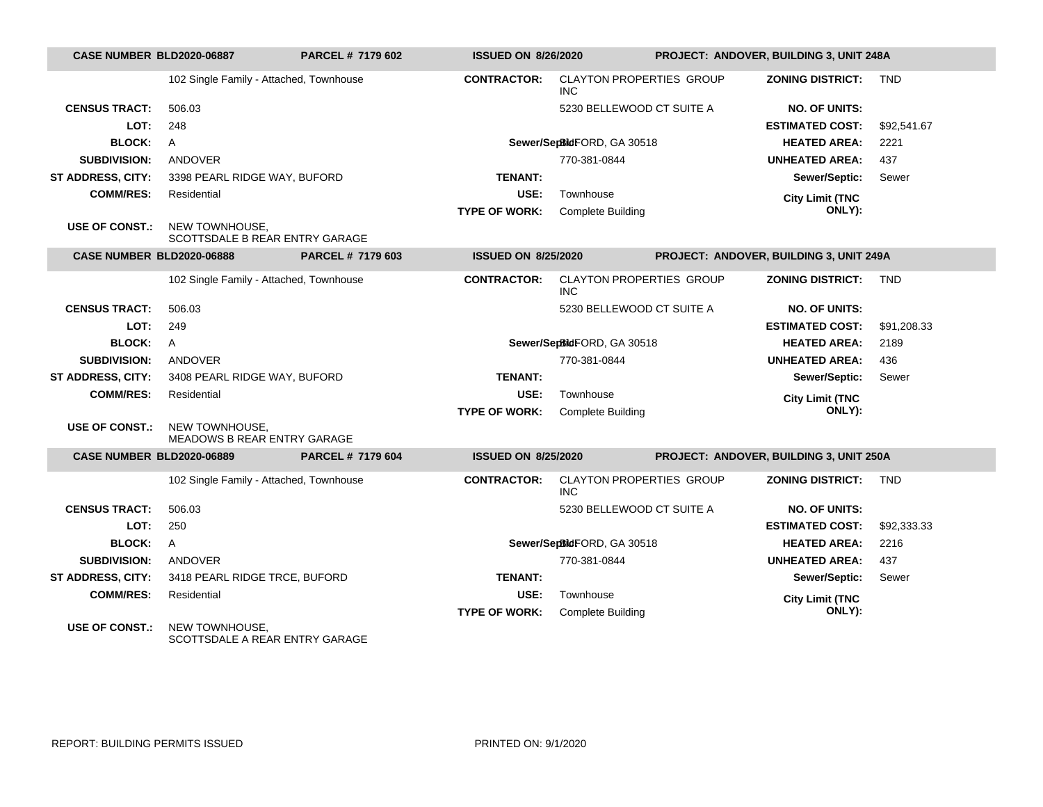| CASE NUMBER BLD2020-06887        |                                                      | PARCEL # 7179 602 | <b>ISSUED ON 8/26/2020</b> |                                               |  | PROJECT: ANDOVER, BUILDING 3, UNIT 248A |             |  |
|----------------------------------|------------------------------------------------------|-------------------|----------------------------|-----------------------------------------------|--|-----------------------------------------|-------------|--|
|                                  | 102 Single Family - Attached, Townhouse              |                   | <b>CONTRACTOR:</b>         | <b>CLAYTON PROPERTIES GROUP</b><br><b>INC</b> |  | <b>ZONING DISTRICT:</b>                 | <b>TND</b>  |  |
| <b>CENSUS TRACT:</b>             | 506.03                                               |                   |                            | 5230 BELLEWOOD CT SUITE A                     |  | <b>NO. OF UNITS:</b>                    |             |  |
| LOT:                             | 248                                                  |                   |                            |                                               |  | <b>ESTIMATED COST:</b>                  | \$92.541.67 |  |
| <b>BLOCK:</b>                    | A                                                    |                   |                            | Sewer/SepBidFORD, GA 30518                    |  | <b>HEATED AREA:</b>                     | 2221        |  |
| <b>SUBDIVISION:</b>              | <b>ANDOVER</b>                                       |                   |                            | 770-381-0844                                  |  | <b>UNHEATED AREA:</b>                   | 437         |  |
| ST ADDRESS, CITY:                | 3398 PEARL RIDGE WAY, BUFORD                         |                   | <b>TENANT:</b>             |                                               |  | Sewer/Septic:                           | Sewer       |  |
| <b>COMM/RES:</b>                 | Residential                                          |                   | USE:                       | Townhouse                                     |  | <b>City Limit (TNC</b>                  |             |  |
|                                  |                                                      |                   | <b>TYPE OF WORK:</b>       | Complete Building                             |  | ONLY):                                  |             |  |
| <b>USE OF CONST.:</b>            | NEW TOWNHOUSE,<br>SCOTTSDALE B REAR ENTRY GARAGE     |                   |                            |                                               |  |                                         |             |  |
| <b>CASE NUMBER BLD2020-06888</b> |                                                      | PARCEL # 7179 603 | <b>ISSUED ON 8/25/2020</b> |                                               |  | PROJECT: ANDOVER, BUILDING 3, UNIT 249A |             |  |
|                                  | 102 Single Family - Attached, Townhouse              |                   | <b>CONTRACTOR:</b>         | <b>CLAYTON PROPERTIES GROUP</b><br><b>INC</b> |  | <b>ZONING DISTRICT:</b>                 | <b>TND</b>  |  |
| <b>CENSUS TRACT:</b>             | 506.03                                               |                   |                            | 5230 BELLEWOOD CT SUITE A                     |  | <b>NO. OF UNITS:</b>                    |             |  |
| LOT:                             | 249                                                  |                   |                            |                                               |  | <b>ESTIMATED COST:</b>                  | \$91,208.33 |  |
| <b>BLOCK:</b>                    | $\mathsf{A}$                                         |                   |                            | Sewer/SepBidFORD, GA 30518                    |  | <b>HEATED AREA:</b>                     | 2189        |  |
| <b>SUBDIVISION:</b>              | <b>ANDOVER</b>                                       |                   |                            | 770-381-0844                                  |  | <b>UNHEATED AREA:</b>                   | 436         |  |
| <b>ST ADDRESS, CITY:</b>         | 3408 PEARL RIDGE WAY, BUFORD                         |                   | <b>TENANT:</b>             |                                               |  | Sewer/Septic:                           | Sewer       |  |
| <b>COMM/RES:</b>                 | Residential                                          |                   | USE:                       | Townhouse                                     |  | <b>City Limit (TNC</b>                  |             |  |
|                                  |                                                      |                   | <b>TYPE OF WORK:</b>       | <b>Complete Building</b>                      |  | ONLY):                                  |             |  |
| <b>USE OF CONST.:</b>            | NEW TOWNHOUSE,<br><b>MEADOWS B REAR ENTRY GARAGE</b> |                   |                            |                                               |  |                                         |             |  |
| <b>CASE NUMBER BLD2020-06889</b> |                                                      | PARCEL # 7179 604 | <b>ISSUED ON 8/25/2020</b> |                                               |  | PROJECT: ANDOVER, BUILDING 3, UNIT 250A |             |  |
|                                  | 102 Single Family - Attached, Townhouse              |                   | <b>CONTRACTOR:</b>         | CLAYTON PROPERTIES GROUP<br><b>INC</b>        |  | <b>ZONING DISTRICT:</b>                 | <b>TND</b>  |  |
| <b>CENSUS TRACT:</b>             | 506.03                                               |                   |                            | 5230 BELLEWOOD CT SUITE A                     |  | <b>NO. OF UNITS:</b>                    |             |  |
| LOT:                             | 250                                                  |                   |                            |                                               |  | <b>ESTIMATED COST:</b>                  | \$92,333.33 |  |
| <b>BLOCK:</b>                    | $\mathsf{A}$                                         |                   |                            | Sewer/SepBidFORD, GA 30518                    |  | <b>HEATED AREA:</b>                     | 2216        |  |
| <b>SUBDIVISION:</b>              | ANDOVER                                              |                   |                            | 770-381-0844                                  |  | <b>UNHEATED AREA:</b>                   | 437         |  |
| <b>ST ADDRESS, CITY:</b>         | 3418 PEARL RIDGE TRCE, BUFORD                        |                   | <b>TENANT:</b>             |                                               |  | Sewer/Septic:                           | Sewer       |  |
| <b>COMM/RES:</b>                 | Residential                                          |                   | USE:                       | Townhouse                                     |  | <b>City Limit (TNC</b>                  |             |  |
|                                  |                                                      |                   | <b>TYPE OF WORK:</b>       | <b>Complete Building</b>                      |  | ONLY):                                  |             |  |
| <b>USE OF CONST.:</b>            | NEW TOWNHOUSE.<br>SCOTTSDALE A REAR ENTRY GARAGE     |                   |                            |                                               |  |                                         |             |  |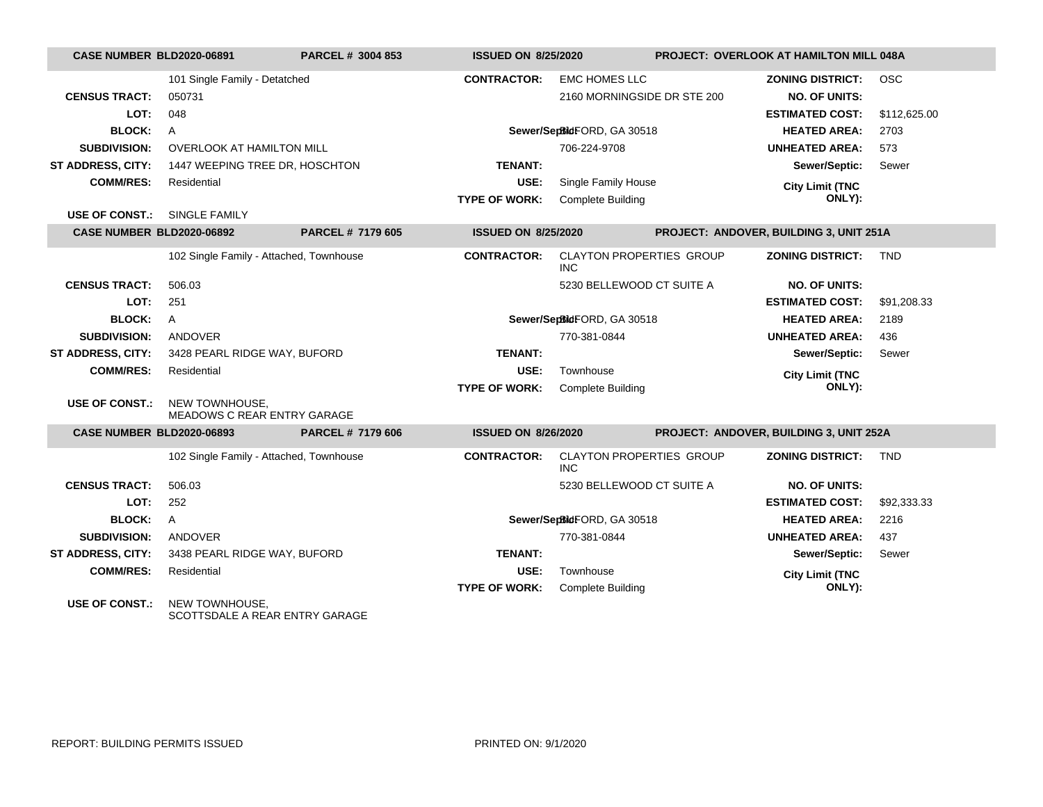| <b>CASE NUMBER BLD2020-06891</b>    |                                                  | PARCEL # 3004 853        | <b>ISSUED ON 8/25/2020</b> |                                                     |  | <b>PROJECT: OVERLOOK AT HAMILTON MILL 048A</b>                            |                            |
|-------------------------------------|--------------------------------------------------|--------------------------|----------------------------|-----------------------------------------------------|--|---------------------------------------------------------------------------|----------------------------|
| <b>CENSUS TRACT:</b><br>LOT:        | 101 Single Family - Detatched<br>050731<br>048   |                          | <b>CONTRACTOR:</b>         | <b>EMC HOMES LLC</b><br>2160 MORNINGSIDE DR STE 200 |  | <b>ZONING DISTRICT:</b><br><b>NO. OF UNITS:</b><br><b>ESTIMATED COST:</b> | <b>OSC</b><br>\$112,625.00 |
| <b>BLOCK:</b>                       | $\overline{A}$                                   |                          |                            | Sewer/SepBidFORD, GA 30518                          |  | <b>HEATED AREA:</b>                                                       | 2703                       |
| <b>SUBDIVISION:</b>                 | <b>OVERLOOK AT HAMILTON MILL</b>                 |                          |                            | 706-224-9708                                        |  | <b>UNHEATED AREA:</b>                                                     | 573                        |
| <b>ST ADDRESS, CITY:</b>            | 1447 WEEPING TREE DR, HOSCHTON                   |                          | <b>TENANT:</b>             |                                                     |  | Sewer/Septic:                                                             | Sewer                      |
| <b>COMM/RES:</b>                    | Residential                                      |                          | USE:                       | Single Family House                                 |  |                                                                           |                            |
|                                     |                                                  |                          | <b>TYPE OF WORK:</b>       | <b>Complete Building</b>                            |  | <b>City Limit (TNC</b><br>ONLY):                                          |                            |
| <b>USE OF CONST.: SINGLE FAMILY</b> |                                                  |                          |                            |                                                     |  |                                                                           |                            |
| <b>CASE NUMBER BLD2020-06892</b>    |                                                  | <b>PARCEL # 7179 605</b> | <b>ISSUED ON 8/25/2020</b> |                                                     |  | PROJECT: ANDOVER, BUILDING 3, UNIT 251A                                   |                            |
|                                     | 102 Single Family - Attached, Townhouse          |                          | <b>CONTRACTOR:</b>         | <b>CLAYTON PROPERTIES GROUP</b><br><b>INC</b>       |  | <b>ZONING DISTRICT:</b>                                                   | <b>TND</b>                 |
| <b>CENSUS TRACT:</b>                | 506.03                                           |                          |                            | 5230 BELLEWOOD CT SUITE A                           |  | <b>NO. OF UNITS:</b>                                                      |                            |
| LOT:                                | 251                                              |                          |                            |                                                     |  | <b>ESTIMATED COST:</b>                                                    | \$91,208.33                |
| <b>BLOCK:</b>                       | A                                                |                          |                            | Sewer/SepBidFORD, GA 30518                          |  | <b>HEATED AREA:</b>                                                       | 2189                       |
| <b>SUBDIVISION:</b>                 | ANDOVER                                          |                          |                            | 770-381-0844                                        |  | <b>UNHEATED AREA:</b>                                                     | 436                        |
| <b>ST ADDRESS, CITY:</b>            | 3428 PEARL RIDGE WAY, BUFORD                     |                          | <b>TENANT:</b>             |                                                     |  | Sewer/Septic:                                                             | Sewer                      |
| <b>COMM/RES:</b>                    | Residential                                      |                          | USE:                       | Townhouse                                           |  | <b>City Limit (TNC</b>                                                    |                            |
|                                     |                                                  |                          | <b>TYPE OF WORK:</b>       | <b>Complete Building</b>                            |  | ONLY):                                                                    |                            |
| <b>USE OF CONST.:</b>               | NEW TOWNHOUSE,<br>MEADOWS C REAR ENTRY GARAGE    |                          |                            |                                                     |  |                                                                           |                            |
| <b>CASE NUMBER BLD2020-06893</b>    |                                                  | PARCEL # 7179 606        | <b>ISSUED ON 8/26/2020</b> |                                                     |  | PROJECT: ANDOVER, BUILDING 3, UNIT 252A                                   |                            |
|                                     | 102 Single Family - Attached, Townhouse          |                          | <b>CONTRACTOR:</b>         | <b>CLAYTON PROPERTIES GROUP</b><br>INC.             |  | <b>ZONING DISTRICT:</b>                                                   | <b>TND</b>                 |
| <b>CENSUS TRACT:</b>                | 506.03                                           |                          |                            | 5230 BELLEWOOD CT SUITE A                           |  | <b>NO. OF UNITS:</b>                                                      |                            |
| LOT:                                | 252                                              |                          |                            |                                                     |  | <b>ESTIMATED COST:</b>                                                    | \$92,333.33                |
| <b>BLOCK:</b>                       | $\mathsf{A}$                                     |                          |                            | Sewer/SepBidFORD, GA 30518                          |  | <b>HEATED AREA:</b>                                                       | 2216                       |
| <b>SUBDIVISION:</b>                 | ANDOVER                                          |                          |                            | 770-381-0844                                        |  | <b>UNHEATED AREA:</b>                                                     | 437                        |
| ST ADDRESS, CITY:                   | 3438 PEARL RIDGE WAY, BUFORD                     |                          | <b>TENANT:</b>             |                                                     |  | Sewer/Septic:                                                             | Sewer                      |
| <b>COMM/RES:</b>                    | Residential                                      |                          | USE:                       | Townhouse                                           |  | <b>City Limit (TNC</b>                                                    |                            |
|                                     |                                                  |                          | <b>TYPE OF WORK:</b>       | <b>Complete Building</b>                            |  | ONLY):                                                                    |                            |
| <b>USE OF CONST.:</b>               | NEW TOWNHOUSE.<br>SCOTTSDALE A REAR ENTRY GARAGE |                          |                            |                                                     |  |                                                                           |                            |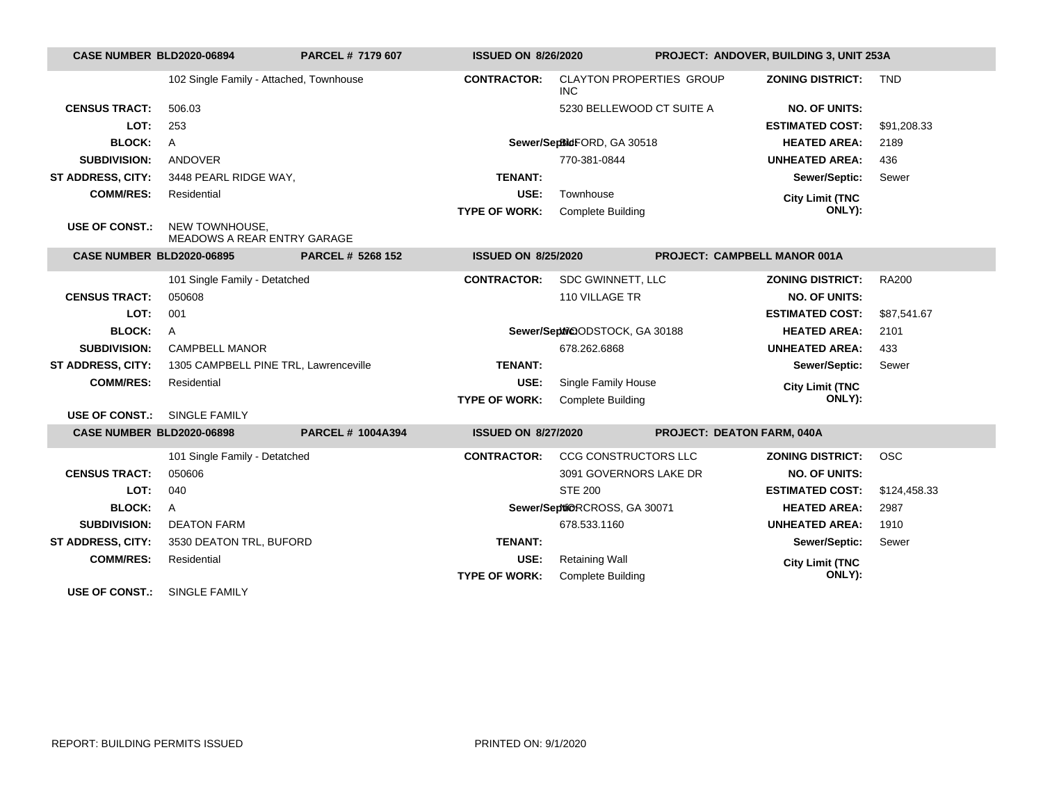| <b>CASE NUMBER BLD2020-06894</b> |                                               | PARCEL # 7179 607        | <b>ISSUED ON 8/26/2020</b> |                                               |                            | PROJECT: ANDOVER, BUILDING 3, UNIT 253A |              |
|----------------------------------|-----------------------------------------------|--------------------------|----------------------------|-----------------------------------------------|----------------------------|-----------------------------------------|--------------|
|                                  | 102 Single Family - Attached, Townhouse       |                          | <b>CONTRACTOR:</b>         | <b>CLAYTON PROPERTIES GROUP</b><br><b>INC</b> |                            | <b>ZONING DISTRICT:</b>                 | <b>TND</b>   |
| <b>CENSUS TRACT:</b>             | 506.03                                        |                          |                            | 5230 BELLEWOOD CT SUITE A                     |                            | <b>NO. OF UNITS:</b>                    |              |
| LOT:                             | 253                                           |                          |                            |                                               |                            | <b>ESTIMATED COST:</b>                  | \$91,208.33  |
| <b>BLOCK:</b>                    | $\mathsf{A}$                                  |                          |                            | Sewer/SepBidFORD, GA 30518                    |                            | <b>HEATED AREA:</b>                     | 2189         |
| <b>SUBDIVISION:</b>              | ANDOVER                                       |                          |                            | 770-381-0844                                  |                            | <b>UNHEATED AREA:</b>                   | 436          |
| <b>ST ADDRESS, CITY:</b>         | 3448 PEARL RIDGE WAY,                         |                          | <b>TENANT:</b>             |                                               |                            | Sewer/Septic:                           | Sewer        |
| <b>COMM/RES:</b>                 | Residential                                   |                          | USE:                       | Townhouse                                     |                            | <b>City Limit (TNC</b>                  |              |
|                                  |                                               |                          | <b>TYPE OF WORK:</b>       | <b>Complete Building</b>                      |                            | ONLY):                                  |              |
| <b>USE OF CONST.:</b>            | NEW TOWNHOUSE.<br>MEADOWS A REAR ENTRY GARAGE |                          |                            |                                               |                            |                                         |              |
| <b>CASE NUMBER BLD2020-06895</b> |                                               | <b>PARCEL # 5268 152</b> | <b>ISSUED ON 8/25/2020</b> |                                               |                            | PROJECT: CAMPBELL MANOR 001A            |              |
|                                  | 101 Single Family - Detatched                 |                          | <b>CONTRACTOR:</b>         | SDC GWINNETT, LLC                             |                            | <b>ZONING DISTRICT:</b>                 | <b>RA200</b> |
| <b>CENSUS TRACT:</b>             | 050608                                        |                          |                            | 110 VILLAGE TR                                |                            | <b>NO. OF UNITS:</b>                    |              |
| LOT:                             | 001                                           |                          |                            |                                               |                            | <b>ESTIMATED COST:</b>                  | \$87,541.67  |
| <b>BLOCK:</b>                    | $\mathsf{A}$                                  |                          |                            | Sewer/Septil@ODSTOCK, GA 30188                |                            | <b>HEATED AREA:</b>                     | 2101         |
| <b>SUBDIVISION:</b>              | <b>CAMPBELL MANOR</b>                         |                          |                            | 678.262.6868                                  |                            | <b>UNHEATED AREA:</b>                   | 433          |
| <b>ST ADDRESS, CITY:</b>         | 1305 CAMPBELL PINE TRL, Lawrenceville         |                          | <b>TENANT:</b>             |                                               |                            | Sewer/Septic:                           | Sewer        |
| <b>COMM/RES:</b>                 | Residential                                   |                          | USE:                       | Single Family House                           |                            | <b>City Limit (TNC</b>                  |              |
|                                  |                                               |                          | <b>TYPE OF WORK:</b>       | <b>Complete Building</b>                      |                            | ONLY):                                  |              |
| <b>USE OF CONST.:</b>            | SINGLE FAMILY                                 |                          |                            |                                               |                            |                                         |              |
| <b>CASE NUMBER BLD2020-06898</b> |                                               | <b>PARCEL # 1004A394</b> | <b>ISSUED ON 8/27/2020</b> |                                               | PROJECT: DEATON FARM, 040A |                                         |              |
|                                  | 101 Single Family - Detatched                 |                          | <b>CONTRACTOR:</b>         | CCG CONSTRUCTORS LLC                          |                            | <b>ZONING DISTRICT:</b>                 | <b>OSC</b>   |
| <b>CENSUS TRACT:</b>             | 050606                                        |                          |                            | 3091 GOVERNORS LAKE DR                        |                            | <b>NO. OF UNITS:</b>                    |              |
| LOT:                             | 040                                           |                          |                            | <b>STE 200</b>                                |                            | <b>ESTIMATED COST:</b>                  | \$124,458.33 |
| <b>BLOCK:</b>                    | $\mathsf{A}$                                  |                          |                            | Sewer/Septi@RCROSS, GA 30071                  |                            | <b>HEATED AREA:</b>                     | 2987         |
| <b>SUBDIVISION:</b>              | <b>DEATON FARM</b>                            |                          |                            | 678.533.1160                                  |                            | <b>UNHEATED AREA:</b>                   | 1910         |
| <b>ST ADDRESS, CITY:</b>         | 3530 DEATON TRL, BUFORD                       |                          | <b>TENANT:</b>             |                                               |                            | Sewer/Septic:                           | Sewer        |
| <b>COMM/RES:</b>                 | Residential                                   |                          | USE:                       | <b>Retaining Wall</b>                         |                            | <b>City Limit (TNC</b>                  |              |
|                                  |                                               |                          | <b>TYPE OF WORK:</b>       | <b>Complete Building</b>                      |                            | ONLY):                                  |              |
| <b>USE OF CONST.:</b>            | SINGLE FAMILY                                 |                          |                            |                                               |                            |                                         |              |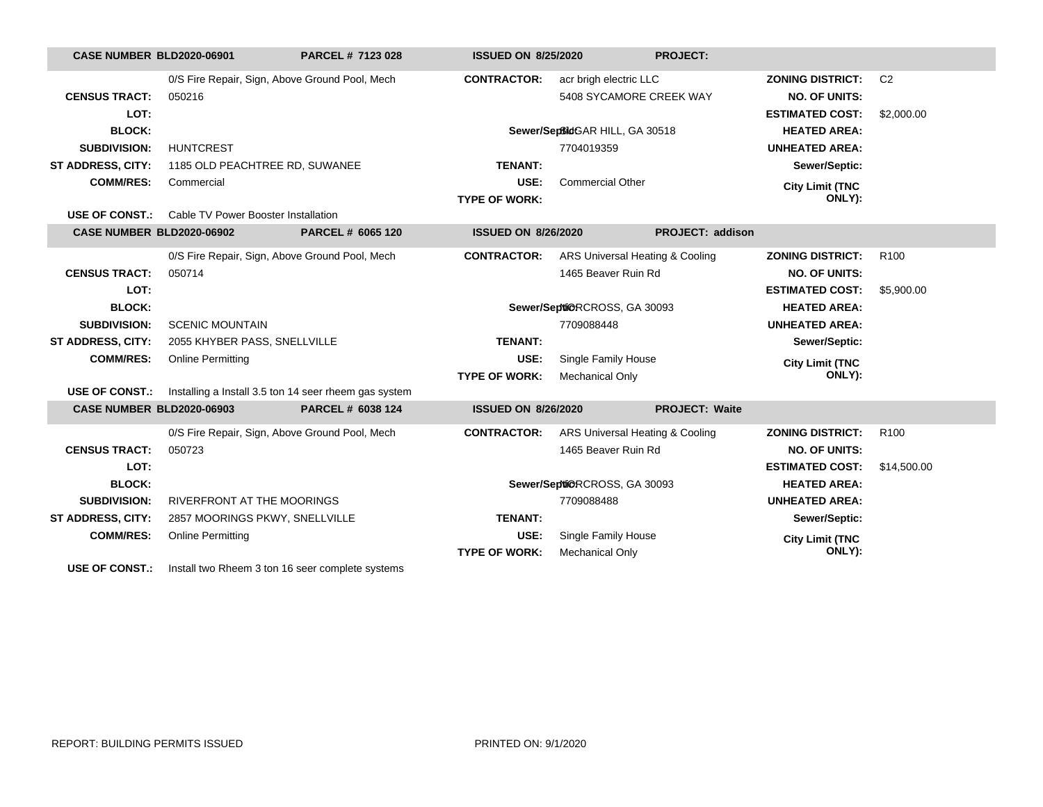| <b>CASE NUMBER BLD2020-06901</b> |                                                           | PARCEL # 7123 028                                     | <b>ISSUED ON 8/25/2020</b> |                                 | <b>PROJECT:</b>       |                         |                  |
|----------------------------------|-----------------------------------------------------------|-------------------------------------------------------|----------------------------|---------------------------------|-----------------------|-------------------------|------------------|
|                                  |                                                           | 0/S Fire Repair, Sign, Above Ground Pool, Mech        | <b>CONTRACTOR:</b>         | acr brigh electric LLC          |                       | <b>ZONING DISTRICT:</b> | C <sub>2</sub>   |
| <b>CENSUS TRACT:</b>             | 050216                                                    |                                                       |                            | 5408 SYCAMORE CREEK WAY         |                       | <b>NO. OF UNITS:</b>    |                  |
| LOT:                             |                                                           |                                                       |                            |                                 |                       | <b>ESTIMATED COST:</b>  | \$2,000.00       |
| <b>BLOCK:</b>                    |                                                           |                                                       |                            | Sewer/SeptidGAR HILL, GA 30518  |                       | <b>HEATED AREA:</b>     |                  |
| <b>SUBDIVISION:</b>              | <b>HUNTCREST</b>                                          |                                                       |                            | 7704019359                      |                       | <b>UNHEATED AREA:</b>   |                  |
| ST ADDRESS, CITY:                | 1185 OLD PEACHTREE RD, SUWANEE                            |                                                       | <b>TENANT:</b>             |                                 |                       | Sewer/Septic:           |                  |
| <b>COMM/RES:</b>                 | Commercial                                                |                                                       | USE:                       | <b>Commercial Other</b>         |                       | <b>City Limit (TNC</b>  |                  |
|                                  |                                                           |                                                       | <b>TYPE OF WORK:</b>       |                                 |                       | ONLY):                  |                  |
|                                  | <b>USE OF CONST.:</b> Cable TV Power Booster Installation |                                                       |                            |                                 |                       |                         |                  |
| <b>CASE NUMBER BLD2020-06902</b> |                                                           | PARCEL # 6065 120                                     | <b>ISSUED ON 8/26/2020</b> |                                 | PROJECT: addison      |                         |                  |
|                                  |                                                           | 0/S Fire Repair, Sign, Above Ground Pool, Mech        | <b>CONTRACTOR:</b>         | ARS Universal Heating & Cooling |                       | <b>ZONING DISTRICT:</b> | R <sub>100</sub> |
| <b>CENSUS TRACT:</b>             | 050714                                                    |                                                       |                            | 1465 Beaver Ruin Rd             |                       | <b>NO. OF UNITS:</b>    |                  |
| LOT:                             |                                                           |                                                       |                            |                                 |                       | <b>ESTIMATED COST:</b>  | \$5,900.00       |
| <b>BLOCK:</b>                    |                                                           |                                                       |                            | Sewer/Septi@RCROSS, GA 30093    |                       | <b>HEATED AREA:</b>     |                  |
| <b>SUBDIVISION:</b>              | <b>SCENIC MOUNTAIN</b>                                    |                                                       |                            | 7709088448                      |                       | <b>UNHEATED AREA:</b>   |                  |
| ST ADDRESS, CITY:                | 2055 KHYBER PASS, SNELLVILLE                              |                                                       | <b>TENANT:</b>             |                                 |                       | Sewer/Septic:           |                  |
| <b>COMM/RES:</b>                 | <b>Online Permitting</b>                                  |                                                       | USE:                       | <b>Single Family House</b>      |                       | <b>City Limit (TNC</b>  |                  |
|                                  |                                                           |                                                       | <b>TYPE OF WORK:</b>       | <b>Mechanical Only</b>          |                       | ONLY):                  |                  |
| <b>USE OF CONST.:</b>            |                                                           | Installing a Install 3.5 ton 14 seer rheem gas system |                            |                                 |                       |                         |                  |
| <b>CASE NUMBER BLD2020-06903</b> |                                                           | PARCEL # 6038 124                                     | <b>ISSUED ON 8/26/2020</b> |                                 | <b>PROJECT: Waite</b> |                         |                  |
|                                  |                                                           | 0/S Fire Repair, Sign, Above Ground Pool, Mech        | <b>CONTRACTOR:</b>         | ARS Universal Heating & Cooling |                       | <b>ZONING DISTRICT:</b> | R <sub>100</sub> |
| <b>CENSUS TRACT:</b>             | 050723                                                    |                                                       |                            | 1465 Beaver Ruin Rd             |                       | <b>NO. OF UNITS:</b>    |                  |
| LOT:                             |                                                           |                                                       |                            |                                 |                       | <b>ESTIMATED COST:</b>  | \$14,500.00      |
| <b>BLOCK:</b>                    |                                                           |                                                       |                            | Sewer/Septi@RCROSS, GA 30093    |                       | <b>HEATED AREA:</b>     |                  |
| <b>SUBDIVISION:</b>              | RIVERFRONT AT THE MOORINGS                                |                                                       |                            | 7709088488                      |                       | <b>UNHEATED AREA:</b>   |                  |
| <b>ST ADDRESS, CITY:</b>         | 2857 MOORINGS PKWY, SNELLVILLE                            |                                                       | <b>TENANT:</b>             |                                 |                       | Sewer/Septic:           |                  |
| <b>COMM/RES:</b>                 | <b>Online Permitting</b>                                  |                                                       | USE:                       | Single Family House             |                       | <b>City Limit (TNC</b>  |                  |
|                                  |                                                           |                                                       | <b>TYPE OF WORK:</b>       | <b>Mechanical Only</b>          |                       | ONLY):                  |                  |
| <b>USE OF CONST.:</b>            |                                                           | Install two Rheem 3 ton 16 seer complete systems      |                            |                                 |                       |                         |                  |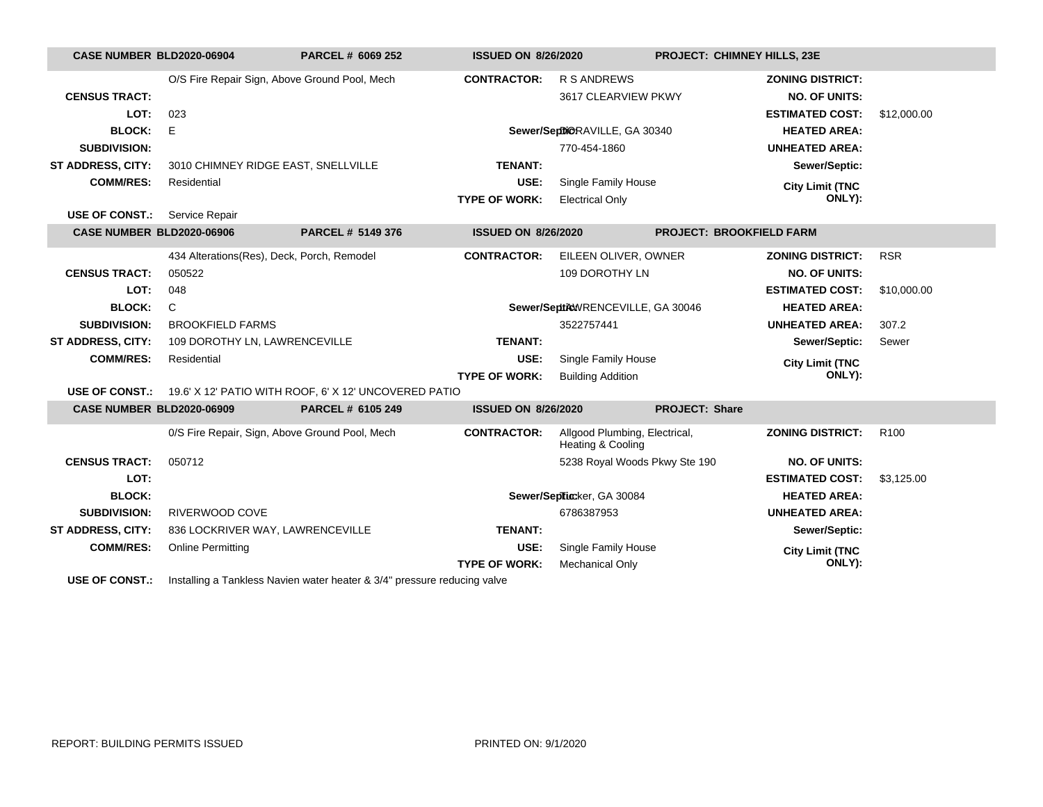| <b>CASE NUMBER BLD2020-06904</b> |                                            | PARCEL # 6069 252                                                                                                                   | <b>ISSUED ON 8/26/2020</b> |                                                    | PROJECT: CHIMNEY HILLS, 23E     |                         |                  |
|----------------------------------|--------------------------------------------|-------------------------------------------------------------------------------------------------------------------------------------|----------------------------|----------------------------------------------------|---------------------------------|-------------------------|------------------|
|                                  |                                            | O/S Fire Repair Sign, Above Ground Pool, Mech                                                                                       | <b>CONTRACTOR:</b>         | <b>R S ANDREWS</b>                                 |                                 | <b>ZONING DISTRICT:</b> |                  |
| <b>CENSUS TRACT:</b>             |                                            |                                                                                                                                     |                            | 3617 CLEARVIEW PKWY                                |                                 | <b>NO. OF UNITS:</b>    |                  |
| LOT:                             | 023                                        |                                                                                                                                     |                            |                                                    |                                 | <b>ESTIMATED COST:</b>  | \$12,000.00      |
| <b>BLOCK:</b>                    | E                                          |                                                                                                                                     |                            | Sewer/SeptiORAVILLE, GA 30340                      |                                 | <b>HEATED AREA:</b>     |                  |
| <b>SUBDIVISION:</b>              |                                            |                                                                                                                                     |                            | 770-454-1860                                       |                                 | <b>UNHEATED AREA:</b>   |                  |
| <b>ST ADDRESS, CITY:</b>         | 3010 CHIMNEY RIDGE EAST, SNELLVILLE        |                                                                                                                                     | <b>TENANT:</b>             |                                                    |                                 | Sewer/Septic:           |                  |
| <b>COMM/RES:</b>                 | Residential                                |                                                                                                                                     | USE:                       | Single Family House                                |                                 | <b>City Limit (TNC</b>  |                  |
|                                  |                                            |                                                                                                                                     | <b>TYPE OF WORK:</b>       | <b>Electrical Only</b>                             |                                 | ONLY):                  |                  |
| <b>USE OF CONST.:</b>            | Service Repair                             |                                                                                                                                     |                            |                                                    |                                 |                         |                  |
| CASE NUMBER BLD2020-06906        |                                            | PARCEL # 5149 376                                                                                                                   | <b>ISSUED ON 8/26/2020</b> |                                                    | <b>PROJECT: BROOKFIELD FARM</b> |                         |                  |
|                                  | 434 Alterations(Res), Deck, Porch, Remodel |                                                                                                                                     | <b>CONTRACTOR:</b>         | EILEEN OLIVER, OWNER                               |                                 | <b>ZONING DISTRICT:</b> | <b>RSR</b>       |
| <b>CENSUS TRACT:</b>             | 050522                                     |                                                                                                                                     |                            | 109 DOROTHY LN                                     |                                 | <b>NO. OF UNITS:</b>    |                  |
| LOT:                             | 048                                        |                                                                                                                                     |                            |                                                    |                                 | <b>ESTIMATED COST:</b>  | \$10,000.00      |
| <b>BLOCK:</b>                    | C                                          |                                                                                                                                     |                            | Sewer/SeptileWRENCEVILLE, GA 30046                 |                                 | <b>HEATED AREA:</b>     |                  |
| <b>SUBDIVISION:</b>              | <b>BROOKFIELD FARMS</b>                    |                                                                                                                                     |                            | 3522757441                                         |                                 | <b>UNHEATED AREA:</b>   | 307.2            |
| <b>ST ADDRESS, CITY:</b>         | 109 DOROTHY LN, LAWRENCEVILLE              |                                                                                                                                     | <b>TENANT:</b>             |                                                    |                                 | Sewer/Septic:           | Sewer            |
| <b>COMM/RES:</b>                 | Residential                                |                                                                                                                                     | USE:                       | Single Family House                                |                                 | <b>City Limit (TNC</b>  |                  |
|                                  |                                            |                                                                                                                                     | <b>TYPE OF WORK:</b>       | <b>Building Addition</b>                           |                                 | ONLY):                  |                  |
|                                  |                                            | USE OF CONST.: 19.6' X 12' PATIO WITH ROOF, 6' X 12' UNCOVERED PATIO                                                                |                            |                                                    |                                 |                         |                  |
| <b>CASE NUMBER BLD2020-06909</b> |                                            | PARCEL # 6105 249                                                                                                                   | <b>ISSUED ON 8/26/2020</b> |                                                    | <b>PROJECT: Share</b>           |                         |                  |
|                                  |                                            | 0/S Fire Repair, Sign, Above Ground Pool, Mech                                                                                      | <b>CONTRACTOR:</b>         | Allgood Plumbing, Electrical,<br>Heating & Cooling |                                 | <b>ZONING DISTRICT:</b> | R <sub>100</sub> |
| <b>CENSUS TRACT:</b>             | 050712                                     |                                                                                                                                     |                            | 5238 Royal Woods Pkwy Ste 190                      |                                 | <b>NO. OF UNITS:</b>    |                  |
| LOT:                             |                                            |                                                                                                                                     |                            |                                                    |                                 | <b>ESTIMATED COST:</b>  | \$3,125.00       |
| <b>BLOCK:</b>                    |                                            |                                                                                                                                     |                            | Sewer/Septicker, GA 30084                          |                                 | <b>HEATED AREA:</b>     |                  |
| <b>SUBDIVISION:</b>              | RIVERWOOD COVE                             |                                                                                                                                     |                            | 6786387953                                         |                                 | <b>UNHEATED AREA:</b>   |                  |
| <b>ST ADDRESS, CITY:</b>         | 836 LOCKRIVER WAY, LAWRENCEVILLE           |                                                                                                                                     | <b>TENANT:</b>             |                                                    |                                 | Sewer/Septic:           |                  |
| <b>COMM/RES:</b>                 | <b>Online Permitting</b>                   |                                                                                                                                     | USE:                       | Single Family House                                |                                 | <b>City Limit (TNC</b>  |                  |
|                                  |                                            |                                                                                                                                     | <b>TYPE OF WORK:</b>       | <b>Mechanical Only</b>                             |                                 | ONLY):                  |                  |
|                                  |                                            | $\mathbf{r}$ and $\mathbf{r}$ are $\mathbf{r}$ and $\mathbf{r}$ and $\mathbf{r}$ are $\mathbf{r}$ and $\mathbf{r}$ and $\mathbf{r}$ |                            |                                                    |                                 |                         |                  |

**USE OF CONST.:** Installing a Tankless Navien water heater & 3/4" pressure reducing valve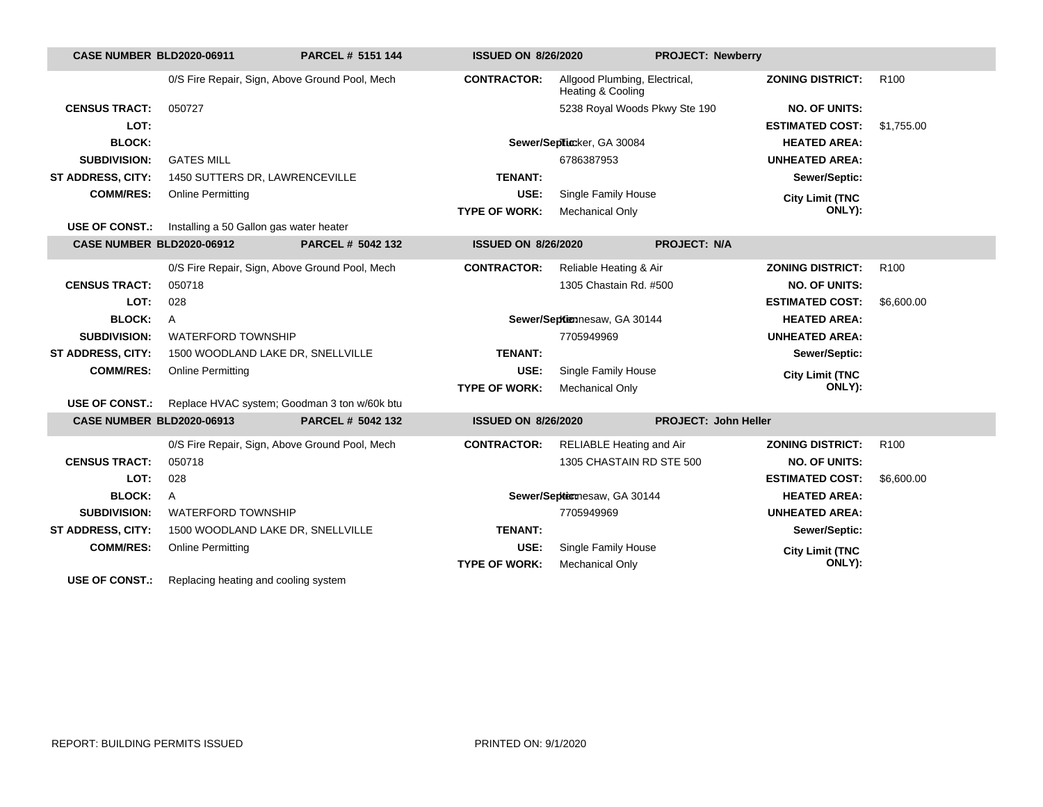| <b>CASE NUMBER BLD2020-06911</b> |                                                | PARCEL # 5151 144                            | <b>ISSUED ON 8/26/2020</b> |                                                    | <b>PROJECT: Newberry</b>    |                  |  |
|----------------------------------|------------------------------------------------|----------------------------------------------|----------------------------|----------------------------------------------------|-----------------------------|------------------|--|
|                                  | 0/S Fire Repair, Sign, Above Ground Pool, Mech |                                              | <b>CONTRACTOR:</b>         | Allgood Plumbing, Electrical,<br>Heating & Cooling | <b>ZONING DISTRICT:</b>     | R <sub>100</sub> |  |
| <b>CENSUS TRACT:</b>             | 050727                                         |                                              |                            | 5238 Royal Woods Pkwy Ste 190                      | <b>NO. OF UNITS:</b>        |                  |  |
| LOT:                             |                                                |                                              |                            |                                                    | <b>ESTIMATED COST:</b>      | \$1,755.00       |  |
| <b>BLOCK:</b>                    |                                                |                                              |                            | Sewer/Septicker, GA 30084                          | <b>HEATED AREA:</b>         |                  |  |
| <b>SUBDIVISION:</b>              | <b>GATES MILL</b>                              |                                              |                            | 6786387953                                         | <b>UNHEATED AREA:</b>       |                  |  |
| <b>ST ADDRESS, CITY:</b>         | 1450 SUTTERS DR, LAWRENCEVILLE                 |                                              | <b>TENANT:</b>             |                                                    | Sewer/Septic:               |                  |  |
| <b>COMM/RES:</b>                 | <b>Online Permitting</b>                       |                                              | USE:                       | Single Family House                                | <b>City Limit (TNC</b>      |                  |  |
|                                  |                                                |                                              | <b>TYPE OF WORK:</b>       | <b>Mechanical Only</b>                             | ONLY):                      |                  |  |
| <b>USE OF CONST.:</b>            | Installing a 50 Gallon gas water heater        |                                              |                            |                                                    |                             |                  |  |
| <b>CASE NUMBER BLD2020-06912</b> |                                                | PARCEL # 5042 132                            | <b>ISSUED ON 8/26/2020</b> |                                                    | <b>PROJECT: N/A</b>         |                  |  |
|                                  | 0/S Fire Repair, Sign, Above Ground Pool, Mech |                                              | <b>CONTRACTOR:</b>         | Reliable Heating & Air                             | <b>ZONING DISTRICT:</b>     | R <sub>100</sub> |  |
| <b>CENSUS TRACT:</b>             | 050718                                         |                                              |                            | 1305 Chastain Rd. #500                             | <b>NO. OF UNITS:</b>        |                  |  |
| LOT:                             | 028                                            |                                              |                            |                                                    | <b>ESTIMATED COST:</b>      | \$6,600.00       |  |
| <b>BLOCK:</b>                    | A                                              |                                              |                            | Sewer/Septiennesaw, GA 30144                       | <b>HEATED AREA:</b>         |                  |  |
| <b>SUBDIVISION:</b>              | <b>WATERFORD TOWNSHIP</b>                      |                                              |                            | 7705949969                                         | <b>UNHEATED AREA:</b>       |                  |  |
| ST ADDRESS, CITY:                | 1500 WOODLAND LAKE DR, SNELLVILLE              |                                              | <b>TENANT:</b>             |                                                    | Sewer/Septic:               |                  |  |
| <b>COMM/RES:</b>                 | <b>Online Permitting</b>                       |                                              | USE:                       | Single Family House                                | <b>City Limit (TNC</b>      |                  |  |
|                                  |                                                |                                              | <b>TYPE OF WORK:</b>       | <b>Mechanical Only</b>                             | ONLY):                      |                  |  |
| <b>USE OF CONST.:</b>            |                                                | Replace HVAC system; Goodman 3 ton w/60k btu |                            |                                                    |                             |                  |  |
| <b>CASE NUMBER BLD2020-06913</b> |                                                | PARCEL # 5042 132                            | <b>ISSUED ON 8/26/2020</b> |                                                    | <b>PROJECT: John Heller</b> |                  |  |
|                                  | 0/S Fire Repair, Sign, Above Ground Pool, Mech |                                              | <b>CONTRACTOR:</b>         | <b>RELIABLE Heating and Air</b>                    | <b>ZONING DISTRICT:</b>     | R <sub>100</sub> |  |
| <b>CENSUS TRACT:</b>             | 050718                                         |                                              |                            | 1305 CHASTAIN RD STE 500                           | <b>NO. OF UNITS:</b>        |                  |  |
| LOT:                             | 028                                            |                                              |                            |                                                    | <b>ESTIMATED COST:</b>      | \$6,600.00       |  |
| <b>BLOCK:</b>                    | A                                              |                                              |                            | Sewer/Septermesaw, GA 30144                        | <b>HEATED AREA:</b>         |                  |  |
| <b>SUBDIVISION:</b>              | <b>WATERFORD TOWNSHIP</b>                      |                                              |                            | 7705949969                                         | <b>UNHEATED AREA:</b>       |                  |  |
| ST ADDRESS, CITY:                | 1500 WOODLAND LAKE DR, SNELLVILLE              |                                              | <b>TENANT:</b>             |                                                    | Sewer/Septic:               |                  |  |
| <b>COMM/RES:</b>                 | <b>Online Permitting</b>                       |                                              | USE:                       | Single Family House                                | <b>City Limit (TNC</b>      |                  |  |
|                                  |                                                |                                              | <b>TYPE OF WORK:</b>       | <b>Mechanical Only</b>                             | ONLY):                      |                  |  |
| <b>USE OF CONST.:</b>            | Replacing heating and cooling system           |                                              |                            |                                                    |                             |                  |  |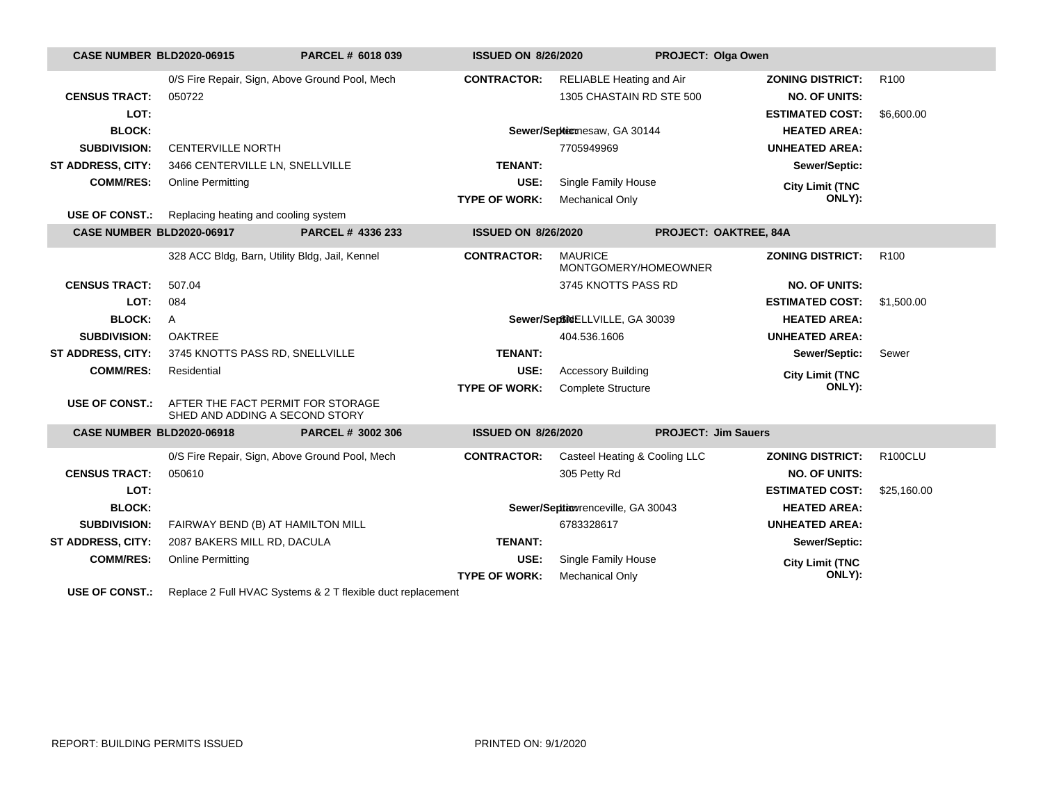| <b>CASE NUMBER BLD2020-06915</b> |                                      | PARCEL # 6018 039                                                   | <b>ISSUED ON 8/26/2020</b> |                                        | PROJECT: Olga Owen         |                  |
|----------------------------------|--------------------------------------|---------------------------------------------------------------------|----------------------------|----------------------------------------|----------------------------|------------------|
|                                  |                                      | 0/S Fire Repair, Sign, Above Ground Pool, Mech                      | <b>CONTRACTOR:</b>         | RELIABLE Heating and Air               | <b>ZONING DISTRICT:</b>    | R <sub>100</sub> |
| <b>CENSUS TRACT:</b>             | 050722                               |                                                                     |                            | 1305 CHASTAIN RD STE 500               | <b>NO. OF UNITS:</b>       |                  |
| LOT:                             |                                      |                                                                     |                            |                                        | <b>ESTIMATED COST:</b>     | \$6,600.00       |
| <b>BLOCK:</b>                    |                                      |                                                                     |                            | Sewer/Septicmesaw, GA 30144            | <b>HEATED AREA:</b>        |                  |
| <b>SUBDIVISION:</b>              | <b>CENTERVILLE NORTH</b>             |                                                                     |                            | 7705949969                             | <b>UNHEATED AREA:</b>      |                  |
| ST ADDRESS, CITY:                | 3466 CENTERVILLE LN, SNELLVILLE      |                                                                     | <b>TENANT:</b>             |                                        | Sewer/Septic:              |                  |
| <b>COMM/RES:</b>                 | <b>Online Permitting</b>             |                                                                     | USE:                       | Single Family House                    | <b>City Limit (TNC</b>     |                  |
|                                  |                                      |                                                                     | <b>TYPE OF WORK:</b>       | <b>Mechanical Only</b>                 | ONLY):                     |                  |
| <b>USE OF CONST.:</b>            | Replacing heating and cooling system |                                                                     |                            |                                        |                            |                  |
| <b>CASE NUMBER BLD2020-06917</b> |                                      | PARCEL # 4336 233                                                   | <b>ISSUED ON 8/26/2020</b> |                                        | PROJECT: OAKTREE, 84A      |                  |
|                                  |                                      | 328 ACC Bldg, Barn, Utility Bldg, Jail, Kennel                      | <b>CONTRACTOR:</b>         | <b>MAURICE</b><br>MONTGOMERY/HOMEOWNER | <b>ZONING DISTRICT:</b>    | R <sub>100</sub> |
| <b>CENSUS TRACT:</b>             | 507.04                               |                                                                     |                            | 3745 KNOTTS PASS RD                    | <b>NO. OF UNITS:</b>       |                  |
| LOT:                             | 084                                  |                                                                     |                            |                                        | <b>ESTIMATED COST:</b>     | \$1,500.00       |
| <b>BLOCK:</b>                    | $\mathsf{A}$                         |                                                                     |                            | Sewer/SeptheELLVILLE, GA 30039         | <b>HEATED AREA:</b>        |                  |
| <b>SUBDIVISION:</b>              | <b>OAKTREE</b>                       |                                                                     |                            | 404.536.1606                           | <b>UNHEATED AREA:</b>      |                  |
| <b>ST ADDRESS, CITY:</b>         | 3745 KNOTTS PASS RD, SNELLVILLE      |                                                                     | <b>TENANT:</b>             |                                        | Sewer/Septic:              | Sewer            |
| <b>COMM/RES:</b>                 | Residential                          |                                                                     | USE:                       | <b>Accessory Building</b>              | <b>City Limit (TNC</b>     |                  |
|                                  |                                      |                                                                     | <b>TYPE OF WORK:</b>       | <b>Complete Structure</b>              | ONLY):                     |                  |
| <b>USE OF CONST.:</b>            |                                      | AFTER THE FACT PERMIT FOR STORAGE<br>SHED AND ADDING A SECOND STORY |                            |                                        |                            |                  |
| <b>CASE NUMBER BLD2020-06918</b> |                                      | PARCEL # 3002 306                                                   | <b>ISSUED ON 8/26/2020</b> |                                        | <b>PROJECT: Jim Sauers</b> |                  |
|                                  |                                      | 0/S Fire Repair, Sign, Above Ground Pool, Mech                      | <b>CONTRACTOR:</b>         | Casteel Heating & Cooling LLC          | <b>ZONING DISTRICT:</b>    | <b>R100CLU</b>   |
| <b>CENSUS TRACT:</b>             | 050610                               |                                                                     |                            | 305 Petty Rd                           | <b>NO. OF UNITS:</b>       |                  |
| LOT:                             |                                      |                                                                     |                            |                                        | <b>ESTIMATED COST:</b>     | \$25,160.00      |
| <b>BLOCK:</b>                    |                                      |                                                                     |                            | Sewer/Septiowrenceville, GA 30043      | <b>HEATED AREA:</b>        |                  |
| <b>SUBDIVISION:</b>              |                                      | FAIRWAY BEND (B) AT HAMILTON MILL                                   |                            | 6783328617                             | <b>UNHEATED AREA:</b>      |                  |
| <b>ST ADDRESS, CITY:</b>         | 2087 BAKERS MILL RD, DACULA          |                                                                     | <b>TENANT:</b>             |                                        | Sewer/Septic:              |                  |
| <b>COMM/RES:</b>                 | <b>Online Permitting</b>             |                                                                     | USE:                       | Single Family House                    | <b>City Limit (TNC</b>     |                  |
|                                  |                                      |                                                                     | <b>TYPE OF WORK:</b>       | <b>Mechanical Only</b>                 | ONLY):                     |                  |
|                                  |                                      |                                                                     |                            |                                        |                            |                  |

**USE OF CONST.:** Replace 2 Full HVAC Systems & 2 T flexible duct replacement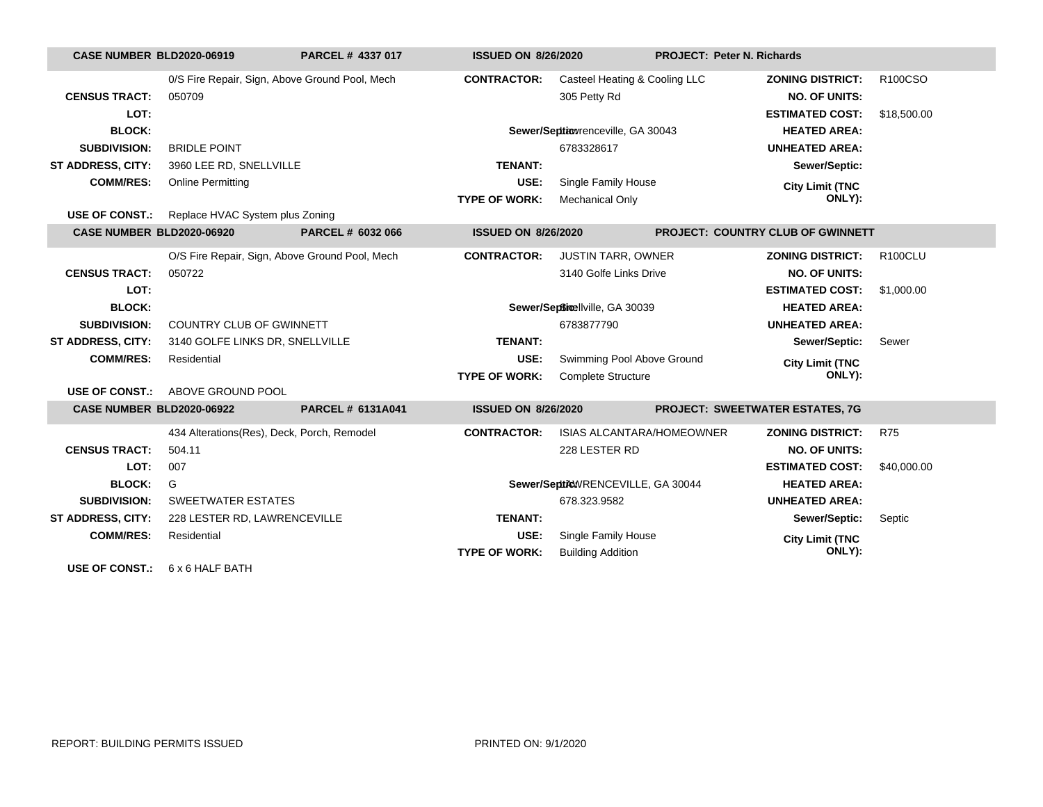| <b>CASE NUMBER BLD2020-06919</b> |                                                | PARCEL # 4337 017        | <b>ISSUED ON 8/26/2020</b> |                                    | <b>PROJECT: Peter N. Richards</b>      |                                   |                |
|----------------------------------|------------------------------------------------|--------------------------|----------------------------|------------------------------------|----------------------------------------|-----------------------------------|----------------|
|                                  | 0/S Fire Repair, Sign, Above Ground Pool, Mech |                          | <b>CONTRACTOR:</b>         | Casteel Heating & Cooling LLC      |                                        | <b>ZONING DISTRICT:</b>           | R100CSO        |
| <b>CENSUS TRACT:</b>             | 050709                                         |                          |                            | 305 Petty Rd                       |                                        | <b>NO. OF UNITS:</b>              |                |
| LOT:                             |                                                |                          |                            |                                    |                                        | <b>ESTIMATED COST:</b>            | \$18,500.00    |
| <b>BLOCK:</b>                    |                                                |                          |                            | Sewer/Seption renceville, GA 30043 |                                        | <b>HEATED AREA:</b>               |                |
| <b>SUBDIVISION:</b>              | <b>BRIDLE POINT</b>                            |                          |                            | 6783328617                         |                                        | <b>UNHEATED AREA:</b>             |                |
| <b>ST ADDRESS, CITY:</b>         | 3960 LEE RD, SNELLVILLE                        |                          | <b>TENANT:</b>             |                                    |                                        | Sewer/Septic:                     |                |
| <b>COMM/RES:</b>                 | <b>Online Permitting</b>                       |                          | USE:                       | Single Family House                |                                        | <b>City Limit (TNC</b>            |                |
|                                  |                                                |                          | <b>TYPE OF WORK:</b>       | <b>Mechanical Only</b>             |                                        | ONLY):                            |                |
| <b>USE OF CONST.:</b>            | Replace HVAC System plus Zoning                |                          |                            |                                    |                                        |                                   |                |
| <b>CASE NUMBER BLD2020-06920</b> |                                                | PARCEL # 6032 066        | <b>ISSUED ON 8/26/2020</b> |                                    |                                        | PROJECT: COUNTRY CLUB OF GWINNETT |                |
|                                  | O/S Fire Repair, Sign, Above Ground Pool, Mech |                          | <b>CONTRACTOR:</b>         | <b>JUSTIN TARR, OWNER</b>          |                                        | <b>ZONING DISTRICT:</b>           | <b>R100CLU</b> |
| <b>CENSUS TRACT:</b>             | 050722                                         |                          |                            | 3140 Golfe Links Drive             |                                        | <b>NO. OF UNITS:</b>              |                |
| LOT:                             |                                                |                          |                            |                                    |                                        | <b>ESTIMATED COST:</b>            | \$1,000.00     |
| <b>BLOCK:</b>                    |                                                |                          |                            | Sewer/Septimellville, GA 30039     |                                        | <b>HEATED AREA:</b>               |                |
| <b>SUBDIVISION:</b>              | COUNTRY CLUB OF GWINNETT                       |                          |                            | 6783877790                         |                                        | <b>UNHEATED AREA:</b>             |                |
| <b>ST ADDRESS, CITY:</b>         | 3140 GOLFE LINKS DR, SNELLVILLE                |                          | <b>TENANT:</b>             |                                    |                                        | Sewer/Septic:                     | Sewer          |
| <b>COMM/RES:</b>                 | Residential                                    |                          | USE:                       | Swimming Pool Above Ground         |                                        | <b>City Limit (TNC</b>            |                |
|                                  |                                                |                          | <b>TYPE OF WORK:</b>       | <b>Complete Structure</b>          |                                        | ONLY):                            |                |
| USE OF CONST.:                   | ABOVE GROUND POOL                              |                          |                            |                                    |                                        |                                   |                |
| <b>CASE NUMBER BLD2020-06922</b> |                                                | <b>PARCEL # 6131A041</b> | <b>ISSUED ON 8/26/2020</b> |                                    | <b>PROJECT: SWEETWATER ESTATES, 7G</b> |                                   |                |
|                                  | 434 Alterations(Res), Deck, Porch, Remodel     |                          | <b>CONTRACTOR:</b>         | <b>ISIAS ALCANTARA/HOMEOWNER</b>   |                                        | <b>ZONING DISTRICT:</b>           | <b>R75</b>     |
| <b>CENSUS TRACT:</b>             | 504.11                                         |                          |                            | 228 LESTER RD                      |                                        | <b>NO. OF UNITS:</b>              |                |
| LOT:                             | 007                                            |                          |                            |                                    |                                        | <b>ESTIMATED COST:</b>            | \$40,000.00    |
| <b>BLOCK:</b>                    | G                                              |                          |                            | Sewer/SepticWRENCEVILLE, GA 30044  |                                        | <b>HEATED AREA:</b>               |                |
| <b>SUBDIVISION:</b>              | <b>SWEETWATER ESTATES</b>                      |                          |                            | 678.323.9582                       |                                        | <b>UNHEATED AREA:</b>             |                |
| <b>ST ADDRESS, CITY:</b>         | 228 LESTER RD, LAWRENCEVILLE                   |                          | <b>TENANT:</b>             |                                    |                                        | Sewer/Septic:                     | Septic         |
| <b>COMM/RES:</b>                 | Residential                                    |                          | USE:                       | Single Family House                |                                        | <b>City Limit (TNC</b>            |                |
|                                  |                                                |                          | <b>TYPE OF WORK:</b>       | <b>Building Addition</b>           |                                        | ONLY):                            |                |
| <b>USE OF CONST.:</b>            | 6 x 6 HALF BATH                                |                          |                            |                                    |                                        |                                   |                |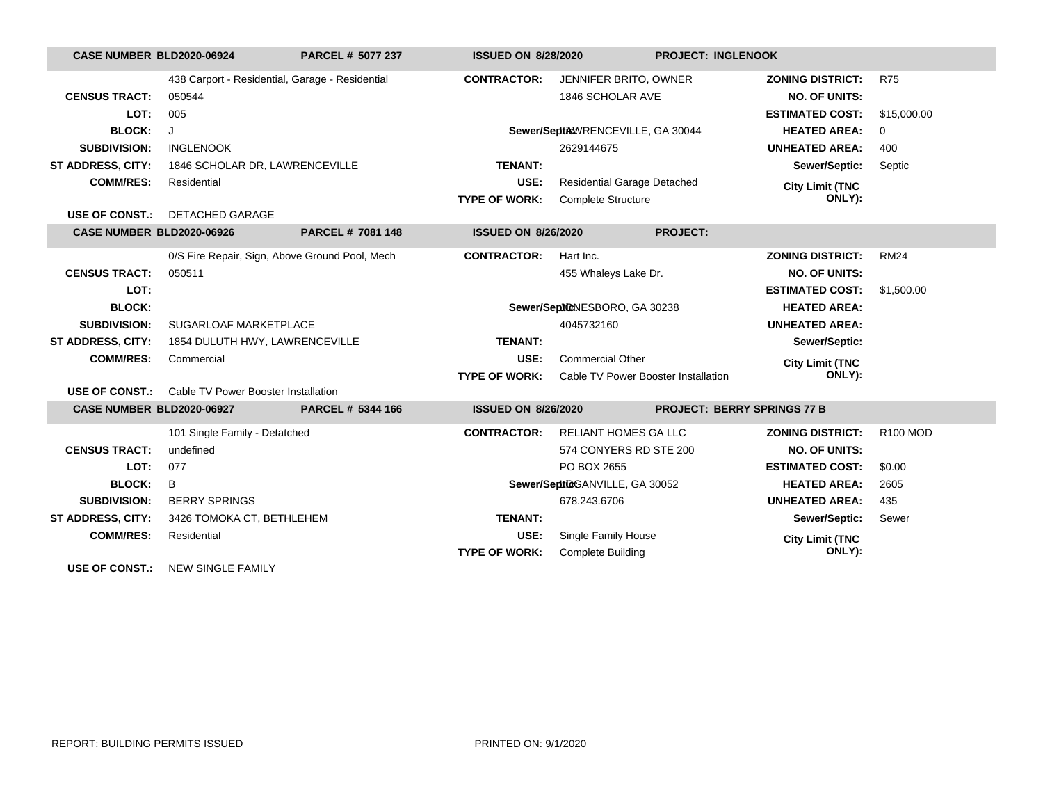| <b>CASE NUMBER BLD2020-06924</b> |                                                 | PARCEL # 5077 237 | <b>ISSUED ON 8/28/2020</b> |                                     | <b>PROJECT: INGLENOOK</b>          |             |
|----------------------------------|-------------------------------------------------|-------------------|----------------------------|-------------------------------------|------------------------------------|-------------|
|                                  | 438 Carport - Residential, Garage - Residential |                   | <b>CONTRACTOR:</b>         | JENNIFER BRITO, OWNER               | <b>ZONING DISTRICT:</b>            | <b>R75</b>  |
| <b>CENSUS TRACT:</b>             | 050544                                          |                   |                            | 1846 SCHOLAR AVE                    | <b>NO. OF UNITS:</b>               |             |
| LOT:                             | 005                                             |                   |                            |                                     | <b>ESTIMATED COST:</b>             | \$15,000.00 |
| <b>BLOCK:</b>                    | J                                               |                   |                            | Sewer/SepticWRENCEVILLE, GA 30044   | <b>HEATED AREA:</b>                | 0           |
| <b>SUBDIVISION:</b>              | <b>INGLENOOK</b>                                |                   |                            | 2629144675                          | <b>UNHEATED AREA:</b>              | 400         |
| <b>ST ADDRESS, CITY:</b>         | 1846 SCHOLAR DR, LAWRENCEVILLE                  |                   | <b>TENANT:</b>             |                                     | Sewer/Septic:                      | Septic      |
| <b>COMM/RES:</b>                 | Residential                                     |                   | USE:                       | <b>Residential Garage Detached</b>  | <b>City Limit (TNC</b>             |             |
|                                  |                                                 |                   | <b>TYPE OF WORK:</b>       | <b>Complete Structure</b>           | ONLY):                             |             |
| USE OF CONST.:                   | <b>DETACHED GARAGE</b>                          |                   |                            |                                     |                                    |             |
| CASE NUMBER BLD2020-06926        |                                                 | PARCEL # 7081 148 | <b>ISSUED ON 8/26/2020</b> |                                     | <b>PROJECT:</b>                    |             |
|                                  | 0/S Fire Repair, Sign, Above Ground Pool, Mech  |                   | <b>CONTRACTOR:</b>         | Hart Inc.                           | <b>ZONING DISTRICT:</b>            | <b>RM24</b> |
| <b>CENSUS TRACT:</b>             | 050511                                          |                   |                            | 455 Whaleys Lake Dr.                | <b>NO. OF UNITS:</b>               |             |
| LOT:                             |                                                 |                   |                            |                                     | <b>ESTIMATED COST:</b>             | \$1,500.00  |
| <b>BLOCK:</b>                    |                                                 |                   |                            | Sewer/Sept@NESBORO, GA 30238        | <b>HEATED AREA:</b>                |             |
| <b>SUBDIVISION:</b>              | SUGARLOAF MARKETPLACE                           |                   |                            | 4045732160                          | <b>UNHEATED AREA:</b>              |             |
| <b>ST ADDRESS, CITY:</b>         | 1854 DULUTH HWY, LAWRENCEVILLE                  |                   | <b>TENANT:</b>             |                                     | Sewer/Septic:                      |             |
| <b>COMM/RES:</b>                 | Commercial                                      |                   | USE:                       | <b>Commercial Other</b>             | <b>City Limit (TNC</b>             |             |
|                                  |                                                 |                   | <b>TYPE OF WORK:</b>       | Cable TV Power Booster Installation | ONLY):                             |             |
| USE OF CONST.:                   | Cable TV Power Booster Installation             |                   |                            |                                     |                                    |             |
| CASE NUMBER BLD2020-06927        |                                                 | PARCEL # 5344 166 | <b>ISSUED ON 8/26/2020</b> |                                     | <b>PROJECT: BERRY SPRINGS 77 B</b> |             |
|                                  | 101 Single Family - Detatched                   |                   | <b>CONTRACTOR:</b>         | <b>RELIANT HOMES GA LLC</b>         | <b>ZONING DISTRICT:</b>            | R100 MOD    |
| <b>CENSUS TRACT:</b>             | undefined                                       |                   |                            | 574 CONYERS RD STE 200              | <b>NO. OF UNITS:</b>               |             |
| LOT:                             | 077                                             |                   |                            | PO BOX 2655                         | <b>ESTIMATED COST:</b>             | \$0.00      |
| <b>BLOCK:</b>                    | B                                               |                   |                            | Sewer/SeptiloGANVILLE, GA 30052     | <b>HEATED AREA:</b>                | 2605        |
| <b>SUBDIVISION:</b>              | <b>BERRY SPRINGS</b>                            |                   |                            | 678.243.6706                        | <b>UNHEATED AREA:</b>              | 435         |
| ST ADDRESS, CITY:                | 3426 TOMOKA CT, BETHLEHEM                       |                   | <b>TENANT:</b>             |                                     | Sewer/Septic:                      | Sewer       |
| <b>COMM/RES:</b>                 | Residential                                     |                   | USE:                       | Single Family House                 | <b>City Limit (TNC</b>             |             |
|                                  |                                                 |                   | <b>TYPE OF WORK:</b>       | <b>Complete Building</b>            | ONLY):                             |             |
| <b>USE OF CONST.:</b>            | NEW SINGLE FAMILY                               |                   |                            |                                     |                                    |             |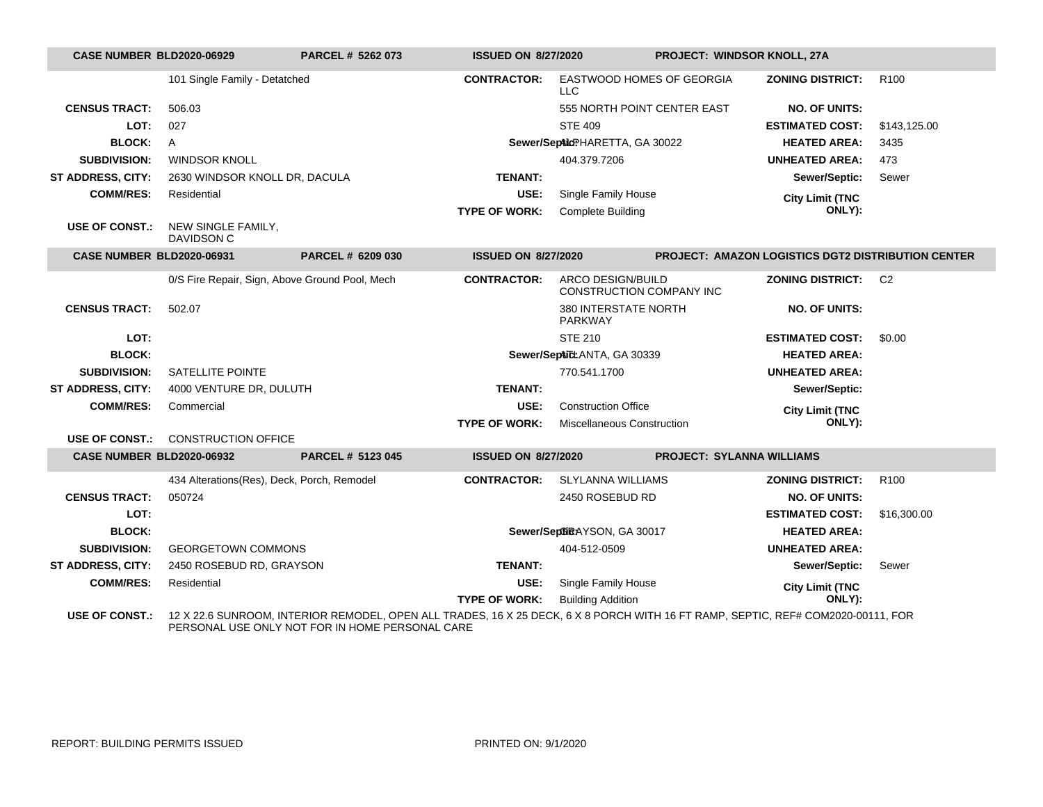| <b>CASE NUMBER BLD2020-06929</b> |                                            | PARCEL # 5262 073                              | <b>ISSUED ON 8/27/2020</b> |                                               | PROJECT: WINDSOR KNOLL, 27A                                                                                                      |                  |
|----------------------------------|--------------------------------------------|------------------------------------------------|----------------------------|-----------------------------------------------|----------------------------------------------------------------------------------------------------------------------------------|------------------|
|                                  | 101 Single Family - Detatched              |                                                | <b>CONTRACTOR:</b>         | EASTWOOD HOMES OF GEORGIA<br>$\sqcup$ C       | <b>ZONING DISTRICT:</b>                                                                                                          | R <sub>100</sub> |
| <b>CENSUS TRACT:</b>             | 506.03                                     |                                                |                            | 555 NORTH POINT CENTER EAST                   | <b>NO. OF UNITS:</b>                                                                                                             |                  |
| LOT:                             | 027                                        |                                                |                            | <b>STE 409</b>                                | <b>ESTIMATED COST:</b>                                                                                                           | \$143,125.00     |
| <b>BLOCK:</b>                    | A                                          |                                                |                            | Sewer/SepticPHARETTA, GA 30022                | <b>HEATED AREA:</b>                                                                                                              | 3435             |
| <b>SUBDIVISION:</b>              | <b>WINDSOR KNOLL</b>                       |                                                |                            | 404.379.7206                                  | <b>UNHEATED AREA:</b>                                                                                                            | 473              |
| <b>ST ADDRESS, CITY:</b>         | 2630 WINDSOR KNOLL DR, DACULA              |                                                | <b>TENANT:</b>             |                                               | Sewer/Septic:                                                                                                                    | Sewer            |
| <b>COMM/RES:</b>                 | Residential                                |                                                | USE:                       | Single Family House                           | <b>City Limit (TNC</b>                                                                                                           |                  |
|                                  |                                            |                                                | <b>TYPE OF WORK:</b>       | <b>Complete Building</b>                      | ONLY):                                                                                                                           |                  |
| <b>USE OF CONST.:</b>            | NEW SINGLE FAMILY,<br>DAVIDSON C           |                                                |                            |                                               |                                                                                                                                  |                  |
| <b>CASE NUMBER BLD2020-06931</b> |                                            | PARCEL # 6209 030                              | <b>ISSUED ON 8/27/2020</b> |                                               | <b>PROJECT: AMAZON LOGISTICS DGT2 DISTRIBUTION CENTER</b>                                                                        |                  |
|                                  |                                            | 0/S Fire Repair, Sign, Above Ground Pool, Mech | <b>CONTRACTOR:</b>         | ARCO DESIGN/BUILD<br>CONSTRUCTION COMPANY INC | <b>ZONING DISTRICT:</b>                                                                                                          | C <sub>2</sub>   |
| <b>CENSUS TRACT:</b>             | 502.07                                     |                                                |                            | 380 INTERSTATE NORTH<br>PARKWAY               | <b>NO. OF UNITS:</b>                                                                                                             |                  |
| LOT:                             |                                            |                                                |                            | <b>STE 210</b>                                | <b>ESTIMATED COST:</b>                                                                                                           | \$0.00           |
| <b>BLOCK:</b>                    |                                            |                                                |                            | Sewer/SepticLANTA, GA 30339                   | <b>HEATED AREA:</b>                                                                                                              |                  |
| <b>SUBDIVISION:</b>              | <b>SATELLITE POINTE</b>                    |                                                |                            | 770.541.1700                                  | <b>UNHEATED AREA:</b>                                                                                                            |                  |
| ST ADDRESS, CITY:                | 4000 VENTURE DR, DULUTH                    |                                                | <b>TENANT:</b>             |                                               | Sewer/Septic:                                                                                                                    |                  |
| <b>COMM/RES:</b>                 | Commercial                                 |                                                | USE:                       | <b>Construction Office</b>                    | <b>City Limit (TNC</b>                                                                                                           |                  |
|                                  |                                            |                                                | <b>TYPE OF WORK:</b>       | Miscellaneous Construction                    | ONLY):                                                                                                                           |                  |
| <b>USE OF CONST.:</b>            | <b>CONSTRUCTION OFFICE</b>                 |                                                |                            |                                               |                                                                                                                                  |                  |
| <b>CASE NUMBER BLD2020-06932</b> |                                            | PARCEL # 5123 045                              | <b>ISSUED ON 8/27/2020</b> |                                               | <b>PROJECT: SYLANNA WILLIAMS</b>                                                                                                 |                  |
|                                  | 434 Alterations(Res), Deck, Porch, Remodel |                                                | <b>CONTRACTOR:</b>         | <b>SLYLANNA WILLIAMS</b>                      | <b>ZONING DISTRICT:</b>                                                                                                          | R <sub>100</sub> |
| <b>CENSUS TRACT:</b>             | 050724                                     |                                                |                            | 2450 ROSEBUD RD                               | <b>NO. OF UNITS:</b>                                                                                                             |                  |
| LOT:                             |                                            |                                                |                            |                                               | <b>ESTIMATED COST:</b>                                                                                                           | \$16,300.00      |
| <b>BLOCK:</b>                    |                                            |                                                |                            | Sewer/SeptiRAYSON, GA 30017                   | <b>HEATED AREA:</b>                                                                                                              |                  |
| <b>SUBDIVISION:</b>              | <b>GEORGETOWN COMMONS</b>                  |                                                |                            | 404-512-0509                                  | <b>UNHEATED AREA:</b>                                                                                                            |                  |
| ST ADDRESS, CITY:                | 2450 ROSEBUD RD, GRAYSON                   |                                                | <b>TENANT:</b>             |                                               | Sewer/Septic:                                                                                                                    | Sewer            |
| <b>COMM/RES:</b>                 | Residential                                |                                                | USE:                       | Single Family House                           | <b>City Limit (TNC</b>                                                                                                           |                  |
|                                  |                                            |                                                | <b>TYPE OF WORK:</b>       | <b>Building Addition</b>                      | ONLY):                                                                                                                           |                  |
| <b>USE OF CONST.:</b>            |                                            |                                                |                            |                                               | 12 X 22.6 SUNROOM, INTERIOR REMODEL, OPEN ALL TRADES, 16 X 25 DECK, 6 X 8 PORCH WITH 16 FT RAMP, SEPTIC, REF# COM2020-00111, FOR |                  |

PERSONAL USE ONLY NOT FOR IN HOME PERSONAL CARE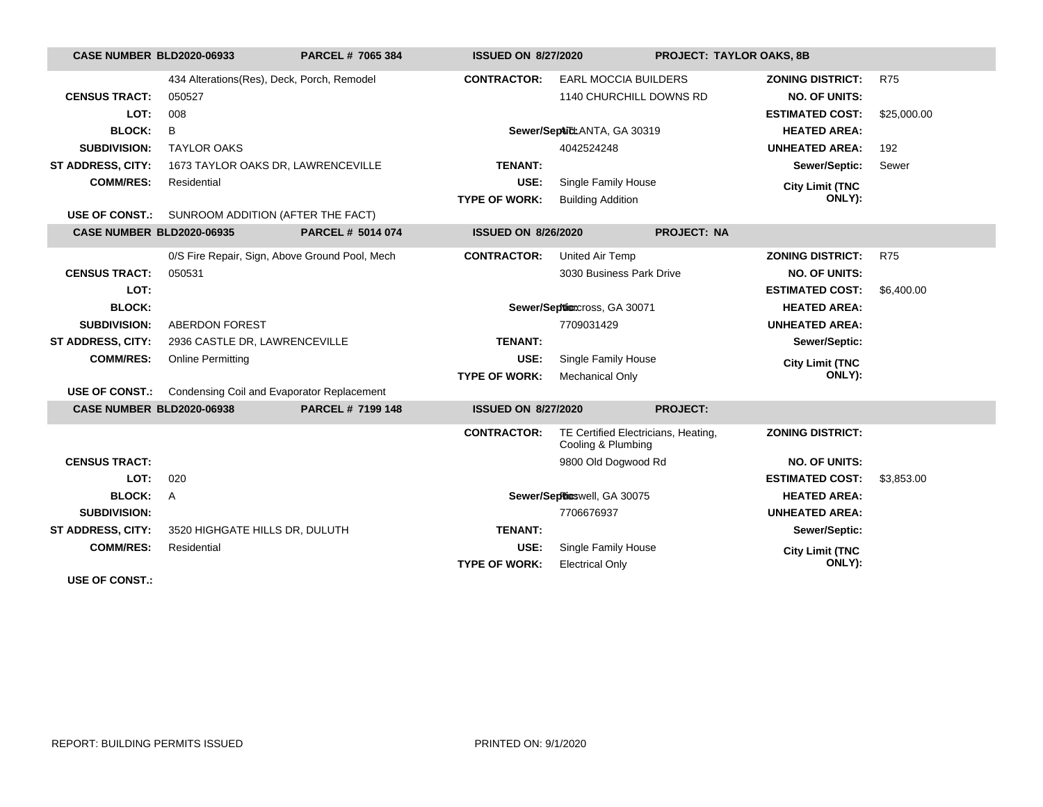| <b>CASE NUMBER BLD2020-06933</b> |                                                         | PARCEL # 7065 384 | <b>ISSUED ON 8/27/2020</b> |                                                           | <b>PROJECT: TAYLOR OAKS, 8B</b> |             |
|----------------------------------|---------------------------------------------------------|-------------------|----------------------------|-----------------------------------------------------------|---------------------------------|-------------|
|                                  | 434 Alterations(Res), Deck, Porch, Remodel              |                   | <b>CONTRACTOR:</b>         | <b>EARL MOCCIA BUILDERS</b>                               | <b>ZONING DISTRICT:</b>         | <b>R75</b>  |
| <b>CENSUS TRACT:</b>             | 050527                                                  |                   |                            | 1140 CHURCHILL DOWNS RD                                   | <b>NO. OF UNITS:</b>            |             |
| LOT:                             | 008                                                     |                   |                            |                                                           | <b>ESTIMATED COST:</b>          | \$25,000.00 |
| <b>BLOCK:</b>                    | B                                                       |                   |                            | Sewer/SepticLANTA, GA 30319                               | <b>HEATED AREA:</b>             |             |
| <b>SUBDIVISION:</b>              | <b>TAYLOR OAKS</b>                                      |                   |                            | 4042524248                                                | <b>UNHEATED AREA:</b>           | 192         |
| <b>ST ADDRESS, CITY:</b>         | 1673 TAYLOR OAKS DR, LAWRENCEVILLE                      |                   | <b>TENANT:</b>             |                                                           | Sewer/Septic:                   | Sewer       |
| <b>COMM/RES:</b>                 | Residential                                             |                   | USE:                       | Single Family House                                       | <b>City Limit (TNC</b>          |             |
|                                  |                                                         |                   | <b>TYPE OF WORK:</b>       | <b>Building Addition</b>                                  |                                 | ONLY):      |
|                                  | <b>USE OF CONST.:</b> SUNROOM ADDITION (AFTER THE FACT) |                   |                            |                                                           |                                 |             |
| <b>CASE NUMBER BLD2020-06935</b> |                                                         | PARCEL # 5014 074 | <b>ISSUED ON 8/26/2020</b> |                                                           | <b>PROJECT: NA</b>              |             |
|                                  | 0/S Fire Repair, Sign, Above Ground Pool, Mech          |                   | <b>CONTRACTOR:</b>         | United Air Temp                                           | <b>ZONING DISTRICT:</b>         | <b>R75</b>  |
| <b>CENSUS TRACT:</b>             | 050531                                                  |                   |                            | 3030 Business Park Drive                                  | <b>NO. OF UNITS:</b>            |             |
| LOT:                             |                                                         |                   |                            |                                                           | <b>ESTIMATED COST:</b>          | \$6,400.00  |
| <b>BLOCK:</b>                    |                                                         |                   |                            | Sewer/Septioncross, GA 30071                              | <b>HEATED AREA:</b>             |             |
| <b>SUBDIVISION:</b>              | <b>ABERDON FOREST</b>                                   |                   |                            | 7709031429                                                | <b>UNHEATED AREA:</b>           |             |
| <b>ST ADDRESS, CITY:</b>         | 2936 CASTLE DR, LAWRENCEVILLE                           |                   | <b>TENANT:</b>             |                                                           | Sewer/Septic:                   |             |
| <b>COMM/RES:</b>                 | <b>Online Permitting</b>                                |                   | USE:                       | Single Family House                                       | <b>City Limit (TNC</b>          |             |
|                                  |                                                         |                   | <b>TYPE OF WORK:</b>       | <b>Mechanical Only</b>                                    |                                 | ONLY):      |
| <b>USE OF CONST.:</b>            | Condensing Coil and Evaporator Replacement              |                   |                            |                                                           |                                 |             |
| <b>CASE NUMBER BLD2020-06938</b> |                                                         | PARCEL # 7199 148 | <b>ISSUED ON 8/27/2020</b> |                                                           | <b>PROJECT:</b>                 |             |
|                                  |                                                         |                   | <b>CONTRACTOR:</b>         | TE Certified Electricians, Heating,<br>Cooling & Plumbing | <b>ZONING DISTRICT:</b>         |             |
| <b>CENSUS TRACT:</b>             |                                                         |                   |                            | 9800 Old Dogwood Rd                                       | <b>NO. OF UNITS:</b>            |             |
| LOT:                             | 020                                                     |                   |                            |                                                           | <b>ESTIMATED COST:</b>          | \$3,853.00  |
| <b>BLOCK:</b>                    | A                                                       |                   |                            | Sewer/SepRicswell, GA 30075                               | <b>HEATED AREA:</b>             |             |
| <b>SUBDIVISION:</b>              |                                                         |                   |                            | 7706676937                                                | <b>UNHEATED AREA:</b>           |             |
| <b>ST ADDRESS, CITY:</b>         | 3520 HIGHGATE HILLS DR, DULUTH                          |                   | <b>TENANT:</b>             |                                                           | Sewer/Septic:                   |             |
| <b>COMM/RES:</b>                 | Residential                                             |                   | USE:                       | Single Family House                                       | <b>City Limit (TNC</b>          |             |
|                                  |                                                         |                   | <b>TYPE OF WORK:</b>       | <b>Electrical Only</b>                                    |                                 | ONLY):      |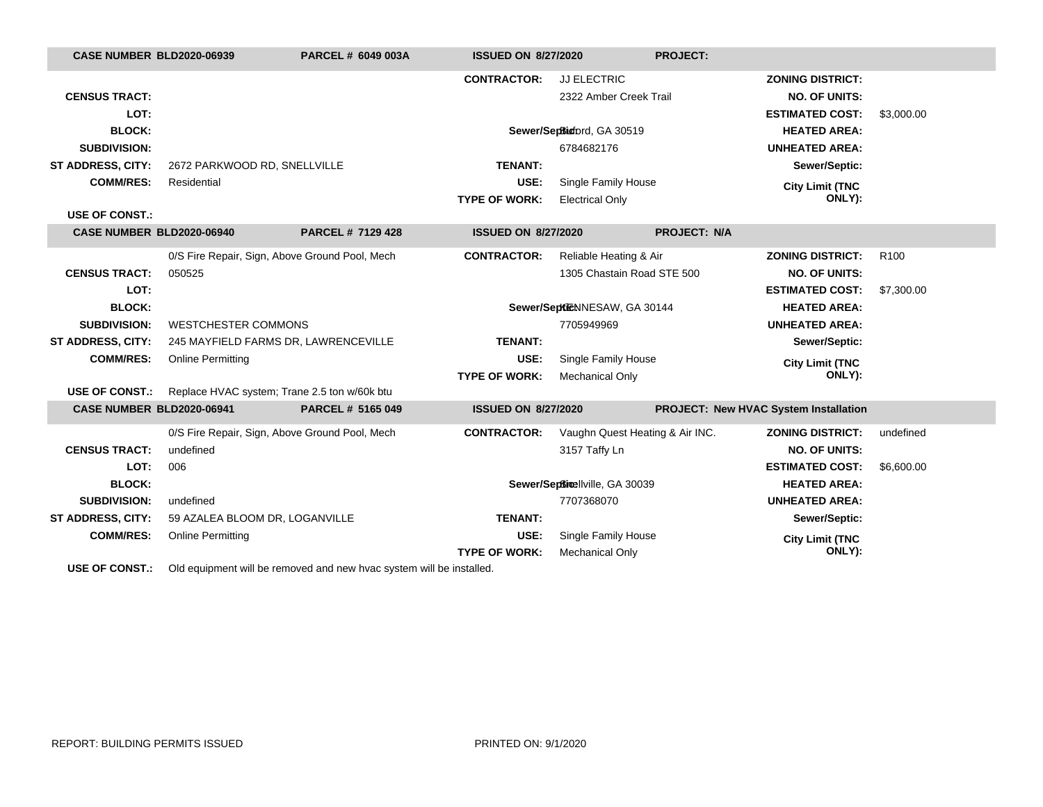| <b>CASE NUMBER BLD2020-06939</b> |                                | PARCEL # 6049 003A                                                                               | <b>ISSUED ON 8/27/2020</b> |                                 | <b>PROJECT:</b>                       |                         |                  |
|----------------------------------|--------------------------------|--------------------------------------------------------------------------------------------------|----------------------------|---------------------------------|---------------------------------------|-------------------------|------------------|
|                                  |                                |                                                                                                  | <b>CONTRACTOR:</b>         | <b>JJ ELECTRIC</b>              |                                       | <b>ZONING DISTRICT:</b> |                  |
| <b>CENSUS TRACT:</b>             |                                |                                                                                                  |                            | 2322 Amber Creek Trail          |                                       | <b>NO. OF UNITS:</b>    |                  |
| LOT:                             |                                |                                                                                                  |                            |                                 |                                       | <b>ESTIMATED COST:</b>  | \$3,000.00       |
| <b>BLOCK:</b>                    |                                |                                                                                                  |                            | Sewer/SepBindord, GA 30519      |                                       | <b>HEATED AREA:</b>     |                  |
| <b>SUBDIVISION:</b>              |                                |                                                                                                  |                            | 6784682176                      |                                       | <b>UNHEATED AREA:</b>   |                  |
| <b>ST ADDRESS, CITY:</b>         | 2672 PARKWOOD RD, SNELLVILLE   |                                                                                                  | <b>TENANT:</b>             |                                 |                                       | Sewer/Septic:           |                  |
| <b>COMM/RES:</b>                 | Residential                    |                                                                                                  | USE:                       | Single Family House             |                                       | <b>City Limit (TNC</b>  |                  |
|                                  |                                |                                                                                                  | <b>TYPE OF WORK:</b>       | <b>Electrical Only</b>          |                                       | ONLY):                  |                  |
| <b>USE OF CONST.:</b>            |                                |                                                                                                  |                            |                                 |                                       |                         |                  |
| CASE NUMBER BLD2020-06940        |                                | PARCEL # 7129 428                                                                                | <b>ISSUED ON 8/27/2020</b> |                                 | <b>PROJECT: N/A</b>                   |                         |                  |
|                                  |                                | 0/S Fire Repair, Sign, Above Ground Pool, Mech                                                   | <b>CONTRACTOR:</b>         | Reliable Heating & Air          |                                       | <b>ZONING DISTRICT:</b> | R <sub>100</sub> |
| <b>CENSUS TRACT:</b>             | 050525                         |                                                                                                  |                            | 1305 Chastain Road STE 500      |                                       | <b>NO. OF UNITS:</b>    |                  |
| LOT:                             |                                |                                                                                                  |                            |                                 |                                       | <b>ESTIMATED COST:</b>  | \$7,300.00       |
| <b>BLOCK:</b>                    |                                |                                                                                                  |                            | Sewer/SeptieNNESAW, GA 30144    |                                       | <b>HEATED AREA:</b>     |                  |
| <b>SUBDIVISION:</b>              | <b>WESTCHESTER COMMONS</b>     |                                                                                                  |                            | 7705949969                      |                                       | <b>UNHEATED AREA:</b>   |                  |
| <b>ST ADDRESS, CITY:</b>         |                                | 245 MAYFIELD FARMS DR, LAWRENCEVILLE                                                             | <b>TENANT:</b>             |                                 |                                       | Sewer/Septic:           |                  |
| <b>COMM/RES:</b>                 | <b>Online Permitting</b>       |                                                                                                  | USE:                       | Single Family House             |                                       | <b>City Limit (TNC</b>  |                  |
|                                  |                                |                                                                                                  | <b>TYPE OF WORK:</b>       | <b>Mechanical Only</b>          |                                       | ONLY):                  |                  |
| <b>USE OF CONST.:</b>            |                                | Replace HVAC system; Trane 2.5 ton w/60k btu                                                     |                            |                                 |                                       |                         |                  |
| CASE NUMBER BLD2020-06941        |                                | PARCEL # 5165 049                                                                                | <b>ISSUED ON 8/27/2020</b> |                                 | PROJECT: New HVAC System Installation |                         |                  |
|                                  |                                | 0/S Fire Repair, Sign, Above Ground Pool, Mech                                                   | <b>CONTRACTOR:</b>         | Vaughn Quest Heating & Air INC. |                                       | <b>ZONING DISTRICT:</b> | undefined        |
| <b>CENSUS TRACT:</b>             | undefined                      |                                                                                                  |                            | 3157 Taffy Ln                   |                                       | <b>NO. OF UNITS:</b>    |                  |
| LOT:                             | 006                            |                                                                                                  |                            |                                 |                                       | <b>ESTIMATED COST:</b>  | \$6,600.00       |
| <b>BLOCK:</b>                    |                                |                                                                                                  |                            | Sewer/Septimellville, GA 30039  |                                       | <b>HEATED AREA:</b>     |                  |
| <b>SUBDIVISION:</b>              | undefined                      |                                                                                                  |                            | 7707368070                      |                                       | <b>UNHEATED AREA:</b>   |                  |
| ST ADDRESS, CITY:                | 59 AZALEA BLOOM DR, LOGANVILLE |                                                                                                  | <b>TENANT:</b>             |                                 |                                       | Sewer/Septic:           |                  |
| <b>COMM/RES:</b>                 | <b>Online Permitting</b>       |                                                                                                  | USE:                       | Single Family House             |                                       | <b>City Limit (TNC</b>  |                  |
|                                  |                                |                                                                                                  | <b>TYPE OF WORK:</b>       | <b>Mechanical Only</b>          |                                       | ONLY):                  |                  |
|                                  |                                | <b>LICE OF CONCT</b> $\cdot$ Old equipment will be remayed and new bype quotem will be installed |                            |                                 |                                       |                         |                  |

**USE OF CONST.:** Old equipment will be removed and new hvac system will be installed.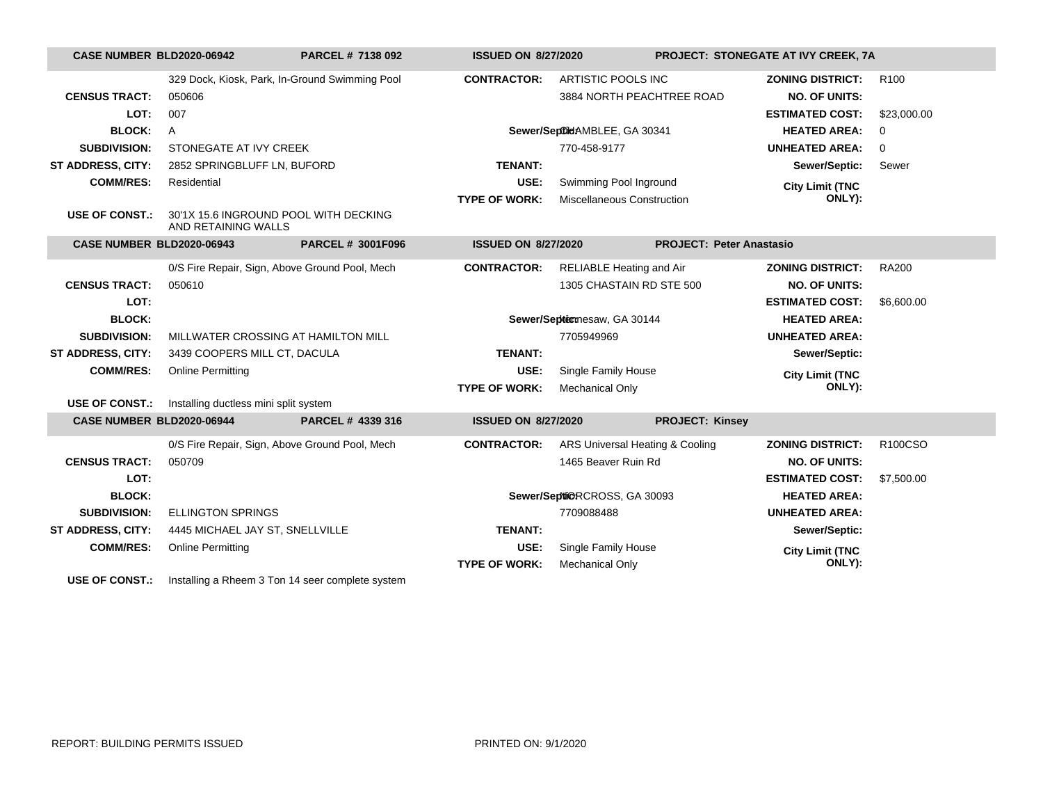| CASE NUMBER BLD2020-06942        |                                       | PARCEL # 7138 092                                | <b>ISSUED ON 8/27/2020</b> |                                 |                                 | PROJECT: STONEGATE AT IVY CREEK, 7A |                  |
|----------------------------------|---------------------------------------|--------------------------------------------------|----------------------------|---------------------------------|---------------------------------|-------------------------------------|------------------|
|                                  |                                       | 329 Dock, Kiosk, Park, In-Ground Swimming Pool   | <b>CONTRACTOR:</b>         | ARTISTIC POOLS INC              |                                 | <b>ZONING DISTRICT:</b>             | R <sub>100</sub> |
| <b>CENSUS TRACT:</b>             | 050606                                |                                                  |                            | 3884 NORTH PEACHTREE ROAD       |                                 | <b>NO. OF UNITS:</b>                |                  |
| LOT:                             | 007                                   |                                                  |                            |                                 |                                 | <b>ESTIMATED COST:</b>              | \$23,000.00      |
| <b>BLOCK:</b>                    | $\overline{A}$                        |                                                  |                            | Sewer/SeptildAMBLEE, GA 30341   |                                 | <b>HEATED AREA:</b>                 | $\mathbf 0$      |
| <b>SUBDIVISION:</b>              | STONEGATE AT IVY CREEK                |                                                  | 770-458-9177               |                                 |                                 | <b>UNHEATED AREA:</b>               | $\mathbf 0$      |
| <b>ST ADDRESS, CITY:</b>         | 2852 SPRINGBLUFF LN, BUFORD           |                                                  | <b>TENANT:</b>             |                                 |                                 | Sewer/Septic:                       | Sewer            |
| <b>COMM/RES:</b>                 | Residential                           |                                                  | USE:                       | Swimming Pool Inground          |                                 | <b>City Limit (TNC</b>              |                  |
|                                  |                                       |                                                  | <b>TYPE OF WORK:</b>       | Miscellaneous Construction      |                                 | ONLY):                              |                  |
| <b>USE OF CONST.:</b>            | AND RETAINING WALLS                   | 30'1X 15.6 INGROUND POOL WITH DECKING            |                            |                                 |                                 |                                     |                  |
| <b>CASE NUMBER BLD2020-06943</b> |                                       | <b>PARCEL # 3001F096</b>                         | <b>ISSUED ON 8/27/2020</b> |                                 | <b>PROJECT: Peter Anastasio</b> |                                     |                  |
|                                  |                                       | 0/S Fire Repair, Sign, Above Ground Pool, Mech   | <b>CONTRACTOR:</b>         | <b>RELIABLE Heating and Air</b> |                                 | <b>ZONING DISTRICT:</b>             | <b>RA200</b>     |
| <b>CENSUS TRACT:</b>             | 050610                                |                                                  |                            | 1305 CHASTAIN RD STE 500        |                                 | <b>NO. OF UNITS:</b>                |                  |
| LOT:                             |                                       |                                                  |                            |                                 |                                 | <b>ESTIMATED COST:</b>              | \$6,600.00       |
| <b>BLOCK:</b>                    |                                       |                                                  |                            | Sewer/Septermesaw, GA 30144     |                                 | <b>HEATED AREA:</b>                 |                  |
| <b>SUBDIVISION:</b>              |                                       | MILLWATER CROSSING AT HAMILTON MILL              |                            | 7705949969                      |                                 | <b>UNHEATED AREA:</b>               |                  |
| <b>ST ADDRESS, CITY:</b>         | 3439 COOPERS MILL CT, DACULA          |                                                  | <b>TENANT:</b>             |                                 |                                 | Sewer/Septic:                       |                  |
| <b>COMM/RES:</b>                 | <b>Online Permitting</b>              |                                                  | USE:                       | Single Family House             |                                 | <b>City Limit (TNC</b>              |                  |
|                                  |                                       |                                                  | <b>TYPE OF WORK:</b>       | <b>Mechanical Only</b>          |                                 | ONLY):                              |                  |
| <b>USE OF CONST.:</b>            | Installing ductless mini split system |                                                  |                            |                                 |                                 |                                     |                  |
| CASE NUMBER BLD2020-06944        |                                       | PARCEL # 4339 316                                | <b>ISSUED ON 8/27/2020</b> |                                 | <b>PROJECT: Kinsey</b>          |                                     |                  |
|                                  |                                       | 0/S Fire Repair, Sign, Above Ground Pool, Mech   | <b>CONTRACTOR:</b>         | ARS Universal Heating & Cooling |                                 | <b>ZONING DISTRICT:</b>             | R100CSO          |
| <b>CENSUS TRACT:</b>             | 050709                                |                                                  |                            | 1465 Beaver Ruin Rd             |                                 | <b>NO. OF UNITS:</b>                |                  |
| LOT:                             |                                       |                                                  |                            |                                 |                                 | <b>ESTIMATED COST:</b>              | \$7,500.00       |
| <b>BLOCK:</b>                    |                                       |                                                  |                            | Sewer/Septi@RCROSS, GA 30093    |                                 | <b>HEATED AREA:</b>                 |                  |
| <b>SUBDIVISION:</b>              | <b>ELLINGTON SPRINGS</b>              |                                                  |                            | 7709088488                      |                                 | <b>UNHEATED AREA:</b>               |                  |
| <b>ST ADDRESS, CITY:</b>         | 4445 MICHAEL JAY ST, SNELLVILLE       |                                                  | <b>TENANT:</b>             |                                 |                                 | Sewer/Septic:                       |                  |
| <b>COMM/RES:</b>                 | <b>Online Permitting</b>              |                                                  | USE:                       | Single Family House             |                                 | <b>City Limit (TNC</b>              |                  |
|                                  |                                       |                                                  | <b>TYPE OF WORK:</b>       | <b>Mechanical Only</b>          |                                 | ONLY):                              |                  |
| <b>USE OF CONST.:</b>            |                                       | Installing a Rheem 3 Ton 14 seer complete system |                            |                                 |                                 |                                     |                  |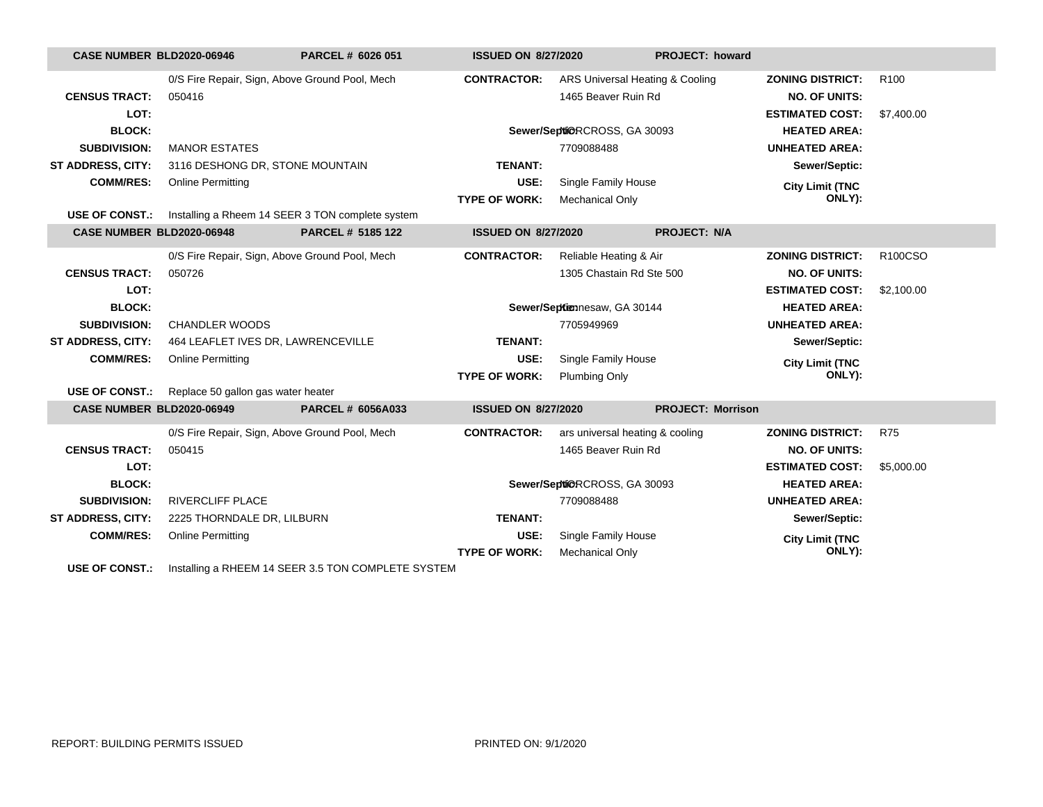| CASE NUMBER BLD2020-06946 |                                    | PARCEL # 6026 051                                                        | <b>ISSUED ON 8/27/2020</b> |                                 | PROJECT: howard          |                         |                  |
|---------------------------|------------------------------------|--------------------------------------------------------------------------|----------------------------|---------------------------------|--------------------------|-------------------------|------------------|
|                           |                                    | 0/S Fire Repair, Sign, Above Ground Pool, Mech                           | <b>CONTRACTOR:</b>         | ARS Universal Heating & Cooling |                          | <b>ZONING DISTRICT:</b> | R <sub>100</sub> |
| <b>CENSUS TRACT:</b>      | 050416                             |                                                                          |                            | 1465 Beaver Ruin Rd             |                          | <b>NO. OF UNITS:</b>    |                  |
| LOT:                      |                                    |                                                                          |                            |                                 |                          | <b>ESTIMATED COST:</b>  | \$7,400.00       |
| <b>BLOCK:</b>             |                                    |                                                                          |                            | Sewer/SeptiORCROSS, GA 30093    |                          | <b>HEATED AREA:</b>     |                  |
| <b>SUBDIVISION:</b>       | <b>MANOR ESTATES</b>               |                                                                          |                            | 7709088488                      |                          | <b>UNHEATED AREA:</b>   |                  |
| <b>ST ADDRESS, CITY:</b>  | 3116 DESHONG DR, STONE MOUNTAIN    |                                                                          | <b>TENANT:</b>             |                                 |                          | Sewer/Septic:           |                  |
| <b>COMM/RES:</b>          | <b>Online Permitting</b>           |                                                                          | USE:                       | Single Family House             |                          | <b>City Limit (TNC</b>  |                  |
|                           |                                    |                                                                          | <b>TYPE OF WORK:</b>       | <b>Mechanical Only</b>          |                          | ONLY):                  |                  |
| <b>USE OF CONST.:</b>     |                                    | Installing a Rheem 14 SEER 3 TON complete system                         |                            |                                 |                          |                         |                  |
| CASE NUMBER BLD2020-06948 |                                    | PARCEL # 5185 122                                                        | <b>ISSUED ON 8/27/2020</b> |                                 | <b>PROJECT: N/A</b>      |                         |                  |
|                           |                                    | 0/S Fire Repair, Sign, Above Ground Pool, Mech                           | <b>CONTRACTOR:</b>         | Reliable Heating & Air          |                          | <b>ZONING DISTRICT:</b> | R100CSO          |
| <b>CENSUS TRACT:</b>      | 050726                             |                                                                          |                            | 1305 Chastain Rd Ste 500        |                          | <b>NO. OF UNITS:</b>    |                  |
| LOT:                      |                                    |                                                                          |                            |                                 |                          | <b>ESTIMATED COST:</b>  | \$2,100.00       |
| <b>BLOCK:</b>             |                                    |                                                                          |                            | Sewer/Sepkiennesaw, GA 30144    |                          | <b>HEATED AREA:</b>     |                  |
| <b>SUBDIVISION:</b>       | <b>CHANDLER WOODS</b>              |                                                                          |                            | 7705949969                      |                          | <b>UNHEATED AREA:</b>   |                  |
| <b>ST ADDRESS, CITY:</b>  |                                    | 464 LEAFLET IVES DR, LAWRENCEVILLE                                       | <b>TENANT:</b>             |                                 |                          | Sewer/Septic:           |                  |
| <b>COMM/RES:</b>          | <b>Online Permitting</b>           |                                                                          | USE:                       | Single Family House             |                          | <b>City Limit (TNC</b>  |                  |
|                           |                                    |                                                                          | <b>TYPE OF WORK:</b>       | <b>Plumbing Only</b>            |                          | ONLY):                  |                  |
| <b>USE OF CONST.:</b>     | Replace 50 gallon gas water heater |                                                                          |                            |                                 |                          |                         |                  |
| CASE NUMBER BLD2020-06949 |                                    | <b>PARCEL # 6056A033</b>                                                 | <b>ISSUED ON 8/27/2020</b> |                                 | <b>PROJECT: Morrison</b> |                         |                  |
|                           |                                    | 0/S Fire Repair, Sign, Above Ground Pool, Mech                           | <b>CONTRACTOR:</b>         | ars universal heating & cooling |                          | <b>ZONING DISTRICT:</b> | <b>R75</b>       |
| <b>CENSUS TRACT:</b>      | 050415                             |                                                                          |                            | 1465 Beaver Ruin Rd             |                          | <b>NO. OF UNITS:</b>    |                  |
| LOT:                      |                                    |                                                                          |                            |                                 |                          | <b>ESTIMATED COST:</b>  | \$5,000.00       |
| <b>BLOCK:</b>             |                                    |                                                                          |                            | Sewer/SeptiORCROSS, GA 30093    |                          | <b>HEATED AREA:</b>     |                  |
| <b>SUBDIVISION:</b>       | <b>RIVERCLIFF PLACE</b>            |                                                                          |                            | 7709088488                      |                          | <b>UNHEATED AREA:</b>   |                  |
| <b>ST ADDRESS, CITY:</b>  | 2225 THORNDALE DR, LILBURN         |                                                                          | <b>TENANT:</b>             |                                 |                          | Sewer/Septic:           |                  |
| <b>COMM/RES:</b>          | <b>Online Permitting</b>           |                                                                          | USE:                       | Single Family House             |                          | <b>City Limit (TNC</b>  |                  |
|                           |                                    |                                                                          | <b>TYPE OF WORK:</b>       | <b>Mechanical Only</b>          |                          | ONLY):                  |                  |
|                           |                                    | LISE OF CONST $\cdot$ Lootelling a BUEEM 14 SEEB 2 E TON COMBLETE SVSTEM |                            |                                 |                          |                         |                  |

**USE OF CONST.:** Installing a RHEEM 14 SEER 3.5 TON COMPLETE SYSTEM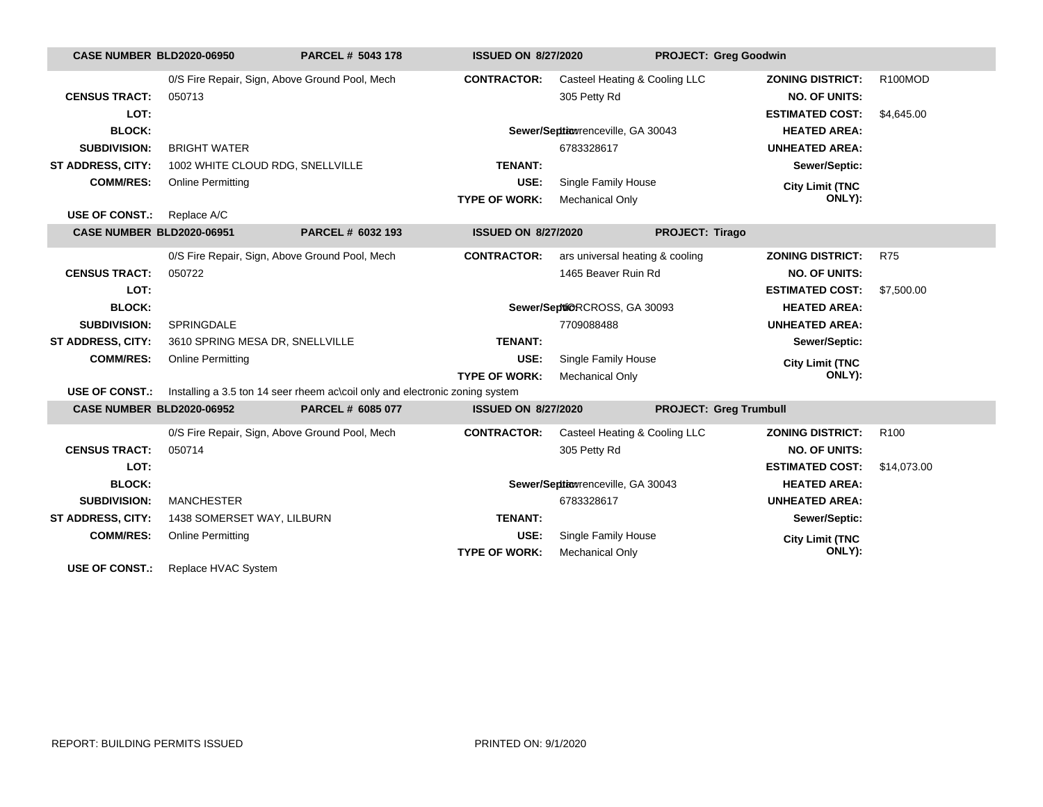| <b>CASE NUMBER BLD2020-06950</b> |                                                | PARCEL # 5043 178                                                            | <b>ISSUED ON 8/27/2020</b> |                                   | <b>PROJECT: Greg Goodwin</b>  |                         |                  |
|----------------------------------|------------------------------------------------|------------------------------------------------------------------------------|----------------------------|-----------------------------------|-------------------------------|-------------------------|------------------|
|                                  | 0/S Fire Repair, Sign, Above Ground Pool, Mech |                                                                              | <b>CONTRACTOR:</b>         | Casteel Heating & Cooling LLC     |                               | <b>ZONING DISTRICT:</b> | R100MOD          |
| <b>CENSUS TRACT:</b>             | 050713                                         |                                                                              |                            | 305 Petty Rd                      |                               | <b>NO. OF UNITS:</b>    |                  |
| LOT:                             |                                                |                                                                              |                            |                                   |                               | <b>ESTIMATED COST:</b>  | \$4,645.00       |
| <b>BLOCK:</b>                    |                                                |                                                                              |                            | Sewer/Septiowrenceville, GA 30043 |                               | <b>HEATED AREA:</b>     |                  |
| <b>SUBDIVISION:</b>              | <b>BRIGHT WATER</b>                            |                                                                              |                            | 6783328617                        |                               | <b>UNHEATED AREA:</b>   |                  |
| <b>ST ADDRESS, CITY:</b>         | 1002 WHITE CLOUD RDG, SNELLVILLE               |                                                                              | TENANT:                    |                                   |                               | Sewer/Septic:           |                  |
| <b>COMM/RES:</b>                 | <b>Online Permitting</b>                       |                                                                              | USE:                       | Single Family House               |                               | <b>City Limit (TNC</b>  |                  |
|                                  |                                                |                                                                              | <b>TYPE OF WORK:</b>       | Mechanical Only                   |                               | ONLY):                  |                  |
| <b>USE OF CONST.:</b>            | Replace A/C                                    |                                                                              |                            |                                   |                               |                         |                  |
| <b>CASE NUMBER BLD2020-06951</b> |                                                | PARCEL # 6032 193                                                            | <b>ISSUED ON 8/27/2020</b> |                                   | PROJECT: Tirago               |                         |                  |
|                                  | 0/S Fire Repair, Sign, Above Ground Pool, Mech |                                                                              | <b>CONTRACTOR:</b>         | ars universal heating & cooling   |                               | <b>ZONING DISTRICT:</b> | <b>R75</b>       |
| <b>CENSUS TRACT:</b>             | 050722                                         |                                                                              |                            | 1465 Beaver Ruin Rd               |                               | <b>NO. OF UNITS:</b>    |                  |
| LOT:                             |                                                |                                                                              |                            |                                   |                               | <b>ESTIMATED COST:</b>  | \$7,500.00       |
| <b>BLOCK:</b>                    |                                                |                                                                              |                            | Sewer/Septi@RCROSS, GA 30093      |                               | <b>HEATED AREA:</b>     |                  |
| <b>SUBDIVISION:</b>              | <b>SPRINGDALE</b>                              |                                                                              |                            | 7709088488                        |                               | <b>UNHEATED AREA:</b>   |                  |
| ST ADDRESS, CITY:                | 3610 SPRING MESA DR, SNELLVILLE                |                                                                              | <b>TENANT:</b>             |                                   |                               | Sewer/Septic:           |                  |
| <b>COMM/RES:</b>                 | <b>Online Permitting</b>                       |                                                                              | USE:                       | Single Family House               |                               | <b>City Limit (TNC</b>  |                  |
|                                  |                                                |                                                                              | <b>TYPE OF WORK:</b>       | Mechanical Only                   |                               | ONLY):                  |                  |
| USE OF CONST.:                   |                                                | Installing a 3.5 ton 14 seer rheem ac\coil only and electronic zoning system |                            |                                   |                               |                         |                  |
| <b>CASE NUMBER BLD2020-06952</b> |                                                | PARCEL # 6085 077                                                            | <b>ISSUED ON 8/27/2020</b> |                                   | <b>PROJECT: Greg Trumbull</b> |                         |                  |
|                                  | 0/S Fire Repair, Sign, Above Ground Pool, Mech |                                                                              | <b>CONTRACTOR:</b>         | Casteel Heating & Cooling LLC     |                               | <b>ZONING DISTRICT:</b> | R <sub>100</sub> |
| <b>CENSUS TRACT:</b>             | 050714                                         |                                                                              |                            | 305 Petty Rd                      |                               | <b>NO. OF UNITS:</b>    |                  |
| LOT:                             |                                                |                                                                              |                            |                                   |                               | <b>ESTIMATED COST:</b>  | \$14,073.00      |
| <b>BLOCK:</b>                    |                                                |                                                                              |                            | Sewer/Septiowrenceville, GA 30043 |                               | <b>HEATED AREA:</b>     |                  |
| <b>SUBDIVISION:</b>              | <b>MANCHESTER</b>                              |                                                                              |                            | 6783328617                        |                               | <b>UNHEATED AREA:</b>   |                  |
| <b>ST ADDRESS, CITY:</b>         | 1438 SOMERSET WAY, LILBURN                     |                                                                              | <b>TENANT:</b>             |                                   |                               | Sewer/Septic:           |                  |
| <b>COMM/RES:</b>                 | <b>Online Permitting</b>                       |                                                                              | USE:                       | Single Family House               |                               | <b>City Limit (TNC</b>  |                  |
|                                  |                                                |                                                                              | <b>TYPE OF WORK:</b>       | <b>Mechanical Only</b>            |                               | ONLY):                  |                  |
| <b>USE OF CONST.:</b>            | Replace HVAC System                            |                                                                              |                            |                                   |                               |                         |                  |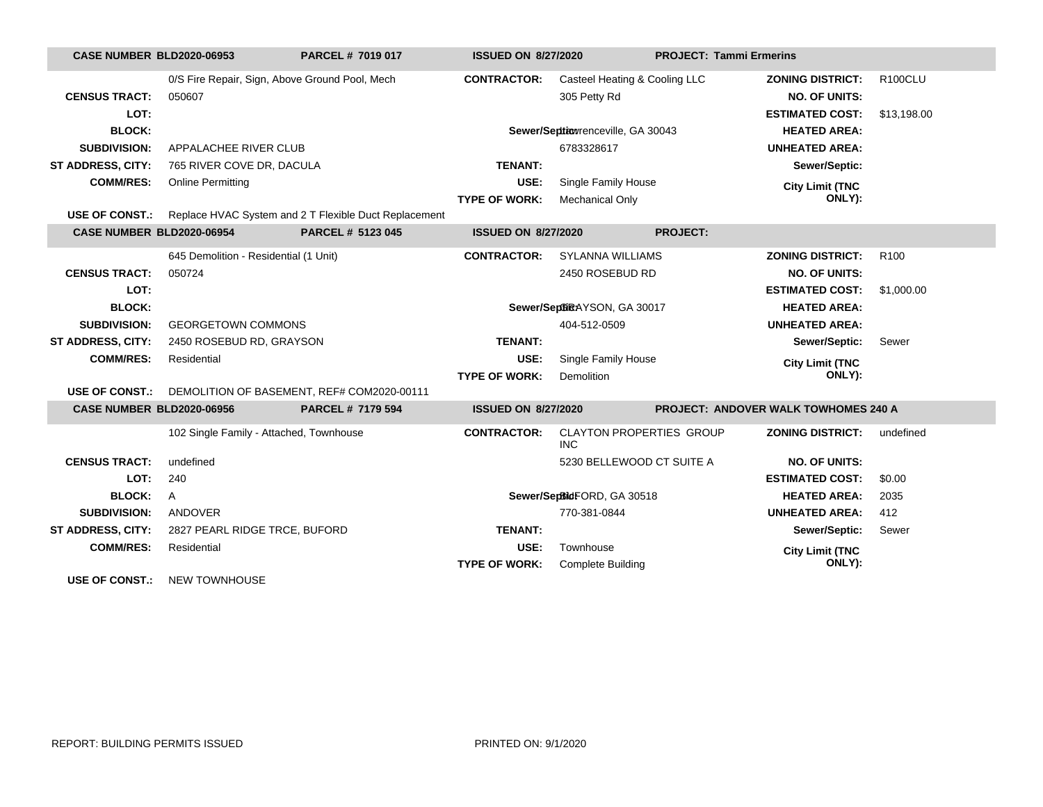| <b>CASE NUMBER BLD2020-06953</b> |                                                | PARCEL # 7019 017                                         | <b>ISSUED ON 8/27/2020</b> |                                               | <b>PROJECT: Tammi Ermerins</b> |                                             |                  |
|----------------------------------|------------------------------------------------|-----------------------------------------------------------|----------------------------|-----------------------------------------------|--------------------------------|---------------------------------------------|------------------|
|                                  | 0/S Fire Repair, Sign, Above Ground Pool, Mech |                                                           | <b>CONTRACTOR:</b>         | Casteel Heating & Cooling LLC                 |                                | <b>ZONING DISTRICT:</b>                     | R100CLU          |
| <b>CENSUS TRACT:</b>             | 050607                                         |                                                           |                            | 305 Petty Rd                                  |                                | <b>NO. OF UNITS:</b>                        |                  |
| LOT:                             |                                                |                                                           |                            |                                               |                                | <b>ESTIMATED COST:</b>                      | \$13,198.00      |
| <b>BLOCK:</b>                    |                                                |                                                           |                            | Sewer/Septiowrenceville, GA 30043             |                                | <b>HEATED AREA:</b>                         |                  |
| <b>SUBDIVISION:</b>              | APPALACHEE RIVER CLUB                          |                                                           |                            | 6783328617                                    |                                | <b>UNHEATED AREA:</b>                       |                  |
| ST ADDRESS, CITY:                | 765 RIVER COVE DR, DACULA                      |                                                           | <b>TENANT:</b>             |                                               |                                | Sewer/Septic:                               |                  |
| <b>COMM/RES:</b>                 | <b>Online Permitting</b>                       |                                                           | USE:                       | Single Family House                           |                                | <b>City Limit (TNC</b>                      |                  |
|                                  |                                                |                                                           | <b>TYPE OF WORK:</b>       | <b>Mechanical Only</b>                        |                                | ONLY):                                      |                  |
| <b>USE OF CONST.:</b>            |                                                | Replace HVAC System and 2 T Flexible Duct Replacement     |                            |                                               |                                |                                             |                  |
| CASE NUMBER BLD2020-06954        |                                                | PARCEL # 5123 045                                         | <b>ISSUED ON 8/27/2020</b> |                                               | <b>PROJECT:</b>                |                                             |                  |
|                                  | 645 Demolition - Residential (1 Unit)          |                                                           | <b>CONTRACTOR:</b>         | <b>SYLANNA WILLIAMS</b>                       |                                | <b>ZONING DISTRICT:</b>                     | R <sub>100</sub> |
| <b>CENSUS TRACT:</b>             | 050724                                         |                                                           |                            | 2450 ROSEBUD RD                               |                                | <b>NO. OF UNITS:</b>                        |                  |
| LOT:                             |                                                |                                                           |                            |                                               |                                | <b>ESTIMATED COST:</b>                      | \$1,000.00       |
| <b>BLOCK:</b>                    |                                                |                                                           |                            | Sewer/SeptiRAYSON, GA 30017                   |                                | <b>HEATED AREA:</b>                         |                  |
| <b>SUBDIVISION:</b>              | <b>GEORGETOWN COMMONS</b>                      |                                                           |                            | 404-512-0509                                  |                                | <b>UNHEATED AREA:</b>                       |                  |
| <b>ST ADDRESS, CITY:</b>         | 2450 ROSEBUD RD, GRAYSON                       |                                                           | <b>TENANT:</b>             |                                               |                                | Sewer/Septic:                               | Sewer            |
| <b>COMM/RES:</b>                 | Residential                                    |                                                           | USE:                       | Single Family House                           |                                | <b>City Limit (TNC</b>                      |                  |
|                                  |                                                |                                                           | <b>TYPE OF WORK:</b>       | <b>Demolition</b>                             |                                | ONLY):                                      |                  |
|                                  |                                                | USE OF CONST.: DEMOLITION OF BASEMENT, REF# COM2020-00111 |                            |                                               |                                |                                             |                  |
| CASE NUMBER BLD2020-06956        |                                                | PARCEL # 7179 594                                         | <b>ISSUED ON 8/27/2020</b> |                                               |                                | <b>PROJECT: ANDOVER WALK TOWHOMES 240 A</b> |                  |
|                                  | 102 Single Family - Attached, Townhouse        |                                                           | <b>CONTRACTOR:</b>         | <b>CLAYTON PROPERTIES GROUP</b><br><b>INC</b> |                                | <b>ZONING DISTRICT:</b>                     | undefined        |
| <b>CENSUS TRACT:</b>             | undefined                                      |                                                           |                            | 5230 BELLEWOOD CT SUITE A                     |                                | <b>NO. OF UNITS:</b>                        |                  |
| LOT:                             | 240                                            |                                                           |                            |                                               |                                | <b>ESTIMATED COST:</b>                      | \$0.00           |
| <b>BLOCK:</b>                    | A                                              |                                                           |                            | Sewer/SepBidFORD, GA 30518                    |                                | <b>HEATED AREA:</b>                         | 2035             |
| <b>SUBDIVISION:</b>              | ANDOVER                                        |                                                           |                            | 770-381-0844                                  |                                | <b>UNHEATED AREA:</b>                       | 412              |
| <b>ST ADDRESS, CITY:</b>         | 2827 PEARL RIDGE TRCE, BUFORD                  |                                                           | <b>TENANT:</b>             |                                               |                                | Sewer/Septic:                               | Sewer            |
| <b>COMM/RES:</b>                 | Residential                                    |                                                           | USE:                       | Townhouse                                     |                                | <b>City Limit (TNC</b>                      |                  |
|                                  |                                                |                                                           | <b>TYPE OF WORK:</b>       | <b>Complete Building</b>                      |                                | ONLY):                                      |                  |
| <b>USE OF CONST.:</b>            | <b>NEW TOWNHOUSE</b>                           |                                                           |                            |                                               |                                |                                             |                  |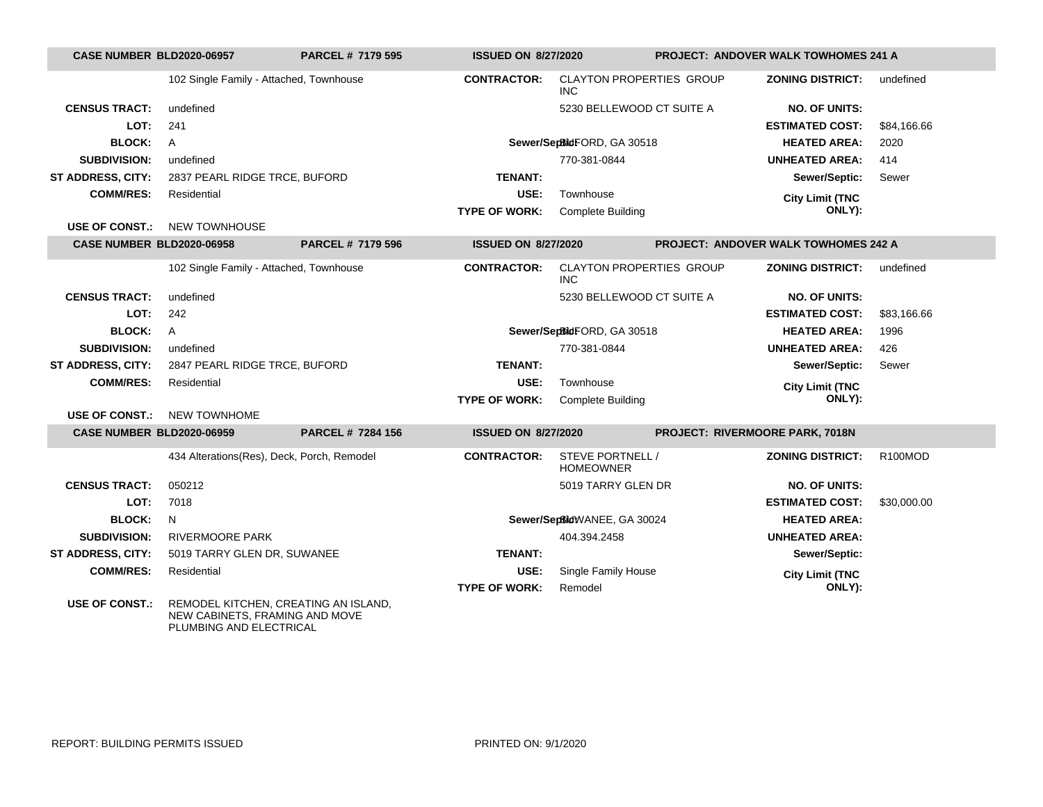| CASE NUMBER BLD2020-06957        |                                                                        | <b>PARCEL # 7179 595</b> | <b>ISSUED ON 8/27/2020</b> |                                               | <b>PROJECT: ANDOVER WALK TOWHOMES 241 A</b> |                                      |             |
|----------------------------------|------------------------------------------------------------------------|--------------------------|----------------------------|-----------------------------------------------|---------------------------------------------|--------------------------------------|-------------|
|                                  | 102 Single Family - Attached, Townhouse                                |                          | <b>CONTRACTOR:</b>         | <b>CLAYTON PROPERTIES GROUP</b><br><b>INC</b> |                                             | <b>ZONING DISTRICT:</b>              | undefined   |
| <b>CENSUS TRACT:</b>             | undefined                                                              |                          |                            | 5230 BELLEWOOD CT SUITE A                     |                                             | <b>NO. OF UNITS:</b>                 |             |
| LOT:                             | 241                                                                    |                          |                            |                                               |                                             | <b>ESTIMATED COST:</b>               | \$84,166.66 |
| <b>BLOCK:</b>                    | A                                                                      |                          |                            | Sewer/SepBidFORD, GA 30518                    |                                             | <b>HEATED AREA:</b>                  | 2020        |
| <b>SUBDIVISION:</b>              | undefined                                                              |                          |                            | 770-381-0844                                  |                                             | <b>UNHEATED AREA:</b>                | 414         |
| <b>ST ADDRESS, CITY:</b>         | 2837 PEARL RIDGE TRCE, BUFORD                                          |                          | <b>TENANT:</b>             |                                               |                                             | Sewer/Septic:                        | Sewer       |
| <b>COMM/RES:</b>                 | Residential                                                            |                          | USE:                       | Townhouse                                     |                                             | <b>City Limit (TNC</b>               |             |
|                                  |                                                                        |                          | <b>TYPE OF WORK:</b>       | <b>Complete Building</b>                      |                                             | ONLY):                               |             |
| <b>USE OF CONST.:</b>            | <b>NEW TOWNHOUSE</b>                                                   |                          |                            |                                               |                                             |                                      |             |
| <b>CASE NUMBER BLD2020-06958</b> |                                                                        | PARCEL # 7179 596        | <b>ISSUED ON 8/27/2020</b> |                                               |                                             | PROJECT: ANDOVER WALK TOWHOMES 242 A |             |
|                                  | 102 Single Family - Attached, Townhouse                                |                          | <b>CONTRACTOR:</b>         | <b>CLAYTON PROPERTIES GROUP</b><br><b>INC</b> |                                             | <b>ZONING DISTRICT:</b>              | undefined   |
| <b>CENSUS TRACT:</b>             | undefined                                                              |                          |                            | 5230 BELLEWOOD CT SUITE A                     |                                             | <b>NO. OF UNITS:</b>                 |             |
| LOT:                             | 242                                                                    |                          |                            |                                               |                                             | <b>ESTIMATED COST:</b>               | \$83,166.66 |
| <b>BLOCK:</b>                    | A                                                                      |                          |                            | Sewer/SepBidFORD, GA 30518                    |                                             | <b>HEATED AREA:</b>                  | 1996        |
| <b>SUBDIVISION:</b>              | undefined                                                              |                          |                            | 770-381-0844                                  |                                             | <b>UNHEATED AREA:</b>                | 426         |
| ST ADDRESS, CITY:                | 2847 PEARL RIDGE TRCE, BUFORD                                          |                          | <b>TENANT:</b>             |                                               |                                             | Sewer/Septic:                        | Sewer       |
| <b>COMM/RES:</b>                 | Residential                                                            |                          | USE:                       | Townhouse                                     |                                             | <b>City Limit (TNC</b>               |             |
|                                  |                                                                        |                          | <b>TYPE OF WORK:</b>       | <b>Complete Building</b>                      |                                             | ONLY):                               |             |
| <b>USE OF CONST.:</b>            | <b>NEW TOWNHOME</b>                                                    |                          |                            |                                               |                                             |                                      |             |
| <b>CASE NUMBER BLD2020-06959</b> |                                                                        | <b>PARCEL # 7284 156</b> | <b>ISSUED ON 8/27/2020</b> |                                               | PROJECT: RIVERMOORE PARK, 7018N             |                                      |             |
|                                  | 434 Alterations(Res), Deck, Porch, Remodel                             |                          | <b>CONTRACTOR:</b>         | STEVE PORTNELL /<br><b>HOMEOWNER</b>          |                                             | <b>ZONING DISTRICT:</b>              | R100MOD     |
| <b>CENSUS TRACT:</b>             | 050212                                                                 |                          |                            | 5019 TARRY GLEN DR                            |                                             | <b>NO. OF UNITS:</b>                 |             |
| LOT:                             | 7018                                                                   |                          |                            |                                               |                                             | <b>ESTIMATED COST:</b>               | \$30,000.00 |
| <b>BLOCK:</b>                    | N                                                                      |                          |                            | Sewer/SeptidWANEE, GA 30024                   |                                             | <b>HEATED AREA:</b>                  |             |
| <b>SUBDIVISION:</b>              | <b>RIVERMOORE PARK</b>                                                 |                          |                            | 404.394.2458                                  |                                             | <b>UNHEATED AREA:</b>                |             |
| ST ADDRESS, CITY:                | 5019 TARRY GLEN DR, SUWANEE                                            |                          | <b>TENANT:</b>             |                                               |                                             | Sewer/Septic:                        |             |
| <b>COMM/RES:</b>                 | Residential                                                            |                          | USE:                       | Single Family House                           |                                             | <b>City Limit (TNC</b>               |             |
|                                  |                                                                        |                          | <b>TYPE OF WORK:</b>       | Remodel                                       |                                             | ONLY):                               |             |
| <b>USE OF CONST.:</b>            | REMODEL KITCHEN, CREATING AN ISLAND,<br>NEW CABINETS, FRAMING AND MOVE |                          |                            |                                               |                                             |                                      |             |

PLUMBING AND ELECTRICAL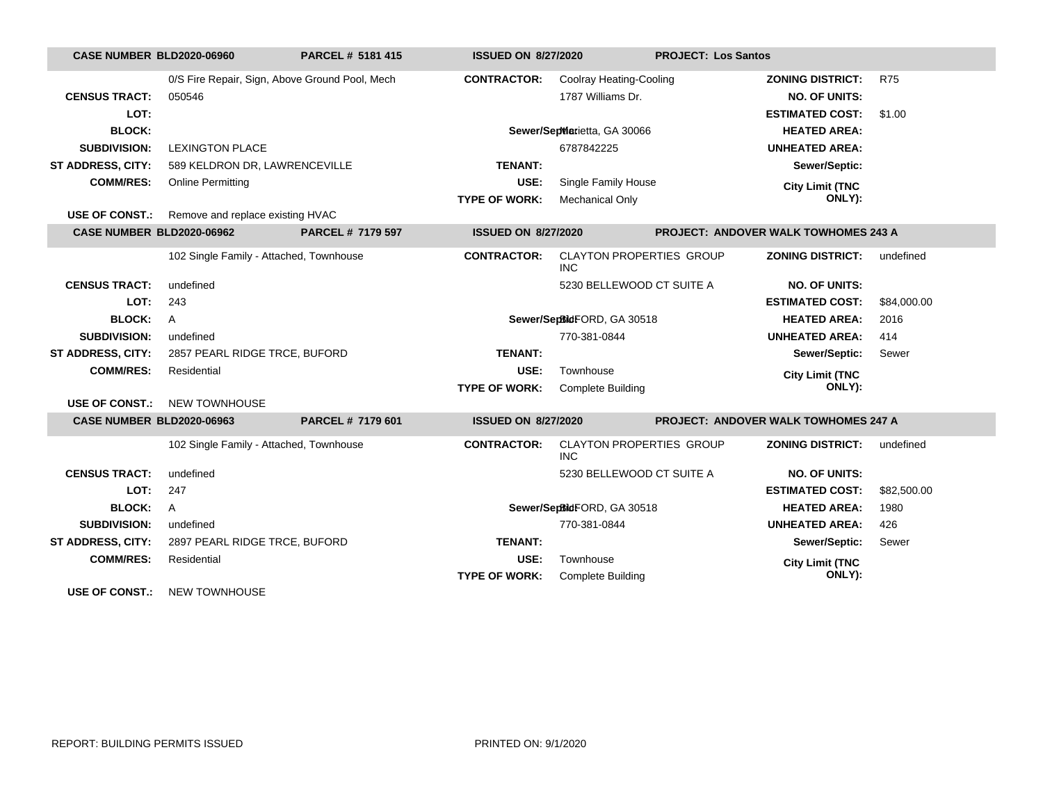| <b>CASE NUMBER BLD2020-06960</b> |                                                        | PARCEL # 5181 415                              | <b>ISSUED ON 8/27/2020</b> |                                               | <b>PROJECT: Los Santos</b>                  |                         |             |
|----------------------------------|--------------------------------------------------------|------------------------------------------------|----------------------------|-----------------------------------------------|---------------------------------------------|-------------------------|-------------|
|                                  |                                                        | 0/S Fire Repair, Sign, Above Ground Pool, Mech | <b>CONTRACTOR:</b>         | <b>Coolray Heating-Cooling</b>                |                                             | <b>ZONING DISTRICT:</b> | <b>R75</b>  |
| <b>CENSUS TRACT:</b>             | 050546                                                 |                                                |                            | 1787 Williams Dr.                             |                                             | <b>NO. OF UNITS:</b>    |             |
| LOT:                             |                                                        |                                                |                            |                                               |                                             | <b>ESTIMATED COST:</b>  | \$1.00      |
| <b>BLOCK:</b>                    |                                                        |                                                |                            | Sewer/SepWarietta, GA 30066                   |                                             | <b>HEATED AREA:</b>     |             |
| <b>SUBDIVISION:</b>              | <b>LEXINGTON PLACE</b>                                 |                                                |                            | 6787842225                                    |                                             | <b>UNHEATED AREA:</b>   |             |
| <b>ST ADDRESS, CITY:</b>         | 589 KELDRON DR, LAWRENCEVILLE                          |                                                | <b>TENANT:</b>             |                                               |                                             | Sewer/Septic:           |             |
| <b>COMM/RES:</b>                 | <b>Online Permitting</b>                               |                                                | USE:                       | Single Family House                           |                                             | <b>City Limit (TNC</b>  |             |
|                                  |                                                        |                                                | <b>TYPE OF WORK:</b>       | <b>Mechanical Only</b>                        |                                             | ONLY):                  |             |
|                                  | <b>USE OF CONST.:</b> Remove and replace existing HVAC |                                                |                            |                                               |                                             |                         |             |
| <b>CASE NUMBER BLD2020-06962</b> |                                                        | PARCEL # 7179 597                              | <b>ISSUED ON 8/27/2020</b> |                                               | <b>PROJECT: ANDOVER WALK TOWHOMES 243 A</b> |                         |             |
|                                  | 102 Single Family - Attached, Townhouse                |                                                | <b>CONTRACTOR:</b>         | <b>CLAYTON PROPERTIES GROUP</b><br><b>INC</b> |                                             | <b>ZONING DISTRICT:</b> | undefined   |
| <b>CENSUS TRACT:</b>             | undefined                                              |                                                |                            | 5230 BELLEWOOD CT SUITE A                     |                                             | <b>NO. OF UNITS:</b>    |             |
| LOT:                             | 243                                                    |                                                |                            |                                               |                                             | <b>ESTIMATED COST:</b>  | \$84,000.00 |
| <b>BLOCK:</b>                    | $\mathsf{A}$                                           |                                                |                            | Sewer/SepBidFORD, GA 30518                    |                                             | <b>HEATED AREA:</b>     | 2016        |
| <b>SUBDIVISION:</b>              | undefined                                              |                                                |                            | 770-381-0844                                  |                                             | <b>UNHEATED AREA:</b>   | 414         |
| ST ADDRESS, CITY:                | 2857 PEARL RIDGE TRCE, BUFORD                          |                                                | <b>TENANT:</b>             |                                               |                                             | Sewer/Septic:           | Sewer       |
| <b>COMM/RES:</b>                 | Residential                                            |                                                | USE:                       | Townhouse                                     |                                             | <b>City Limit (TNC</b>  |             |
|                                  |                                                        |                                                | <b>TYPE OF WORK:</b>       | <b>Complete Building</b>                      |                                             | ONLY):                  |             |
| <b>USE OF CONST.:</b>            | <b>NEW TOWNHOUSE</b>                                   |                                                |                            |                                               |                                             |                         |             |
| <b>CASE NUMBER BLD2020-06963</b> |                                                        | PARCEL # 7179 601                              | <b>ISSUED ON 8/27/2020</b> |                                               | PROJECT: ANDOVER WALK TOWHOMES 247 A        |                         |             |
|                                  | 102 Single Family - Attached, Townhouse                |                                                | <b>CONTRACTOR:</b>         | CLAYTON PROPERTIES GROUP<br><b>INC</b>        |                                             | <b>ZONING DISTRICT:</b> | undefined   |
| <b>CENSUS TRACT:</b>             | undefined                                              |                                                |                            | 5230 BELLEWOOD CT SUITE A                     |                                             | <b>NO. OF UNITS:</b>    |             |
| LOT:                             | 247                                                    |                                                |                            |                                               |                                             | <b>ESTIMATED COST:</b>  | \$82,500.00 |
| <b>BLOCK:</b>                    | $\overline{A}$                                         |                                                |                            | Sewer/SepBidFORD, GA 30518                    |                                             | <b>HEATED AREA:</b>     | 1980        |
| <b>SUBDIVISION:</b>              | undefined                                              |                                                |                            | 770-381-0844                                  |                                             | <b>UNHEATED AREA:</b>   | 426         |
| <b>ST ADDRESS, CITY:</b>         | 2897 PEARL RIDGE TRCE, BUFORD                          |                                                | <b>TENANT:</b>             |                                               |                                             | Sewer/Septic:           | Sewer       |
| <b>COMM/RES:</b>                 | Residential                                            |                                                | USE:                       | Townhouse                                     |                                             | <b>City Limit (TNC</b>  |             |
|                                  |                                                        |                                                | <b>TYPE OF WORK:</b>       | <b>Complete Building</b>                      |                                             | ONLY):                  |             |
| <b>USE OF CONST.:</b>            | <b>NEW TOWNHOUSE</b>                                   |                                                |                            |                                               |                                             |                         |             |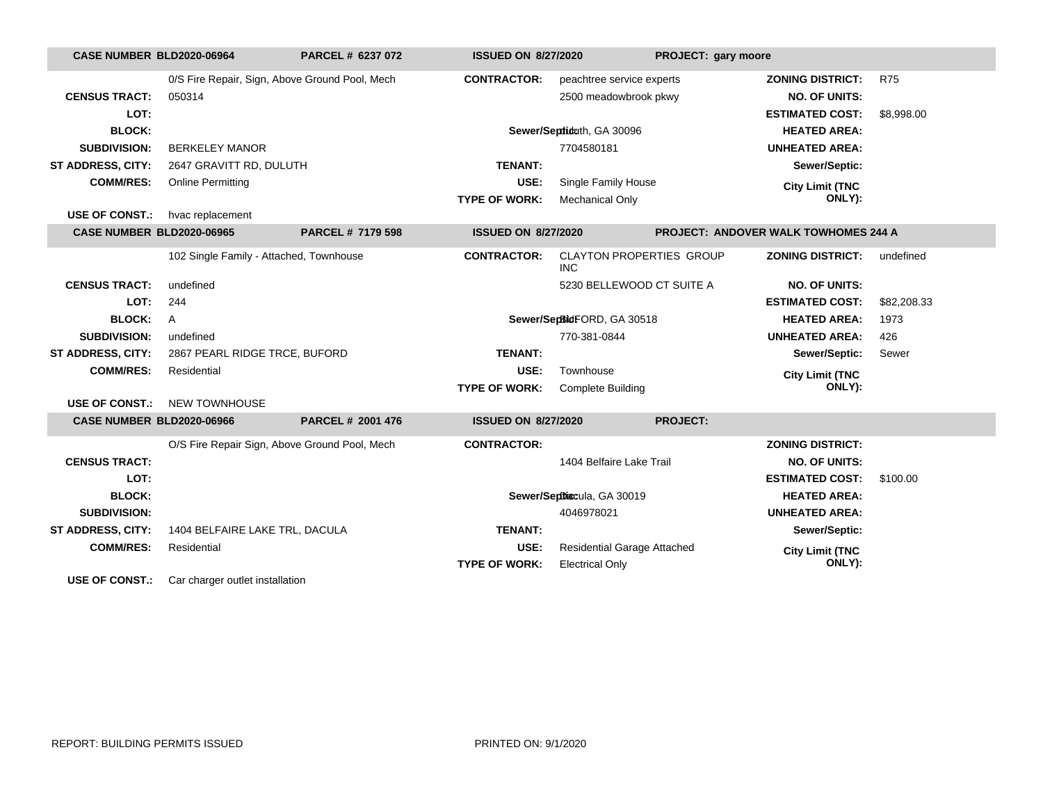| CASE NUMBER BLD2020-06964        |                                         | PARCEL # 6237 072                              | <b>ISSUED ON 8/27/2020</b> |                                               | PROJECT: gary moore |                                             |             |
|----------------------------------|-----------------------------------------|------------------------------------------------|----------------------------|-----------------------------------------------|---------------------|---------------------------------------------|-------------|
|                                  |                                         | 0/S Fire Repair, Sign, Above Ground Pool, Mech | <b>CONTRACTOR:</b>         | peachtree service experts                     |                     | <b>ZONING DISTRICT:</b>                     | <b>R75</b>  |
| <b>CENSUS TRACT:</b>             | 050314                                  |                                                |                            | 2500 meadowbrook pkwy                         |                     | <b>NO. OF UNITS:</b>                        |             |
| LOT:                             |                                         |                                                |                            |                                               |                     | <b>ESTIMATED COST:</b>                      | \$8,998.00  |
| <b>BLOCK:</b>                    |                                         |                                                |                            | Sewer/Septiduth, GA 30096                     |                     | <b>HEATED AREA:</b>                         |             |
| <b>SUBDIVISION:</b>              | <b>BERKELEY MANOR</b>                   |                                                |                            | 7704580181                                    |                     | <b>UNHEATED AREA:</b>                       |             |
| ST ADDRESS, CITY:                | 2647 GRAVITT RD, DULUTH                 |                                                | <b>TENANT:</b>             |                                               |                     | Sewer/Septic:                               |             |
| <b>COMM/RES:</b>                 | <b>Online Permitting</b>                |                                                | USE:                       | Single Family House                           |                     | <b>City Limit (TNC</b>                      |             |
|                                  |                                         |                                                | <b>TYPE OF WORK:</b>       | <b>Mechanical Only</b>                        |                     | ONLY):                                      |             |
| <b>USE OF CONST.:</b>            | hvac replacement                        |                                                |                            |                                               |                     |                                             |             |
| <b>CASE NUMBER BLD2020-06965</b> |                                         | <b>PARCEL # 7179 598</b>                       | <b>ISSUED ON 8/27/2020</b> |                                               |                     | <b>PROJECT: ANDOVER WALK TOWHOMES 244 A</b> |             |
|                                  | 102 Single Family - Attached, Townhouse |                                                | <b>CONTRACTOR:</b>         | <b>CLAYTON PROPERTIES GROUP</b><br><b>INC</b> |                     | <b>ZONING DISTRICT:</b>                     | undefined   |
| <b>CENSUS TRACT:</b>             | undefined                               |                                                |                            | 5230 BELLEWOOD CT SUITE A                     |                     | <b>NO. OF UNITS:</b>                        |             |
| LOT:                             | 244                                     |                                                |                            |                                               |                     | <b>ESTIMATED COST:</b>                      | \$82,208.33 |
| <b>BLOCK:</b>                    | $\mathsf{A}$                            |                                                |                            | Sewer/SepBidFORD, GA 30518                    |                     | <b>HEATED AREA:</b>                         | 1973        |
| <b>SUBDIVISION:</b>              | undefined                               |                                                |                            | 770-381-0844                                  |                     | <b>UNHEATED AREA:</b>                       | 426         |
| <b>ST ADDRESS, CITY:</b>         | 2867 PEARL RIDGE TRCE, BUFORD           |                                                | <b>TENANT:</b>             |                                               |                     | Sewer/Septic:                               | Sewer       |
| <b>COMM/RES:</b>                 | Residential                             |                                                | USE:                       | Townhouse                                     |                     | <b>City Limit (TNC</b>                      |             |
|                                  |                                         |                                                | <b>TYPE OF WORK:</b>       | <b>Complete Building</b>                      |                     | ONLY):                                      |             |
| <b>USE OF CONST.:</b>            | <b>NEW TOWNHOUSE</b>                    |                                                |                            |                                               |                     |                                             |             |
| CASE NUMBER BLD2020-06966        |                                         | PARCEL # 2001 476                              | <b>ISSUED ON 8/27/2020</b> |                                               | <b>PROJECT:</b>     |                                             |             |
|                                  |                                         | O/S Fire Repair Sign, Above Ground Pool, Mech  | <b>CONTRACTOR:</b>         |                                               |                     | <b>ZONING DISTRICT:</b>                     |             |
| <b>CENSUS TRACT:</b>             |                                         |                                                |                            | 1404 Belfaire Lake Trail                      |                     | <b>NO. OF UNITS:</b>                        |             |
| LOT:                             |                                         |                                                |                            |                                               |                     | <b>ESTIMATED COST:</b>                      | \$100.00    |
| <b>BLOCK:</b>                    |                                         |                                                |                            | Sewer/Septhiacula, GA 30019                   |                     | <b>HEATED AREA:</b>                         |             |
| <b>SUBDIVISION:</b>              |                                         |                                                |                            | 4046978021                                    |                     | <b>UNHEATED AREA:</b>                       |             |
| ST ADDRESS, CITY:                | 1404 BELFAIRE LAKE TRL, DACULA          |                                                | <b>TENANT:</b>             |                                               |                     | Sewer/Septic:                               |             |
| <b>COMM/RES:</b>                 | Residential                             |                                                | USE:                       | <b>Residential Garage Attached</b>            |                     | <b>City Limit (TNC</b>                      |             |
|                                  |                                         |                                                | <b>TYPE OF WORK:</b>       | <b>Electrical Only</b>                        |                     | ONLY):                                      |             |
| $1100 - 0 = 001100$              |                                         |                                                |                            |                                               |                     |                                             |             |

**USE OF CONST.:** Car charger outlet installation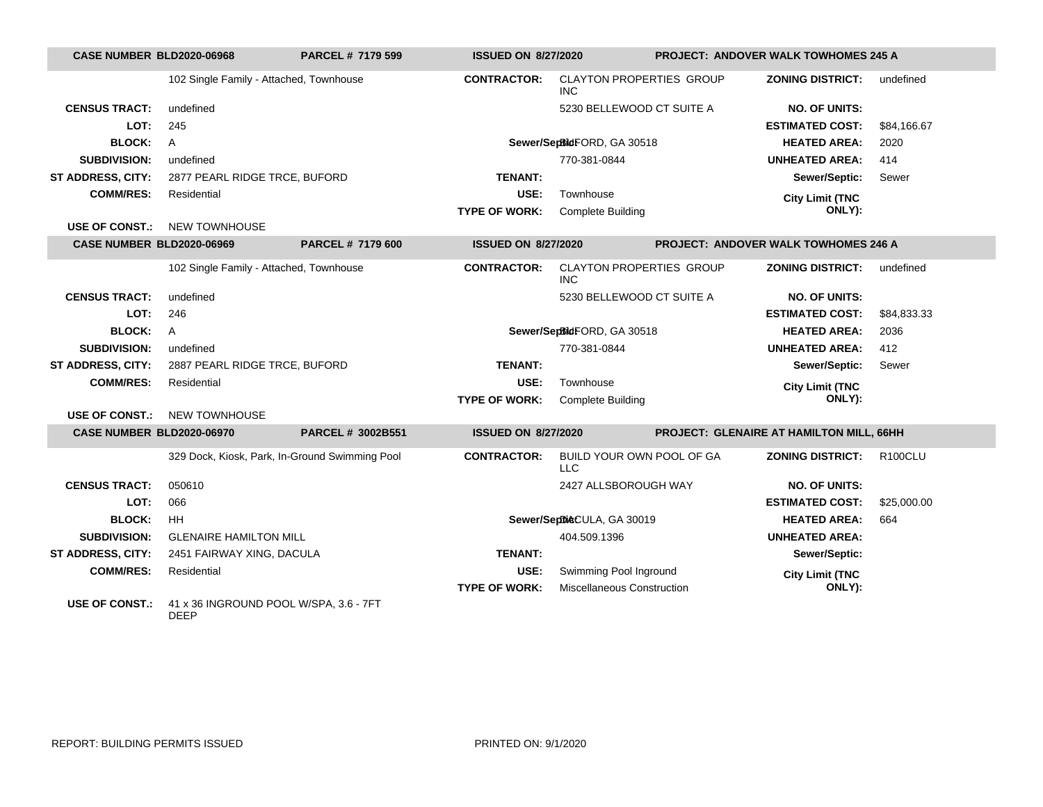| <b>CASE NUMBER BLD2020-06968</b> |                                         | <b>PARCEL # 7179 599</b>                       | <b>ISSUED ON 8/27/2020</b> |                                               | <b>PROJECT: ANDOVER WALK TOWHOMES 245 A</b> |                |
|----------------------------------|-----------------------------------------|------------------------------------------------|----------------------------|-----------------------------------------------|---------------------------------------------|----------------|
|                                  | 102 Single Family - Attached, Townhouse |                                                | <b>CONTRACTOR:</b>         | <b>CLAYTON PROPERTIES GROUP</b><br><b>INC</b> | <b>ZONING DISTRICT:</b>                     | undefined      |
| <b>CENSUS TRACT:</b>             | undefined                               |                                                |                            | 5230 BELLEWOOD CT SUITE A                     | <b>NO. OF UNITS:</b>                        |                |
| LOT:                             | 245                                     |                                                |                            |                                               | <b>ESTIMATED COST:</b>                      | \$84,166.67    |
| <b>BLOCK:</b>                    | A                                       |                                                |                            | Sewer/SepBidFORD, GA 30518                    | <b>HEATED AREA:</b>                         | 2020           |
| <b>SUBDIVISION:</b>              | undefined                               |                                                |                            | 770-381-0844                                  | <b>UNHEATED AREA:</b>                       | 414            |
| <b>ST ADDRESS, CITY:</b>         | 2877 PEARL RIDGE TRCE, BUFORD           |                                                | <b>TENANT:</b>             |                                               | Sewer/Septic:                               | Sewer          |
| <b>COMM/RES:</b>                 | Residential                             |                                                | USE:                       | Townhouse                                     | <b>City Limit (TNC</b>                      |                |
|                                  |                                         |                                                | <b>TYPE OF WORK:</b>       | <b>Complete Building</b>                      | ONLY):                                      |                |
|                                  | <b>USE OF CONST.: NEW TOWNHOUSE</b>     |                                                |                            |                                               |                                             |                |
| <b>CASE NUMBER BLD2020-06969</b> |                                         | PARCEL # 7179 600                              | <b>ISSUED ON 8/27/2020</b> |                                               | <b>PROJECT: ANDOVER WALK TOWHOMES 246 A</b> |                |
|                                  | 102 Single Family - Attached, Townhouse |                                                | <b>CONTRACTOR:</b>         | <b>CLAYTON PROPERTIES GROUP</b><br><b>INC</b> | <b>ZONING DISTRICT:</b>                     | undefined      |
| <b>CENSUS TRACT:</b>             | undefined                               |                                                |                            | 5230 BELLEWOOD CT SUITE A                     | <b>NO. OF UNITS:</b>                        |                |
| LOT:                             | 246                                     |                                                |                            |                                               | <b>ESTIMATED COST:</b>                      | \$84,833.33    |
| <b>BLOCK:</b>                    | $\overline{A}$                          |                                                |                            | Sewer/SepBidFORD, GA 30518                    | <b>HEATED AREA:</b>                         | 2036           |
| <b>SUBDIVISION:</b>              | undefined                               |                                                |                            | 770-381-0844                                  | <b>UNHEATED AREA:</b>                       | 412            |
| ST ADDRESS, CITY:                | 2887 PEARL RIDGE TRCE, BUFORD           |                                                | <b>TENANT:</b>             |                                               | Sewer/Septic:                               | Sewer          |
| <b>COMM/RES:</b>                 | Residential                             |                                                | USE:                       | Townhouse                                     | <b>City Limit (TNC</b>                      |                |
|                                  |                                         |                                                | <b>TYPE OF WORK:</b>       | <b>Complete Building</b>                      | ONLY):                                      |                |
| <b>USE OF CONST.:</b>            | <b>NEW TOWNHOUSE</b>                    |                                                |                            |                                               |                                             |                |
| CASE NUMBER BLD2020-06970        |                                         | PARCEL # 3002B551                              | <b>ISSUED ON 8/27/2020</b> |                                               | PROJECT: GLENAIRE AT HAMILTON MILL, 66HH    |                |
|                                  |                                         | 329 Dock, Kiosk, Park, In-Ground Swimming Pool | <b>CONTRACTOR:</b>         | BUILD YOUR OWN POOL OF GA<br><b>LLC</b>       | <b>ZONING DISTRICT:</b>                     | <b>R100CLU</b> |
| <b>CENSUS TRACT:</b>             | 050610                                  |                                                |                            | 2427 ALLSBOROUGH WAY                          | <b>NO. OF UNITS:</b>                        |                |
| LOT:                             | 066                                     |                                                |                            |                                               | <b>ESTIMATED COST:</b>                      | \$25,000.00    |
| <b>BLOCK:</b>                    | HH.                                     |                                                |                            | Sewer/SeptileCULA, GA 30019                   | <b>HEATED AREA:</b>                         | 664            |
| <b>SUBDIVISION:</b>              | <b>GLENAIRE HAMILTON MILL</b>           |                                                |                            | 404.509.1396                                  | <b>UNHEATED AREA:</b>                       |                |
| ST ADDRESS, CITY:                | 2451 FAIRWAY XING, DACULA               |                                                | <b>TENANT:</b>             |                                               | Sewer/Septic:                               |                |
| <b>COMM/RES:</b>                 | Residential                             |                                                | USE:                       | Swimming Pool Inground                        | <b>City Limit (TNC</b>                      |                |
|                                  |                                         |                                                | <b>TYPE OF WORK:</b>       | <b>Miscellaneous Construction</b>             | ONLY):                                      |                |
| USE OF CONST.:                   | 41 x 36 INGROUND POOL W/SPA, 3.6 - 7FT  |                                                |                            |                                               |                                             |                |

DEEP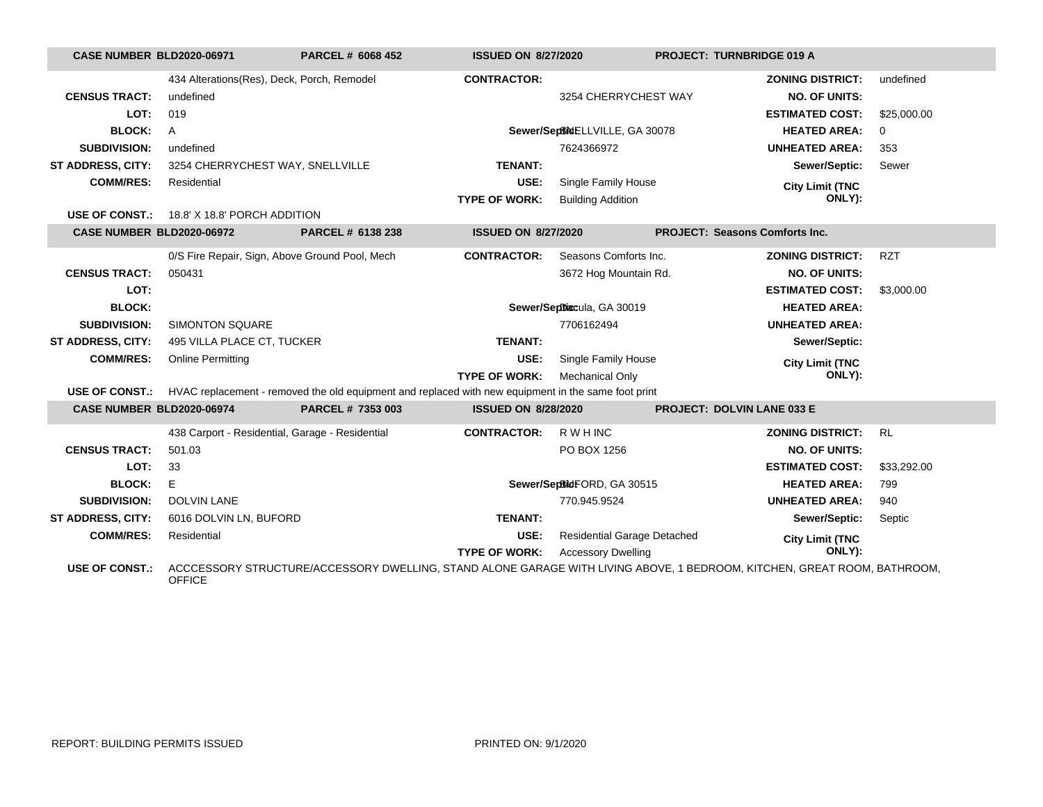| <b>CASE NUMBER BLD2020-06971</b> |                                                 | PARCEL # 6068 452                                                                                                        | <b>ISSUED ON 8/27/2020</b> |                                    | PROJECT: TURNBRIDGE 019 A             |             |
|----------------------------------|-------------------------------------------------|--------------------------------------------------------------------------------------------------------------------------|----------------------------|------------------------------------|---------------------------------------|-------------|
|                                  | 434 Alterations(Res), Deck, Porch, Remodel      |                                                                                                                          | <b>CONTRACTOR:</b>         |                                    | <b>ZONING DISTRICT:</b>               | undefined   |
| <b>CENSUS TRACT:</b>             | undefined                                       |                                                                                                                          |                            | 3254 CHERRYCHEST WAY               | <b>NO. OF UNITS:</b>                  |             |
| LOT:                             | 019                                             |                                                                                                                          |                            |                                    | <b>ESTIMATED COST:</b>                | \$25,000.00 |
| <b>BLOCK:</b>                    | $\mathsf{A}$                                    |                                                                                                                          |                            | Sewer/Septime ELLVILLE, GA 30078   | <b>HEATED AREA:</b>                   | 0           |
| <b>SUBDIVISION:</b>              | undefined                                       |                                                                                                                          |                            | 7624366972                         | <b>UNHEATED AREA:</b>                 | 353         |
| ST ADDRESS, CITY:                | 3254 CHERRYCHEST WAY, SNELLVILLE                |                                                                                                                          | <b>TENANT:</b>             |                                    | Sewer/Septic:                         | Sewer       |
| <b>COMM/RES:</b>                 | Residential                                     |                                                                                                                          | USE:                       | Single Family House                | <b>City Limit (TNC</b>                |             |
|                                  |                                                 |                                                                                                                          | <b>TYPE OF WORK:</b>       | <b>Building Addition</b>           | ONLY):                                |             |
|                                  | USE OF CONST.: 18.8' X 18.8' PORCH ADDITION     |                                                                                                                          |                            |                                    |                                       |             |
| CASE NUMBER BLD2020-06972        |                                                 | PARCEL # 6138 238                                                                                                        | <b>ISSUED ON 8/27/2020</b> |                                    | <b>PROJECT: Seasons Comforts Inc.</b> |             |
|                                  | 0/S Fire Repair, Sign, Above Ground Pool, Mech  |                                                                                                                          | <b>CONTRACTOR:</b>         | Seasons Comforts Inc.              | <b>ZONING DISTRICT:</b>               | <b>RZT</b>  |
| <b>CENSUS TRACT:</b>             | 050431                                          |                                                                                                                          |                            | 3672 Hog Mountain Rd.              | <b>NO. OF UNITS:</b>                  |             |
| LOT:                             |                                                 |                                                                                                                          |                            |                                    | <b>ESTIMATED COST:</b>                | \$3,000.00  |
| <b>BLOCK:</b>                    |                                                 |                                                                                                                          |                            | Sewer/Septhiscula, GA 30019        | <b>HEATED AREA:</b>                   |             |
| <b>SUBDIVISION:</b>              | <b>SIMONTON SQUARE</b>                          |                                                                                                                          |                            | 7706162494                         | <b>UNHEATED AREA:</b>                 |             |
| ST ADDRESS, CITY:                | 495 VILLA PLACE CT, TUCKER                      |                                                                                                                          | <b>TENANT:</b>             |                                    | Sewer/Septic:                         |             |
| <b>COMM/RES:</b>                 | <b>Online Permitting</b>                        |                                                                                                                          | USE:                       | Single Family House                | <b>City Limit (TNC</b>                |             |
|                                  |                                                 |                                                                                                                          | <b>TYPE OF WORK:</b>       | <b>Mechanical Only</b>             | ONLY):                                |             |
| <b>USE OF CONST.:</b>            |                                                 | HVAC replacement - removed the old equipment and replaced with new equipment in the same foot print                      |                            |                                    |                                       |             |
| CASE NUMBER BLD2020-06974        |                                                 | PARCEL # 7353 003                                                                                                        | <b>ISSUED ON 8/28/2020</b> |                                    | <b>PROJECT: DOLVIN LANE 033 E</b>     |             |
|                                  | 438 Carport - Residential, Garage - Residential |                                                                                                                          | <b>CONTRACTOR:</b>         | R W H INC                          | <b>ZONING DISTRICT:</b>               | <b>RL</b>   |
| <b>CENSUS TRACT:</b>             | 501.03                                          |                                                                                                                          |                            | PO BOX 1256                        | <b>NO. OF UNITS:</b>                  |             |
| LOT:                             | 33                                              |                                                                                                                          |                            |                                    | <b>ESTIMATED COST:</b>                | \$33,292.00 |
| <b>BLOCK:</b>                    | E                                               |                                                                                                                          |                            | Sewer/SepBidFORD, GA 30515         | <b>HEATED AREA:</b>                   | 799         |
| <b>SUBDIVISION:</b>              | <b>DOLVIN LANE</b>                              |                                                                                                                          |                            | 770.945.9524                       | <b>UNHEATED AREA:</b>                 | 940         |
| ST ADDRESS, CITY:                | 6016 DOLVIN LN, BUFORD                          |                                                                                                                          | <b>TENANT:</b>             |                                    | Sewer/Septic:                         | Septic      |
| <b>COMM/RES:</b>                 | Residential                                     |                                                                                                                          | USE:                       | <b>Residential Garage Detached</b> | <b>City Limit (TNC</b>                |             |
|                                  |                                                 |                                                                                                                          | <b>TYPE OF WORK:</b>       | <b>Accessory Dwelling</b>          | ONLY):                                |             |
| <b>USE OF CONST.:</b>            | <b>OFFICE</b>                                   | ACCCESSORY STRUCTURE/ACCESSORY DWELLING, STAND ALONE GARAGE WITH LIVING ABOVE, 1 BEDROOM, KITCHEN, GREAT ROOM, BATHROOM, |                            |                                    |                                       |             |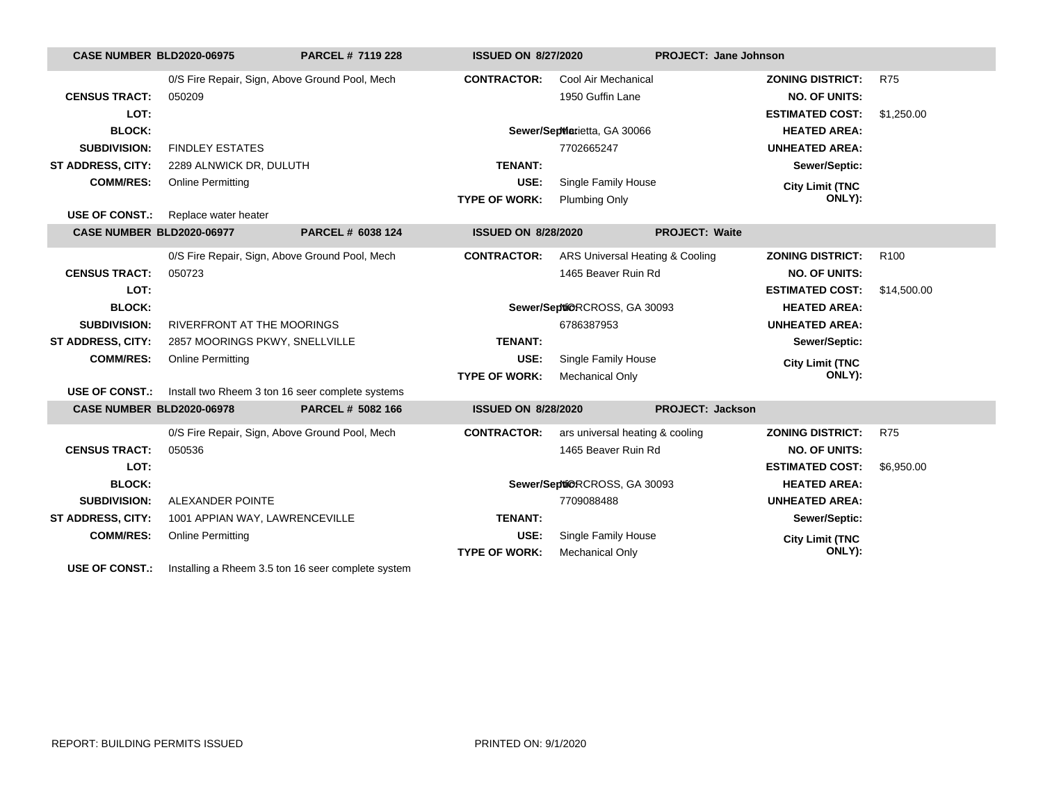| <b>CASE NUMBER BLD2020-06975</b>                                                                                                                                                                                                                                                                                                                                                  |                                                | PARCEL # 7119 228                                                      | <b>ISSUED ON 8/27/2020</b> |                                 | PROJECT: Jane Johnson   |                         |                  |
|-----------------------------------------------------------------------------------------------------------------------------------------------------------------------------------------------------------------------------------------------------------------------------------------------------------------------------------------------------------------------------------|------------------------------------------------|------------------------------------------------------------------------|----------------------------|---------------------------------|-------------------------|-------------------------|------------------|
|                                                                                                                                                                                                                                                                                                                                                                                   | 0/S Fire Repair, Sign, Above Ground Pool, Mech |                                                                        | <b>CONTRACTOR:</b>         | Cool Air Mechanical             |                         | <b>ZONING DISTRICT:</b> | <b>R75</b>       |
| <b>CENSUS TRACT:</b>                                                                                                                                                                                                                                                                                                                                                              | 050209                                         |                                                                        |                            | 1950 Guffin Lane                |                         | <b>NO. OF UNITS:</b>    |                  |
| LOT:                                                                                                                                                                                                                                                                                                                                                                              |                                                |                                                                        |                            |                                 |                         | <b>ESTIMATED COST:</b>  | \$1,250.00       |
| <b>BLOCK:</b>                                                                                                                                                                                                                                                                                                                                                                     |                                                |                                                                        |                            | Sewer/SepMarietta, GA 30066     |                         | <b>HEATED AREA:</b>     |                  |
| <b>SUBDIVISION:</b>                                                                                                                                                                                                                                                                                                                                                               | <b>FINDLEY ESTATES</b>                         |                                                                        |                            | 7702665247                      |                         | <b>UNHEATED AREA:</b>   |                  |
| ST ADDRESS, CITY:                                                                                                                                                                                                                                                                                                                                                                 | 2289 ALNWICK DR, DULUTH                        |                                                                        | <b>TENANT:</b>             |                                 |                         | Sewer/Septic:           |                  |
| <b>COMM/RES:</b>                                                                                                                                                                                                                                                                                                                                                                  | <b>Online Permitting</b>                       |                                                                        | USE:                       | Single Family House             |                         | <b>City Limit (TNC</b>  |                  |
|                                                                                                                                                                                                                                                                                                                                                                                   |                                                |                                                                        | <b>TYPE OF WORK:</b>       | <b>Plumbing Only</b>            |                         | ONLY):                  |                  |
| <b>USE OF CONST.:</b>                                                                                                                                                                                                                                                                                                                                                             | Replace water heater                           |                                                                        |                            |                                 |                         |                         |                  |
| <b>CASE NUMBER BLD2020-06977</b>                                                                                                                                                                                                                                                                                                                                                  |                                                | PARCEL # 6038 124                                                      | <b>ISSUED ON 8/28/2020</b> |                                 | <b>PROJECT: Waite</b>   |                         |                  |
|                                                                                                                                                                                                                                                                                                                                                                                   | 0/S Fire Repair, Sign, Above Ground Pool, Mech |                                                                        | <b>CONTRACTOR:</b>         | ARS Universal Heating & Cooling |                         | <b>ZONING DISTRICT:</b> | R <sub>100</sub> |
| <b>CENSUS TRACT:</b>                                                                                                                                                                                                                                                                                                                                                              | 050723                                         |                                                                        |                            | 1465 Beaver Ruin Rd             |                         | <b>NO. OF UNITS:</b>    |                  |
| LOT:                                                                                                                                                                                                                                                                                                                                                                              |                                                |                                                                        |                            |                                 |                         | <b>ESTIMATED COST:</b>  | \$14,500.00      |
| <b>BLOCK:</b>                                                                                                                                                                                                                                                                                                                                                                     |                                                |                                                                        |                            | Sewer/Septi@RCROSS, GA 30093    |                         | <b>HEATED AREA:</b>     |                  |
| <b>SUBDIVISION:</b>                                                                                                                                                                                                                                                                                                                                                               | RIVERFRONT AT THE MOORINGS                     |                                                                        |                            | 6786387953                      |                         | <b>UNHEATED AREA:</b>   |                  |
| ST ADDRESS, CITY:                                                                                                                                                                                                                                                                                                                                                                 | 2857 MOORINGS PKWY, SNELLVILLE                 |                                                                        | <b>TENANT:</b>             |                                 |                         | Sewer/Septic:           |                  |
| <b>COMM/RES:</b>                                                                                                                                                                                                                                                                                                                                                                  | <b>Online Permitting</b>                       |                                                                        | USE:                       | Single Family House             |                         | <b>City Limit (TNC</b>  |                  |
|                                                                                                                                                                                                                                                                                                                                                                                   |                                                |                                                                        | <b>TYPE OF WORK:</b>       | <b>Mechanical Only</b>          |                         | ONLY):                  |                  |
|                                                                                                                                                                                                                                                                                                                                                                                   |                                                | <b>USE OF CONST.:</b> Install two Rheem 3 ton 16 seer complete systems |                            |                                 |                         |                         |                  |
| <b>CASE NUMBER BLD2020-06978</b>                                                                                                                                                                                                                                                                                                                                                  |                                                | PARCEL # 5082 166                                                      | <b>ISSUED ON 8/28/2020</b> |                                 | <b>PROJECT: Jackson</b> |                         |                  |
|                                                                                                                                                                                                                                                                                                                                                                                   | 0/S Fire Repair, Sign, Above Ground Pool, Mech |                                                                        | <b>CONTRACTOR:</b>         | ars universal heating & cooling |                         | <b>ZONING DISTRICT:</b> | <b>R75</b>       |
| <b>CENSUS TRACT:</b>                                                                                                                                                                                                                                                                                                                                                              | 050536                                         |                                                                        |                            | 1465 Beaver Ruin Rd             |                         | <b>NO. OF UNITS:</b>    |                  |
| LOT:                                                                                                                                                                                                                                                                                                                                                                              |                                                |                                                                        |                            |                                 |                         | <b>ESTIMATED COST:</b>  | \$6,950.00       |
| <b>BLOCK:</b>                                                                                                                                                                                                                                                                                                                                                                     |                                                |                                                                        |                            | Sewer/SeptiORCROSS, GA 30093    |                         | <b>HEATED AREA:</b>     |                  |
| <b>SUBDIVISION:</b>                                                                                                                                                                                                                                                                                                                                                               | ALEXANDER POINTE                               |                                                                        |                            | 7709088488                      |                         | <b>UNHEATED AREA:</b>   |                  |
| ST ADDRESS, CITY:                                                                                                                                                                                                                                                                                                                                                                 | 1001 APPIAN WAY, LAWRENCEVILLE                 |                                                                        | <b>TENANT:</b>             |                                 |                         | Sewer/Septic:           |                  |
| <b>COMM/RES:</b>                                                                                                                                                                                                                                                                                                                                                                  | <b>Online Permitting</b>                       |                                                                        | USE:                       | Single Family House             |                         | <b>City Limit (TNC</b>  |                  |
|                                                                                                                                                                                                                                                                                                                                                                                   |                                                |                                                                        | <b>TYPE OF WORK:</b>       | <b>Mechanical Only</b>          |                         | ONLY):                  |                  |
| $\overline{110}$ $\overline{0}$ $\overline{0}$ $\overline{0}$ $\overline{0}$ $\overline{0}$ $\overline{0}$ $\overline{0}$ $\overline{0}$ $\overline{0}$ $\overline{0}$ $\overline{0}$ $\overline{0}$ $\overline{0}$ $\overline{0}$ $\overline{0}$ $\overline{0}$ $\overline{0}$ $\overline{0}$ $\overline{0}$ $\overline{0}$ $\overline{0}$ $\overline{0}$ $\overline{0}$ $\over$ |                                                |                                                                        |                            |                                 |                         |                         |                  |

**USE OF CONST.:** Installing a Rheem 3.5 ton 16 seer complete system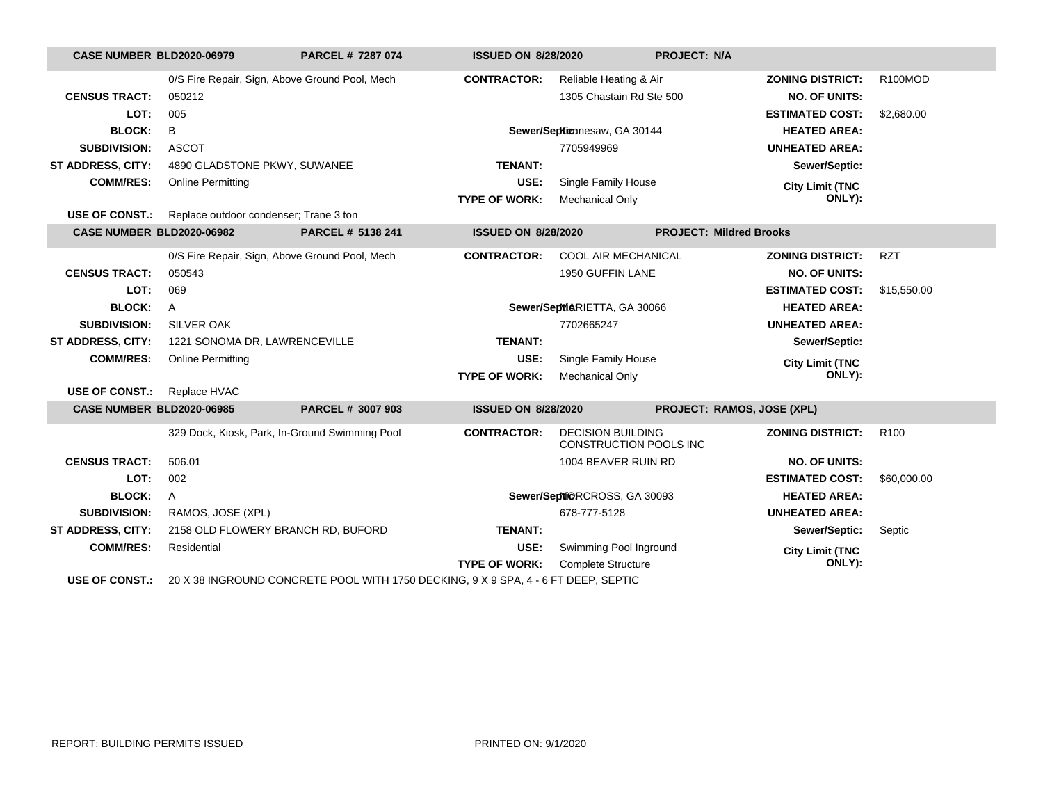| <b>CASE NUMBER BLD2020-06979</b> |                                                                                    | PARCEL # 7287 074 | <b>ISSUED ON 8/28/2020</b> |                                                    | <b>PROJECT: N/A</b>            |                      |  |
|----------------------------------|------------------------------------------------------------------------------------|-------------------|----------------------------|----------------------------------------------------|--------------------------------|----------------------|--|
|                                  | 0/S Fire Repair, Sign, Above Ground Pool, Mech                                     |                   | <b>CONTRACTOR:</b>         | Reliable Heating & Air                             | <b>ZONING DISTRICT:</b>        | R <sub>100</sub> MOD |  |
| <b>CENSUS TRACT:</b>             | 050212                                                                             |                   |                            | 1305 Chastain Rd Ste 500                           | <b>NO. OF UNITS:</b>           |                      |  |
| LOT:                             | 005                                                                                |                   |                            |                                                    | <b>ESTIMATED COST:</b>         | \$2,680.00           |  |
| <b>BLOCK:</b>                    | B                                                                                  |                   |                            | Sewer/Sepkimnesaw, GA 30144                        | <b>HEATED AREA:</b>            |                      |  |
| <b>SUBDIVISION:</b>              | <b>ASCOT</b>                                                                       |                   |                            | 7705949969                                         | <b>UNHEATED AREA:</b>          |                      |  |
| <b>ST ADDRESS, CITY:</b>         | 4890 GLADSTONE PKWY, SUWANEE                                                       |                   | <b>TENANT:</b>             |                                                    | Sewer/Septic:                  |                      |  |
| <b>COMM/RES:</b>                 | <b>Online Permitting</b>                                                           |                   | USE:                       | Single Family House                                | <b>City Limit (TNC</b>         |                      |  |
|                                  |                                                                                    |                   | <b>TYPE OF WORK:</b>       | <b>Mechanical Only</b>                             | ONLY):                         |                      |  |
| <b>USE OF CONST.:</b>            | Replace outdoor condenser; Trane 3 ton                                             |                   |                            |                                                    |                                |                      |  |
| CASE NUMBER BLD2020-06982        |                                                                                    | PARCEL # 5138 241 | <b>ISSUED ON 8/28/2020</b> |                                                    | <b>PROJECT: Mildred Brooks</b> |                      |  |
|                                  | 0/S Fire Repair, Sign, Above Ground Pool, Mech                                     |                   | <b>CONTRACTOR:</b>         | COOL AIR MECHANICAL                                | <b>ZONING DISTRICT:</b>        | <b>RZT</b>           |  |
| <b>CENSUS TRACT:</b>             | 050543                                                                             |                   |                            | 1950 GUFFIN LANE                                   | <b>NO. OF UNITS:</b>           |                      |  |
| LOT:                             | 069                                                                                |                   |                            |                                                    | <b>ESTIMATED COST:</b>         | \$15,550.00          |  |
| <b>BLOCK:</b>                    | A                                                                                  |                   |                            | Sewer/SepMARIETTA, GA 30066                        | <b>HEATED AREA:</b>            |                      |  |
| <b>SUBDIVISION:</b>              | <b>SILVER OAK</b>                                                                  |                   |                            | 7702665247                                         | <b>UNHEATED AREA:</b>          |                      |  |
| <b>ST ADDRESS, CITY:</b>         | 1221 SONOMA DR, LAWRENCEVILLE                                                      |                   | <b>TENANT:</b>             |                                                    | Sewer/Septic:                  |                      |  |
| <b>COMM/RES:</b>                 | <b>Online Permitting</b>                                                           |                   | USE:                       | Single Family House                                | <b>City Limit (TNC</b>         |                      |  |
|                                  |                                                                                    |                   | <b>TYPE OF WORK:</b>       | <b>Mechanical Only</b>                             | ONLY):                         |                      |  |
| <b>USE OF CONST.:</b>            | Replace HVAC                                                                       |                   |                            |                                                    |                                |                      |  |
| <b>CASE NUMBER BLD2020-06985</b> |                                                                                    | PARCEL # 3007 903 | <b>ISSUED ON 8/28/2020</b> |                                                    | PROJECT: RAMOS, JOSE (XPL)     |                      |  |
|                                  | 329 Dock, Kiosk, Park, In-Ground Swimming Pool                                     |                   | <b>CONTRACTOR:</b>         | <b>DECISION BUILDING</b><br>CONSTRUCTION POOLS INC | <b>ZONING DISTRICT:</b>        | R <sub>100</sub>     |  |
| <b>CENSUS TRACT:</b>             | 506.01                                                                             |                   |                            | 1004 BEAVER RUIN RD                                | <b>NO. OF UNITS:</b>           |                      |  |
| LOT:                             | 002                                                                                |                   |                            |                                                    | <b>ESTIMATED COST:</b>         | \$60,000.00          |  |
| <b>BLOCK:</b>                    | A                                                                                  |                   |                            | Sewer/Septi@RCROSS, GA 30093                       | <b>HEATED AREA:</b>            |                      |  |
| <b>SUBDIVISION:</b>              | RAMOS, JOSE (XPL)                                                                  |                   |                            | 678-777-5128                                       | <b>UNHEATED AREA:</b>          |                      |  |
| <b>ST ADDRESS, CITY:</b>         | 2158 OLD FLOWERY BRANCH RD, BUFORD                                                 |                   | <b>TENANT:</b>             |                                                    | Sewer/Septic:                  | Septic               |  |
| <b>COMM/RES:</b>                 | Residential                                                                        |                   | USE:                       | Swimming Pool Inground                             | <b>City Limit (TNC</b>         |                      |  |
|                                  |                                                                                    |                   | <b>TYPE OF WORK:</b>       | <b>Complete Structure</b>                          | ONLY):                         |                      |  |
| <b>USE OF CONST.:</b>            | 20 X 38 INGROUND CONCRETE POOL WITH 1750 DECKING, 9 X 9 SPA, 4 - 6 FT DEEP, SEPTIC |                   |                            |                                                    |                                |                      |  |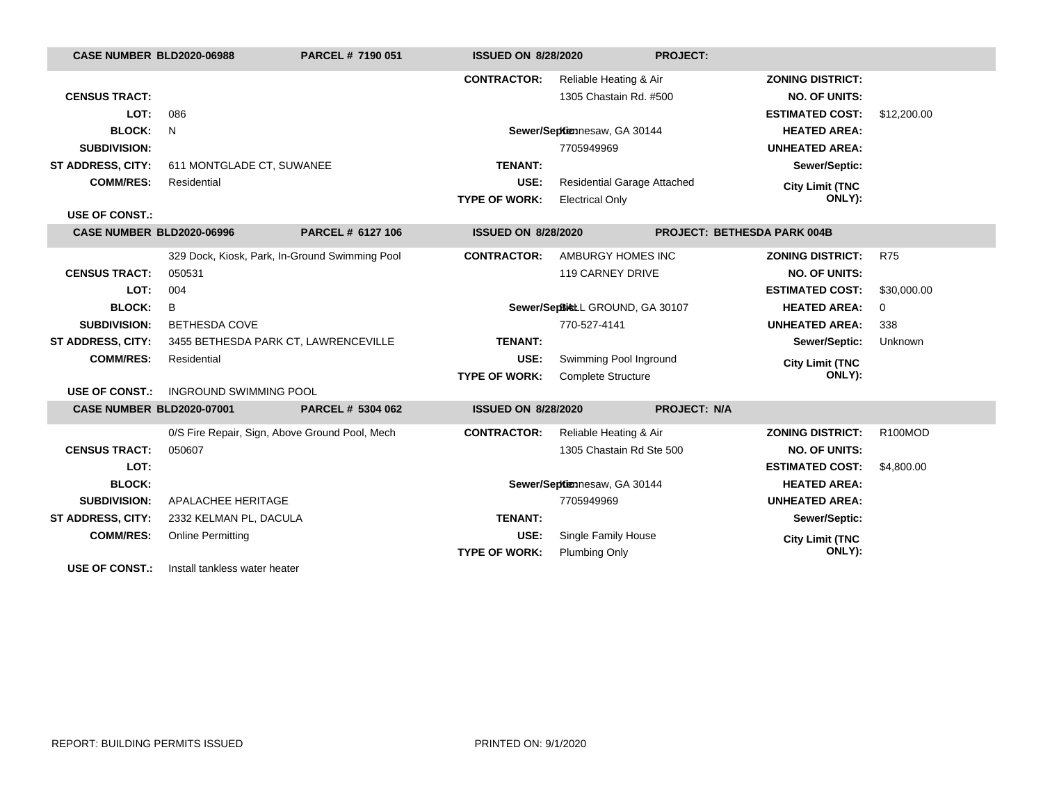| <b>CASE NUMBER BLD2020-06988</b> |                               | PARCEL # 7190 051                              | <b>ISSUED ON 8/28/2020</b>      |                                    | <b>PROJECT:</b>                    |                         |             |
|----------------------------------|-------------------------------|------------------------------------------------|---------------------------------|------------------------------------|------------------------------------|-------------------------|-------------|
|                                  |                               |                                                | <b>CONTRACTOR:</b>              | Reliable Heating & Air             |                                    | <b>ZONING DISTRICT:</b> |             |
| <b>CENSUS TRACT:</b>             |                               |                                                |                                 | 1305 Chastain Rd. #500             |                                    | <b>NO. OF UNITS:</b>    |             |
| LOT:                             | 086                           |                                                |                                 |                                    |                                    | <b>ESTIMATED COST:</b>  | \$12,200.00 |
| <b>BLOCK:</b>                    | N                             |                                                |                                 | Sewer/Septiennesaw, GA 30144       |                                    | <b>HEATED AREA:</b>     |             |
| <b>SUBDIVISION:</b>              |                               |                                                |                                 | 7705949969                         |                                    | <b>UNHEATED AREA:</b>   |             |
| <b>ST ADDRESS, CITY:</b>         | 611 MONTGLADE CT, SUWANEE     |                                                | <b>TENANT:</b>                  |                                    |                                    | Sewer/Septic:           |             |
| <b>COMM/RES:</b>                 | Residential                   |                                                | USE:                            | <b>Residential Garage Attached</b> |                                    | <b>City Limit (TNC</b>  |             |
|                                  |                               |                                                | <b>TYPE OF WORK:</b>            | <b>Electrical Only</b>             |                                    | ONLY):                  |             |
| <b>USE OF CONST.:</b>            |                               |                                                |                                 |                                    |                                    |                         |             |
| <b>CASE NUMBER BLD2020-06996</b> |                               | PARCEL # 6127 106                              | <b>ISSUED ON 8/28/2020</b>      |                                    | <b>PROJECT: BETHESDA PARK 004B</b> |                         |             |
|                                  |                               | 329 Dock, Kiosk, Park, In-Ground Swimming Pool | <b>CONTRACTOR:</b>              | AMBURGY HOMES INC                  |                                    | <b>ZONING DISTRICT:</b> | <b>R75</b>  |
| <b>CENSUS TRACT:</b>             | 050531                        |                                                |                                 | <b>119 CARNEY DRIVE</b>            |                                    | <b>NO. OF UNITS:</b>    |             |
| LOT:                             | 004                           |                                                |                                 |                                    |                                    | <b>ESTIMATED COST:</b>  | \$30,000.00 |
| <b>BLOCK:</b>                    | B                             |                                                | Sewer/SepBicLL GROUND, GA 30107 |                                    |                                    | <b>HEATED AREA:</b>     | 0           |
| <b>SUBDIVISION:</b>              | <b>BETHESDA COVE</b>          |                                                |                                 | 770-527-4141                       |                                    | <b>UNHEATED AREA:</b>   | 338         |
| ST ADDRESS, CITY:                |                               | 3455 BETHESDA PARK CT, LAWRENCEVILLE           | <b>TENANT:</b>                  |                                    |                                    | Sewer/Septic:           | Unknown     |
| <b>COMM/RES:</b>                 | Residential                   |                                                | USE:                            | Swimming Pool Inground             |                                    | <b>City Limit (TNC</b>  |             |
|                                  |                               |                                                | <b>TYPE OF WORK:</b>            | <b>Complete Structure</b>          |                                    | ONLY):                  |             |
| <b>USE OF CONST.:</b>            | <b>INGROUND SWIMMING POOL</b> |                                                |                                 |                                    |                                    |                         |             |
| <b>CASE NUMBER BLD2020-07001</b> |                               | PARCEL # 5304 062                              | <b>ISSUED ON 8/28/2020</b>      |                                    | <b>PROJECT: N/A</b>                |                         |             |
|                                  |                               | 0/S Fire Repair, Sign, Above Ground Pool, Mech | <b>CONTRACTOR:</b>              | Reliable Heating & Air             |                                    | <b>ZONING DISTRICT:</b> | R100MOD     |
| <b>CENSUS TRACT:</b>             | 050607                        |                                                |                                 | 1305 Chastain Rd Ste 500           |                                    | <b>NO. OF UNITS:</b>    |             |
| LOT:                             |                               |                                                |                                 |                                    |                                    | <b>ESTIMATED COST:</b>  | \$4,800.00  |
| <b>BLOCK:</b>                    |                               |                                                | Sewer/Septiennesaw, GA 30144    |                                    |                                    | <b>HEATED AREA:</b>     |             |
| <b>SUBDIVISION:</b>              | APALACHEE HERITAGE            |                                                |                                 | 7705949969                         |                                    | <b>UNHEATED AREA:</b>   |             |
| ST ADDRESS, CITY:                | 2332 KELMAN PL, DACULA        |                                                | <b>TENANT:</b>                  |                                    |                                    | Sewer/Septic:           |             |
| <b>COMM/RES:</b>                 | <b>Online Permitting</b>      |                                                | USE:                            | Single Family House                |                                    | <b>City Limit (TNC</b>  |             |
|                                  |                               |                                                | <b>TYPE OF WORK:</b>            | <b>Plumbing Only</b>               |                                    | ONLY):                  |             |
| <b>USE OF CONST.:</b>            | Install tankless water heater |                                                |                                 |                                    |                                    |                         |             |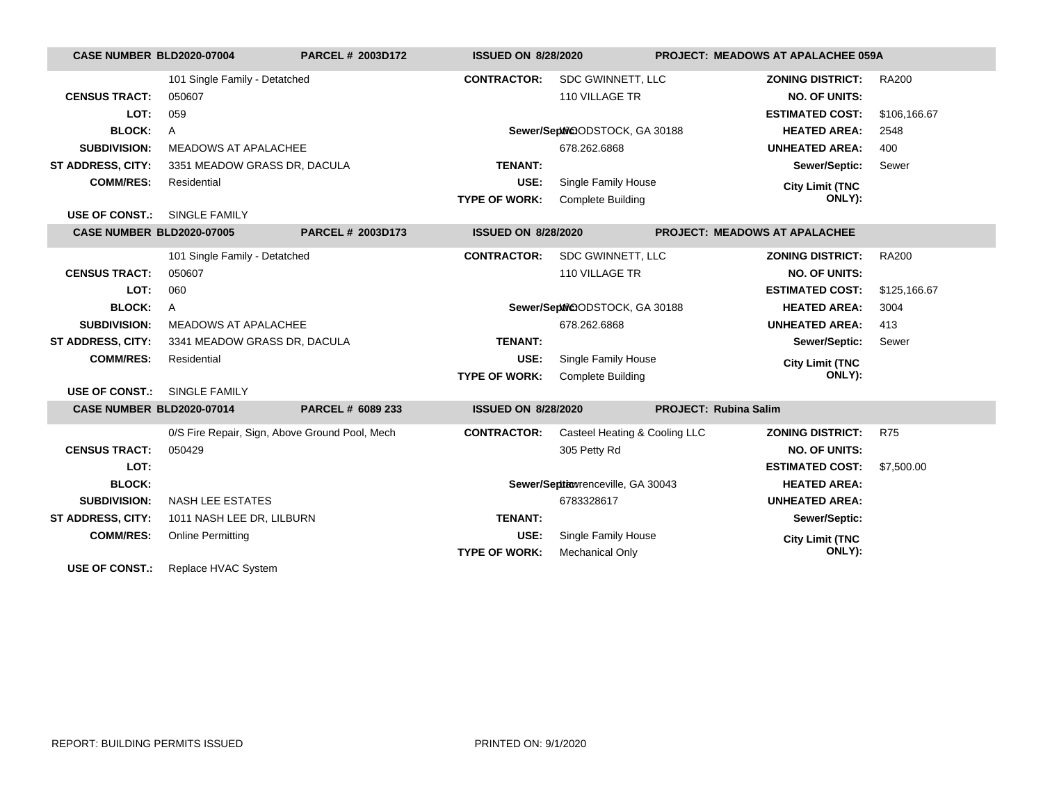| CASE NUMBER BLD2020-07004        |                                                | <b>PARCEL # 2003D172</b> | <b>ISSUED ON 8/28/2020</b> |                                   | <b>PROJECT: MEADOWS AT APALACHEE 059A</b> |              |
|----------------------------------|------------------------------------------------|--------------------------|----------------------------|-----------------------------------|-------------------------------------------|--------------|
|                                  | 101 Single Family - Detatched                  |                          | <b>CONTRACTOR:</b>         | SDC GWINNETT, LLC                 | <b>ZONING DISTRICT:</b>                   | <b>RA200</b> |
| <b>CENSUS TRACT:</b>             | 050607                                         |                          |                            | 110 VILLAGE TR                    | <b>NO. OF UNITS:</b>                      |              |
| LOT:                             | 059                                            |                          |                            |                                   | <b>ESTIMATED COST:</b>                    | \$106,166.67 |
| <b>BLOCK:</b>                    | $\mathsf{A}$                                   |                          |                            | Sewer/Sephi@ODSTOCK, GA 30188     | <b>HEATED AREA:</b>                       | 2548         |
| <b>SUBDIVISION:</b>              | <b>MEADOWS AT APALACHEE</b>                    |                          |                            | 678.262.6868                      | <b>UNHEATED AREA:</b>                     | 400          |
| <b>ST ADDRESS, CITY:</b>         | 3351 MEADOW GRASS DR, DACULA                   |                          | <b>TENANT:</b>             |                                   | Sewer/Septic:                             | Sewer        |
| <b>COMM/RES:</b>                 | Residential                                    |                          | USE:                       | Single Family House               | <b>City Limit (TNC</b>                    |              |
|                                  |                                                |                          | <b>TYPE OF WORK:</b>       | <b>Complete Building</b>          | ONLY):                                    |              |
| <b>USE OF CONST.:</b>            | SINGLE FAMILY                                  |                          |                            |                                   |                                           |              |
| <b>CASE NUMBER BLD2020-07005</b> |                                                | PARCEL # 2003D173        | <b>ISSUED ON 8/28/2020</b> |                                   | <b>PROJECT: MEADOWS AT APALACHEE</b>      |              |
|                                  | 101 Single Family - Detatched                  |                          | <b>CONTRACTOR:</b>         | SDC GWINNETT, LLC                 | <b>ZONING DISTRICT:</b>                   | <b>RA200</b> |
| <b>CENSUS TRACT:</b>             | 050607                                         |                          |                            | 110 VILLAGE TR                    | <b>NO. OF UNITS:</b>                      |              |
| LOT:                             | 060                                            |                          |                            |                                   | <b>ESTIMATED COST:</b>                    | \$125,166.67 |
| <b>BLOCK:</b>                    | $\mathsf{A}$                                   |                          |                            | Sewer/Sephi@ODSTOCK, GA 30188     | <b>HEATED AREA:</b>                       | 3004         |
| <b>SUBDIVISION:</b>              | <b>MEADOWS AT APALACHEE</b>                    |                          |                            | 678.262.6868                      | <b>UNHEATED AREA:</b>                     | 413          |
| <b>ST ADDRESS, CITY:</b>         | 3341 MEADOW GRASS DR, DACULA                   |                          | <b>TENANT:</b>             |                                   | Sewer/Septic:                             | Sewer        |
| <b>COMM/RES:</b>                 | Residential                                    |                          | USE:                       | Single Family House               | <b>City Limit (TNC</b>                    |              |
|                                  |                                                |                          | <b>TYPE OF WORK:</b>       | <b>Complete Building</b>          | ONLY):                                    |              |
| <b>USE OF CONST.:</b>            | SINGLE FAMILY                                  |                          |                            |                                   |                                           |              |
| <b>CASE NUMBER BLD2020-07014</b> |                                                | PARCEL # 6089 233        | <b>ISSUED ON 8/28/2020</b> |                                   | <b>PROJECT: Rubina Salim</b>              |              |
|                                  | 0/S Fire Repair, Sign, Above Ground Pool, Mech |                          | <b>CONTRACTOR:</b>         | Casteel Heating & Cooling LLC     | <b>ZONING DISTRICT:</b>                   | <b>R75</b>   |
| <b>CENSUS TRACT:</b>             | 050429                                         |                          |                            | 305 Petty Rd                      | <b>NO. OF UNITS:</b>                      |              |
| LOT:                             |                                                |                          |                            |                                   | <b>ESTIMATED COST:</b>                    | \$7,500.00   |
| <b>BLOCK:</b>                    |                                                |                          |                            | Sewer/Septionrenceville, GA 30043 | <b>HEATED AREA:</b>                       |              |
| <b>SUBDIVISION:</b>              | <b>NASH LEE ESTATES</b>                        |                          |                            | 6783328617                        | <b>UNHEATED AREA:</b>                     |              |
| <b>ST ADDRESS, CITY:</b>         | 1011 NASH LEE DR, LILBURN                      |                          | <b>TENANT:</b>             |                                   | Sewer/Septic:                             |              |
| <b>COMM/RES:</b>                 | <b>Online Permitting</b>                       |                          | USE:                       | Single Family House               | <b>City Limit (TNC</b>                    |              |
|                                  |                                                |                          | <b>TYPE OF WORK:</b>       | Mechanical Only                   | ONLY):                                    |              |
| <b>USE OF CONST.:</b>            | Replace HVAC System                            |                          |                            |                                   |                                           |              |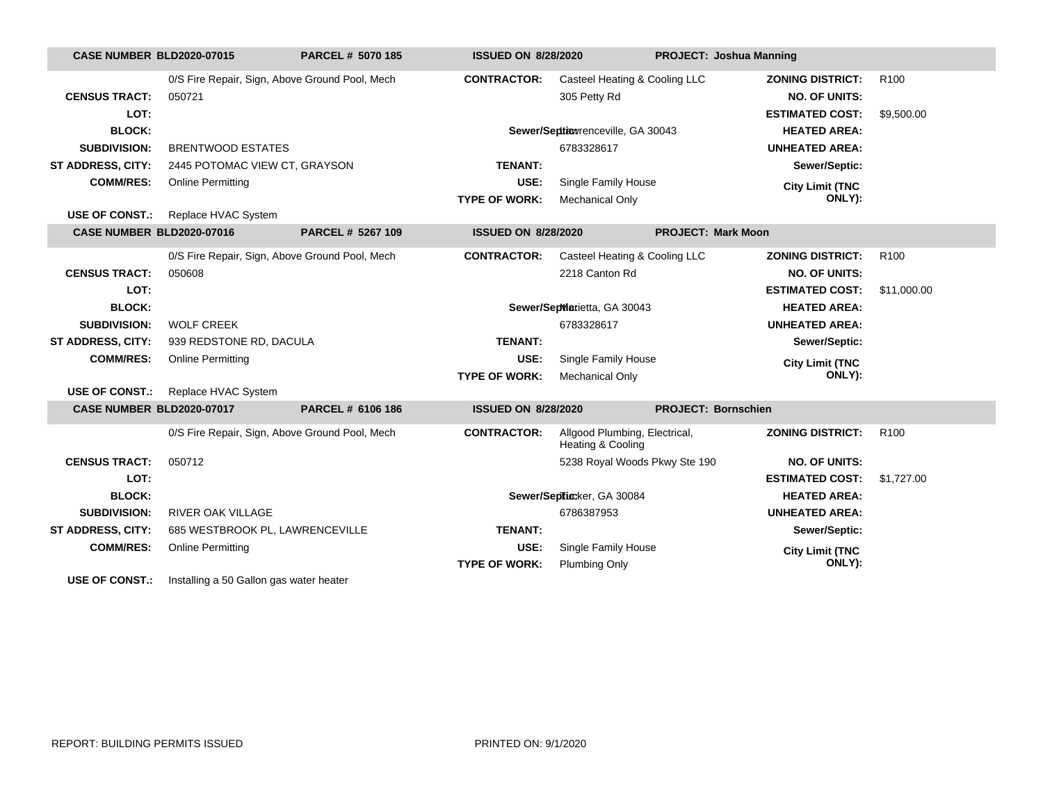| <b>CASE NUMBER BLD2020-07015</b> |                                                | PARCEL # 5070 185 | <b>ISSUED ON 8/28/2020</b> |                                                    | <b>PROJECT: Joshua Manning</b> |                         |                  |
|----------------------------------|------------------------------------------------|-------------------|----------------------------|----------------------------------------------------|--------------------------------|-------------------------|------------------|
|                                  | 0/S Fire Repair, Sign, Above Ground Pool, Mech |                   | <b>CONTRACTOR:</b>         | Casteel Heating & Cooling LLC                      |                                | <b>ZONING DISTRICT:</b> | R <sub>100</sub> |
| <b>CENSUS TRACT:</b>             | 050721                                         |                   |                            | 305 Petty Rd                                       |                                | <b>NO. OF UNITS:</b>    |                  |
| LOT:                             |                                                |                   |                            |                                                    |                                | <b>ESTIMATED COST:</b>  | \$9,500.00       |
| <b>BLOCK:</b>                    |                                                |                   |                            | Sewer/Seption renceville, GA 30043                 |                                | <b>HEATED AREA:</b>     |                  |
| <b>SUBDIVISION:</b>              | <b>BRENTWOOD ESTATES</b>                       |                   |                            | 6783328617                                         |                                | <b>UNHEATED AREA:</b>   |                  |
| <b>ST ADDRESS, CITY:</b>         | 2445 POTOMAC VIEW CT, GRAYSON                  |                   | <b>TENANT:</b>             |                                                    |                                | Sewer/Septic:           |                  |
| <b>COMM/RES:</b>                 | <b>Online Permitting</b>                       |                   | USE:                       | Single Family House                                |                                | <b>City Limit (TNC</b>  |                  |
| <b>USE OF CONST.:</b>            | Replace HVAC System                            |                   | <b>TYPE OF WORK:</b>       | Mechanical Only                                    |                                | ONLY):                  |                  |
| <b>CASE NUMBER BLD2020-07016</b> |                                                | PARCEL # 5267 109 | <b>ISSUED ON 8/28/2020</b> |                                                    | <b>PROJECT: Mark Moon</b>      |                         |                  |
|                                  |                                                |                   |                            |                                                    |                                |                         |                  |
|                                  | 0/S Fire Repair, Sign, Above Ground Pool, Mech |                   | <b>CONTRACTOR:</b>         | Casteel Heating & Cooling LLC                      |                                | <b>ZONING DISTRICT:</b> | R <sub>100</sub> |
| <b>CENSUS TRACT:</b>             | 050608                                         |                   |                            | 2218 Canton Rd                                     |                                | <b>NO. OF UNITS:</b>    |                  |
| LOT:                             |                                                |                   |                            |                                                    |                                | <b>ESTIMATED COST:</b>  | \$11,000.00      |
| <b>BLOCK:</b>                    |                                                |                   |                            | Sewer/SepWarietta, GA 30043                        |                                | <b>HEATED AREA:</b>     |                  |
| <b>SUBDIVISION:</b>              | <b>WOLF CREEK</b>                              |                   |                            | 6783328617                                         |                                | <b>UNHEATED AREA:</b>   |                  |
| <b>ST ADDRESS, CITY:</b>         | 939 REDSTONE RD, DACULA                        |                   | <b>TENANT:</b>             |                                                    |                                | Sewer/Septic:           |                  |
| <b>COMM/RES:</b>                 | <b>Online Permitting</b>                       |                   | USE:                       | Single Family House                                |                                | <b>City Limit (TNC</b>  |                  |
|                                  |                                                |                   | <b>TYPE OF WORK:</b>       | <b>Mechanical Only</b>                             |                                | ONLY):                  |                  |
| <b>USE OF CONST.:</b>            | Replace HVAC System                            |                   |                            |                                                    |                                |                         |                  |
| <b>CASE NUMBER BLD2020-07017</b> |                                                | PARCEL # 6106 186 | <b>ISSUED ON 8/28/2020</b> |                                                    | <b>PROJECT: Bornschien</b>     |                         |                  |
|                                  | 0/S Fire Repair, Sign, Above Ground Pool, Mech |                   | <b>CONTRACTOR:</b>         | Allgood Plumbing, Electrical,<br>Heating & Cooling |                                | <b>ZONING DISTRICT:</b> | R <sub>100</sub> |
| <b>CENSUS TRACT:</b>             | 050712                                         |                   |                            | 5238 Royal Woods Pkwy Ste 190                      |                                | <b>NO. OF UNITS:</b>    |                  |
| LOT:                             |                                                |                   |                            |                                                    |                                | <b>ESTIMATED COST:</b>  | \$1,727.00       |
| <b>BLOCK:</b>                    |                                                |                   |                            | Sewer/Septicker, GA 30084                          |                                | <b>HEATED AREA:</b>     |                  |
| <b>SUBDIVISION:</b>              | <b>RIVER OAK VILLAGE</b>                       |                   |                            | 6786387953                                         |                                | <b>UNHEATED AREA:</b>   |                  |
| <b>ST ADDRESS, CITY:</b>         | 685 WESTBROOK PL, LAWRENCEVILLE                |                   | <b>TENANT:</b>             |                                                    |                                | Sewer/Septic:           |                  |
| <b>COMM/RES:</b>                 | <b>Online Permitting</b>                       |                   | USE:                       | Single Family House                                |                                | <b>City Limit (TNC</b>  |                  |
|                                  |                                                |                   | <b>TYPE OF WORK:</b>       | <b>Plumbing Only</b>                               |                                | ONLY):                  |                  |
| <b>USE OF CONST.:</b>            | Installing a 50 Gallon gas water heater        |                   |                            |                                                    |                                |                         |                  |